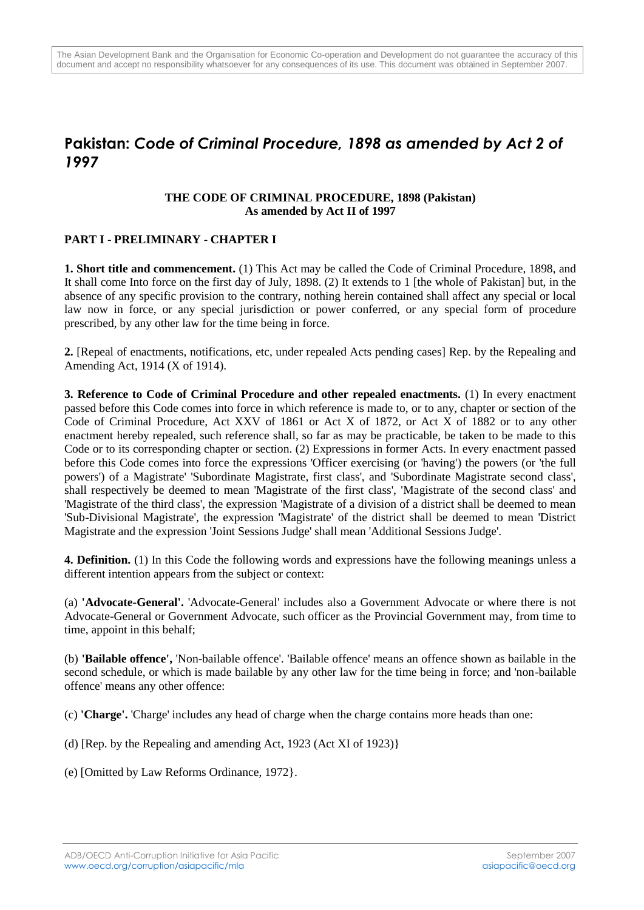# **Pakistan:** *Code of Criminal Procedure, 1898 as amended by Act 2 of 1997*

# **THE CODE OF CRIMINAL PROCEDURE, 1898 (Pakistan) As amended by Act II of 1997**

# **PART I** - **PRELIMINARY** - **CHAPTER I**

**1. Short title and commencement.** (1) This Act may be called the Code of Criminal Procedure, 1898, and It shall come Into force on the first day of July, 1898. (2) It extends to 1 [the whole of Pakistan] but, in the absence of any specific provision to the contrary, nothing herein contained shall affect any special or local law now in force, or any special jurisdiction or power conferred, or any special form of procedure prescribed, by any other law for the time being in force.

**2.** [Repeal of enactments, notifications, etc, under repealed Acts pending cases] Rep. by the Repealing and Amending Act, 1914 (X of 1914).

**3. Reference to Code of Criminal Procedure and other repealed enactments.** (1) In every enactment passed before this Code comes into force in which reference is made to, or to any, chapter or section of the Code of Criminal Procedure, Act XXV of 1861 or Act X of 1872, or Act X of 1882 or to any other enactment hereby repealed, such reference shall, so far as may be practicable, be taken to be made to this Code or to its corresponding chapter or section. (2) Expressions in former Acts. In every enactment passed before this Code comes into force the expressions 'Officer exercising (or 'having') the powers (or 'the full powers') of a Magistrate' 'Subordinate Magistrate, first class', and 'Subordinate Magistrate second class', shall respectively be deemed to mean 'Magistrate of the first class', 'Magistrate of the second class' and 'Magistrate of the third class', the expression 'Magistrate of a division of a district shall be deemed to mean 'Sub-Divisional Magistrate', the expression 'Magistrate' of the district shall be deemed to mean 'District Magistrate and the expression 'Joint Sessions Judge' shall mean 'Additional Sessions Judge'.

**4. Definition.** (1) In this Code the following words and expressions have the following meanings unless a different intention appears from the subject or context:

(a) **'Advocate-General'.** 'Advocate-General' includes also a Government Advocate or where there is not Advocate-General or Government Advocate, such officer as the Provincial Government may, from time to time, appoint in this behalf;

(b) **'Bailable offence',** 'Non-bailable offence'. 'Bailable offence' means an offence shown as bailable in the second schedule, or which is made bailable by any other law for the time being in force; and 'non-bailable offence' means any other offence:

(c) **'Charge'.** 'Charge' includes any head of charge when the charge contains more heads than one:

- (d) [Rep. by the Repealing and amending Act, 1923 (Act XI of 1923)}
- (e) [Omitted by Law Reforms Ordinance, 1972}.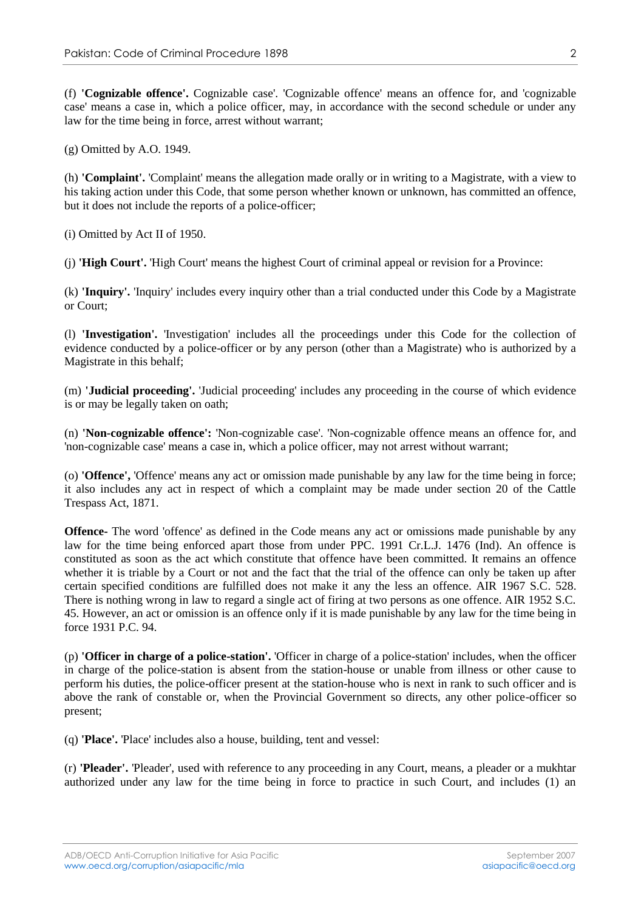(f) **'Cognizable offence'.** Cognizable case'. 'Cognizable offence' means an offence for, and 'cognizable case' means a case in, which a police officer, may, in accordance with the second schedule or under any law for the time being in force, arrest without warrant;

(g) Omitted by A.O. 1949.

(h) **'Complaint'.** 'Complaint' means the allegation made orally or in writing to a Magistrate, with a view to his taking action under this Code, that some person whether known or unknown, has committed an offence, but it does not include the reports of a police-officer;

(i) Omitted by Act II of 1950.

(j) **'High Court'.** 'High Court' means the highest Court of criminal appeal or revision for a Province:

(k) **'Inquiry'.** 'Inquiry' includes every inquiry other than a trial conducted under this Code by a Magistrate or Court;

(l) **'Investigation'.** 'Investigation' includes all the proceedings under this Code for the collection of evidence conducted by a police-officer or by any person (other than a Magistrate) who is authorized by a Magistrate in this behalf;

(m) **'Judicial proceeding'.** 'Judicial proceeding' includes any proceeding in the course of which evidence is or may be legally taken on oath;

(n) **'Non-cognizable offence':** 'Non-cognizable case'. 'Non-cognizable offence means an offence for, and 'non-cognizable case' means a case in, which a police officer, may not arrest without warrant;

(o) **'Offence',** 'Offence' means any act or omission made punishable by any law for the time being in force; it also includes any act in respect of which a complaint may be made under section 20 of the Cattle Trespass Act, 1871.

**Offence-** The word 'offence' as defined in the Code means any act or omissions made punishable by any law for the time being enforced apart those from under PPC. 1991 Cr.L.J. 1476 (Ind). An offence is constituted as soon as the act which constitute that offence have been committed. It remains an offence whether it is triable by a Court or not and the fact that the trial of the offence can only be taken up after certain specified conditions are fulfilled does not make it any the less an offence. AIR 1967 S.C. 528. There is nothing wrong in law to regard a single act of firing at two persons as one offence. AIR 1952 S.C. 45. However, an act or omission is an offence only if it is made punishable by any law for the time being in force 1931 P.C. 94.

(p) **'Officer in charge of a police-station'.** 'Officer in charge of a police-station' includes, when the officer in charge of the police-station is absent from the station-house or unable from illness or other cause to perform his duties, the police-officer present at the station-house who is next in rank to such officer and is above the rank of constable or, when the Provincial Government so directs, any other police-officer so present;

(q) **'Place'.** 'Place' includes also a house, building, tent and vessel:

(r) **'Pleader'.** 'Pleader', used with reference to any proceeding in any Court, means, a pleader or a mukhtar authorized under any law for the time being in force to practice in such Court, and includes (1) an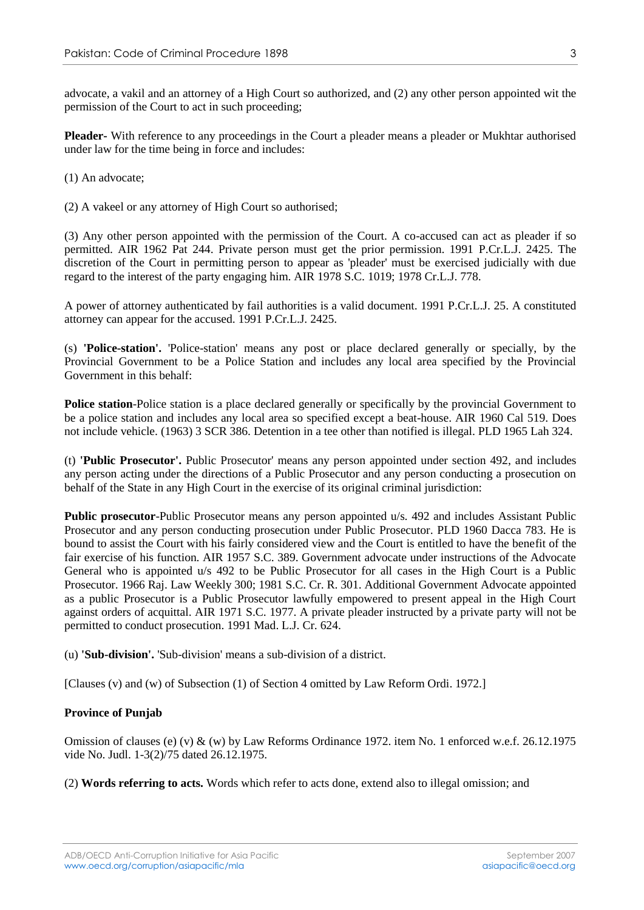advocate, a vakil and an attorney of a High Court so authorized, and (2) any other person appointed wit the permission of the Court to act in such proceeding;

**Pleader-** With reference to any proceedings in the Court a pleader means a pleader or Mukhtar authorised under law for the time being in force and includes:

(1) An advocate;

(2) A vakeel or any attorney of High Court so authorised;

(3) Any other person appointed with the permission of the Court. A co-accused can act as pleader if so permitted. AIR 1962 Pat 244. Private person must get the prior permission. 1991 P.Cr.L.J. 2425. The discretion of the Court in permitting person to appear as 'pleader' must be exercised judicially with due regard to the interest of the party engaging him. AIR 1978 S.C. 1019; 1978 Cr.L.J. 778.

A power of attorney authenticated by fail authorities is a valid document. 1991 P.Cr.L.J. 25. A constituted attorney can appear for the accused. 1991 P.Cr.L.J. 2425.

(s) **'Police-station'.** 'Police-station' means any post or place declared generally or specially, by the Provincial Government to be a Police Station and includes any local area specified by the Provincial Government in this behalf:

**Police station**-Police station is a place declared generally or specifically by the provincial Government to be a police station and includes any local area so specified except a beat-house. AIR 1960 Cal 519. Does not include vehicle. (1963) 3 SCR 386. Detention in a tee other than notified is illegal. PLD 1965 Lah 324.

(t) **'Public Prosecutor'.** Public Prosecutor' means any person appointed under section 492, and includes any person acting under the directions of a Public Prosecutor and any person conducting a prosecution on behalf of the State in any High Court in the exercise of its original criminal jurisdiction:

**Public prosecutor-Public Prosecutor means any person appointed u/s. 492 and includes Assistant Public** Prosecutor and any person conducting prosecution under Public Prosecutor. PLD 1960 Dacca 783. He is bound to assist the Court with his fairly considered view and the Court is entitled to have the benefit of the fair exercise of his function. AIR 1957 S.C. 389. Government advocate under instructions of the Advocate General who is appointed u/s 492 to be Public Prosecutor for all cases in the High Court is a Public Prosecutor. 1966 Raj. Law Weekly 300; 1981 S.C. Cr. R. 301. Additional Government Advocate appointed as a public Prosecutor is a Public Prosecutor lawfully empowered to present appeal in the High Court against orders of acquittal. AIR 1971 S.C. 1977. A private pleader instructed by a private party will not be permitted to conduct prosecution. 1991 Mad. L.J. Cr. 624.

(u) **'Sub-division'.** 'Sub-division' means a sub-division of a district.

[Clauses (v) and (w) of Subsection (1) of Section 4 omitted by Law Reform Ordi. 1972.]

#### **Province of Punjab**

Omission of clauses (e) (v) & (w) by Law Reforms Ordinance 1972. item No. 1 enforced w.e.f. 26.12.1975 vide No. Judl. 1-3(2)/75 dated 26.12.1975.

(2) **Words referring to acts.** Words which refer to acts done, extend also to illegal omission; and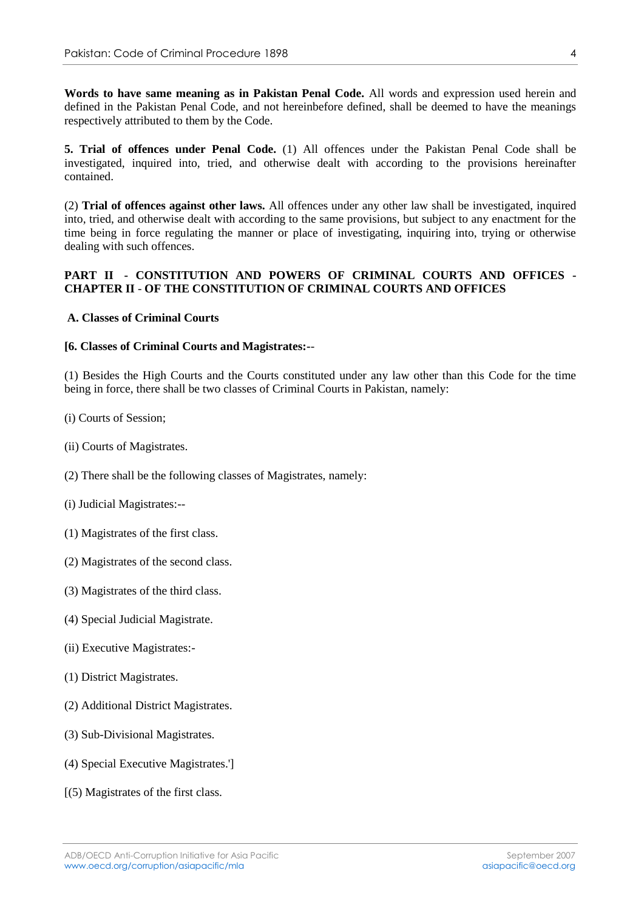**Words to have same meaning as in Pakistan Penal Code.** All words and expression used herein and defined in the Pakistan Penal Code, and not hereinbefore defined, shall be deemed to have the meanings respectively attributed to them by the Code.

**5. Trial of offences under Penal Code.** (1) All offences under the Pakistan Penal Code shall be investigated, inquired into, tried, and otherwise dealt with according to the provisions hereinafter contained.

(2) **Trial of offences against other laws.** All offences under any other law shall be investigated, inquired into, tried, and otherwise dealt with according to the same provisions, but subject to any enactment for the time being in force regulating the manner or place of investigating, inquiring into, trying or otherwise dealing with such offences.

### **PART II - CONSTITUTION AND POWERS OF CRIMINAL COURTS AND OFFICES - CHAPTER II** - **OF THE CONSTITUTION OF CRIMINAL COURTS AND OFFICES**

### **A. Classes of Criminal Courts**

#### **[6. Classes of Criminal Courts and Magistrates:-**-

(1) Besides the High Courts and the Courts constituted under any law other than this Code for the time being in force, there shall be two classes of Criminal Courts in Pakistan, namely:

- (i) Courts of Session;
- (ii) Courts of Magistrates.
- (2) There shall be the following classes of Magistrates, namely:
- (i) Judicial Magistrates:--
- (1) Magistrates of the first class.
- (2) Magistrates of the second class.
- (3) Magistrates of the third class.
- (4) Special Judicial Magistrate.
- (ii) Executive Magistrates:-
- (1) District Magistrates.
- (2) Additional District Magistrates.
- (3) Sub-Divisional Magistrates.
- (4) Special Executive Magistrates.']
- [(5) Magistrates of the first class.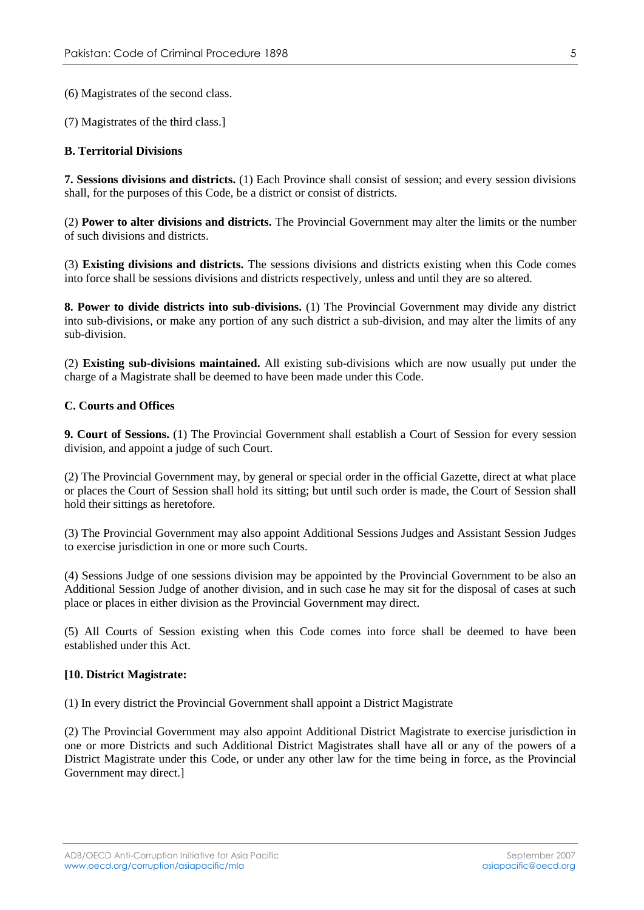(6) Magistrates of the second class.

(7) Magistrates of the third class.]

#### **B. Territorial Divisions**

**7. Sessions divisions and districts.** (1) Each Province shall consist of session; and every session divisions shall, for the purposes of this Code, be a district or consist of districts.

(2) **Power to alter divisions and districts.** The Provincial Government may alter the limits or the number of such divisions and districts.

(3) **Existing divisions and districts.** The sessions divisions and districts existing when this Code comes into force shall be sessions divisions and districts respectively, unless and until they are so altered.

**8. Power to divide districts into sub-divisions.** (1) The Provincial Government may divide any district into sub-divisions, or make any portion of any such district a sub-division, and may alter the limits of any sub-division.

(2) **Existing sub-divisions maintained.** All existing sub-divisions which are now usually put under the charge of a Magistrate shall be deemed to have been made under this Code.

#### **C. Courts and Offices**

**9. Court of Sessions.** (1) The Provincial Government shall establish a Court of Session for every session division, and appoint a judge of such Court.

(2) The Provincial Government may, by general or special order in the official Gazette, direct at what place or places the Court of Session shall hold its sitting; but until such order is made, the Court of Session shall hold their sittings as heretofore.

(3) The Provincial Government may also appoint Additional Sessions Judges and Assistant Session Judges to exercise jurisdiction in one or more such Courts.

(4) Sessions Judge of one sessions division may be appointed by the Provincial Government to be also an Additional Session Judge of another division, and in such case he may sit for the disposal of cases at such place or places in either division as the Provincial Government may direct.

(5) All Courts of Session existing when this Code comes into force shall be deemed to have been established under this Act.

#### **[10. District Magistrate:**

(1) In every district the Provincial Government shall appoint a District Magistrate

(2) The Provincial Government may also appoint Additional District Magistrate to exercise jurisdiction in one or more Districts and such Additional District Magistrates shall have all or any of the powers of a District Magistrate under this Code, or under any other law for the time being in force, as the Provincial Government may direct.]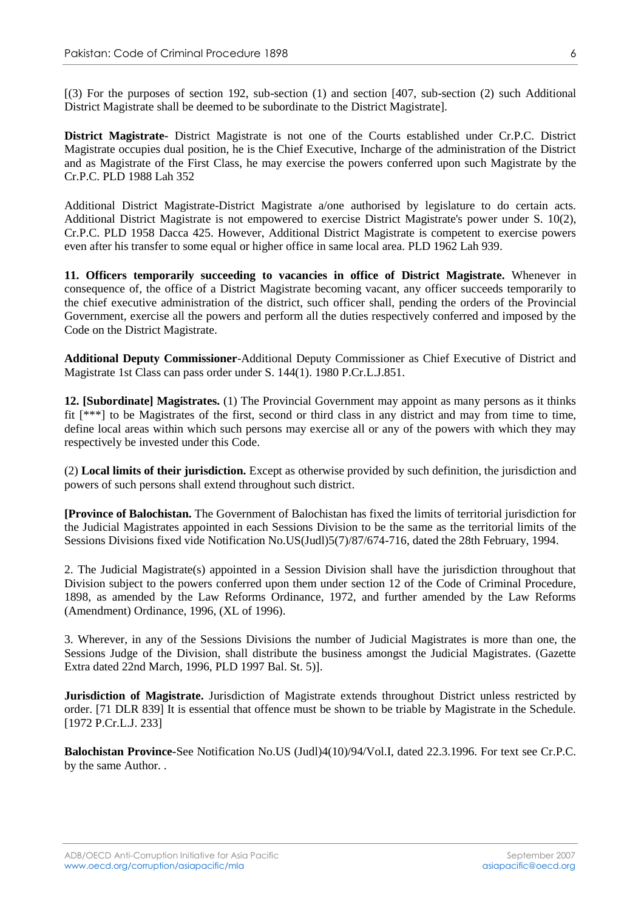[(3) For the purposes of section 192, sub-section (1) and section [407, sub-section (2) such Additional District Magistrate shall be deemed to be subordinate to the District Magistrate].

**District Magistrate-** District Magistrate is not one of the Courts established under Cr.P.C. District Magistrate occupies dual position, he is the Chief Executive, Incharge of the administration of the District and as Magistrate of the First Class, he may exercise the powers conferred upon such Magistrate by the Cr.P.C. PLD 1988 Lah 352

Additional District Magistrate-District Magistrate a/one authorised by legislature to do certain acts. Additional District Magistrate is not empowered to exercise District Magistrate's power under S. 10(2), Cr.P.C. PLD 1958 Dacca 425. However, Additional District Magistrate is competent to exercise powers even after his transfer to some equal or higher office in same local area. PLD 1962 Lah 939.

**11. Officers temporarily succeeding to vacancies in office of District Magistrate.** Whenever in consequence of, the office of a District Magistrate becoming vacant, any officer succeeds temporarily to the chief executive administration of the district, such officer shall, pending the orders of the Provincial Government, exercise all the powers and perform all the duties respectively conferred and imposed by the Code on the District Magistrate.

**Additional Deputy Commissioner**-Additional Deputy Commissioner as Chief Executive of District and Magistrate 1st Class can pass order under S. 144(1). 1980 P.Cr.L.J.851.

**12. [Subordinate] Magistrates.** (1) The Provincial Government may appoint as many persons as it thinks fit [\*\*\*] to be Magistrates of the first, second or third class in any district and may from time to time, define local areas within which such persons may exercise all or any of the powers with which they may respectively be invested under this Code.

(2) **Local limits of their jurisdiction.** Except as otherwise provided by such definition, the jurisdiction and powers of such persons shall extend throughout such district.

**[Province of Balochistan.** The Government of Balochistan has fixed the limits of territorial jurisdiction for the Judicial Magistrates appointed in each Sessions Division to be the same as the territorial limits of the Sessions Divisions fixed vide Notification No.US(Judl)5(7)/87/674-716, dated the 28th February, 1994.

2. The Judicial Magistrate(s) appointed in a Session Division shall have the jurisdiction throughout that Division subject to the powers conferred upon them under section 12 of the Code of Criminal Procedure, 1898, as amended by the Law Reforms Ordinance, 1972, and further amended by the Law Reforms (Amendment) Ordinance, 1996, (XL of 1996).

3. Wherever, in any of the Sessions Divisions the number of Judicial Magistrates is more than one, the Sessions Judge of the Division, shall distribute the business amongst the Judicial Magistrates. (Gazette Extra dated 22nd March, 1996, PLD 1997 Bal. St. 5)].

**Jurisdiction of Magistrate.** Jurisdiction of Magistrate extends throughout District unless restricted by order. [71 DLR 839] It is essential that offence must be shown to be triable by Magistrate in the Schedule. [1972 P.Cr.L.J. 233]

**Balochistan Province-**See Notification No.US (Judl)4(10)/94/Vol.I, dated 22.3.1996. For text see Cr.P.C. by the same Author. .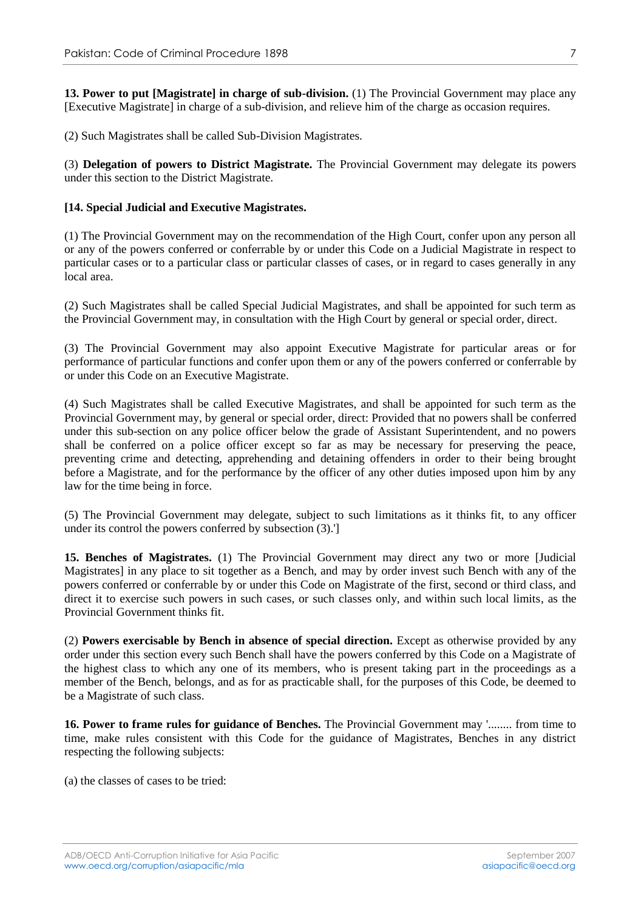**13. Power to put [Magistrate] in charge of sub-division.** (1) The Provincial Government may place any [Executive Magistrate] in charge of a sub-division, and relieve him of the charge as occasion requires.

(2) Such Magistrates shall be called Sub-Division Magistrates.

(3) **Delegation of powers to District Magistrate.** The Provincial Government may delegate its powers under this section to the District Magistrate.

#### **[14. Special Judicial and Executive Magistrates.**

(1) The Provincial Government may on the recommendation of the High Court, confer upon any person all or any of the powers conferred or conferrable by or under this Code on a Judicial Magistrate in respect to particular cases or to a particular class or particular classes of cases, or in regard to cases generally in any local area.

(2) Such Magistrates shall be called Special Judicial Magistrates, and shall be appointed for such term as the Provincial Government may, in consultation with the High Court by general or special order, direct.

(3) The Provincial Government may also appoint Executive Magistrate for particular areas or for performance of particular functions and confer upon them or any of the powers conferred or conferrable by or under this Code on an Executive Magistrate.

(4) Such Magistrates shall be called Executive Magistrates, and shall be appointed for such term as the Provincial Government may, by general or special order, direct: Provided that no powers shall be conferred under this sub-section on any police officer below the grade of Assistant Superintendent, and no powers shall be conferred on a police officer except so far as may be necessary for preserving the peace, preventing crime and detecting, apprehending and detaining offenders in order to their being brought before a Magistrate, and for the performance by the officer of any other duties imposed upon him by any law for the time being in force.

(5) The Provincial Government may delegate, subject to such limitations as it thinks fit, to any officer under its control the powers conferred by subsection (3).']

**15. Benches of Magistrates.** (1) The Provincial Government may direct any two or more [Judicial Magistrates] in any place to sit together as a Bench, and may by order invest such Bench with any of the powers conferred or conferrable by or under this Code on Magistrate of the first, second or third class, and direct it to exercise such powers in such cases, or such classes only, and within such local limits, as the Provincial Government thinks fit.

(2) **Powers exercisable by Bench in absence of special direction.** Except as otherwise provided by any order under this section every such Bench shall have the powers conferred by this Code on a Magistrate of the highest class to which any one of its members, who is present taking part in the proceedings as a member of the Bench, belongs, and as for as practicable shall, for the purposes of this Code, be deemed to be a Magistrate of such class.

**16. Power to frame rules for guidance of Benches.** The Provincial Government may '........ from time to time, make rules consistent with this Code for the guidance of Magistrates, Benches in any district respecting the following subjects:

(a) the classes of cases to be tried: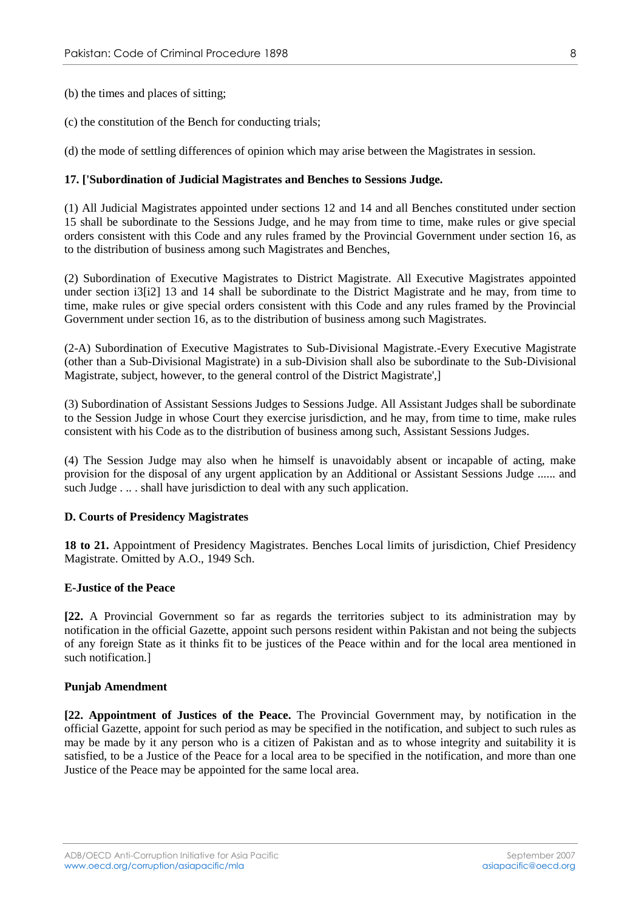(b) the times and places of sitting;

(c) the constitution of the Bench for conducting trials;

(d) the mode of settling differences of opinion which may arise between the Magistrates in session.

#### **17. ['Subordination of Judicial Magistrates and Benches to Sessions Judge.**

(1) All Judicial Magistrates appointed under sections 12 and 14 and all Benches constituted under section 15 shall be subordinate to the Sessions Judge, and he may from time to time, make rules or give special orders consistent with this Code and any rules framed by the Provincial Government under section 16, as to the distribution of business among such Magistrates and Benches,

(2) Subordination of Executive Magistrates to District Magistrate. All Executive Magistrates appointed under section i3[i2] 13 and 14 shall be subordinate to the District Magistrate and he may, from time to time, make rules or give special orders consistent with this Code and any rules framed by the Provincial Government under section 16, as to the distribution of business among such Magistrates.

(2-A) Subordination of Executive Magistrates to Sub-Divisional Magistrate.-Every Executive Magistrate (other than a Sub-Divisional Magistrate) in a sub-Division shall also be subordinate to the Sub-Divisional Magistrate, subject, however, to the general control of the District Magistrate',]

(3) Subordination of Assistant Sessions Judges to Sessions Judge. All Assistant Judges shall be subordinate to the Session Judge in whose Court they exercise jurisdiction, and he may, from time to time, make rules consistent with his Code as to the distribution of business among such, Assistant Sessions Judges.

(4) The Session Judge may also when he himself is unavoidably absent or incapable of acting, make provision for the disposal of any urgent application by an Additional or Assistant Sessions Judge ...... and such Judge . .. . shall have jurisdiction to deal with any such application.

#### **D. Courts of Presidency Magistrates**

**18 to 21.** Appointment of Presidency Magistrates. Benches Local limits of jurisdiction, Chief Presidency Magistrate. Omitted by A.O., 1949 Sch.

#### **E-Justice of the Peace**

**[22.** A Provincial Government so far as regards the territories subject to its administration may by notification in the official Gazette, appoint such persons resident within Pakistan and not being the subjects of any foreign State as it thinks fit to be justices of the Peace within and for the local area mentioned in such notification.]

#### **Punjab Amendment**

**[22. Appointment of Justices of the Peace.** The Provincial Government may, by notification in the official Gazette, appoint for such period as may be specified in the notification, and subject to such rules as may be made by it any person who is a citizen of Pakistan and as to whose integrity and suitability it is satisfied, to be a Justice of the Peace for a local area to be specified in the notification, and more than one Justice of the Peace may be appointed for the same local area.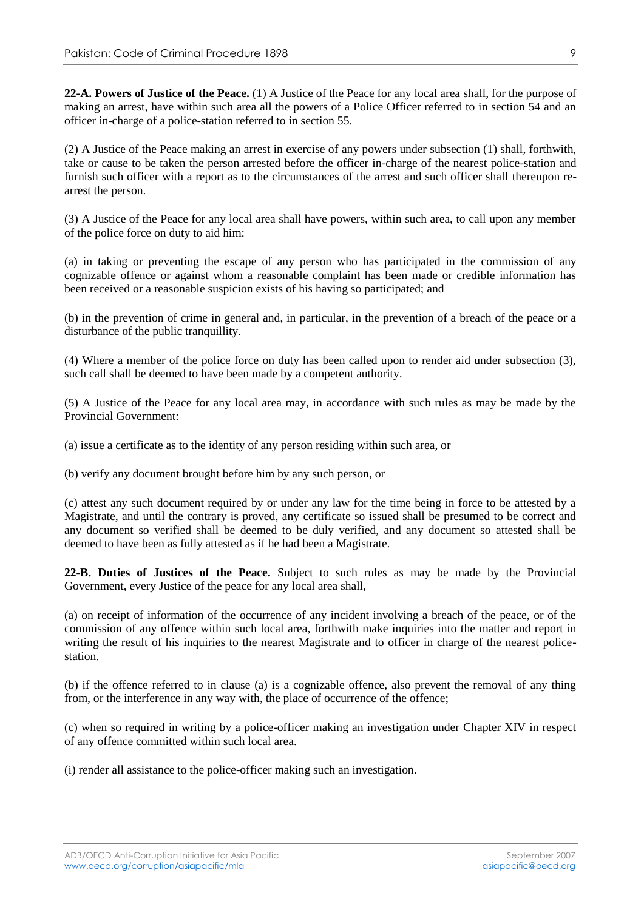**22-A. Powers of Justice of the Peace.** (1) A Justice of the Peace for any local area shall, for the purpose of making an arrest, have within such area all the powers of a Police Officer referred to in section 54 and an officer in-charge of a police-station referred to in section 55.

(2) A Justice of the Peace making an arrest in exercise of any powers under subsection (1) shall, forthwith, take or cause to be taken the person arrested before the officer in-charge of the nearest police-station and furnish such officer with a report as to the circumstances of the arrest and such officer shall thereupon rearrest the person.

(3) A Justice of the Peace for any local area shall have powers, within such area, to call upon any member of the police force on duty to aid him:

(a) in taking or preventing the escape of any person who has participated in the commission of any cognizable offence or against whom a reasonable complaint has been made or credible information has been received or a reasonable suspicion exists of his having so participated; and

(b) in the prevention of crime in general and, in particular, in the prevention of a breach of the peace or a disturbance of the public tranquillity.

(4) Where a member of the police force on duty has been called upon to render aid under subsection (3), such call shall be deemed to have been made by a competent authority.

(5) A Justice of the Peace for any local area may, in accordance with such rules as may be made by the Provincial Government:

(a) issue a certificate as to the identity of any person residing within such area, or

(b) verify any document brought before him by any such person, or

(c) attest any such document required by or under any law for the time being in force to be attested by a Magistrate, and until the contrary is proved, any certificate so issued shall be presumed to be correct and any document so verified shall be deemed to be duly verified, and any document so attested shall be deemed to have been as fully attested as if he had been a Magistrate.

**22-B. Duties of Justices of the Peace.** Subject to such rules as may be made by the Provincial Government, every Justice of the peace for any local area shall,

(a) on receipt of information of the occurrence of any incident involving a breach of the peace, or of the commission of any offence within such local area, forthwith make inquiries into the matter and report in writing the result of his inquiries to the nearest Magistrate and to officer in charge of the nearest policestation.

(b) if the offence referred to in clause (a) is a cognizable offence, also prevent the removal of any thing from, or the interference in any way with, the place of occurrence of the offence;

(c) when so required in writing by a police-officer making an investigation under Chapter XIV in respect of any offence committed within such local area.

(i) render all assistance to the police-officer making such an investigation.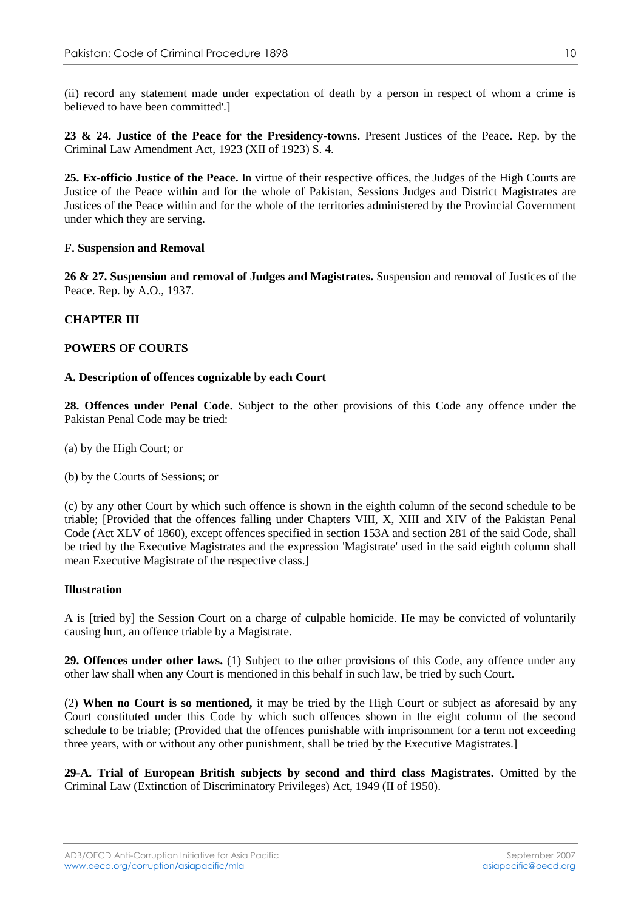(ii) record any statement made under expectation of death by a person in respect of whom a crime is believed to have been committed'.]

**23 & 24. Justice of the Peace for the Presidency-towns.** Present Justices of the Peace. Rep. by the Criminal Law Amendment Act, 1923 (XII of 1923) S. 4.

**25. Ex-officio Justice of the Peace.** In virtue of their respective offices, the Judges of the High Courts are Justice of the Peace within and for the whole of Pakistan, Sessions Judges and District Magistrates are Justices of the Peace within and for the whole of the territories administered by the Provincial Government under which they are serving.

### **F. Suspension and Removal**

**26 & 27. Suspension and removal of Judges and Magistrates.** Suspension and removal of Justices of the Peace. Rep. by A.O., 1937.

### **CHAPTER III**

#### **POWERS OF COURTS**

#### **A. Description of offences cognizable by each Court**

**28. Offences under Penal Code.** Subject to the other provisions of this Code any offence under the Pakistan Penal Code may be tried:

- (a) by the High Court; or
- (b) by the Courts of Sessions; or

(c) by any other Court by which such offence is shown in the eighth column of the second schedule to be triable; [Provided that the offences falling under Chapters VIII, X, XIII and XIV of the Pakistan Penal Code (Act XLV of 1860), except offences specified in section 153A and section 281 of the said Code, shall be tried by the Executive Magistrates and the expression 'Magistrate' used in the said eighth column shall mean Executive Magistrate of the respective class.]

### **Illustration**

A is [tried by] the Session Court on a charge of culpable homicide. He may be convicted of voluntarily causing hurt, an offence triable by a Magistrate.

**29. Offences under other laws.** (1) Subject to the other provisions of this Code, any offence under any other law shall when any Court is mentioned in this behalf in such law, be tried by such Court.

(2) **When no Court is so mentioned,** it may be tried by the High Court or subject as aforesaid by any Court constituted under this Code by which such offences shown in the eight column of the second schedule to be triable; (Provided that the offences punishable with imprisonment for a term not exceeding three years, with or without any other punishment, shall be tried by the Executive Magistrates.]

**29-A. Trial of European British subjects by second and third class Magistrates.** Omitted by the Criminal Law (Extinction of Discriminatory Privileges) Act, 1949 (II of 1950).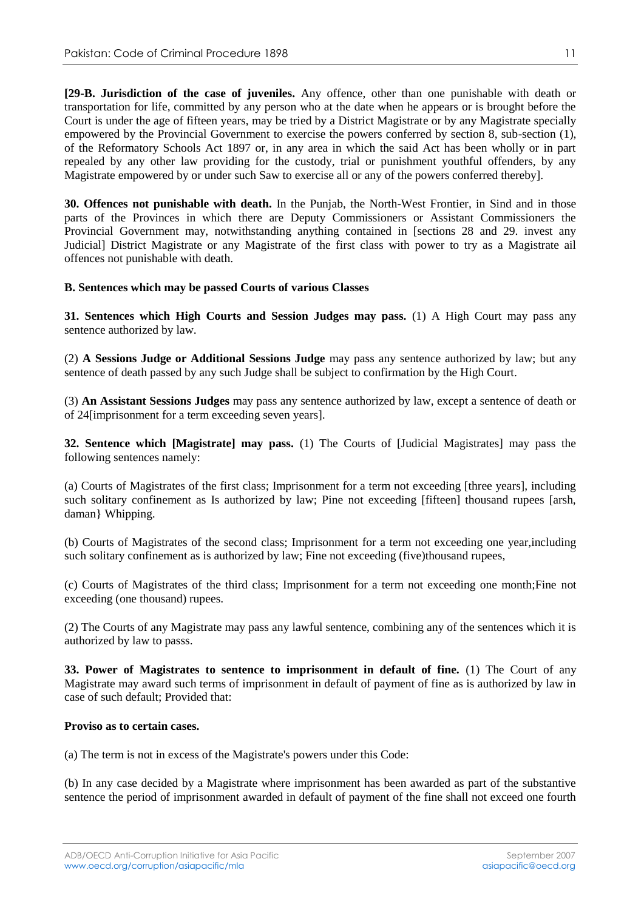**[29-B. Jurisdiction of the case of juveniles.** Any offence, other than one punishable with death or transportation for life, committed by any person who at the date when he appears or is brought before the Court is under the age of fifteen years, may be tried by a District Magistrate or by any Magistrate specially empowered by the Provincial Government to exercise the powers conferred by section 8, sub-section (1), of the Reformatory Schools Act 1897 or, in any area in which the said Act has been wholly or in part repealed by any other law providing for the custody, trial or punishment youthful offenders, by any Magistrate empowered by or under such Saw to exercise all or any of the powers conferred thereby].

**30. Offences not punishable with death.** In the Punjab, the North-West Frontier, in Sind and in those parts of the Provinces in which there are Deputy Commissioners or Assistant Commissioners the Provincial Government may, notwithstanding anything contained in [sections 28 and 29. invest any Judicial] District Magistrate or any Magistrate of the first class with power to try as a Magistrate ail offences not punishable with death.

### **B. Sentences which may be passed Courts of various Classes**

**31. Sentences which High Courts and Session Judges may pass.** (1) A High Court may pass any sentence authorized by law.

(2) **A Sessions Judge or Additional Sessions Judge** may pass any sentence authorized by law; but any sentence of death passed by any such Judge shall be subject to confirmation by the High Court.

(3) **An Assistant Sessions Judges** may pass any sentence authorized by law, except a sentence of death or of 24[imprisonment for a term exceeding seven years].

**32. Sentence which [Magistrate] may pass.** (1) The Courts of [Judicial Magistrates] may pass the following sentences namely:

(a) Courts of Magistrates of the first class; Imprisonment for a term not exceeding [three years], including such solitary confinement as Is authorized by law; Pine not exceeding [fifteen] thousand rupees [arsh, daman} Whipping.

(b) Courts of Magistrates of the second class; Imprisonment for a term not exceeding one year,including such solitary confinement as is authorized by law; Fine not exceeding (five)thousand rupees,

(c) Courts of Magistrates of the third class; Imprisonment for a term not exceeding one month;Fine not exceeding (one thousand) rupees.

(2) The Courts of any Magistrate may pass any lawful sentence, combining any of the sentences which it is authorized by law to passs.

**33. Power of Magistrates to sentence to imprisonment in default of fine.** (1) The Court of any Magistrate may award such terms of imprisonment in default of payment of fine as is authorized by law in case of such default; Provided that:

### **Proviso as to certain cases.**

(a) The term is not in excess of the Magistrate's powers under this Code:

(b) In any case decided by a Magistrate where imprisonment has been awarded as part of the substantive sentence the period of imprisonment awarded in default of payment of the fine shall not exceed one fourth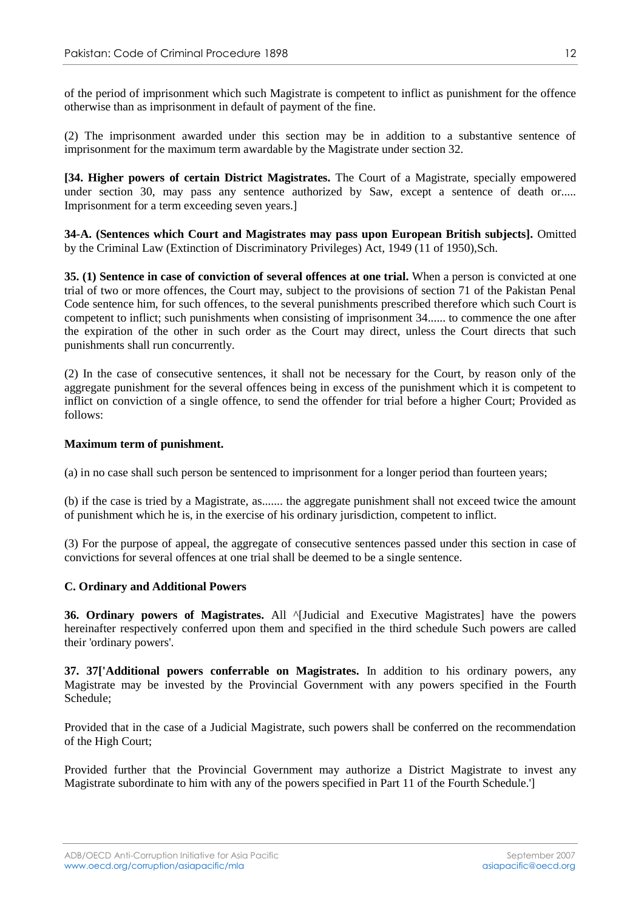of the period of imprisonment which such Magistrate is competent to inflict as punishment for the offence otherwise than as imprisonment in default of payment of the fine.

(2) The imprisonment awarded under this section may be in addition to a substantive sentence of imprisonment for the maximum term awardable by the Magistrate under section 32.

**[34. Higher powers of certain District Magistrates.** The Court of a Magistrate, specially empowered under section 30, may pass any sentence authorized by Saw, except a sentence of death or.... Imprisonment for a term exceeding seven years.]

**34-A. (Sentences which Court and Magistrates may pass upon European British subjects].** Omitted by the Criminal Law (Extinction of Discriminatory Privileges) Act, 1949 (11 of 1950),Sch.

**35. (1) Sentence in case of conviction of several offences at one trial.** When a person is convicted at one trial of two or more offences, the Court may, subject to the provisions of section 71 of the Pakistan Penal Code sentence him, for such offences, to the several punishments prescribed therefore which such Court is competent to inflict; such punishments when consisting of imprisonment 34...... to commence the one after the expiration of the other in such order as the Court may direct, unless the Court directs that such punishments shall run concurrently.

(2) In the case of consecutive sentences, it shall not be necessary for the Court, by reason only of the aggregate punishment for the several offences being in excess of the punishment which it is competent to inflict on conviction of a single offence, to send the offender for trial before a higher Court; Provided as follows:

### **Maximum term of punishment.**

(a) in no case shall such person be sentenced to imprisonment for a longer period than fourteen years;

(b) if the case is tried by a Magistrate, as....... the aggregate punishment shall not exceed twice the amount of punishment which he is, in the exercise of his ordinary jurisdiction, competent to inflict.

(3) For the purpose of appeal, the aggregate of consecutive sentences passed under this section in case of convictions for several offences at one trial shall be deemed to be a single sentence.

### **C. Ordinary and Additional Powers**

**36. Ordinary powers of Magistrates.** All  $\gamma$ [Judicial and Executive Magistrates] have the powers hereinafter respectively conferred upon them and specified in the third schedule Such powers are called their 'ordinary powers'.

**37. 37['Additional powers conferrable on Magistrates.** In addition to his ordinary powers, any Magistrate may be invested by the Provincial Government with any powers specified in the Fourth Schedule;

Provided that in the case of a Judicial Magistrate, such powers shall be conferred on the recommendation of the High Court;

Provided further that the Provincial Government may authorize a District Magistrate to invest any Magistrate subordinate to him with any of the powers specified in Part 11 of the Fourth Schedule.']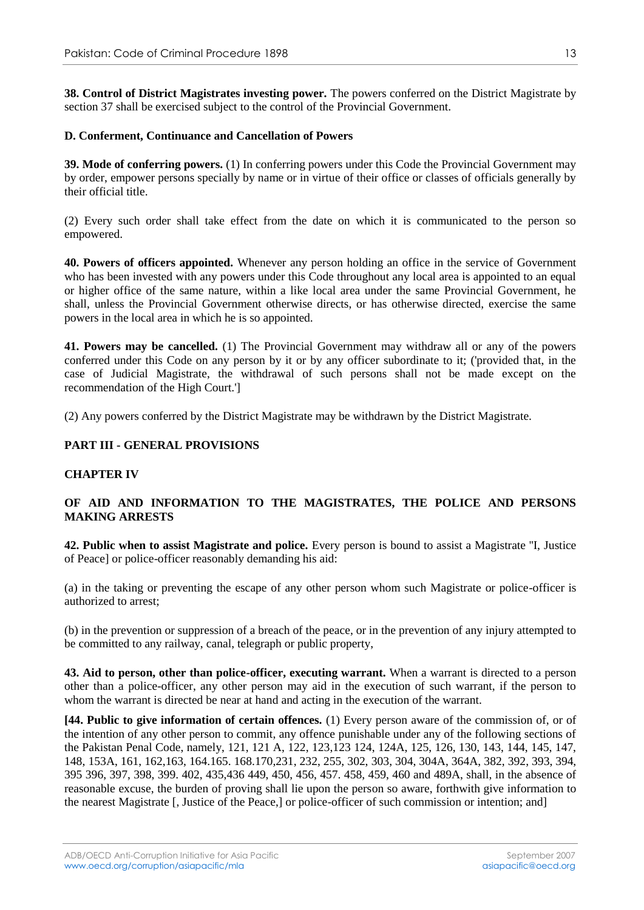**38. Control of District Magistrates investing power.** The powers conferred on the District Magistrate by section 37 shall be exercised subject to the control of the Provincial Government.

#### **D. Conferment, Continuance and Cancellation of Powers**

**39. Mode of conferring powers.** (1) In conferring powers under this Code the Provincial Government may by order, empower persons specially by name or in virtue of their office or classes of officials generally by their official title.

(2) Every such order shall take effect from the date on which it is communicated to the person so empowered.

**40. Powers of officers appointed.** Whenever any person holding an office in the service of Government who has been invested with any powers under this Code throughout any local area is appointed to an equal or higher office of the same nature, within a like local area under the same Provincial Government, he shall, unless the Provincial Government otherwise directs, or has otherwise directed, exercise the same powers in the local area in which he is so appointed.

**41. Powers may be cancelled.** (1) The Provincial Government may withdraw all or any of the powers conferred under this Code on any person by it or by any officer subordinate to it; ('provided that, in the case of Judicial Magistrate, the withdrawal of such persons shall not be made except on the recommendation of the High Court.']

(2) Any powers conferred by the District Magistrate may be withdrawn by the District Magistrate.

### **PART III - GENERAL PROVISIONS**

## **CHAPTER IV**

# **OF AID AND INFORMATION TO THE MAGISTRATES, THE POLICE AND PERSONS MAKING ARRESTS**

**42. Public when to assist Magistrate and police.** Every person is bound to assist a Magistrate ''I, Justice of Peace] or police-officer reasonably demanding his aid:

(a) in the taking or preventing the escape of any other person whom such Magistrate or police-officer is authorized to arrest;

(b) in the prevention or suppression of a breach of the peace, or in the prevention of any injury attempted to be committed to any railway, canal, telegraph or public property,

**43. Aid to person, other than police-officer, executing warrant.** When a warrant is directed to a person other than a police-officer, any other person may aid in the execution of such warrant, if the person to whom the warrant is directed be near at hand and acting in the execution of the warrant.

**[44. Public to give information of certain offences.** (1) Every person aware of the commission of, or of the intention of any other person to commit, any offence punishable under any of the following sections of the Pakistan Penal Code, namely, 121, 121 A, 122, 123,123 124, 124A, 125, 126, 130, 143, 144, 145, 147, 148, 153A, 161, 162,163, 164.165. 168.170,231, 232, 255, 302, 303, 304, 304A, 364A, 382, 392, 393, 394, 395 396, 397, 398, 399. 402, 435,436 449, 450, 456, 457. 458, 459, 460 and 489A, shall, in the absence of reasonable excuse, the burden of proving shall lie upon the person so aware, forthwith give information to the nearest Magistrate [, Justice of the Peace,] or police-officer of such commission or intention; and]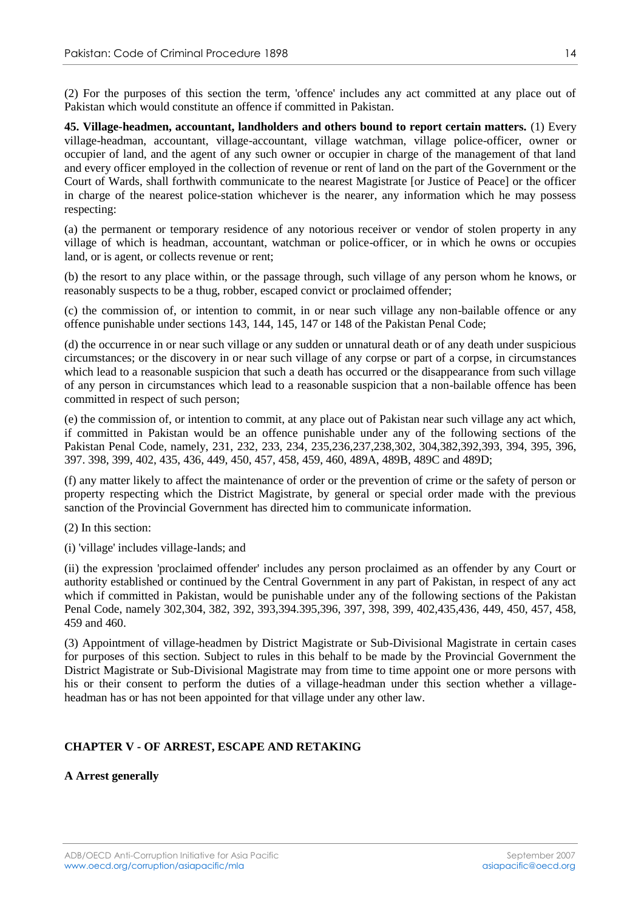(2) For the purposes of this section the term, 'offence' includes any act committed at any place out of Pakistan which would constitute an offence if committed in Pakistan.

**45. Village-headmen, accountant, landholders and others bound to report certain matters.** (1) Every village-headman, accountant, village-accountant, village watchman, village police-officer, owner or occupier of land, and the agent of any such owner or occupier in charge of the management of that land and every officer employed in the collection of revenue or rent of land on the part of the Government or the Court of Wards, shall forthwith communicate to the nearest Magistrate [or Justice of Peace] or the officer in charge of the nearest police-station whichever is the nearer, any information which he may possess respecting:

(a) the permanent or temporary residence of any notorious receiver or vendor of stolen property in any village of which is headman, accountant, watchman or police-officer, or in which he owns or occupies land, or is agent, or collects revenue or rent;

(b) the resort to any place within, or the passage through, such village of any person whom he knows, or reasonably suspects to be a thug, robber, escaped convict or proclaimed offender;

(c) the commission of, or intention to commit, in or near such village any non-bailable offence or any offence punishable under sections 143, 144, 145, 147 or 148 of the Pakistan Penal Code;

(d) the occurrence in or near such village or any sudden or unnatural death or of any death under suspicious circumstances; or the discovery in or near such village of any corpse or part of a corpse, in circumstances which lead to a reasonable suspicion that such a death has occurred or the disappearance from such village of any person in circumstances which lead to a reasonable suspicion that a non-bailable offence has been committed in respect of such person;

(e) the commission of, or intention to commit, at any place out of Pakistan near such village any act which, if committed in Pakistan would be an offence punishable under any of the following sections of the Pakistan Penal Code, namely, 231, 232, 233, 234, 235,236,237,238,302, 304,382,392,393, 394, 395, 396, 397. 398, 399, 402, 435, 436, 449, 450, 457, 458, 459, 460, 489A, 489B, 489C and 489D;

(f) any matter likely to affect the maintenance of order or the prevention of crime or the safety of person or property respecting which the District Magistrate, by general or special order made with the previous sanction of the Provincial Government has directed him to communicate information.

(2) In this section:

(i) 'village' includes village-lands; and

(ii) the expression 'proclaimed offender' includes any person proclaimed as an offender by any Court or authority established or continued by the Central Government in any part of Pakistan, in respect of any act which if committed in Pakistan, would be punishable under any of the following sections of the Pakistan Penal Code, namely 302,304, 382, 392, 393,394.395,396, 397, 398, 399, 402,435,436, 449, 450, 457, 458, 459 and 460.

(3) Appointment of village-headmen by District Magistrate or Sub-Divisional Magistrate in certain cases for purposes of this section. Subject to rules in this behalf to be made by the Provincial Government the District Magistrate or Sub-Divisional Magistrate may from time to time appoint one or more persons with his or their consent to perform the duties of a village-headman under this section whether a villageheadman has or has not been appointed for that village under any other law.

### **CHAPTER V - OF ARREST, ESCAPE AND RETAKING**

**A Arrest generally**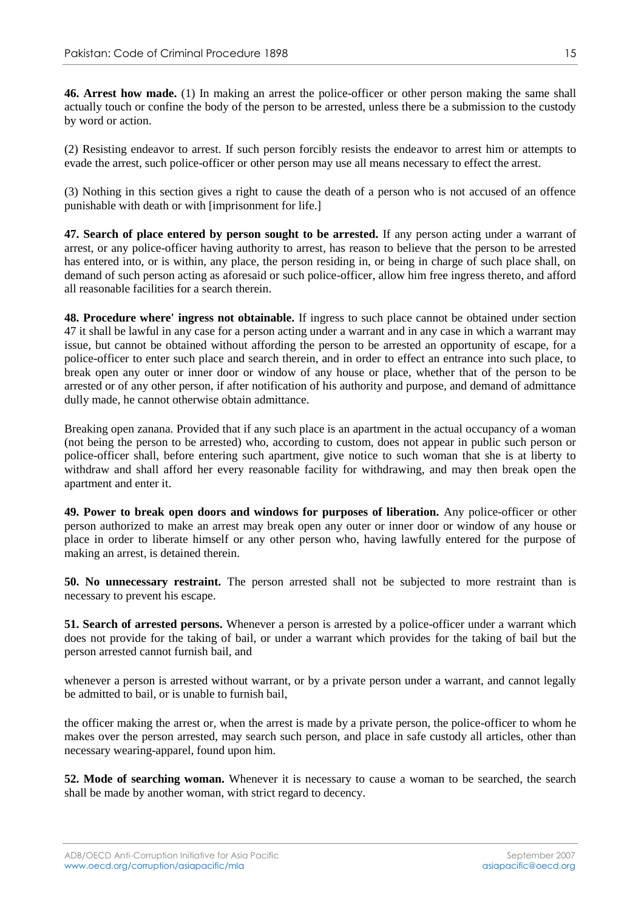**46. Arrest how made.** (1) In making an arrest the police-officer or other person making the same shall actually touch or confine the body of the person to be arrested, unless there be a submission to the custody by word or action.

(2) Resisting endeavor to arrest. If such person forcibly resists the endeavor to arrest him or attempts to evade the arrest, such police-officer or other person may use all means necessary to effect the arrest.

(3) Nothing in this section gives a right to cause the death of a person who is not accused of an offence punishable with death or with [imprisonment for life.]

**47. Search of place entered by person sought to be arrested.** If any person acting under a warrant of arrest, or any police-officer having authority to arrest, has reason to believe that the person to be arrested has entered into, or is within, any place, the person residing in, or being in charge of such place shall, on demand of such person acting as aforesaid or such police-officer, allow him free ingress thereto, and afford all reasonable facilities for a search therein.

**48. Procedure where' ingress not obtainable.** If ingress to such place cannot be obtained under section 47 it shall be lawful in any case for a person acting under a warrant and in any case in which a warrant may issue, but cannot be obtained without affording the person to be arrested an opportunity of escape, for a police-officer to enter such place and search therein, and in order to effect an entrance into such place, to break open any outer or inner door or window of any house or place, whether that of the person to be arrested or of any other person, if after notification of his authority and purpose, and demand of admittance dully made, he cannot otherwise obtain admittance.

Breaking open zanana. Provided that if any such place is an apartment in the actual occupancy of a woman (not being the person to be arrested) who, according to custom, does not appear in public such person or police-officer shall, before entering such apartment, give notice to such woman that she is at liberty to withdraw and shall afford her every reasonable facility for withdrawing, and may then break open the apartment and enter it.

**49. Power to break open doors and windows for purposes of liberation.** Any police-officer or other person authorized to make an arrest may break open any outer or inner door or window of any house or place in order to liberate himself or any other person who, having lawfully entered for the purpose of making an arrest, is detained therein.

**50. No unnecessary restraint.** The person arrested shall not be subjected to more restraint than is necessary to prevent his escape.

**51. Search of arrested persons.** Whenever a person is arrested by a police-officer under a warrant which does not provide for the taking of bail, or under a warrant which provides for the taking of bail but the person arrested cannot furnish bail, and

whenever a person is arrested without warrant, or by a private person under a warrant, and cannot legally be admitted to bail, or is unable to furnish bail,

the officer making the arrest or, when the arrest is made by a private person, the police-officer to whom he makes over the person arrested, may search such person, and place in safe custody all articles, other than necessary wearing-apparel, found upon him.

**52. Mode of searching woman.** Whenever it is necessary to cause a woman to be searched, the search shall be made by another woman, with strict regard to decency.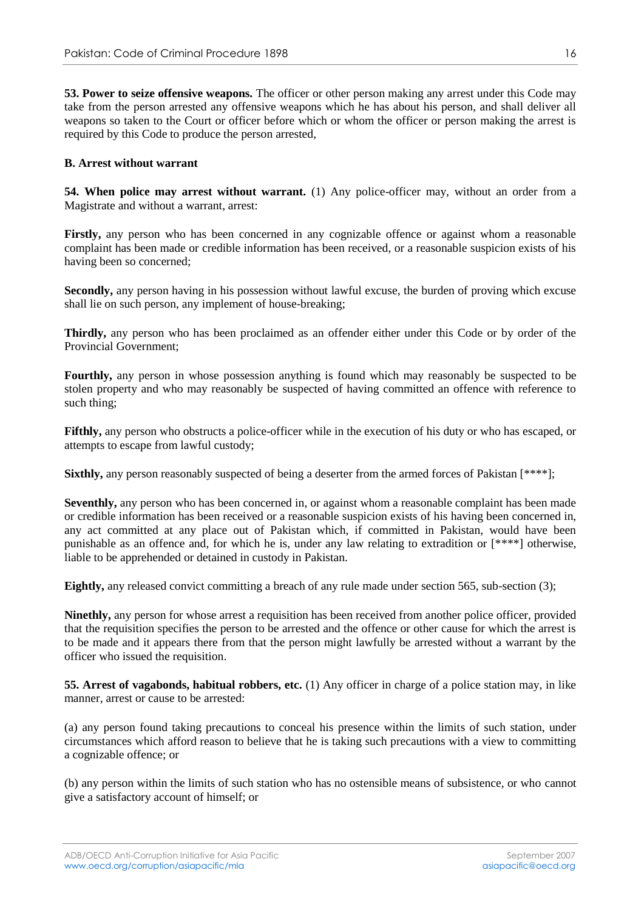**53. Power to seize offensive weapons.** The officer or other person making any arrest under this Code may take from the person arrested any offensive weapons which he has about his person, and shall deliver all weapons so taken to the Court or officer before which or whom the officer or person making the arrest is required by this Code to produce the person arrested,

### **B. Arrest without warrant**

**54. When police may arrest without warrant.** (1) Any police-officer may, without an order from a Magistrate and without a warrant, arrest:

**Firstly,** any person who has been concerned in any cognizable offence or against whom a reasonable complaint has been made or credible information has been received, or a reasonable suspicion exists of his having been so concerned;

**Secondly,** any person having in his possession without lawful excuse, the burden of proving which excuse shall lie on such person, any implement of house-breaking;

**Thirdly,** any person who has been proclaimed as an offender either under this Code or by order of the Provincial Government;

**Fourthly,** any person in whose possession anything is found which may reasonably be suspected to be stolen property and who may reasonably be suspected of having committed an offence with reference to such thing;

**Fifthly,** any person who obstructs a police-officer while in the execution of his duty or who has escaped, or attempts to escape from lawful custody;

**Sixthly,** any person reasonably suspected of being a deserter from the armed forces of Pakistan [\*\*\*\*];

**Seventhly,** any person who has been concerned in, or against whom a reasonable complaint has been made or credible information has been received or a reasonable suspicion exists of his having been concerned in, any act committed at any place out of Pakistan which, if committed in Pakistan, would have been punishable as an offence and, for which he is, under any law relating to extradition or [\*\*\*\*] otherwise, liable to be apprehended or detained in custody in Pakistan.

**Eightly,** any released convict committing a breach of any rule made under section 565, sub-section (3);

**Ninethly,** any person for whose arrest a requisition has been received from another police officer, provided that the requisition specifies the person to be arrested and the offence or other cause for which the arrest is to be made and it appears there from that the person might lawfully be arrested without a warrant by the officer who issued the requisition.

**55. Arrest of vagabonds, habitual robbers, etc.** (1) Any officer in charge of a police station may, in like manner, arrest or cause to be arrested:

(a) any person found taking precautions to conceal his presence within the limits of such station, under circumstances which afford reason to believe that he is taking such precautions with a view to committing a cognizable offence; or

(b) any person within the limits of such station who has no ostensible means of subsistence, or who cannot give a satisfactory account of himself; or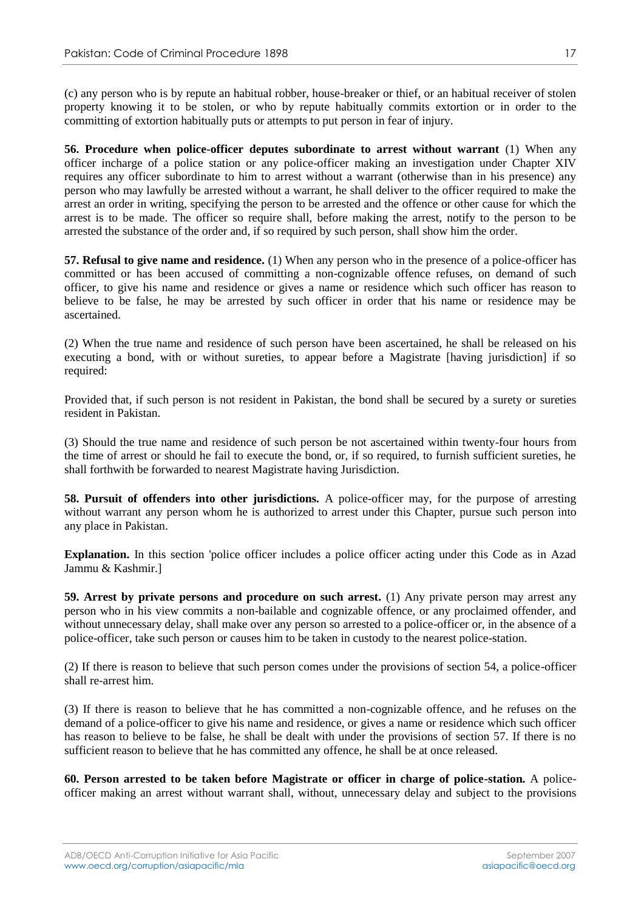(c) any person who is by repute an habitual robber, house-breaker or thief, or an habitual receiver of stolen property knowing it to be stolen, or who by repute habitually commits extortion or in order to the committing of extortion habitually puts or attempts to put person in fear of injury.

**56. Procedure when police-officer deputes subordinate to arrest without warrant** (1) When any officer incharge of a police station or any police-officer making an investigation under Chapter XIV requires any officer subordinate to him to arrest without a warrant (otherwise than in his presence) any person who may lawfully be arrested without a warrant, he shall deliver to the officer required to make the arrest an order in writing, specifying the person to be arrested and the offence or other cause for which the arrest is to be made. The officer so require shall, before making the arrest, notify to the person to be arrested the substance of the order and, if so required by such person, shall show him the order.

**57. Refusal to give name and residence.** (1) When any person who in the presence of a police-officer has committed or has been accused of committing a non-cognizable offence refuses, on demand of such officer, to give his name and residence or gives a name or residence which such officer has reason to believe to be false, he may be arrested by such officer in order that his name or residence may be ascertained.

(2) When the true name and residence of such person have been ascertained, he shall be released on his executing a bond, with or without sureties, to appear before a Magistrate [having jurisdiction] if so required:

Provided that, if such person is not resident in Pakistan, the bond shall be secured by a surety or sureties resident in Pakistan.

(3) Should the true name and residence of such person be not ascertained within twenty-four hours from the time of arrest or should he fail to execute the bond, or, if so required, to furnish sufficient sureties, he shall forthwith be forwarded to nearest Magistrate having Jurisdiction.

**58. Pursuit of offenders into other jurisdictions.** A police-officer may, for the purpose of arresting without warrant any person whom he is authorized to arrest under this Chapter, pursue such person into any place in Pakistan.

**Explanation.** In this section 'police officer includes a police officer acting under this Code as in Azad Jammu & Kashmir.]

**59. Arrest by private persons and procedure on such arrest.** (1) Any private person may arrest any person who in his view commits a non-bailable and cognizable offence, or any proclaimed offender, and without unnecessary delay, shall make over any person so arrested to a police-officer or, in the absence of a police-officer, take such person or causes him to be taken in custody to the nearest police-station.

(2) If there is reason to believe that such person comes under the provisions of section 54, a police-officer shall re-arrest him.

(3) If there is reason to believe that he has committed a non-cognizable offence, and he refuses on the demand of a police-officer to give his name and residence, or gives a name or residence which such officer has reason to believe to be false, he shall be dealt with under the provisions of section 57. If there is no sufficient reason to believe that he has committed any offence, he shall be at once released.

**60. Person arrested to be taken before Magistrate or officer in charge of police-station.** A policeofficer making an arrest without warrant shall, without, unnecessary delay and subject to the provisions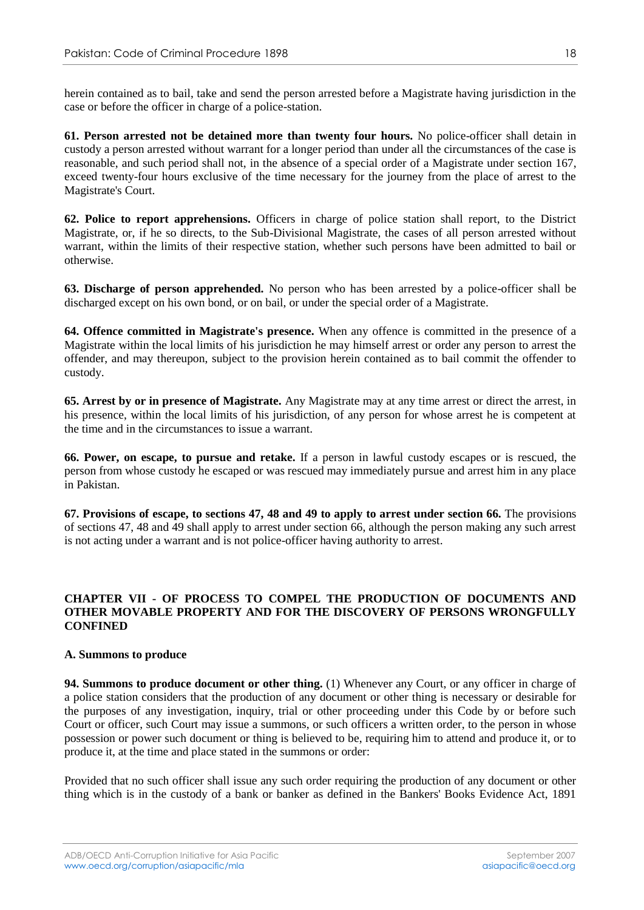herein contained as to bail, take and send the person arrested before a Magistrate having jurisdiction in the case or before the officer in charge of a police-station.

**61. Person arrested not be detained more than twenty four hours.** No police-officer shall detain in custody a person arrested without warrant for a longer period than under all the circumstances of the case is reasonable, and such period shall not, in the absence of a special order of a Magistrate under section 167, exceed twenty-four hours exclusive of the time necessary for the journey from the place of arrest to the Magistrate's Court.

**62. Police to report apprehensions.** Officers in charge of police station shall report, to the District Magistrate, or, if he so directs, to the Sub-Divisional Magistrate, the cases of all person arrested without warrant, within the limits of their respective station, whether such persons have been admitted to bail or otherwise.

**63. Discharge of person apprehended.** No person who has been arrested by a police-officer shall be discharged except on his own bond, or on bail, or under the special order of a Magistrate.

**64. Offence committed in Magistrate's presence.** When any offence is committed in the presence of a Magistrate within the local limits of his jurisdiction he may himself arrest or order any person to arrest the offender, and may thereupon, subject to the provision herein contained as to bail commit the offender to custody.

**65. Arrest by or in presence of Magistrate.** Any Magistrate may at any time arrest or direct the arrest, in his presence, within the local limits of his jurisdiction, of any person for whose arrest he is competent at the time and in the circumstances to issue a warrant.

**66. Power, on escape, to pursue and retake.** If a person in lawful custody escapes or is rescued, the person from whose custody he escaped or was rescued may immediately pursue and arrest him in any place in Pakistan.

**67. Provisions of escape, to sections 47, 48 and 49 to apply to arrest under section 66.** The provisions of sections 47, 48 and 49 shall apply to arrest under section 66, although the person making any such arrest is not acting under a warrant and is not police-officer having authority to arrest.

### **CHAPTER VII - OF PROCESS TO COMPEL THE PRODUCTION OF DOCUMENTS AND OTHER MOVABLE PROPERTY AND FOR THE DISCOVERY OF PERSONS WRONGFULLY CONFINED**

#### **A. Summons to produce**

**94. Summons to produce document or other thing.** (1) Whenever any Court, or any officer in charge of a police station considers that the production of any document or other thing is necessary or desirable for the purposes of any investigation, inquiry, trial or other proceeding under this Code by or before such Court or officer, such Court may issue a summons, or such officers a written order, to the person in whose possession or power such document or thing is believed to be, requiring him to attend and produce it, or to produce it, at the time and place stated in the summons or order:

Provided that no such officer shall issue any such order requiring the production of any document or other thing which is in the custody of a bank or banker as defined in the Bankers' Books Evidence Act, 1891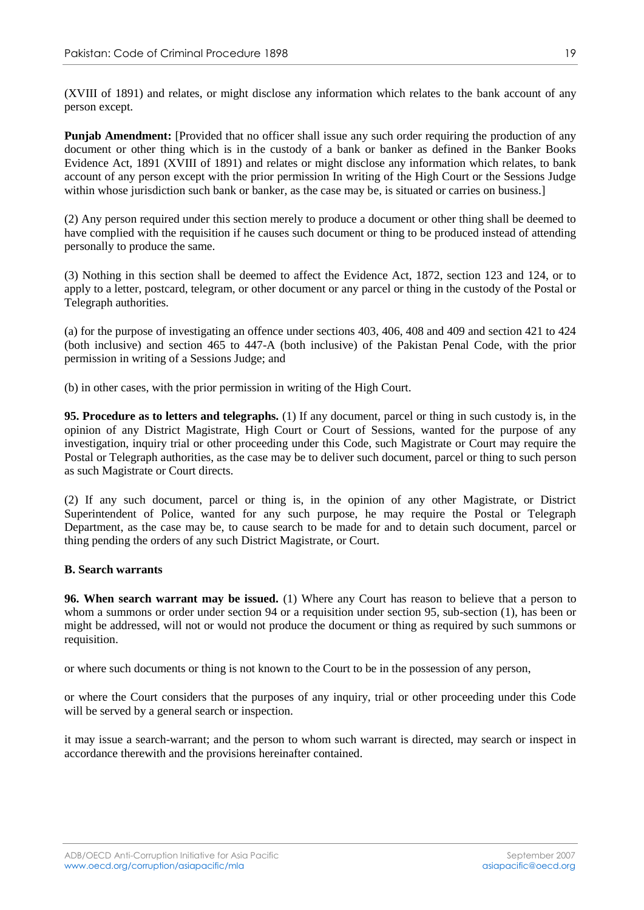(XVIII of 1891) and relates, or might disclose any information which relates to the bank account of any person except.

**Punjab Amendment:** [Provided that no officer shall issue any such order requiring the production of any document or other thing which is in the custody of a bank or banker as defined in the Banker Books Evidence Act, 1891 (XVIII of 1891) and relates or might disclose any information which relates, to bank account of any person except with the prior permission In writing of the High Court or the Sessions Judge within whose jurisdiction such bank or banker, as the case may be, is situated or carries on business.

(2) Any person required under this section merely to produce a document or other thing shall be deemed to have complied with the requisition if he causes such document or thing to be produced instead of attending personally to produce the same.

(3) Nothing in this section shall be deemed to affect the Evidence Act, 1872, section 123 and 124, or to apply to a letter, postcard, telegram, or other document or any parcel or thing in the custody of the Postal or Telegraph authorities.

(a) for the purpose of investigating an offence under sections 403, 406, 408 and 409 and section 421 to 424 (both inclusive) and section 465 to 447-A (both inclusive) of the Pakistan Penal Code, with the prior permission in writing of a Sessions Judge; and

(b) in other cases, with the prior permission in writing of the High Court.

**95. Procedure as to letters and telegraphs.** (1) If any document, parcel or thing in such custody is, in the opinion of any District Magistrate, High Court or Court of Sessions, wanted for the purpose of any investigation, inquiry trial or other proceeding under this Code, such Magistrate or Court may require the Postal or Telegraph authorities, as the case may be to deliver such document, parcel or thing to such person as such Magistrate or Court directs.

(2) If any such document, parcel or thing is, in the opinion of any other Magistrate, or District Superintendent of Police, wanted for any such purpose, he may require the Postal or Telegraph Department, as the case may be, to cause search to be made for and to detain such document, parcel or thing pending the orders of any such District Magistrate, or Court.

### **B. Search warrants**

**96. When search warrant may be issued.** (1) Where any Court has reason to believe that a person to whom a summons or order under section 94 or a requisition under section 95, sub-section (1), has been or might be addressed, will not or would not produce the document or thing as required by such summons or requisition.

or where such documents or thing is not known to the Court to be in the possession of any person,

or where the Court considers that the purposes of any inquiry, trial or other proceeding under this Code will be served by a general search or inspection.

it may issue a search-warrant; and the person to whom such warrant is directed, may search or inspect in accordance therewith and the provisions hereinafter contained.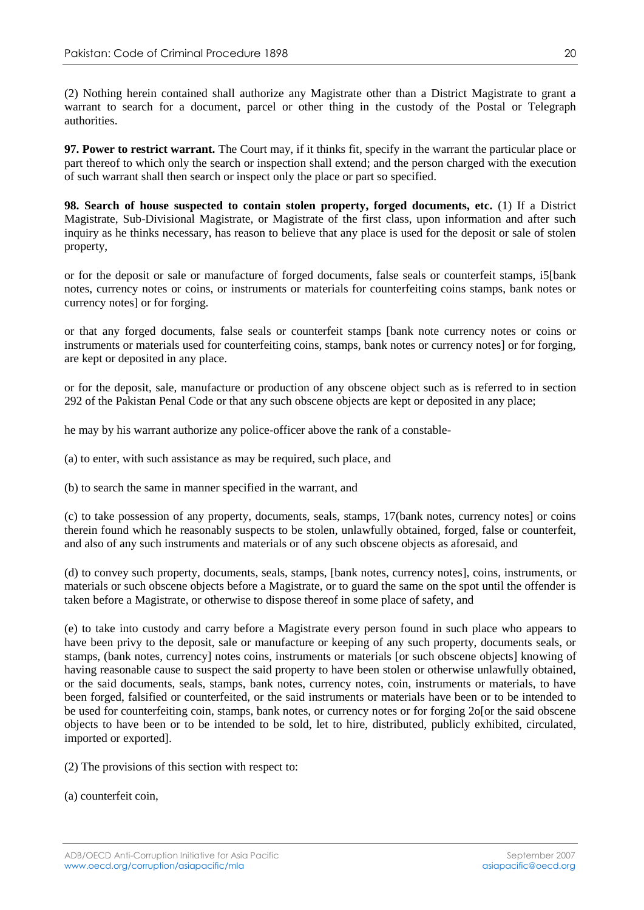(2) Nothing herein contained shall authorize any Magistrate other than a District Magistrate to grant a warrant to search for a document, parcel or other thing in the custody of the Postal or Telegraph authorities.

**97. Power to restrict warrant.** The Court may, if it thinks fit, specify in the warrant the particular place or part thereof to which only the search or inspection shall extend; and the person charged with the execution of such warrant shall then search or inspect only the place or part so specified.

**98. Search of house suspected to contain stolen property, forged documents, etc.** (1) If a District Magistrate, Sub-Divisional Magistrate, or Magistrate of the first class, upon information and after such inquiry as he thinks necessary, has reason to believe that any place is used for the deposit or sale of stolen property,

or for the deposit or sale or manufacture of forged documents, false seals or counterfeit stamps, i5[bank notes, currency notes or coins, or instruments or materials for counterfeiting coins stamps, bank notes or currency notes] or for forging.

or that any forged documents, false seals or counterfeit stamps [bank note currency notes or coins or instruments or materials used for counterfeiting coins, stamps, bank notes or currency notes] or for forging, are kept or deposited in any place.

or for the deposit, sale, manufacture or production of any obscene object such as is referred to in section 292 of the Pakistan Penal Code or that any such obscene objects are kept or deposited in any place;

he may by his warrant authorize any police-officer above the rank of a constable-

(a) to enter, with such assistance as may be required, such place, and

(b) to search the same in manner specified in the warrant, and

(c) to take possession of any property, documents, seals, stamps, 17(bank notes, currency notes] or coins therein found which he reasonably suspects to be stolen, unlawfully obtained, forged, false or counterfeit, and also of any such instruments and materials or of any such obscene objects as aforesaid, and

(d) to convey such property, documents, seals, stamps, [bank notes, currency notes], coins, instruments, or materials or such obscene objects before a Magistrate, or to guard the same on the spot until the offender is taken before a Magistrate, or otherwise to dispose thereof in some place of safety, and

(e) to take into custody and carry before a Magistrate every person found in such place who appears to have been privy to the deposit, sale or manufacture or keeping of any such property, documents seals, or stamps, (bank notes, currency] notes coins, instruments or materials [or such obscene objects] knowing of having reasonable cause to suspect the said property to have been stolen or otherwise unlawfully obtained, or the said documents, seals, stamps, bank notes, currency notes, coin, instruments or materials, to have been forged, falsified or counterfeited, or the said instruments or materials have been or to be intended to be used for counterfeiting coin, stamps, bank notes, or currency notes or for forging 2o[or the said obscene objects to have been or to be intended to be sold, let to hire, distributed, publicly exhibited, circulated, imported or exported].

(2) The provisions of this section with respect to:

(a) counterfeit coin,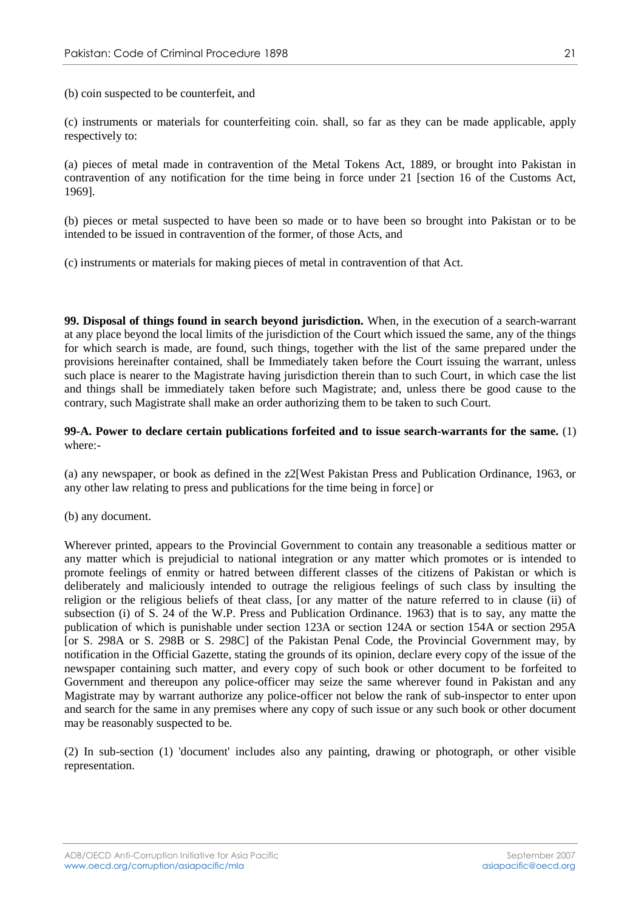(b) coin suspected to be counterfeit, and

(c) instruments or materials for counterfeiting coin. shall, so far as they can be made applicable, apply respectively to:

(a) pieces of metal made in contravention of the Metal Tokens Act, 1889, or brought into Pakistan in contravention of any notification for the time being in force under 21 [section 16 of the Customs Act, 1969].

(b) pieces or metal suspected to have been so made or to have been so brought into Pakistan or to be intended to be issued in contravention of the former, of those Acts, and

(c) instruments or materials for making pieces of metal in contravention of that Act.

**99. Disposal of things found in search beyond jurisdiction.** When, in the execution of a search-warrant at any place beyond the local limits of the jurisdiction of the Court which issued the same, any of the things for which search is made, are found, such things, together with the list of the same prepared under the provisions hereinafter contained, shall be Immediately taken before the Court issuing the warrant, unless such place is nearer to the Magistrate having jurisdiction therein than to such Court, in which case the list and things shall be immediately taken before such Magistrate; and, unless there be good cause to the contrary, such Magistrate shall make an order authorizing them to be taken to such Court.

**99-A. Power to declare certain publications forfeited and to issue search-warrants for the same.** (1) where:-

(a) any newspaper, or book as defined in the z2[West Pakistan Press and Publication Ordinance, 1963, or any other law relating to press and publications for the time being in force] or

(b) any document.

Wherever printed, appears to the Provincial Government to contain any treasonable a seditious matter or any matter which is prejudicial to national integration or any matter which promotes or is intended to promote feelings of enmity or hatred between different classes of the citizens of Pakistan or which is deliberately and maliciously intended to outrage the religious feelings of such class by insulting the religion or the religious beliefs of theat class, [or any matter of the nature referred to in clause (ii) of subsection (i) of S. 24 of the W.P. Press and Publication Ordinance. 1963) that is to say, any matte the publication of which is punishable under section 123A or section 124A or section 154A or section 295A [or S. 298A or S. 298B or S. 298C] of the Pakistan Penal Code, the Provincial Government may, by notification in the Official Gazette, stating the grounds of its opinion, declare every copy of the issue of the newspaper containing such matter, and every copy of such book or other document to be forfeited to Government and thereupon any police-officer may seize the same wherever found in Pakistan and any Magistrate may by warrant authorize any police-officer not below the rank of sub-inspector to enter upon and search for the same in any premises where any copy of such issue or any such book or other document may be reasonably suspected to be.

(2) In sub-section (1) 'document' includes also any painting, drawing or photograph, or other visible representation.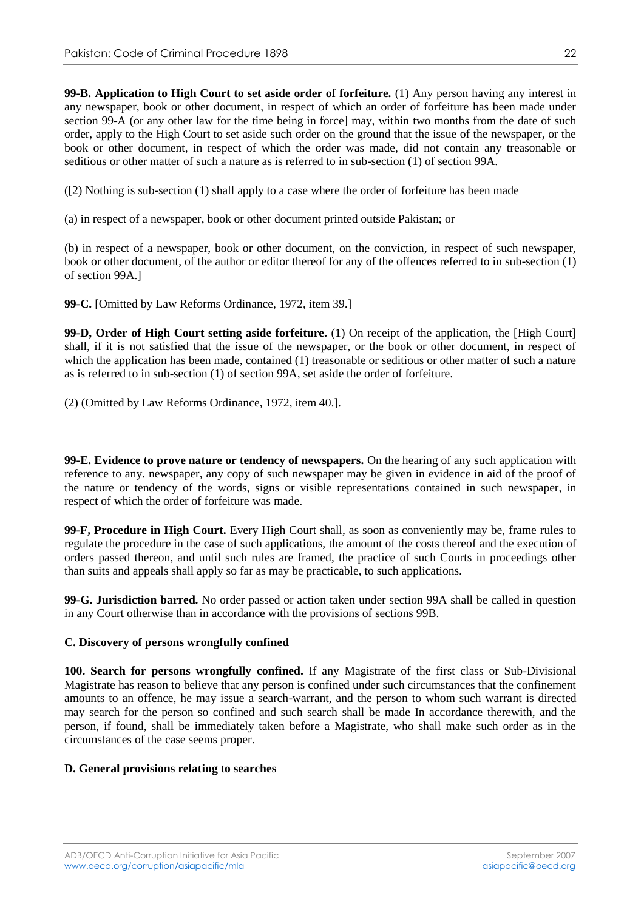**99-B. Application to High Court to set aside order of forfeiture.** (1) Any person having any interest in any newspaper, book or other document, in respect of which an order of forfeiture has been made under section 99-A (or any other law for the time being in force] may, within two months from the date of such order, apply to the High Court to set aside such order on the ground that the issue of the newspaper, or the book or other document, in respect of which the order was made, did not contain any treasonable or seditious or other matter of such a nature as is referred to in sub-section (1) of section 99A.

([2) Nothing is sub-section (1) shall apply to a case where the order of forfeiture has been made

(a) in respect of a newspaper, book or other document printed outside Pakistan; or

(b) in respect of a newspaper, book or other document, on the conviction, in respect of such newspaper, book or other document, of the author or editor thereof for any of the offences referred to in sub-section (1) of section 99A.]

**99-C.** [Omitted by Law Reforms Ordinance, 1972, item 39.]

**99-D, Order of High Court setting aside forfeiture.** (1) On receipt of the application, the [High Court] shall, if it is not satisfied that the issue of the newspaper, or the book or other document, in respect of which the application has been made, contained (1) treasonable or seditious or other matter of such a nature as is referred to in sub-section (1) of section 99A, set aside the order of forfeiture.

(2) (Omitted by Law Reforms Ordinance, 1972, item 40.].

**99-E. Evidence to prove nature or tendency of newspapers.** On the hearing of any such application with reference to any. newspaper, any copy of such newspaper may be given in evidence in aid of the proof of the nature or tendency of the words, signs or visible representations contained in such newspaper, in respect of which the order of forfeiture was made.

**99-F, Procedure in High Court.** Every High Court shall, as soon as conveniently may be, frame rules to regulate the procedure in the case of such applications, the amount of the costs thereof and the execution of orders passed thereon, and until such rules are framed, the practice of such Courts in proceedings other than suits and appeals shall apply so far as may be practicable, to such applications.

**99-G. Jurisdiction barred.** No order passed or action taken under section 99A shall be called in question in any Court otherwise than in accordance with the provisions of sections 99B.

#### **C. Discovery of persons wrongfully confined**

**100. Search for persons wrongfully confined.** If any Magistrate of the first class or Sub-Divisional Magistrate has reason to believe that any person is confined under such circumstances that the confinement amounts to an offence, he may issue a search-warrant, and the person to whom such warrant is directed may search for the person so confined and such search shall be made In accordance therewith, and the person, if found, shall be immediately taken before a Magistrate, who shall make such order as in the circumstances of the case seems proper.

### **D. General provisions relating to searches**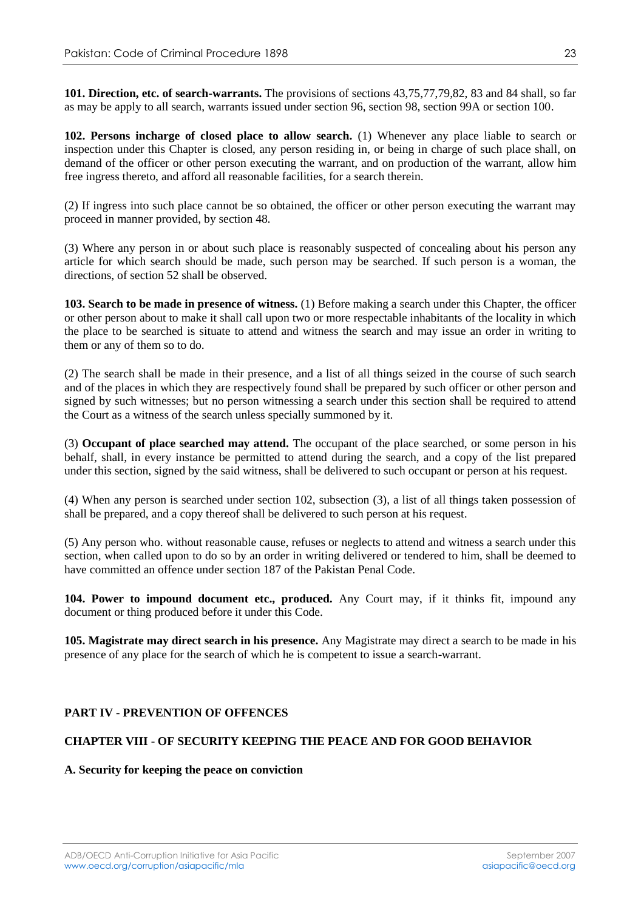**101. Direction, etc. of search-warrants.** The provisions of sections 43,75,77,79,82, 83 and 84 shall, so far as may be apply to all search, warrants issued under section 96, section 98, section 99A or section 100.

**102. Persons incharge of closed place to allow search.** (1) Whenever any place liable to search or inspection under this Chapter is closed, any person residing in, or being in charge of such place shall, on demand of the officer or other person executing the warrant, and on production of the warrant, allow him free ingress thereto, and afford all reasonable facilities, for a search therein.

(2) If ingress into such place cannot be so obtained, the officer or other person executing the warrant may proceed in manner provided, by section 48.

(3) Where any person in or about such place is reasonably suspected of concealing about his person any article for which search should be made, such person may be searched. If such person is a woman, the directions, of section 52 shall be observed.

**103. Search to be made in presence of witness.** (1) Before making a search under this Chapter, the officer or other person about to make it shall call upon two or more respectable inhabitants of the locality in which the place to be searched is situate to attend and witness the search and may issue an order in writing to them or any of them so to do.

(2) The search shall be made in their presence, and a list of all things seized in the course of such search and of the places in which they are respectively found shall be prepared by such officer or other person and signed by such witnesses; but no person witnessing a search under this section shall be required to attend the Court as a witness of the search unless specially summoned by it.

(3) **Occupant of place searched may attend.** The occupant of the place searched, or some person in his behalf, shall, in every instance be permitted to attend during the search, and a copy of the list prepared under this section, signed by the said witness, shall be delivered to such occupant or person at his request.

(4) When any person is searched under section 102, subsection (3), a list of all things taken possession of shall be prepared, and a copy thereof shall be delivered to such person at his request.

(5) Any person who. without reasonable cause, refuses or neglects to attend and witness a search under this section, when called upon to do so by an order in writing delivered or tendered to him, shall be deemed to have committed an offence under section 187 of the Pakistan Penal Code.

**104. Power to impound document etc., produced.** Any Court may, if it thinks fit, impound any document or thing produced before it under this Code.

**105. Magistrate may direct search in his presence.** Any Magistrate may direct a search to be made in his presence of any place for the search of which he is competent to issue a search-warrant.

#### **PART IV - PREVENTION OF OFFENCES**

### **CHAPTER VIII** - **OF SECURITY KEEPING THE PEACE AND FOR GOOD BEHAVIOR**

#### **A. Security for keeping the peace on conviction**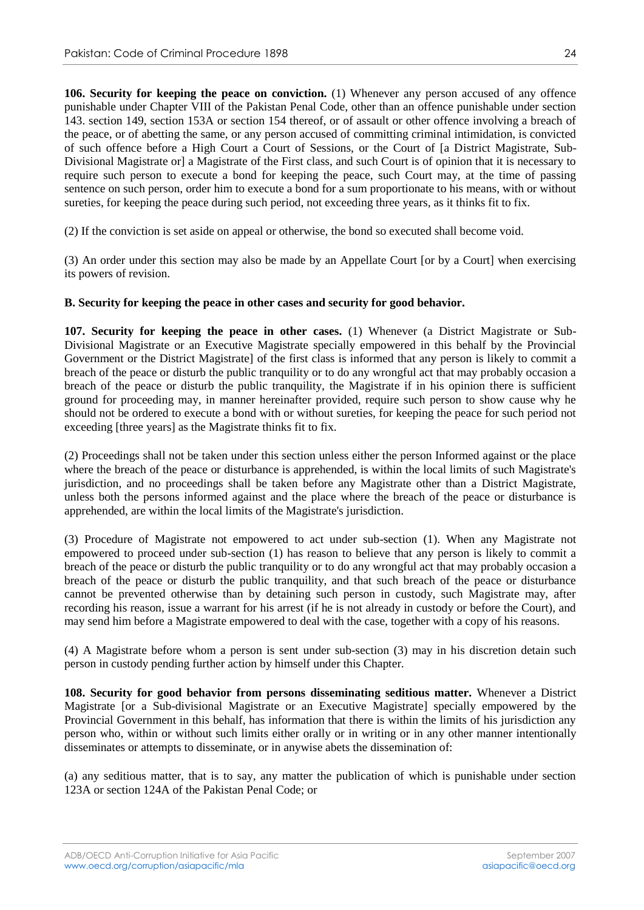**106. Security for keeping the peace on conviction.** (1) Whenever any person accused of any offence punishable under Chapter VIII of the Pakistan Penal Code, other than an offence punishable under section 143. section 149, section 153A or section 154 thereof, or of assault or other offence involving a breach of the peace, or of abetting the same, or any person accused of committing criminal intimidation, is convicted of such offence before a High Court a Court of Sessions, or the Court of [a District Magistrate, Sub-Divisional Magistrate or] a Magistrate of the First class, and such Court is of opinion that it is necessary to require such person to execute a bond for keeping the peace, such Court may, at the time of passing sentence on such person, order him to execute a bond for a sum proportionate to his means, with or without sureties, for keeping the peace during such period, not exceeding three years, as it thinks fit to fix.

(2) If the conviction is set aside on appeal or otherwise, the bond so executed shall become void.

(3) An order under this section may also be made by an Appellate Court [or by a Court] when exercising its powers of revision.

# **B. Security for keeping the peace in other cases and security for good behavior.**

**107. Security for keeping the peace in other cases.** (1) Whenever (a District Magistrate or Sub-Divisional Magistrate or an Executive Magistrate specially empowered in this behalf by the Provincial Government or the District Magistrate] of the first class is informed that any person is likely to commit a breach of the peace or disturb the public tranquility or to do any wrongful act that may probably occasion a breach of the peace or disturb the public tranquility, the Magistrate if in his opinion there is sufficient ground for proceeding may, in manner hereinafter provided, require such person to show cause why he should not be ordered to execute a bond with or without sureties, for keeping the peace for such period not exceeding [three years] as the Magistrate thinks fit to fix.

(2) Proceedings shall not be taken under this section unless either the person Informed against or the place where the breach of the peace or disturbance is apprehended, is within the local limits of such Magistrate's jurisdiction, and no proceedings shall be taken before any Magistrate other than a District Magistrate, unless both the persons informed against and the place where the breach of the peace or disturbance is apprehended, are within the local limits of the Magistrate's jurisdiction.

(3) Procedure of Magistrate not empowered to act under sub-section (1). When any Magistrate not empowered to proceed under sub-section (1) has reason to believe that any person is likely to commit a breach of the peace or disturb the public tranquility or to do any wrongful act that may probably occasion a breach of the peace or disturb the public tranquility, and that such breach of the peace or disturbance cannot be prevented otherwise than by detaining such person in custody, such Magistrate may, after recording his reason, issue a warrant for his arrest (if he is not already in custody or before the Court), and may send him before a Magistrate empowered to deal with the case, together with a copy of his reasons.

(4) A Magistrate before whom a person is sent under sub-section (3) may in his discretion detain such person in custody pending further action by himself under this Chapter.

**108. Security for good behavior from persons disseminating seditious matter.** Whenever a District Magistrate [or a Sub-divisional Magistrate or an Executive Magistrate] specially empowered by the Provincial Government in this behalf, has information that there is within the limits of his jurisdiction any person who, within or without such limits either orally or in writing or in any other manner intentionally disseminates or attempts to disseminate, or in anywise abets the dissemination of:

(a) any seditious matter, that is to say, any matter the publication of which is punishable under section 123A or section 124A of the Pakistan Penal Code; or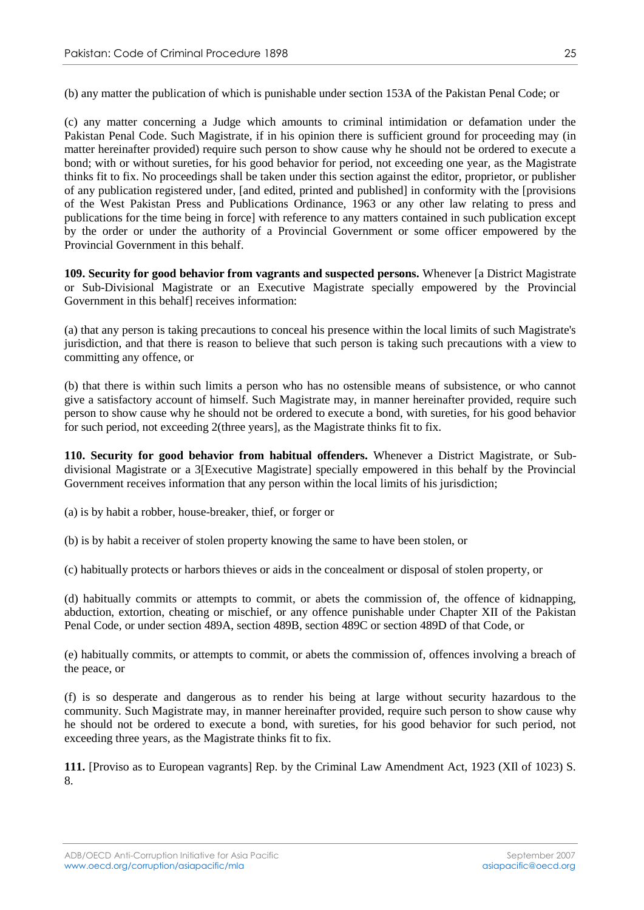(b) any matter the publication of which is punishable under section 153A of the Pakistan Penal Code; or

(c) any matter concerning a Judge which amounts to criminal intimidation or defamation under the Pakistan Penal Code. Such Magistrate, if in his opinion there is sufficient ground for proceeding may (in matter hereinafter provided) require such person to show cause why he should not be ordered to execute a bond; with or without sureties, for his good behavior for period, not exceeding one year, as the Magistrate thinks fit to fix. No proceedings shall be taken under this section against the editor, proprietor, or publisher of any publication registered under, [and edited, printed and published] in conformity with the [provisions of the West Pakistan Press and Publications Ordinance, 1963 or any other law relating to press and publications for the time being in force] with reference to any matters contained in such publication except by the order or under the authority of a Provincial Government or some officer empowered by the Provincial Government in this behalf.

**109. Security for good behavior from vagrants and suspected persons.** Whenever [a District Magistrate or Sub-Divisional Magistrate or an Executive Magistrate specially empowered by the Provincial Government in this behalf] receives information:

(a) that any person is taking precautions to conceal his presence within the local limits of such Magistrate's jurisdiction, and that there is reason to believe that such person is taking such precautions with a view to committing any offence, or

(b) that there is within such limits a person who has no ostensible means of subsistence, or who cannot give a satisfactory account of himself. Such Magistrate may, in manner hereinafter provided, require such person to show cause why he should not be ordered to execute a bond, with sureties, for his good behavior for such period, not exceeding 2(three years], as the Magistrate thinks fit to fix.

**110. Security for good behavior from habitual offenders.** Whenever a District Magistrate, or Subdivisional Magistrate or a 3[Executive Magistrate] specially empowered in this behalf by the Provincial Government receives information that any person within the local limits of his jurisdiction;

(a) is by habit a robber, house-breaker, thief, or forger or

(b) is by habit a receiver of stolen property knowing the same to have been stolen, or

(c) habitually protects or harbors thieves or aids in the concealment or disposal of stolen property, or

(d) habitually commits or attempts to commit, or abets the commission of, the offence of kidnapping, abduction, extortion, cheating or mischief, or any offence punishable under Chapter XII of the Pakistan Penal Code, or under section 489A, section 489B, section 489C or section 489D of that Code, or

(e) habitually commits, or attempts to commit, or abets the commission of, offences involving a breach of the peace, or

(f) is so desperate and dangerous as to render his being at large without security hazardous to the community. Such Magistrate may, in manner hereinafter provided, require such person to show cause why he should not be ordered to execute a bond, with sureties, for his good behavior for such period, not exceeding three years, as the Magistrate thinks fit to fix.

**111.** [Proviso as to European vagrants] Rep. by the Criminal Law Amendment Act, 1923 (XIl of 1023) S. 8.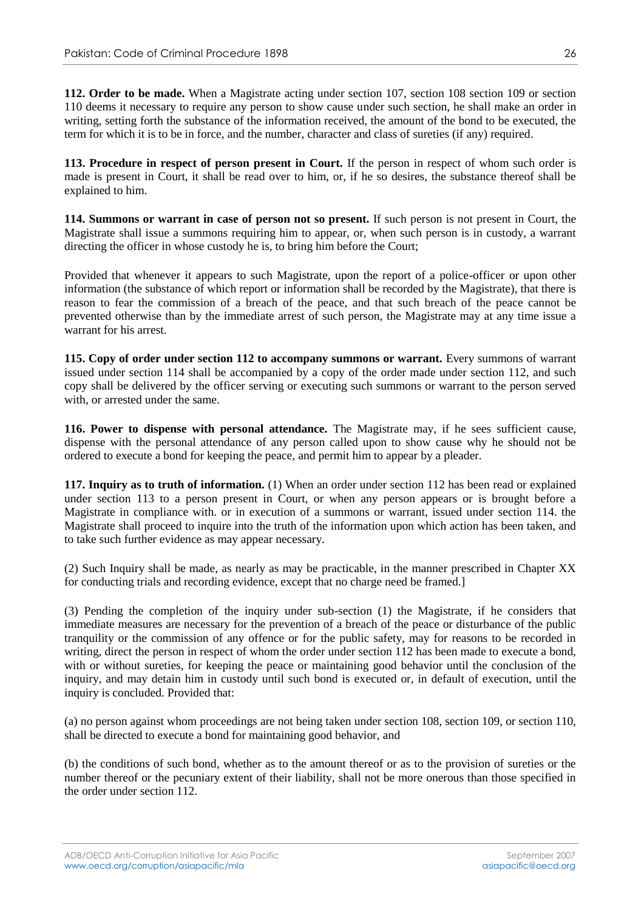**112. Order to be made.** When a Magistrate acting under section 107, section 108 section 109 or section 110 deems it necessary to require any person to show cause under such section, he shall make an order in writing, setting forth the substance of the information received, the amount of the bond to be executed, the term for which it is to be in force, and the number, character and class of sureties (if any) required.

**113. Procedure in respect of person present in Court.** If the person in respect of whom such order is made is present in Court, it shall be read over to him, or, if he so desires, the substance thereof shall be explained to him.

**114. Summons or warrant in case of person not so present.** If such person is not present in Court, the Magistrate shall issue a summons requiring him to appear, or, when such person is in custody, a warrant directing the officer in whose custody he is, to bring him before the Court;

Provided that whenever it appears to such Magistrate, upon the report of a police-officer or upon other information (the substance of which report or information shall be recorded by the Magistrate), that there is reason to fear the commission of a breach of the peace, and that such breach of the peace cannot be prevented otherwise than by the immediate arrest of such person, the Magistrate may at any time issue a warrant for his arrest.

**115. Copy of order under section 112 to accompany summons or warrant.** Every summons of warrant issued under section 114 shall be accompanied by a copy of the order made under section 112, and such copy shall be delivered by the officer serving or executing such summons or warrant to the person served with, or arrested under the same.

**116. Power to dispense with personal attendance.** The Magistrate may, if he sees sufficient cause, dispense with the personal attendance of any person called upon to show cause why he should not be ordered to execute a bond for keeping the peace, and permit him to appear by a pleader.

**117. Inquiry as to truth of information.** (1) When an order under section 112 has been read or explained under section 113 to a person present in Court, or when any person appears or is brought before a Magistrate in compliance with. or in execution of a summons or warrant, issued under section 114. the Magistrate shall proceed to inquire into the truth of the information upon which action has been taken, and to take such further evidence as may appear necessary.

(2) Such Inquiry shall be made, as nearly as may be practicable, in the manner prescribed in Chapter XX for conducting trials and recording evidence, except that no charge need be framed.]

(3) Pending the completion of the inquiry under sub-section (1) the Magistrate, if he considers that immediate measures are necessary for the prevention of a breach of the peace or disturbance of the public tranquility or the commission of any offence or for the public safety, may for reasons to be recorded in writing, direct the person in respect of whom the order under section 112 has been made to execute a bond, with or without sureties, for keeping the peace or maintaining good behavior until the conclusion of the inquiry, and may detain him in custody until such bond is executed or, in default of execution, until the inquiry is concluded. Provided that:

(a) no person against whom proceedings are not being taken under section 108, section 109, or section 110, shall be directed to execute a bond for maintaining good behavior, and

(b) the conditions of such bond, whether as to the amount thereof or as to the provision of sureties or the number thereof or the pecuniary extent of their liability, shall not be more onerous than those specified in the order under section 112.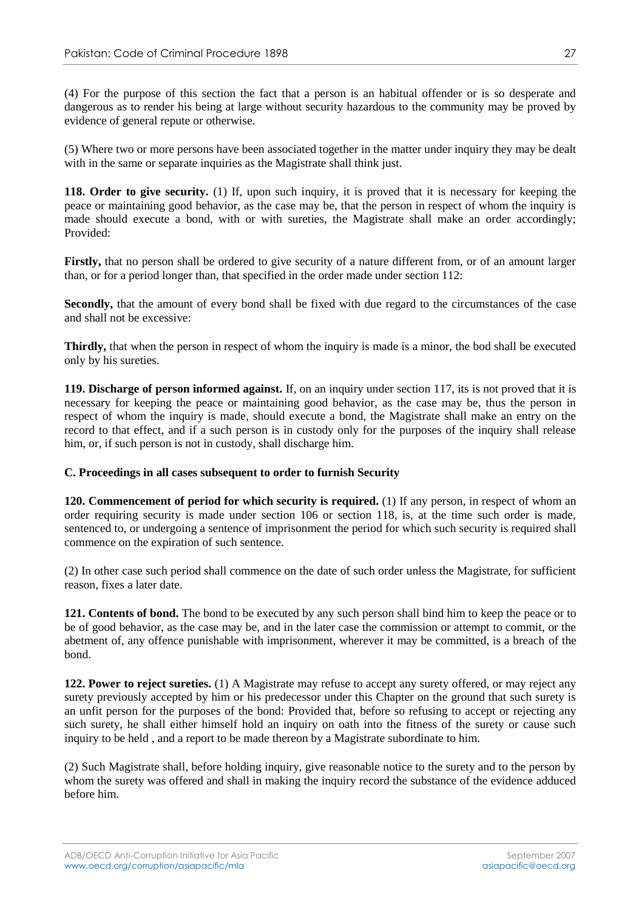(4) For the purpose of this section the fact that a person is an habitual offender or is so desperate and dangerous as to render his being at large without security hazardous to the community may be proved by evidence of general repute or otherwise.

(5) Where two or more persons have been associated together in the matter under inquiry they may be dealt with in the same or separate inquiries as the Magistrate shall think just.

**118. Order to give security.** (1) If, upon such inquiry, it is proved that it is necessary for keeping the peace or maintaining good behavior, as the case may be, that the person in respect of whom the inquiry is made should execute a bond, with or with sureties, the Magistrate shall make an order accordingly; Provided:

**Firstly,** that no person shall be ordered to give security of a nature different from, or of an amount larger than, or for a period longer than, that specified in the order made under section 112:

**Secondly,** that the amount of every bond shall be fixed with due regard to the circumstances of the case and shall not be excessive:

**Thirdly,** that when the person in respect of whom the inquiry is made is a minor, the bod shall be executed only by his sureties.

**119. Discharge of person informed against.** If, on an inquiry under section 117, its is not proved that it is necessary for keeping the peace or maintaining good behavior, as the case may be, thus the person in respect of whom the inquiry is made, should execute a bond, the Magistrate shall make an entry on the record to that effect, and if a such person is in custody only for the purposes of the inquiry shall release him, or, if such person is not in custody, shall discharge him.

### **C. Proceedings in all cases subsequent to order to furnish Security**

**120. Commencement of period for which security is required.** (1) If any person, in respect of whom an order requiring security is made under section 106 or section 118, is, at the time such order is made, sentenced to, or undergoing a sentence of imprisonment the period for which such security is required shall commence on the expiration of such sentence.

(2) In other case such period shall commence on the date of such order unless the Magistrate, for sufficient reason, fixes a later date.

**121. Contents of bond.** The bond to be executed by any such person shall bind him to keep the peace or to be of good behavior, as the case may be, and in the later case the commission or attempt to commit, or the abetment of, any offence punishable with imprisonment, wherever it may be committed, is a breach of the bond.

**122. Power to reject sureties.** (1) A Magistrate may refuse to accept any surety offered, or may reject any surety previously accepted by him or his predecessor under this Chapter on the ground that such surety is an unfit person for the purposes of the bond: Provided that, before so refusing to accept or rejecting any such surety, he shall either himself hold an inquiry on oath into the fitness of the surety or cause such inquiry to be held , and a report to be made thereon by a Magistrate subordinate to him.

(2) Such Magistrate shall, before holding inquiry, give reasonable notice to the surety and to the person by whom the surety was offered and shall in making the inquiry record the substance of the evidence adduced before him.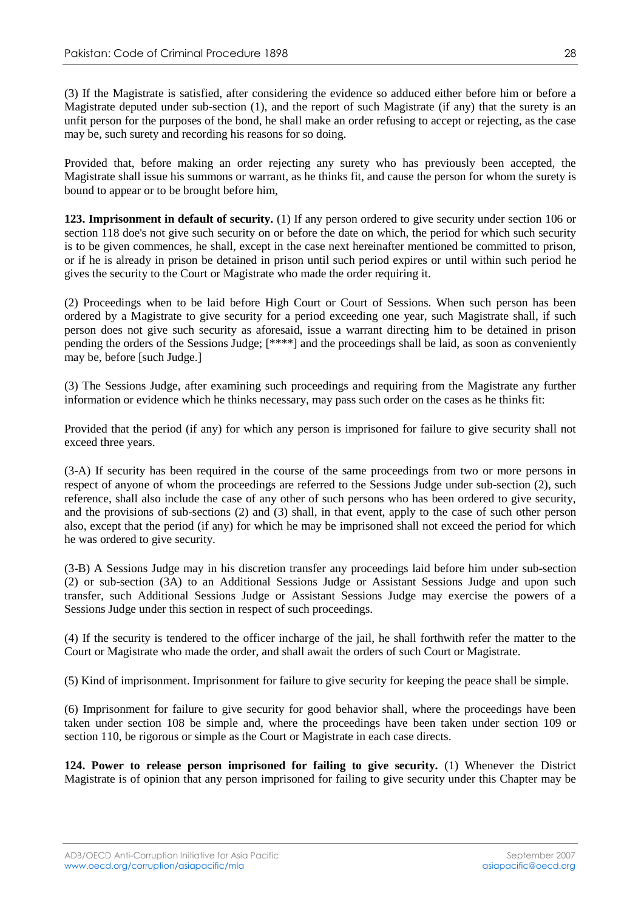(3) If the Magistrate is satisfied, after considering the evidence so adduced either before him or before a Magistrate deputed under sub-section (1), and the report of such Magistrate (if any) that the surety is an unfit person for the purposes of the bond, he shall make an order refusing to accept or rejecting, as the case may be, such surety and recording his reasons for so doing.

Provided that, before making an order rejecting any surety who has previously been accepted, the Magistrate shall issue his summons or warrant, as he thinks fit, and cause the person for whom the surety is bound to appear or to be brought before him,

**123. Imprisonment in default of security.** (1) If any person ordered to give security under section 106 or section 118 doe's not give such security on or before the date on which, the period for which such security is to be given commences, he shall, except in the case next hereinafter mentioned be committed to prison, or if he is already in prison be detained in prison until such period expires or until within such period he gives the security to the Court or Magistrate who made the order requiring it.

(2) Proceedings when to be laid before High Court or Court of Sessions. When such person has been ordered by a Magistrate to give security for a period exceeding one year, such Magistrate shall, if such person does not give such security as aforesaid, issue a warrant directing him to be detained in prison pending the orders of the Sessions Judge; [\*\*\*\*] and the proceedings shall be laid, as soon as conveniently may be, before [such Judge.]

(3) The Sessions Judge, after examining such proceedings and requiring from the Magistrate any further information or evidence which he thinks necessary, may pass such order on the cases as he thinks fit:

Provided that the period (if any) for which any person is imprisoned for failure to give security shall not exceed three years.

(3-A) If security has been required in the course of the same proceedings from two or more persons in respect of anyone of whom the proceedings are referred to the Sessions Judge under sub-section (2), such reference, shall also include the case of any other of such persons who has been ordered to give security, and the provisions of sub-sections (2) and (3) shall, in that event, apply to the case of such other person also, except that the period (if any) for which he may be imprisoned shall not exceed the period for which he was ordered to give security.

(3-B) A Sessions Judge may in his discretion transfer any proceedings laid before him under sub-section (2) or sub-section (3A) to an Additional Sessions Judge or Assistant Sessions Judge and upon such transfer, such Additional Sessions Judge or Assistant Sessions Judge may exercise the powers of a Sessions Judge under this section in respect of such proceedings.

(4) If the security is tendered to the officer incharge of the jail, he shall forthwith refer the matter to the Court or Magistrate who made the order, and shall await the orders of such Court or Magistrate.

(5) Kind of imprisonment. Imprisonment for failure to give security for keeping the peace shall be simple.

(6) Imprisonment for failure to give security for good behavior shall, where the proceedings have been taken under section 108 be simple and, where the proceedings have been taken under section 109 or section 110, be rigorous or simple as the Court or Magistrate in each case directs.

**124. Power to release person imprisoned for failing to give security.** (1) Whenever the District Magistrate is of opinion that any person imprisoned for failing to give security under this Chapter may be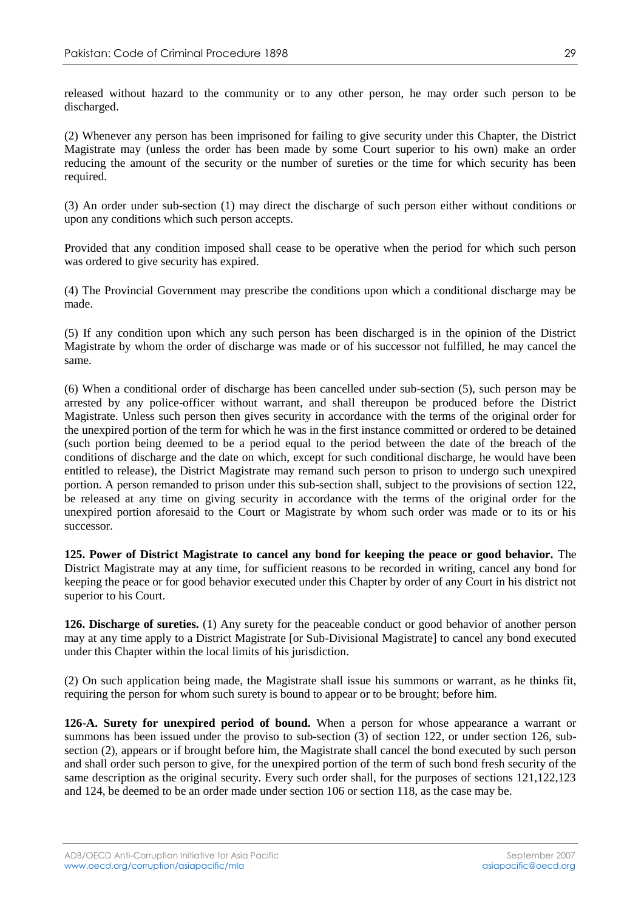released without hazard to the community or to any other person, he may order such person to be discharged.

(2) Whenever any person has been imprisoned for failing to give security under this Chapter, the District Magistrate may (unless the order has been made by some Court superior to his own) make an order reducing the amount of the security or the number of sureties or the time for which security has been required.

(3) An order under sub-section (1) may direct the discharge of such person either without conditions or upon any conditions which such person accepts.

Provided that any condition imposed shall cease to be operative when the period for which such person was ordered to give security has expired.

(4) The Provincial Government may prescribe the conditions upon which a conditional discharge may be made.

(5) If any condition upon which any such person has been discharged is in the opinion of the District Magistrate by whom the order of discharge was made or of his successor not fulfilled, he may cancel the same.

(6) When a conditional order of discharge has been cancelled under sub-section (5), such person may be arrested by any police-officer without warrant, and shall thereupon be produced before the District Magistrate. Unless such person then gives security in accordance with the terms of the original order for the unexpired portion of the term for which he was in the first instance committed or ordered to be detained (such portion being deemed to be a period equal to the period between the date of the breach of the conditions of discharge and the date on which, except for such conditional discharge, he would have been entitled to release), the District Magistrate may remand such person to prison to undergo such unexpired portion. A person remanded to prison under this sub-section shall, subject to the provisions of section 122, be released at any time on giving security in accordance with the terms of the original order for the unexpired portion aforesaid to the Court or Magistrate by whom such order was made or to its or his successor.

**125. Power of District Magistrate to cancel any bond for keeping the peace or good behavior.** The District Magistrate may at any time, for sufficient reasons to be recorded in writing, cancel any bond for keeping the peace or for good behavior executed under this Chapter by order of any Court in his district not superior to his Court.

**126. Discharge of sureties.** (1) Any surety for the peaceable conduct or good behavior of another person may at any time apply to a District Magistrate [or Sub-Divisional Magistrate] to cancel any bond executed under this Chapter within the local limits of his jurisdiction.

(2) On such application being made, the Magistrate shall issue his summons or warrant, as he thinks fit, requiring the person for whom such surety is bound to appear or to be brought; before him.

**126-A. Surety for unexpired period of bound.** When a person for whose appearance a warrant or summons has been issued under the proviso to sub-section (3) of section 122, or under section 126, subsection (2), appears or if brought before him, the Magistrate shall cancel the bond executed by such person and shall order such person to give, for the unexpired portion of the term of such bond fresh security of the same description as the original security. Every such order shall, for the purposes of sections 121,122,123 and 124, be deemed to be an order made under section 106 or section 118, as the case may be.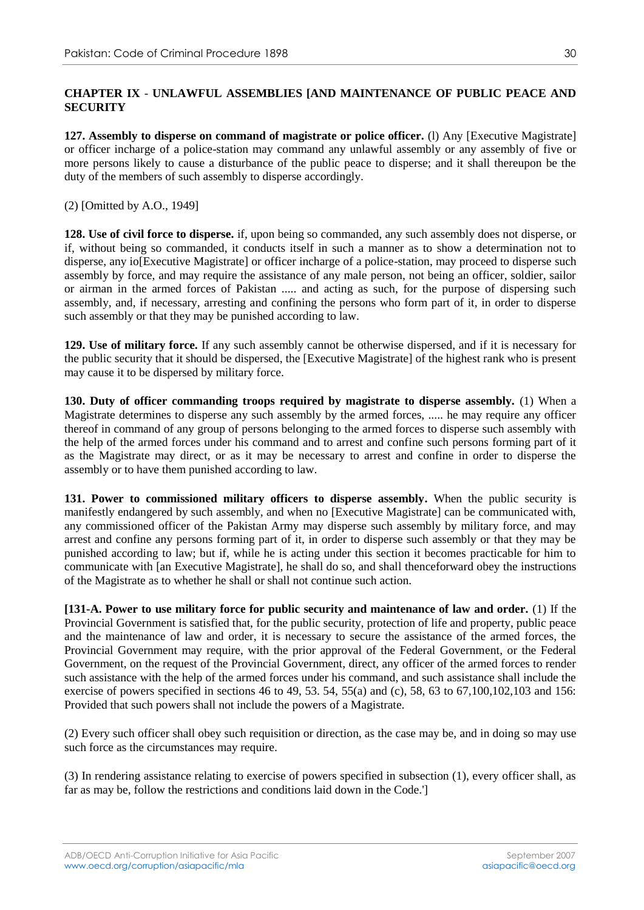# **CHAPTER IX** - **UNLAWFUL ASSEMBLIES [AND MAINTENANCE OF PUBLIC PEACE AND SECURITY**

**127. Assembly to disperse on command of magistrate or police officer.** (l) Any [Executive Magistrate] or officer incharge of a police-station may command any unlawful assembly or any assembly of five or more persons likely to cause a disturbance of the public peace to disperse; and it shall thereupon be the duty of the members of such assembly to disperse accordingly.

(2) [Omitted by A.O., 1949]

**128. Use of civil force to disperse.** if, upon being so commanded, any such assembly does not disperse, or if, without being so commanded, it conducts itself in such a manner as to show a determination not to disperse, any io[Executive Magistrate] or officer incharge of a police-station, may proceed to disperse such assembly by force, and may require the assistance of any male person, not being an officer, soldier, sailor or airman in the armed forces of Pakistan ..... and acting as such, for the purpose of dispersing such assembly, and, if necessary, arresting and confining the persons who form part of it, in order to disperse such assembly or that they may be punished according to law.

**129. Use of military force.** If any such assembly cannot be otherwise dispersed, and if it is necessary for the public security that it should be dispersed, the [Executive Magistrate] of the highest rank who is present may cause it to be dispersed by military force.

**130. Duty of officer commanding troops required by magistrate to disperse assembly.** (1) When a Magistrate determines to disperse any such assembly by the armed forces, ..... he may require any officer thereof in command of any group of persons belonging to the armed forces to disperse such assembly with the help of the armed forces under his command and to arrest and confine such persons forming part of it as the Magistrate may direct, or as it may be necessary to arrest and confine in order to disperse the assembly or to have them punished according to law.

**131. Power to commissioned military officers to disperse assembly.** When the public security is manifestly endangered by such assembly, and when no [Executive Magistrate] can be communicated with, any commissioned officer of the Pakistan Army may disperse such assembly by military force, and may arrest and confine any persons forming part of it, in order to disperse such assembly or that they may be punished according to law; but if, while he is acting under this section it becomes practicable for him to communicate with [an Executive Magistrate], he shall do so, and shall thenceforward obey the instructions of the Magistrate as to whether he shall or shall not continue such action.

**[131-A. Power to use military force for public security and maintenance of law and order.** (1) If the Provincial Government is satisfied that, for the public security, protection of life and property, public peace and the maintenance of law and order, it is necessary to secure the assistance of the armed forces, the Provincial Government may require, with the prior approval of the Federal Government, or the Federal Government, on the request of the Provincial Government, direct, any officer of the armed forces to render such assistance with the help of the armed forces under his command, and such assistance shall include the exercise of powers specified in sections 46 to 49, 53. 54, 55(a) and (c), 58, 63 to 67,100,102,103 and 156: Provided that such powers shall not include the powers of a Magistrate.

(2) Every such officer shall obey such requisition or direction, as the case may be, and in doing so may use such force as the circumstances may require.

(3) In rendering assistance relating to exercise of powers specified in subsection (1), every officer shall, as far as may be, follow the restrictions and conditions laid down in the Code.']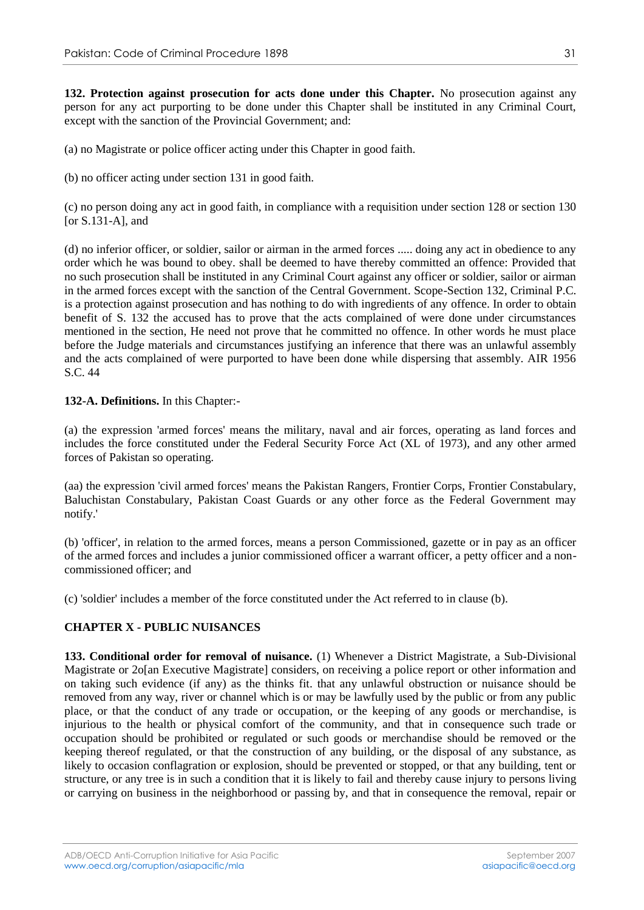**132. Protection against prosecution for acts done under this Chapter.** No prosecution against any person for any act purporting to be done under this Chapter shall be instituted in any Criminal Court, except with the sanction of the Provincial Government; and:

(a) no Magistrate or police officer acting under this Chapter in good faith.

(b) no officer acting under section 131 in good faith.

(c) no person doing any act in good faith, in compliance with a requisition under section 128 or section 130 [or  $S.131-A$ ], and

(d) no inferior officer, or soldier, sailor or airman in the armed forces ..... doing any act in obedience to any order which he was bound to obey. shall be deemed to have thereby committed an offence: Provided that no such prosecution shall be instituted in any Criminal Court against any officer or soldier, sailor or airman in the armed forces except with the sanction of the Central Government. Scope-Section 132, Criminal P.C. is a protection against prosecution and has nothing to do with ingredients of any offence. In order to obtain benefit of S. 132 the accused has to prove that the acts complained of were done under circumstances mentioned in the section, He need not prove that he committed no offence. In other words he must place before the Judge materials and circumstances justifying an inference that there was an unlawful assembly and the acts complained of were purported to have been done while dispersing that assembly. AIR 1956 S.C. 44

#### **132-A. Definitions.** In this Chapter:-

(a) the expression 'armed forces' means the military, naval and air forces, operating as land forces and includes the force constituted under the Federal Security Force Act (XL of 1973), and any other armed forces of Pakistan so operating.

(aa) the expression 'civil armed forces' means the Pakistan Rangers, Frontier Corps, Frontier Constabulary, Baluchistan Constabulary, Pakistan Coast Guards or any other force as the Federal Government may notify.'

(b) 'officer', in relation to the armed forces, means a person Commissioned, gazette or in pay as an officer of the armed forces and includes a junior commissioned officer a warrant officer, a petty officer and a noncommissioned officer; and

(c) 'soldier' includes a member of the force constituted under the Act referred to in clause (b).

### **CHAPTER X - PUBLIC NUISANCES**

**133. Conditional order for removal of nuisance.** (1) Whenever a District Magistrate, a Sub-Divisional Magistrate or 2o[an Executive Magistrate] considers, on receiving a police report or other information and on taking such evidence (if any) as the thinks fit. that any unlawful obstruction or nuisance should be removed from any way, river or channel which is or may be lawfully used by the public or from any public place, or that the conduct of any trade or occupation, or the keeping of any goods or merchandise, is injurious to the health or physical comfort of the community, and that in consequence such trade or occupation should be prohibited or regulated or such goods or merchandise should be removed or the keeping thereof regulated, or that the construction of any building, or the disposal of any substance, as likely to occasion conflagration or explosion, should be prevented or stopped, or that any building, tent or structure, or any tree is in such a condition that it is likely to fail and thereby cause injury to persons living or carrying on business in the neighborhood or passing by, and that in consequence the removal, repair or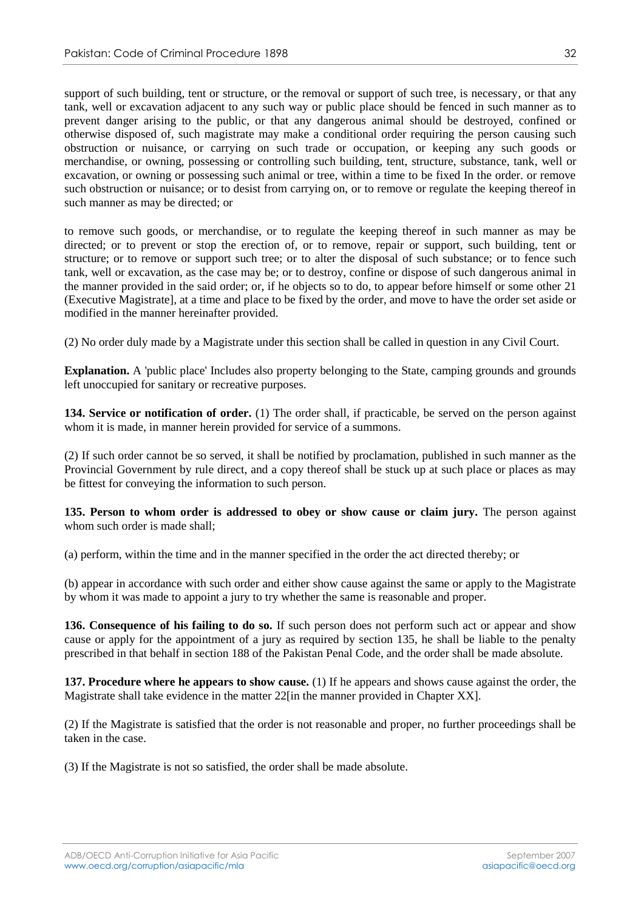support of such building, tent or structure, or the removal or support of such tree, is necessary, or that any tank, well or excavation adjacent to any such way or public place should be fenced in such manner as to prevent danger arising to the public, or that any dangerous animal should be destroyed, confined or otherwise disposed of, such magistrate may make a conditional order requiring the person causing such obstruction or nuisance, or carrying on such trade or occupation, or keeping any such goods or merchandise, or owning, possessing or controlling such building, tent, structure, substance, tank, well or excavation, or owning or possessing such animal or tree, within a time to be fixed In the order. or remove such obstruction or nuisance; or to desist from carrying on, or to remove or regulate the keeping thereof in such manner as may be directed; or

to remove such goods, or merchandise, or to regulate the keeping thereof in such manner as may be directed; or to prevent or stop the erection of, or to remove, repair or support, such building, tent or structure; or to remove or support such tree; or to alter the disposal of such substance; or to fence such tank, well or excavation, as the case may be; or to destroy, confine or dispose of such dangerous animal in the manner provided in the said order; or, if he objects so to do, to appear before himself or some other 21 (Executive Magistrate], at a time and place to be fixed by the order, and move to have the order set aside or modified in the manner hereinafter provided.

(2) No order duly made by a Magistrate under this section shall be called in question in any Civil Court.

**Explanation.** A 'public place' Includes also property belonging to the State, camping grounds and grounds left unoccupied for sanitary or recreative purposes.

**134. Service or notification of order.** (1) The order shall, if practicable, be served on the person against whom it is made, in manner herein provided for service of a summons.

(2) If such order cannot be so served, it shall be notified by proclamation, published in such manner as the Provincial Government by rule direct, and a copy thereof shall be stuck up at such place or places as may be fittest for conveying the information to such person.

**135. Person to whom order is addressed to obey or show cause or claim jury.** The person against whom such order is made shall;

(a) perform, within the time and in the manner specified in the order the act directed thereby; or

(b) appear in accordance with such order and either show cause against the same or apply to the Magistrate by whom it was made to appoint a jury to try whether the same is reasonable and proper.

**136. Consequence of his failing to do so.** If such person does not perform such act or appear and show cause or apply for the appointment of a jury as required by section 135, he shall be liable to the penalty prescribed in that behalf in section 188 of the Pakistan Penal Code, and the order shall be made absolute.

**137. Procedure where he appears to show cause.** (1) If he appears and shows cause against the order, the Magistrate shall take evidence in the matter 22[in the manner provided in Chapter XX].

(2) If the Magistrate is satisfied that the order is not reasonable and proper, no further proceedings shall be taken in the case.

(3) If the Magistrate is not so satisfied, the order shall be made absolute.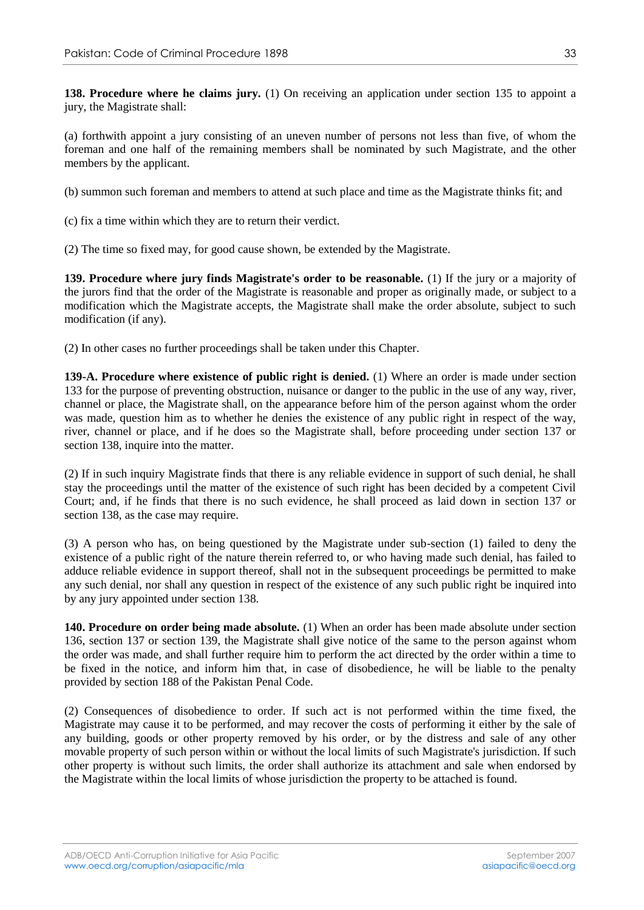**138. Procedure where he claims jury.** (1) On receiving an application under section 135 to appoint a jury, the Magistrate shall:

(a) forthwith appoint a jury consisting of an uneven number of persons not less than five, of whom the foreman and one half of the remaining members shall be nominated by such Magistrate, and the other members by the applicant.

(b) summon such foreman and members to attend at such place and time as the Magistrate thinks fit; and

(c) fix a time within which they are to return their verdict.

(2) The time so fixed may, for good cause shown, be extended by the Magistrate.

**139. Procedure where jury finds Magistrate's order to be reasonable.** (1) If the jury or a majority of the jurors find that the order of the Magistrate is reasonable and proper as originally made, or subject to a modification which the Magistrate accepts, the Magistrate shall make the order absolute, subject to such modification (if any).

(2) In other cases no further proceedings shall be taken under this Chapter.

**139-A. Procedure where existence of public right is denied.** (1) Where an order is made under section 133 for the purpose of preventing obstruction, nuisance or danger to the public in the use of any way, river, channel or place, the Magistrate shall, on the appearance before him of the person against whom the order was made, question him as to whether he denies the existence of any public right in respect of the way, river, channel or place, and if he does so the Magistrate shall, before proceeding under section 137 or section 138, inquire into the matter.

(2) If in such inquiry Magistrate finds that there is any reliable evidence in support of such denial, he shall stay the proceedings until the matter of the existence of such right has been decided by a competent Civil Court; and, if he finds that there is no such evidence, he shall proceed as laid down in section 137 or section 138, as the case may require.

(3) A person who has, on being questioned by the Magistrate under sub-section (1) failed to deny the existence of a public right of the nature therein referred to, or who having made such denial, has failed to adduce reliable evidence in support thereof, shall not in the subsequent proceedings be permitted to make any such denial, nor shall any question in respect of the existence of any such public right be inquired into by any jury appointed under section 138.

**140. Procedure on order being made absolute.** (1) When an order has been made absolute under section 136, section 137 or section 139, the Magistrate shall give notice of the same to the person against whom the order was made, and shall further require him to perform the act directed by the order within a time to be fixed in the notice, and inform him that, in case of disobedience, he will be liable to the penalty provided by section 188 of the Pakistan Penal Code.

(2) Consequences of disobedience to order. If such act is not performed within the time fixed, the Magistrate may cause it to be performed, and may recover the costs of performing it either by the sale of any building, goods or other property removed by his order, or by the distress and sale of any other movable property of such person within or without the local limits of such Magistrate's jurisdiction. If such other property is without such limits, the order shall authorize its attachment and sale when endorsed by the Magistrate within the local limits of whose jurisdiction the property to be attached is found.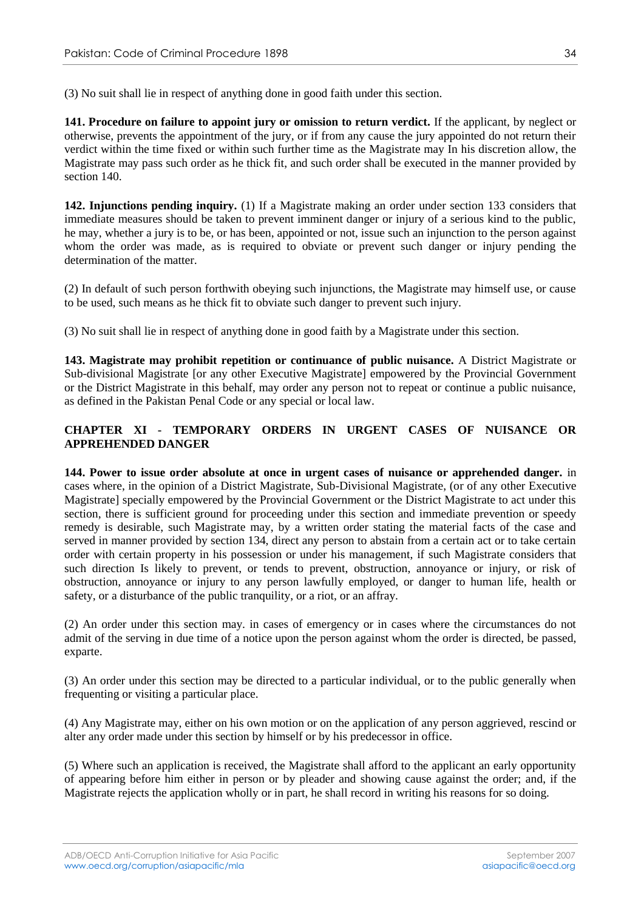(3) No suit shall lie in respect of anything done in good faith under this section.

**141. Procedure on failure to appoint jury or omission to return verdict.** If the applicant, by neglect or otherwise, prevents the appointment of the jury, or if from any cause the jury appointed do not return their verdict within the time fixed or within such further time as the Magistrate may In his discretion allow, the Magistrate may pass such order as he thick fit, and such order shall be executed in the manner provided by section 140.

**142. Injunctions pending inquiry.** (1) If a Magistrate making an order under section 133 considers that immediate measures should be taken to prevent imminent danger or injury of a serious kind to the public, he may, whether a jury is to be, or has been, appointed or not, issue such an injunction to the person against whom the order was made, as is required to obviate or prevent such danger or injury pending the determination of the matter.

(2) In default of such person forthwith obeying such injunctions, the Magistrate may himself use, or cause to be used, such means as he thick fit to obviate such danger to prevent such injury.

(3) No suit shall lie in respect of anything done in good faith by a Magistrate under this section.

**143. Magistrate may prohibit repetition or continuance of public nuisance.** A District Magistrate or Sub-divisional Magistrate [or any other Executive Magistrate] empowered by the Provincial Government or the District Magistrate in this behalf, may order any person not to repeat or continue a public nuisance, as defined in the Pakistan Penal Code or any special or local law.

# **CHAPTER XI - TEMPORARY ORDERS IN URGENT CASES OF NUISANCE OR APPREHENDED DANGER**

**144. Power to issue order absolute at once in urgent cases of nuisance or apprehended danger.** in cases where, in the opinion of a District Magistrate, Sub-Divisional Magistrate, (or of any other Executive Magistrate] specially empowered by the Provincial Government or the District Magistrate to act under this section, there is sufficient ground for proceeding under this section and immediate prevention or speedy remedy is desirable, such Magistrate may, by a written order stating the material facts of the case and served in manner provided by section 134, direct any person to abstain from a certain act or to take certain order with certain property in his possession or under his management, if such Magistrate considers that such direction Is likely to prevent, or tends to prevent, obstruction, annoyance or injury, or risk of obstruction, annoyance or injury to any person lawfully employed, or danger to human life, health or safety, or a disturbance of the public tranquility, or a riot, or an affray.

(2) An order under this section may. in cases of emergency or in cases where the circumstances do not admit of the serving in due time of a notice upon the person against whom the order is directed, be passed, exparte.

(3) An order under this section may be directed to a particular individual, or to the public generally when frequenting or visiting a particular place.

(4) Any Magistrate may, either on his own motion or on the application of any person aggrieved, rescind or alter any order made under this section by himself or by his predecessor in office.

(5) Where such an application is received, the Magistrate shall afford to the applicant an early opportunity of appearing before him either in person or by pleader and showing cause against the order; and, if the Magistrate rejects the application wholly or in part, he shall record in writing his reasons for so doing.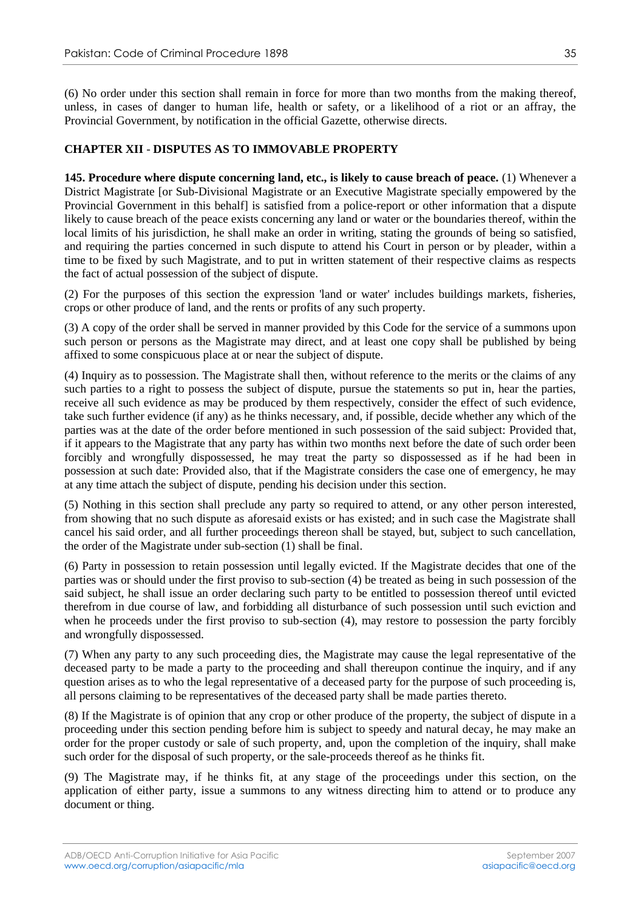(6) No order under this section shall remain in force for more than two months from the making thereof, unless, in cases of danger to human life, health or safety, or a likelihood of a riot or an affray, the Provincial Government, by notification in the official Gazette, otherwise directs.

### **CHAPTER XII** - **DISPUTES AS TO IMMOVABLE PROPERTY**

**145. Procedure where dispute concerning land, etc., is likely to cause breach of peace.** (1) Whenever a District Magistrate [or Sub-Divisional Magistrate or an Executive Magistrate specially empowered by the Provincial Government in this behalf] is satisfied from a police-report or other information that a dispute likely to cause breach of the peace exists concerning any land or water or the boundaries thereof, within the local limits of his jurisdiction, he shall make an order in writing, stating the grounds of being so satisfied, and requiring the parties concerned in such dispute to attend his Court in person or by pleader, within a time to be fixed by such Magistrate, and to put in written statement of their respective claims as respects the fact of actual possession of the subject of dispute.

(2) For the purposes of this section the expression 'land or water' includes buildings markets, fisheries, crops or other produce of land, and the rents or profits of any such property.

(3) A copy of the order shall be served in manner provided by this Code for the service of a summons upon such person or persons as the Magistrate may direct, and at least one copy shall be published by being affixed to some conspicuous place at or near the subject of dispute.

(4) Inquiry as to possession. The Magistrate shall then, without reference to the merits or the claims of any such parties to a right to possess the subject of dispute, pursue the statements so put in, hear the parties, receive all such evidence as may be produced by them respectively, consider the effect of such evidence, take such further evidence (if any) as he thinks necessary, and, if possible, decide whether any which of the parties was at the date of the order before mentioned in such possession of the said subject: Provided that, if it appears to the Magistrate that any party has within two months next before the date of such order been forcibly and wrongfully dispossessed, he may treat the party so dispossessed as if he had been in possession at such date: Provided also, that if the Magistrate considers the case one of emergency, he may at any time attach the subject of dispute, pending his decision under this section.

(5) Nothing in this section shall preclude any party so required to attend, or any other person interested, from showing that no such dispute as aforesaid exists or has existed; and in such case the Magistrate shall cancel his said order, and all further proceedings thereon shall be stayed, but, subject to such cancellation, the order of the Magistrate under sub-section (1) shall be final.

(6) Party in possession to retain possession until legally evicted. If the Magistrate decides that one of the parties was or should under the first proviso to sub-section (4) be treated as being in such possession of the said subject, he shall issue an order declaring such party to be entitled to possession thereof until evicted therefrom in due course of law, and forbidding all disturbance of such possession until such eviction and when he proceeds under the first proviso to sub-section (4), may restore to possession the party forcibly and wrongfully dispossessed.

(7) When any party to any such proceeding dies, the Magistrate may cause the legal representative of the deceased party to be made a party to the proceeding and shall thereupon continue the inquiry, and if any question arises as to who the legal representative of a deceased party for the purpose of such proceeding is, all persons claiming to be representatives of the deceased party shall be made parties thereto.

(8) If the Magistrate is of opinion that any crop or other produce of the property, the subject of dispute in a proceeding under this section pending before him is subject to speedy and natural decay, he may make an order for the proper custody or sale of such property, and, upon the completion of the inquiry, shall make such order for the disposal of such property, or the sale-proceeds thereof as he thinks fit.

(9) The Magistrate may, if he thinks fit, at any stage of the proceedings under this section, on the application of either party, issue a summons to any witness directing him to attend or to produce any document or thing.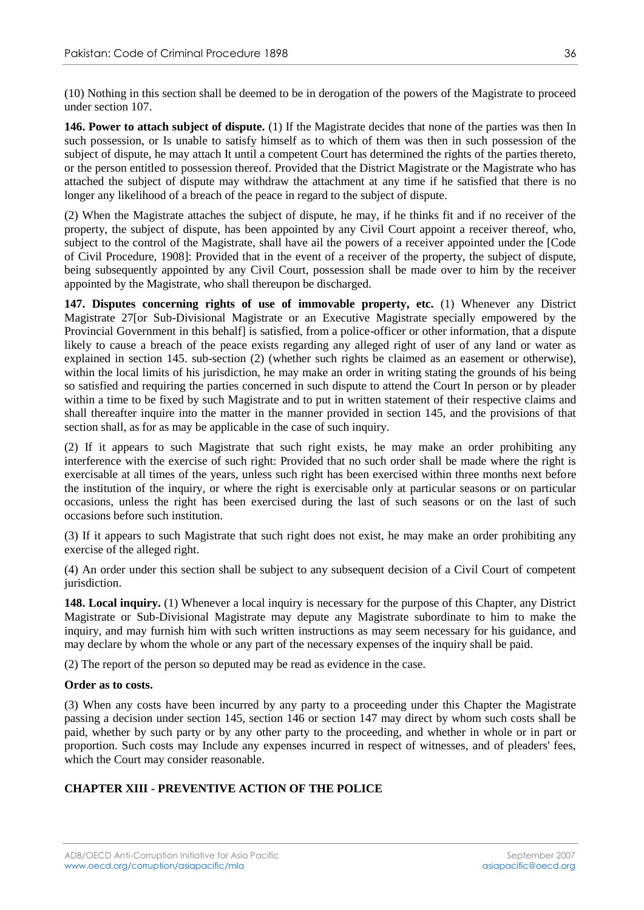(10) Nothing in this section shall be deemed to be in derogation of the powers of the Magistrate to proceed under section 107.

**146. Power to attach subject of dispute.** (1) If the Magistrate decides that none of the parties was then In such possession, or Is unable to satisfy himself as to which of them was then in such possession of the subject of dispute, he may attach It until a competent Court has determined the rights of the parties thereto, or the person entitled to possession thereof. Provided that the District Magistrate or the Magistrate who has attached the subject of dispute may withdraw the attachment at any time if he satisfied that there is no longer any likelihood of a breach of the peace in regard to the subject of dispute.

(2) When the Magistrate attaches the subject of dispute, he may, if he thinks fit and if no receiver of the property, the subject of dispute, has been appointed by any Civil Court appoint a receiver thereof, who, subject to the control of the Magistrate, shall have ail the powers of a receiver appointed under the [Code of Civil Procedure, 1908]: Provided that in the event of a receiver of the property, the subject of dispute, being subsequently appointed by any Civil Court, possession shall be made over to him by the receiver appointed by the Magistrate, who shall thereupon be discharged.

**147. Disputes concerning rights of use of immovable property, etc.** (1) Whenever any District Magistrate 27[or Sub-Divisional Magistrate or an Executive Magistrate specially empowered by the Provincial Government in this behalf] is satisfied, from a police-officer or other information, that a dispute likely to cause a breach of the peace exists regarding any alleged right of user of any land or water as explained in section 145. sub-section (2) (whether such rights be claimed as an easement or otherwise), within the local limits of his jurisdiction, he may make an order in writing stating the grounds of his being so satisfied and requiring the parties concerned in such dispute to attend the Court In person or by pleader within a time to be fixed by such Magistrate and to put in written statement of their respective claims and shall thereafter inquire into the matter in the manner provided in section 145, and the provisions of that section shall, as for as may be applicable in the case of such inquiry.

(2) If it appears to such Magistrate that such right exists, he may make an order prohibiting any interference with the exercise of such right: Provided that no such order shall be made where the right is exercisable at all times of the years, unless such right has been exercised within three months next before the institution of the inquiry, or where the right is exercisable only at particular seasons or on particular occasions, unless the right has been exercised during the last of such seasons or on the last of such occasions before such institution.

(3) If it appears to such Magistrate that such right does not exist, he may make an order prohibiting any exercise of the alleged right.

(4) An order under this section shall be subject to any subsequent decision of a Civil Court of competent jurisdiction.

**148. Local inquiry.** (1) Whenever a local inquiry is necessary for the purpose of this Chapter, any District Magistrate or Sub-Divisional Magistrate may depute any Magistrate subordinate to him to make the inquiry, and may furnish him with such written instructions as may seem necessary for his guidance, and may declare by whom the whole or any part of the necessary expenses of the inquiry shall be paid.

(2) The report of the person so deputed may be read as evidence in the case.

#### **Order as to costs.**

(3) When any costs have been incurred by any party to a proceeding under this Chapter the Magistrate passing a decision under section 145, section 146 or section 147 may direct by whom such costs shall be paid, whether by such party or by any other party to the proceeding, and whether in whole or in part or proportion. Such costs may Include any expenses incurred in respect of witnesses, and of pleaders' fees, which the Court may consider reasonable.

### **CHAPTER XIII - PREVENTIVE ACTION OF THE POLICE**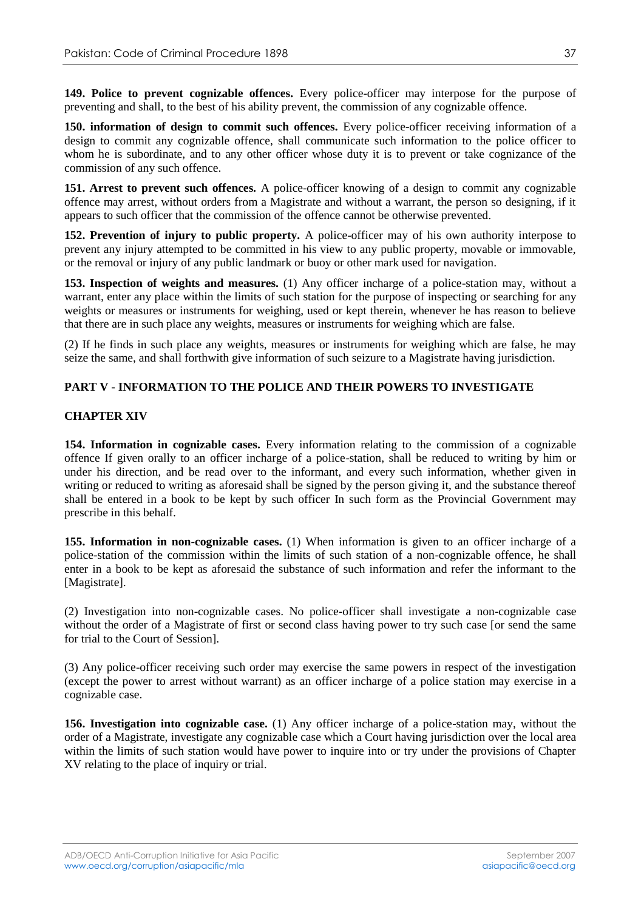**149. Police to prevent cognizable offences.** Every police-officer may interpose for the purpose of preventing and shall, to the best of his ability prevent, the commission of any cognizable offence.

**150. information of design to commit such offences.** Every police-officer receiving information of a design to commit any cognizable offence, shall communicate such information to the police officer to whom he is subordinate, and to any other officer whose duty it is to prevent or take cognizance of the commission of any such offence.

**151. Arrest to prevent such offences.** A police-officer knowing of a design to commit any cognizable offence may arrest, without orders from a Magistrate and without a warrant, the person so designing, if it appears to such officer that the commission of the offence cannot be otherwise prevented.

**152. Prevention of injury to public property.** A police-officer may of his own authority interpose to prevent any injury attempted to be committed in his view to any public property, movable or immovable, or the removal or injury of any public landmark or buoy or other mark used for navigation.

**153. Inspection of weights and measures.** (1) Any officer incharge of a police-station may, without a warrant, enter any place within the limits of such station for the purpose of inspecting or searching for any weights or measures or instruments for weighing, used or kept therein, whenever he has reason to believe that there are in such place any weights, measures or instruments for weighing which are false.

(2) If he finds in such place any weights, measures or instruments for weighing which are false, he may seize the same, and shall forthwith give information of such seizure to a Magistrate having jurisdiction.

## **PART V - INFORMATION TO THE POLICE AND THEIR POWERS TO INVESTIGATE**

#### **CHAPTER XIV**

**154. Information in cognizable cases.** Every information relating to the commission of a cognizable offence If given orally to an officer incharge of a police-station, shall be reduced to writing by him or under his direction, and be read over to the informant, and every such information, whether given in writing or reduced to writing as aforesaid shall be signed by the person giving it, and the substance thereof shall be entered in a book to be kept by such officer In such form as the Provincial Government may prescribe in this behalf.

**155. Information in non-cognizable cases.** (1) When information is given to an officer incharge of a police-station of the commission within the limits of such station of a non-cognizable offence, he shall enter in a book to be kept as aforesaid the substance of such information and refer the informant to the [Magistrate].

(2) Investigation into non-cognizable cases. No police-officer shall investigate a non-cognizable case without the order of a Magistrate of first or second class having power to try such case [or send the same for trial to the Court of Session].

(3) Any police-officer receiving such order may exercise the same powers in respect of the investigation (except the power to arrest without warrant) as an officer incharge of a police station may exercise in a cognizable case.

**156. Investigation into cognizable case.** (1) Any officer incharge of a police-station may, without the order of a Magistrate, investigate any cognizable case which a Court having jurisdiction over the local area within the limits of such station would have power to inquire into or try under the provisions of Chapter XV relating to the place of inquiry or trial.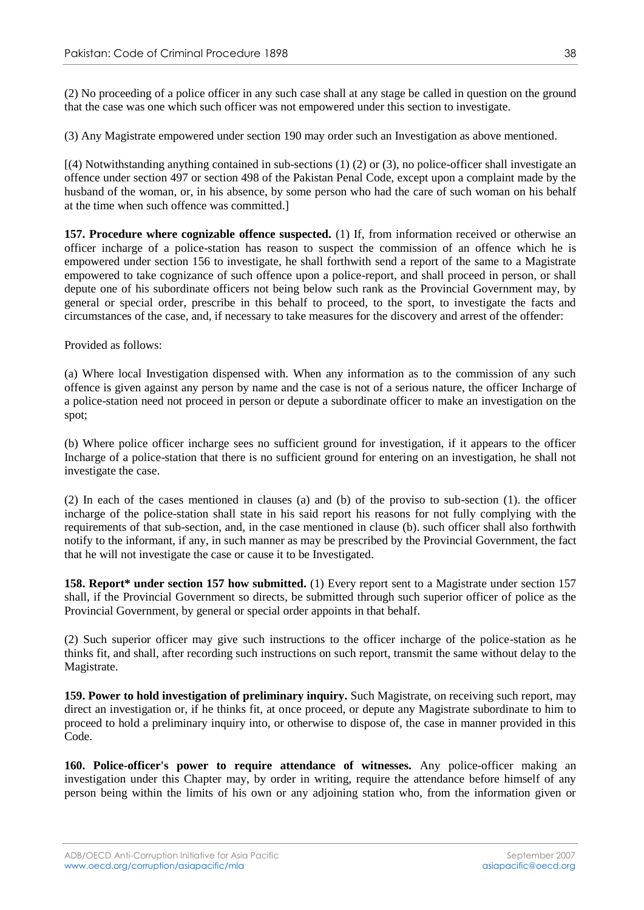(2) No proceeding of a police officer in any such case shall at any stage be called in question on the ground that the case was one which such officer was not empowered under this section to investigate.

(3) Any Magistrate empowered under section 190 may order such an Investigation as above mentioned.

[(4) Notwithstanding anything contained in sub-sections (1) (2) or (3), no police-officer shall investigate an offence under section 497 or section 498 of the Pakistan Penal Code, except upon a complaint made by the husband of the woman, or, in his absence, by some person who had the care of such woman on his behalf at the time when such offence was committed.]

**157. Procedure where cognizable offence suspected.** (1) If, from information received or otherwise an officer incharge of a police-station has reason to suspect the commission of an offence which he is empowered under section 156 to investigate, he shall forthwith send a report of the same to a Magistrate empowered to take cognizance of such offence upon a police-report, and shall proceed in person, or shall depute one of his subordinate officers not being below such rank as the Provincial Government may, by general or special order, prescribe in this behalf to proceed, to the sport, to investigate the facts and circumstances of the case, and, if necessary to take measures for the discovery and arrest of the offender:

Provided as follows:

(a) Where local Investigation dispensed with. When any information as to the commission of any such offence is given against any person by name and the case is not of a serious nature, the officer Incharge of a police-station need not proceed in person or depute a subordinate officer to make an investigation on the spot;

(b) Where police officer incharge sees no sufficient ground for investigation, if it appears to the officer Incharge of a police-station that there is no sufficient ground for entering on an investigation, he shall not investigate the case.

(2) In each of the cases mentioned in clauses (a) and (b) of the proviso to sub-section (1). the officer incharge of the police-station shall state in his said report his reasons for not fully complying with the requirements of that sub-section, and, in the case mentioned in clause (b). such officer shall also forthwith notify to the informant, if any, in such manner as may be prescribed by the Provincial Government, the fact that he will not investigate the case or cause it to be Investigated.

**158. Report\* under section 157 how submitted.** (1) Every report sent to a Magistrate under section 157 shall, if the Provincial Government so directs, be submitted through such superior officer of police as the Provincial Government, by general or special order appoints in that behalf.

(2) Such superior officer may give such instructions to the officer incharge of the police-station as he thinks fit, and shall, after recording such instructions on such report, transmit the same without delay to the Magistrate.

**159. Power to hold investigation of preliminary inquiry.** Such Magistrate, on receiving such report, may direct an investigation or, if he thinks fit, at once proceed, or depute any Magistrate subordinate to him to proceed to hold a preliminary inquiry into, or otherwise to dispose of, the case in manner provided in this Code.

**160. Police-officer's power to require attendance of witnesses.** Any police-officer making an investigation under this Chapter may, by order in writing, require the attendance before himself of any person being within the limits of his own or any adjoining station who, from the information given or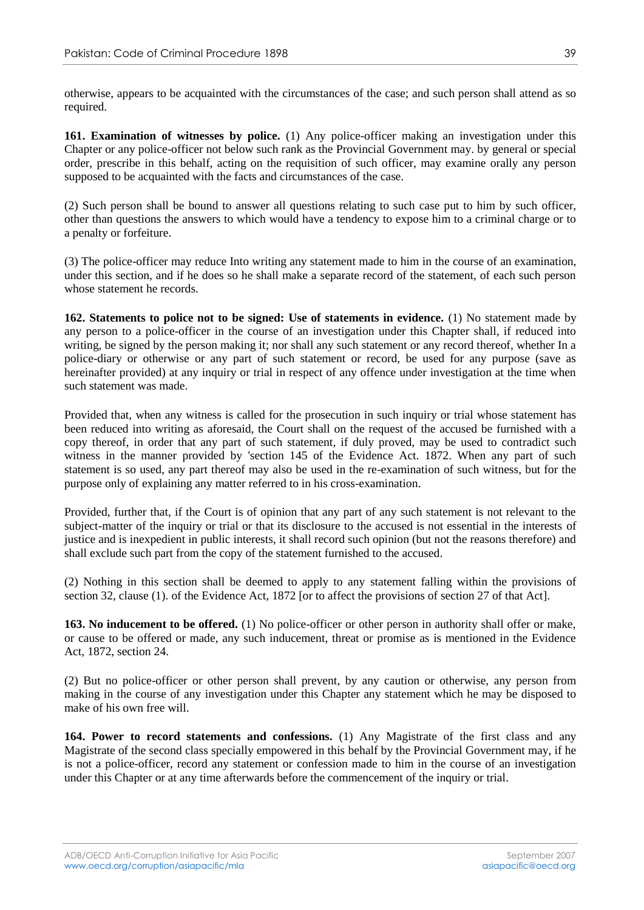otherwise, appears to be acquainted with the circumstances of the case; and such person shall attend as so required.

**161. Examination of witnesses by police.** (1) Any police-officer making an investigation under this Chapter or any police-officer not below such rank as the Provincial Government may. by general or special order, prescribe in this behalf, acting on the requisition of such officer, may examine orally any person supposed to be acquainted with the facts and circumstances of the case.

(2) Such person shall be bound to answer all questions relating to such case put to him by such officer, other than questions the answers to which would have a tendency to expose him to a criminal charge or to a penalty or forfeiture.

(3) The police-officer may reduce Into writing any statement made to him in the course of an examination, under this section, and if he does so he shall make a separate record of the statement, of each such person whose statement he records.

**162. Statements to police not to be signed: Use of statements in evidence.** (1) No statement made by any person to a police-officer in the course of an investigation under this Chapter shall, if reduced into writing, be signed by the person making it; nor shall any such statement or any record thereof, whether In a police-diary or otherwise or any part of such statement or record, be used for any purpose (save as hereinafter provided) at any inquiry or trial in respect of any offence under investigation at the time when such statement was made.

Provided that, when any witness is called for the prosecution in such inquiry or trial whose statement has been reduced into writing as aforesaid, the Court shall on the request of the accused be furnished with a copy thereof, in order that any part of such statement, if duly proved, may be used to contradict such witness in the manner provided by 'section 145 of the Evidence Act. 1872. When any part of such statement is so used, any part thereof may also be used in the re-examination of such witness, but for the purpose only of explaining any matter referred to in his cross-examination.

Provided, further that, if the Court is of opinion that any part of any such statement is not relevant to the subject-matter of the inquiry or trial or that its disclosure to the accused is not essential in the interests of justice and is inexpedient in public interests, it shall record such opinion (but not the reasons therefore) and shall exclude such part from the copy of the statement furnished to the accused.

(2) Nothing in this section shall be deemed to apply to any statement falling within the provisions of section 32, clause (1). of the Evidence Act, 1872 [or to affect the provisions of section 27 of that Act].

**163. No inducement to be offered.** (1) No police-officer or other person in authority shall offer or make, or cause to be offered or made, any such inducement, threat or promise as is mentioned in the Evidence Act, 1872, section 24.

(2) But no police-officer or other person shall prevent, by any caution or otherwise, any person from making in the course of any investigation under this Chapter any statement which he may be disposed to make of his own free will.

**164. Power to record statements and confessions.** (1) Any Magistrate of the first class and any Magistrate of the second class specially empowered in this behalf by the Provincial Government may, if he is not a police-officer, record any statement or confession made to him in the course of an investigation under this Chapter or at any time afterwards before the commencement of the inquiry or trial.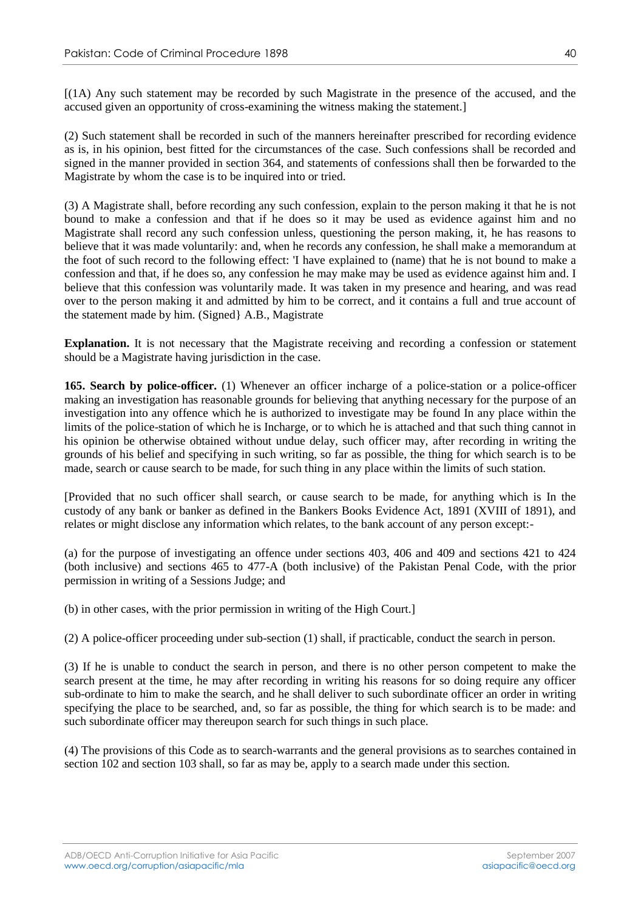[(1A) Any such statement may be recorded by such Magistrate in the presence of the accused, and the accused given an opportunity of cross-examining the witness making the statement.]

(2) Such statement shall be recorded in such of the manners hereinafter prescribed for recording evidence as is, in his opinion, best fitted for the circumstances of the case. Such confessions shall be recorded and signed in the manner provided in section 364, and statements of confessions shall then be forwarded to the Magistrate by whom the case is to be inquired into or tried.

(3) A Magistrate shall, before recording any such confession, explain to the person making it that he is not bound to make a confession and that if he does so it may be used as evidence against him and no Magistrate shall record any such confession unless, questioning the person making, it, he has reasons to believe that it was made voluntarily: and, when he records any confession, he shall make a memorandum at the foot of such record to the following effect: 'I have explained to (name) that he is not bound to make a confession and that, if he does so, any confession he may make may be used as evidence against him and. I believe that this confession was voluntarily made. It was taken in my presence and hearing, and was read over to the person making it and admitted by him to be correct, and it contains a full and true account of the statement made by him. (Signed} A.B., Magistrate

**Explanation.** It is not necessary that the Magistrate receiving and recording a confession or statement should be a Magistrate having jurisdiction in the case.

**165. Search by police-officer.** (1) Whenever an officer incharge of a police-station or a police-officer making an investigation has reasonable grounds for believing that anything necessary for the purpose of an investigation into any offence which he is authorized to investigate may be found In any place within the limits of the police-station of which he is Incharge, or to which he is attached and that such thing cannot in his opinion be otherwise obtained without undue delay, such officer may, after recording in writing the grounds of his belief and specifying in such writing, so far as possible, the thing for which search is to be made, search or cause search to be made, for such thing in any place within the limits of such station.

[Provided that no such officer shall search, or cause search to be made, for anything which is In the custody of any bank or banker as defined in the Bankers Books Evidence Act, 1891 (XVIII of 1891), and relates or might disclose any information which relates, to the bank account of any person except:-

(a) for the purpose of investigating an offence under sections 403, 406 and 409 and sections 421 to 424 (both inclusive) and sections 465 to 477-A (both inclusive) of the Pakistan Penal Code, with the prior permission in writing of a Sessions Judge; and

(b) in other cases, with the prior permission in writing of the High Court.]

(2) A police-officer proceeding under sub-section (1) shall, if practicable, conduct the search in person.

(3) If he is unable to conduct the search in person, and there is no other person competent to make the search present at the time, he may after recording in writing his reasons for so doing require any officer sub-ordinate to him to make the search, and he shall deliver to such subordinate officer an order in writing specifying the place to be searched, and, so far as possible, the thing for which search is to be made: and such subordinate officer may thereupon search for such things in such place.

(4) The provisions of this Code as to search-warrants and the general provisions as to searches contained in section 102 and section 103 shall, so far as may be, apply to a search made under this section.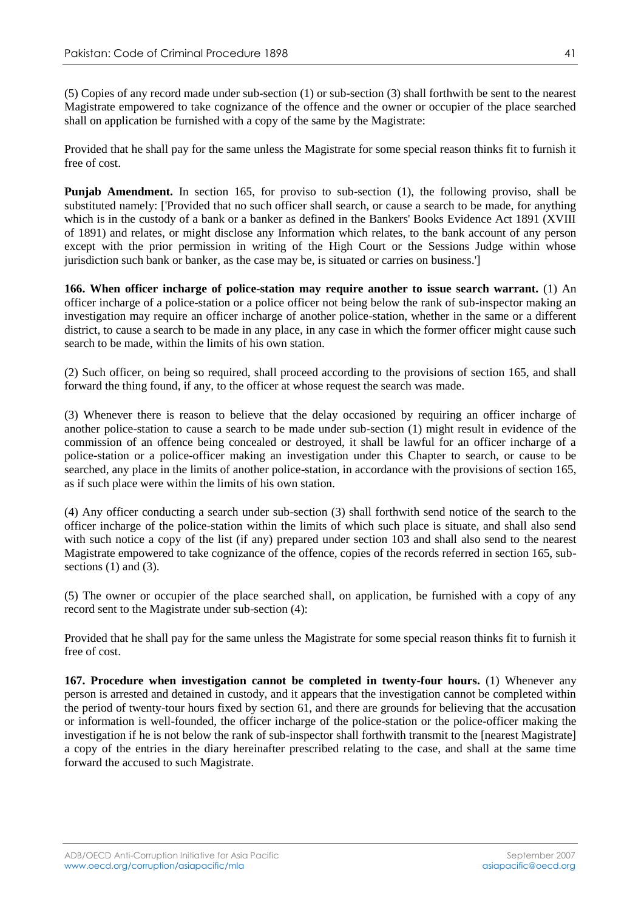(5) Copies of any record made under sub-section (1) or sub-section (3) shall forthwith be sent to the nearest Magistrate empowered to take cognizance of the offence and the owner or occupier of the place searched shall on application be furnished with a copy of the same by the Magistrate:

Provided that he shall pay for the same unless the Magistrate for some special reason thinks fit to furnish it free of cost.

**Punjab Amendment.** In section 165, for proviso to sub-section (1), the following proviso, shall be substituted namely: ['Provided that no such officer shall search, or cause a search to be made, for anything which is in the custody of a bank or a banker as defined in the Bankers' Books Evidence Act 1891 (XVIII of 1891) and relates, or might disclose any Information which relates, to the bank account of any person except with the prior permission in writing of the High Court or the Sessions Judge within whose jurisdiction such bank or banker, as the case may be, is situated or carries on business.']

**166. When officer incharge of police-station may require another to issue search warrant.** (1) An officer incharge of a police-station or a police officer not being below the rank of sub-inspector making an investigation may require an officer incharge of another police-station, whether in the same or a different district, to cause a search to be made in any place, in any case in which the former officer might cause such search to be made, within the limits of his own station.

(2) Such officer, on being so required, shall proceed according to the provisions of section 165, and shall forward the thing found, if any, to the officer at whose request the search was made.

(3) Whenever there is reason to believe that the delay occasioned by requiring an officer incharge of another police-station to cause a search to be made under sub-section (1) might result in evidence of the commission of an offence being concealed or destroyed, it shall be lawful for an officer incharge of a police-station or a police-officer making an investigation under this Chapter to search, or cause to be searched, any place in the limits of another police-station, in accordance with the provisions of section 165, as if such place were within the limits of his own station.

(4) Any officer conducting a search under sub-section (3) shall forthwith send notice of the search to the officer incharge of the police-station within the limits of which such place is situate, and shall also send with such notice a copy of the list (if any) prepared under section 103 and shall also send to the nearest Magistrate empowered to take cognizance of the offence, copies of the records referred in section 165, subsections  $(1)$  and  $(3)$ .

(5) The owner or occupier of the place searched shall, on application, be furnished with a copy of any record sent to the Magistrate under sub-section (4):

Provided that he shall pay for the same unless the Magistrate for some special reason thinks fit to furnish it free of cost.

**167. Procedure when investigation cannot be completed in twenty-four hours.** (1) Whenever any person is arrested and detained in custody, and it appears that the investigation cannot be completed within the period of twenty-tour hours fixed by section 61, and there are grounds for believing that the accusation or information is well-founded, the officer incharge of the police-station or the police-officer making the investigation if he is not below the rank of sub-inspector shall forthwith transmit to the [nearest Magistrate] a copy of the entries in the diary hereinafter prescribed relating to the case, and shall at the same time forward the accused to such Magistrate.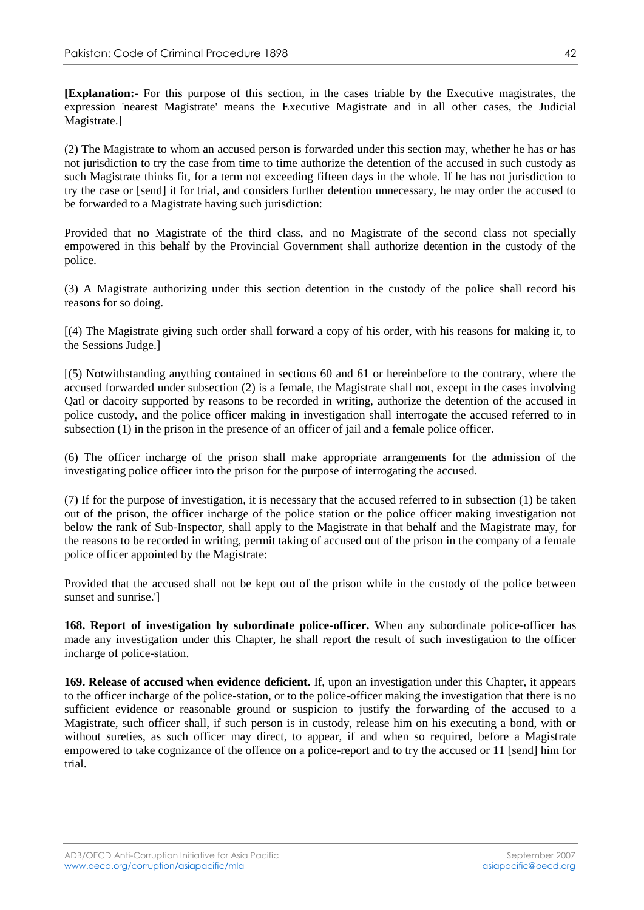**[Explanation:**- For this purpose of this section, in the cases triable by the Executive magistrates, the expression 'nearest Magistrate' means the Executive Magistrate and in all other cases, the Judicial Magistrate.]

(2) The Magistrate to whom an accused person is forwarded under this section may, whether he has or has not jurisdiction to try the case from time to time authorize the detention of the accused in such custody as such Magistrate thinks fit, for a term not exceeding fifteen days in the whole. If he has not jurisdiction to try the case or [send] it for trial, and considers further detention unnecessary, he may order the accused to be forwarded to a Magistrate having such jurisdiction:

Provided that no Magistrate of the third class, and no Magistrate of the second class not specially empowered in this behalf by the Provincial Government shall authorize detention in the custody of the police.

(3) A Magistrate authorizing under this section detention in the custody of the police shall record his reasons for so doing.

[(4) The Magistrate giving such order shall forward a copy of his order, with his reasons for making it, to the Sessions Judge.]

[(5) Notwithstanding anything contained in sections 60 and 61 or hereinbefore to the contrary, where the accused forwarded under subsection (2) is a female, the Magistrate shall not, except in the cases involving Qatl or dacoity supported by reasons to be recorded in writing, authorize the detention of the accused in police custody, and the police officer making in investigation shall interrogate the accused referred to in subsection (1) in the prison in the presence of an officer of jail and a female police officer.

(6) The officer incharge of the prison shall make appropriate arrangements for the admission of the investigating police officer into the prison for the purpose of interrogating the accused.

(7) If for the purpose of investigation, it is necessary that the accused referred to in subsection (1) be taken out of the prison, the officer incharge of the police station or the police officer making investigation not below the rank of Sub-Inspector, shall apply to the Magistrate in that behalf and the Magistrate may, for the reasons to be recorded in writing, permit taking of accused out of the prison in the company of a female police officer appointed by the Magistrate:

Provided that the accused shall not be kept out of the prison while in the custody of the police between sunset and sunrise.']

**168. Report of investigation by subordinate police-officer.** When any subordinate police-officer has made any investigation under this Chapter, he shall report the result of such investigation to the officer incharge of police-station.

**169. Release of accused when evidence deficient.** If, upon an investigation under this Chapter, it appears to the officer incharge of the police-station, or to the police-officer making the investigation that there is no sufficient evidence or reasonable ground or suspicion to justify the forwarding of the accused to a Magistrate, such officer shall, if such person is in custody, release him on his executing a bond, with or without sureties, as such officer may direct, to appear, if and when so required, before a Magistrate empowered to take cognizance of the offence on a police-report and to try the accused or 11 [send] him for trial.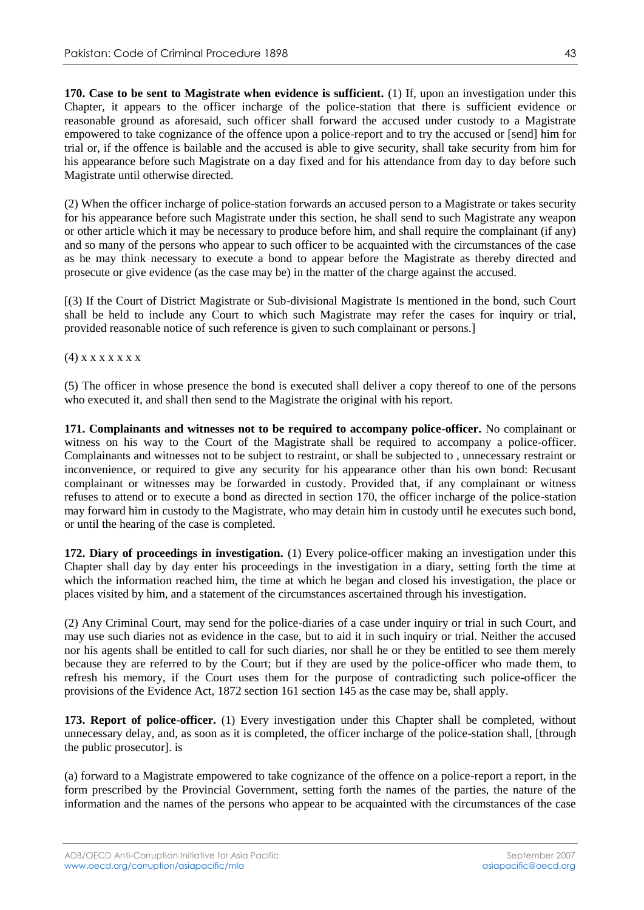**170. Case to be sent to Magistrate when evidence is sufficient.** (1) If, upon an investigation under this Chapter, it appears to the officer incharge of the police-station that there is sufficient evidence or reasonable ground as aforesaid, such officer shall forward the accused under custody to a Magistrate empowered to take cognizance of the offence upon a police-report and to try the accused or [send] him for trial or, if the offence is bailable and the accused is able to give security, shall take security from him for his appearance before such Magistrate on a day fixed and for his attendance from day to day before such Magistrate until otherwise directed.

(2) When the officer incharge of police-station forwards an accused person to a Magistrate or takes security for his appearance before such Magistrate under this section, he shall send to such Magistrate any weapon or other article which it may be necessary to produce before him, and shall require the complainant (if any) and so many of the persons who appear to such officer to be acquainted with the circumstances of the case as he may think necessary to execute a bond to appear before the Magistrate as thereby directed and prosecute or give evidence (as the case may be) in the matter of the charge against the accused.

[(3) If the Court of District Magistrate or Sub-divisional Magistrate Is mentioned in the bond, such Court shall be held to include any Court to which such Magistrate may refer the cases for inquiry or trial, provided reasonable notice of such reference is given to such complainant or persons.]

#### (4) x x x x x x x

(5) The officer in whose presence the bond is executed shall deliver a copy thereof to one of the persons who executed it, and shall then send to the Magistrate the original with his report.

**171. Complainants and witnesses not to be required to accompany police-officer.** No complainant or witness on his way to the Court of the Magistrate shall be required to accompany a police-officer. Complainants and witnesses not to be subject to restraint, or shall be subjected to , unnecessary restraint or inconvenience, or required to give any security for his appearance other than his own bond: Recusant complainant or witnesses may be forwarded in custody. Provided that, if any complainant or witness refuses to attend or to execute a bond as directed in section 170, the officer incharge of the police-station may forward him in custody to the Magistrate, who may detain him in custody until he executes such bond, or until the hearing of the case is completed.

**172. Diary of proceedings in investigation.** (1) Every police-officer making an investigation under this Chapter shall day by day enter his proceedings in the investigation in a diary, setting forth the time at which the information reached him, the time at which he began and closed his investigation, the place or places visited by him, and a statement of the circumstances ascertained through his investigation.

(2) Any Criminal Court, may send for the police-diaries of a case under inquiry or trial in such Court, and may use such diaries not as evidence in the case, but to aid it in such inquiry or trial. Neither the accused nor his agents shall be entitled to call for such diaries, nor shall he or they be entitled to see them merely because they are referred to by the Court; but if they are used by the police-officer who made them, to refresh his memory, if the Court uses them for the purpose of contradicting such police-officer the provisions of the Evidence Act, 1872 section 161 section 145 as the case may be, shall apply.

**173. Report of police-officer.** (1) Every investigation under this Chapter shall be completed, without unnecessary delay, and, as soon as it is completed, the officer incharge of the police-station shall, [through the public prosecutor]. is

(a) forward to a Magistrate empowered to take cognizance of the offence on a police-report a report, in the form prescribed by the Provincial Government, setting forth the names of the parties, the nature of the information and the names of the persons who appear to be acquainted with the circumstances of the case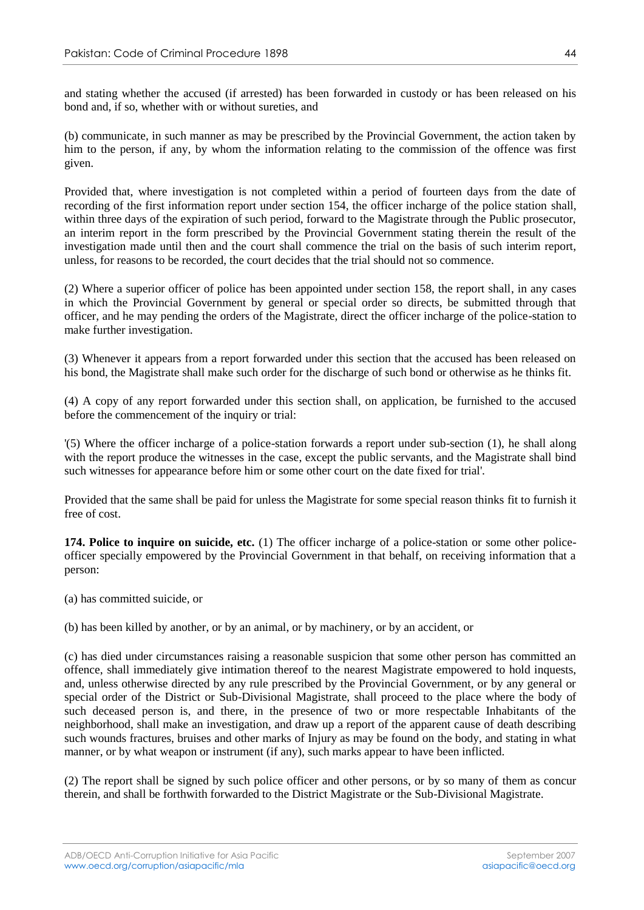and stating whether the accused (if arrested) has been forwarded in custody or has been released on his bond and, if so, whether with or without sureties, and

(b) communicate, in such manner as may be prescribed by the Provincial Government, the action taken by him to the person, if any, by whom the information relating to the commission of the offence was first given.

Provided that, where investigation is not completed within a period of fourteen days from the date of recording of the first information report under section 154, the officer incharge of the police station shall, within three days of the expiration of such period, forward to the Magistrate through the Public prosecutor, an interim report in the form prescribed by the Provincial Government stating therein the result of the investigation made until then and the court shall commence the trial on the basis of such interim report, unless, for reasons to be recorded, the court decides that the trial should not so commence.

(2) Where a superior officer of police has been appointed under section 158, the report shall, in any cases in which the Provincial Government by general or special order so directs, be submitted through that officer, and he may pending the orders of the Magistrate, direct the officer incharge of the police-station to make further investigation.

(3) Whenever it appears from a report forwarded under this section that the accused has been released on his bond, the Magistrate shall make such order for the discharge of such bond or otherwise as he thinks fit.

(4) A copy of any report forwarded under this section shall, on application, be furnished to the accused before the commencement of the inquiry or trial:

'(5) Where the officer incharge of a police-station forwards a report under sub-section (1), he shall along with the report produce the witnesses in the case, except the public servants, and the Magistrate shall bind such witnesses for appearance before him or some other court on the date fixed for trial'.

Provided that the same shall be paid for unless the Magistrate for some special reason thinks fit to furnish it free of cost.

**174. Police to inquire on suicide, etc.** (1) The officer incharge of a police-station or some other policeofficer specially empowered by the Provincial Government in that behalf, on receiving information that a person:

(a) has committed suicide, or

(b) has been killed by another, or by an animal, or by machinery, or by an accident, or

(c) has died under circumstances raising a reasonable suspicion that some other person has committed an offence, shall immediately give intimation thereof to the nearest Magistrate empowered to hold inquests, and, unless otherwise directed by any rule prescribed by the Provincial Government, or by any general or special order of the District or Sub-Divisional Magistrate, shall proceed to the place where the body of such deceased person is, and there, in the presence of two or more respectable Inhabitants of the neighborhood, shall make an investigation, and draw up a report of the apparent cause of death describing such wounds fractures, bruises and other marks of Injury as may be found on the body, and stating in what manner, or by what weapon or instrument (if any), such marks appear to have been inflicted.

(2) The report shall be signed by such police officer and other persons, or by so many of them as concur therein, and shall be forthwith forwarded to the District Magistrate or the Sub-Divisional Magistrate.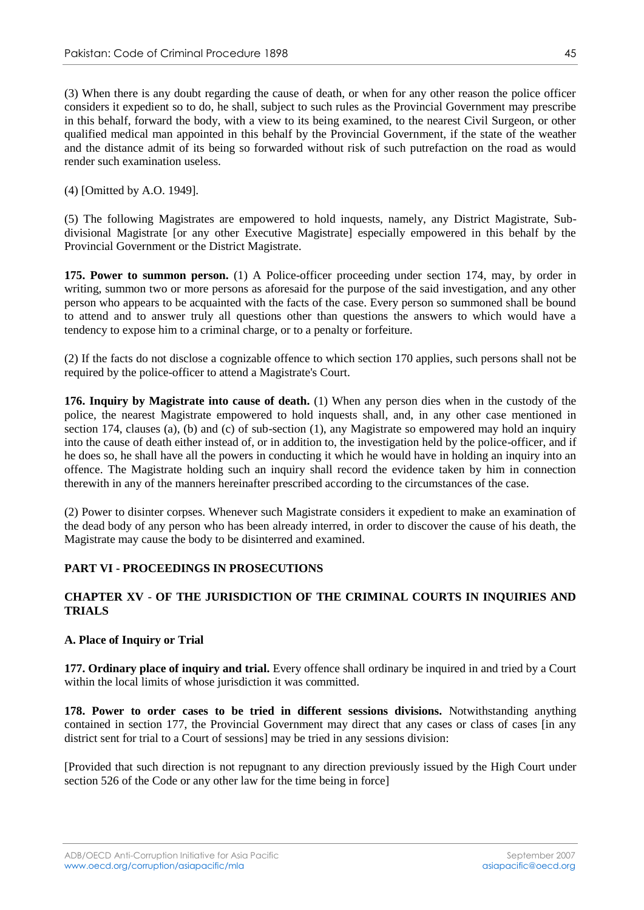(3) When there is any doubt regarding the cause of death, or when for any other reason the police officer considers it expedient so to do, he shall, subject to such rules as the Provincial Government may prescribe in this behalf, forward the body, with a view to its being examined, to the nearest Civil Surgeon, or other qualified medical man appointed in this behalf by the Provincial Government, if the state of the weather and the distance admit of its being so forwarded without risk of such putrefaction on the road as would render such examination useless.

(4) [Omitted by A.O. 1949].

(5) The following Magistrates are empowered to hold inquests, namely, any District Magistrate, Subdivisional Magistrate [or any other Executive Magistrate] especially empowered in this behalf by the Provincial Government or the District Magistrate.

**175. Power to summon person.** (1) A Police-officer proceeding under section 174, may, by order in writing, summon two or more persons as aforesaid for the purpose of the said investigation, and any other person who appears to be acquainted with the facts of the case. Every person so summoned shall be bound to attend and to answer truly all questions other than questions the answers to which would have a tendency to expose him to a criminal charge, or to a penalty or forfeiture.

(2) If the facts do not disclose a cognizable offence to which section 170 applies, such persons shall not be required by the police-officer to attend a Magistrate's Court.

**176. Inquiry by Magistrate into cause of death.** (1) When any person dies when in the custody of the police, the nearest Magistrate empowered to hold inquests shall, and, in any other case mentioned in section 174, clauses (a), (b) and (c) of sub-section (1), any Magistrate so empowered may hold an inquiry into the cause of death either instead of, or in addition to, the investigation held by the police-officer, and if he does so, he shall have all the powers in conducting it which he would have in holding an inquiry into an offence. The Magistrate holding such an inquiry shall record the evidence taken by him in connection therewith in any of the manners hereinafter prescribed according to the circumstances of the case.

(2) Power to disinter corpses. Whenever such Magistrate considers it expedient to make an examination of the dead body of any person who has been already interred, in order to discover the cause of his death, the Magistrate may cause the body to be disinterred and examined.

## **PART VI - PROCEEDINGS IN PROSECUTIONS**

## **CHAPTER XV** - **OF THE JURISDICTION OF THE CRIMINAL COURTS IN INQUIRIES AND TRIALS**

## **A. Place of Inquiry or Trial**

**177. Ordinary place of inquiry and trial.** Every offence shall ordinary be inquired in and tried by a Court within the local limits of whose jurisdiction it was committed.

**178. Power to order cases to be tried in different sessions divisions.** Notwithstanding anything contained in section 177, the Provincial Government may direct that any cases or class of cases [in any district sent for trial to a Court of sessions] may be tried in any sessions division:

[Provided that such direction is not repugnant to any direction previously issued by the High Court under section 526 of the Code or any other law for the time being in force]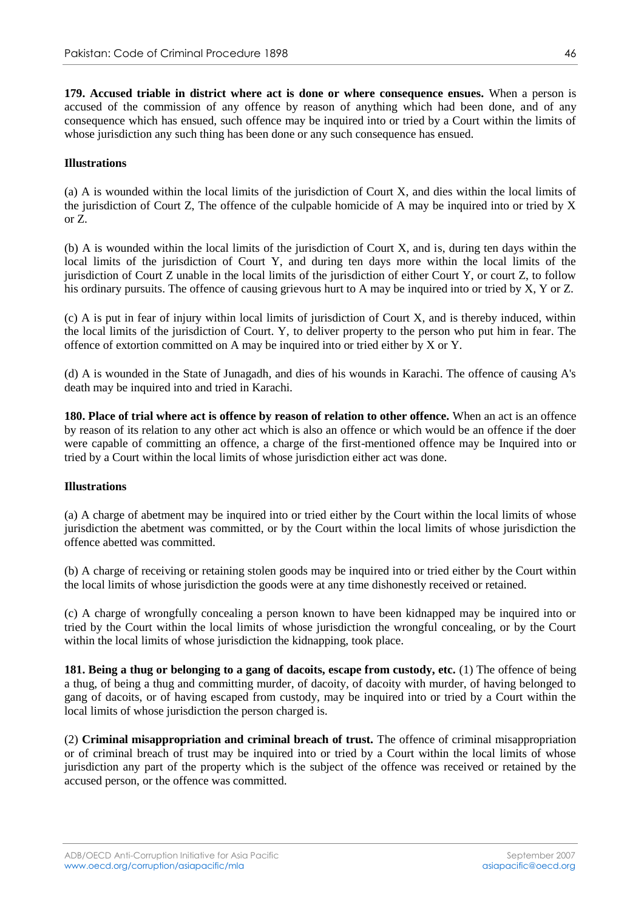**179. Accused triable in district where act is done or where consequence ensues.** When a person is accused of the commission of any offence by reason of anything which had been done, and of any consequence which has ensued, such offence may be inquired into or tried by a Court within the limits of whose jurisdiction any such thing has been done or any such consequence has ensued.

### **Illustrations**

(a) A is wounded within the local limits of the jurisdiction of Court X, and dies within the local limits of the jurisdiction of Court Z, The offence of the culpable homicide of A may be inquired into or tried by X or Z.

(b) A is wounded within the local limits of the jurisdiction of Court X, and is, during ten days within the local limits of the jurisdiction of Court Y, and during ten days more within the local limits of the jurisdiction of Court Z unable in the local limits of the jurisdiction of either Court Y, or court Z, to follow his ordinary pursuits. The offence of causing grievous hurt to A may be inquired into or tried by X, Y or Z.

(c) A is put in fear of injury within local limits of jurisdiction of Court X, and is thereby induced, within the local limits of the jurisdiction of Court. Y, to deliver property to the person who put him in fear. The offence of extortion committed on A may be inquired into or tried either by X or Y.

(d) A is wounded in the State of Junagadh, and dies of his wounds in Karachi. The offence of causing A's death may be inquired into and tried in Karachi.

**180. Place of trial where act is offence by reason of relation to other offence.** When an act is an offence by reason of its relation to any other act which is also an offence or which would be an offence if the doer were capable of committing an offence, a charge of the first-mentioned offence may be Inquired into or tried by a Court within the local limits of whose jurisdiction either act was done.

### **Illustrations**

(a) A charge of abetment may be inquired into or tried either by the Court within the local limits of whose jurisdiction the abetment was committed, or by the Court within the local limits of whose jurisdiction the offence abetted was committed.

(b) A charge of receiving or retaining stolen goods may be inquired into or tried either by the Court within the local limits of whose jurisdiction the goods were at any time dishonestly received or retained.

(c) A charge of wrongfully concealing a person known to have been kidnapped may be inquired into or tried by the Court within the local limits of whose jurisdiction the wrongful concealing, or by the Court within the local limits of whose jurisdiction the kidnapping, took place.

**181. Being a thug or belonging to a gang of dacoits, escape from custody, etc.** (1) The offence of being a thug, of being a thug and committing murder, of dacoity, of dacoity with murder, of having belonged to gang of dacoits, or of having escaped from custody, may be inquired into or tried by a Court within the local limits of whose jurisdiction the person charged is.

(2) **Criminal misappropriation and criminal breach of trust.** The offence of criminal misappropriation or of criminal breach of trust may be inquired into or tried by a Court within the local limits of whose jurisdiction any part of the property which is the subject of the offence was received or retained by the accused person, or the offence was committed.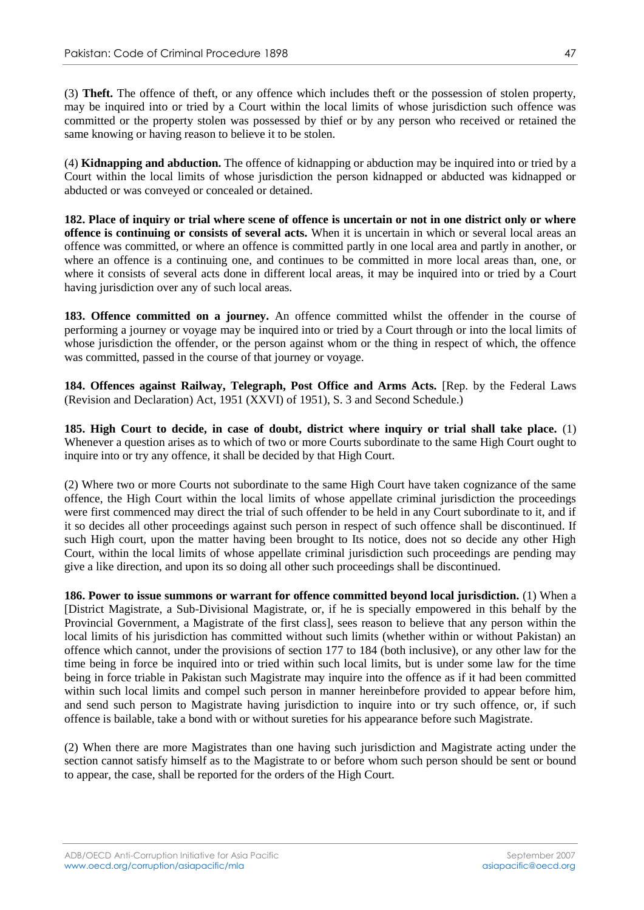(3) **Theft.** The offence of theft, or any offence which includes theft or the possession of stolen property, may be inquired into or tried by a Court within the local limits of whose jurisdiction such offence was committed or the property stolen was possessed by thief or by any person who received or retained the same knowing or having reason to believe it to be stolen.

(4) **Kidnapping and abduction.** The offence of kidnapping or abduction may be inquired into or tried by a Court within the local limits of whose jurisdiction the person kidnapped or abducted was kidnapped or abducted or was conveyed or concealed or detained.

**182. Place of inquiry or trial where scene of offence is uncertain or not in one district only or where offence is continuing or consists of several acts.** When it is uncertain in which or several local areas an offence was committed, or where an offence is committed partly in one local area and partly in another, or where an offence is a continuing one, and continues to be committed in more local areas than, one, or where it consists of several acts done in different local areas, it may be inquired into or tried by a Court having jurisdiction over any of such local areas.

**183. Offence committed on a journey.** An offence committed whilst the offender in the course of performing a journey or voyage may be inquired into or tried by a Court through or into the local limits of whose jurisdiction the offender, or the person against whom or the thing in respect of which, the offence was committed, passed in the course of that journey or voyage.

**184. Offences against Railway, Telegraph, Post Office and Arms Acts.** [Rep. by the Federal Laws (Revision and Declaration) Act, 1951 (XXVI) of 1951), S. 3 and Second Schedule.)

**185. High Court to decide, in case of doubt, district where inquiry or trial shall take place.** (1) Whenever a question arises as to which of two or more Courts subordinate to the same High Court ought to inquire into or try any offence, it shall be decided by that High Court.

(2) Where two or more Courts not subordinate to the same High Court have taken cognizance of the same offence, the High Court within the local limits of whose appellate criminal jurisdiction the proceedings were first commenced may direct the trial of such offender to be held in any Court subordinate to it, and if it so decides all other proceedings against such person in respect of such offence shall be discontinued. If such High court, upon the matter having been brought to Its notice, does not so decide any other High Court, within the local limits of whose appellate criminal jurisdiction such proceedings are pending may give a like direction, and upon its so doing all other such proceedings shall be discontinued.

**186. Power to issue summons or warrant for offence committed beyond local jurisdiction.** (1) When a [District Magistrate, a Sub-Divisional Magistrate, or, if he is specially empowered in this behalf by the Provincial Government, a Magistrate of the first class], sees reason to believe that any person within the local limits of his jurisdiction has committed without such limits (whether within or without Pakistan) an offence which cannot, under the provisions of section 177 to 184 (both inclusive), or any other law for the time being in force be inquired into or tried within such local limits, but is under some law for the time being in force triable in Pakistan such Magistrate may inquire into the offence as if it had been committed within such local limits and compel such person in manner hereinbefore provided to appear before him, and send such person to Magistrate having jurisdiction to inquire into or try such offence, or, if such offence is bailable, take a bond with or without sureties for his appearance before such Magistrate.

(2) When there are more Magistrates than one having such jurisdiction and Magistrate acting under the section cannot satisfy himself as to the Magistrate to or before whom such person should be sent or bound to appear, the case, shall be reported for the orders of the High Court.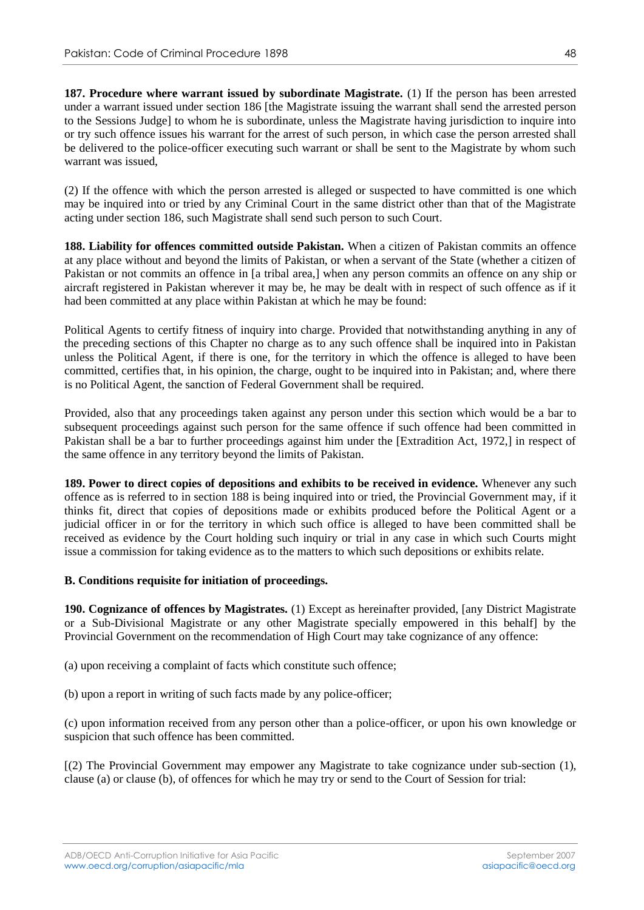**187. Procedure where warrant issued by subordinate Magistrate.** (1) If the person has been arrested under a warrant issued under section 186 [the Magistrate issuing the warrant shall send the arrested person to the Sessions Judge] to whom he is subordinate, unless the Magistrate having jurisdiction to inquire into or try such offence issues his warrant for the arrest of such person, in which case the person arrested shall be delivered to the police-officer executing such warrant or shall be sent to the Magistrate by whom such warrant was issued,

(2) If the offence with which the person arrested is alleged or suspected to have committed is one which may be inquired into or tried by any Criminal Court in the same district other than that of the Magistrate acting under section 186, such Magistrate shall send such person to such Court.

**188. Liability for offences committed outside Pakistan.** When a citizen of Pakistan commits an offence at any place without and beyond the limits of Pakistan, or when a servant of the State (whether a citizen of Pakistan or not commits an offence in [a tribal area,] when any person commits an offence on any ship or aircraft registered in Pakistan wherever it may be, he may be dealt with in respect of such offence as if it had been committed at any place within Pakistan at which he may be found:

Political Agents to certify fitness of inquiry into charge. Provided that notwithstanding anything in any of the preceding sections of this Chapter no charge as to any such offence shall be inquired into in Pakistan unless the Political Agent, if there is one, for the territory in which the offence is alleged to have been committed, certifies that, in his opinion, the charge, ought to be inquired into in Pakistan; and, where there is no Political Agent, the sanction of Federal Government shall be required.

Provided, also that any proceedings taken against any person under this section which would be a bar to subsequent proceedings against such person for the same offence if such offence had been committed in Pakistan shall be a bar to further proceedings against him under the [Extradition Act, 1972,] in respect of the same offence in any territory beyond the limits of Pakistan.

**189. Power to direct copies of depositions and exhibits to be received in evidence.** Whenever any such offence as is referred to in section 188 is being inquired into or tried, the Provincial Government may, if it thinks fit, direct that copies of depositions made or exhibits produced before the Political Agent or a judicial officer in or for the territory in which such office is alleged to have been committed shall be received as evidence by the Court holding such inquiry or trial in any case in which such Courts might issue a commission for taking evidence as to the matters to which such depositions or exhibits relate.

## **B. Conditions requisite for initiation of proceedings.**

**190. Cognizance of offences by Magistrates.** (1) Except as hereinafter provided, [any District Magistrate or a Sub-Divisional Magistrate or any other Magistrate specially empowered in this behalf] by the Provincial Government on the recommendation of High Court may take cognizance of any offence:

(a) upon receiving a complaint of facts which constitute such offence;

(b) upon a report in writing of such facts made by any police-officer;

(c) upon information received from any person other than a police-officer, or upon his own knowledge or suspicion that such offence has been committed.

[(2) The Provincial Government may empower any Magistrate to take cognizance under sub-section (1), clause (a) or clause (b), of offences for which he may try or send to the Court of Session for trial: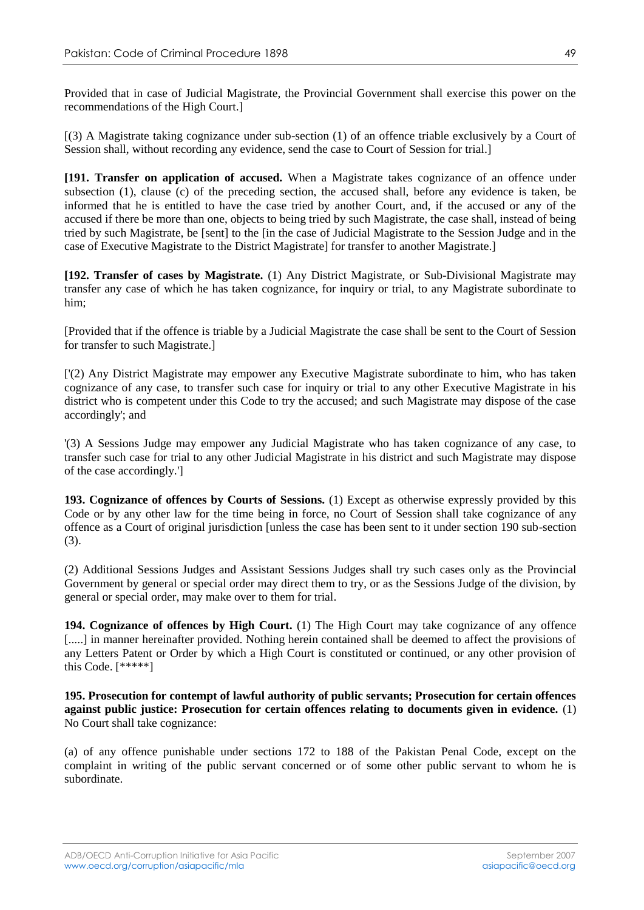Provided that in case of Judicial Magistrate, the Provincial Government shall exercise this power on the recommendations of the High Court.]

[(3) A Magistrate taking cognizance under sub-section (1) of an offence triable exclusively by a Court of Session shall, without recording any evidence, send the case to Court of Session for trial.]

**[191. Transfer on application of accused.** When a Magistrate takes cognizance of an offence under subsection (1), clause (c) of the preceding section, the accused shall, before any evidence is taken, be informed that he is entitled to have the case tried by another Court, and, if the accused or any of the accused if there be more than one, objects to being tried by such Magistrate, the case shall, instead of being tried by such Magistrate, be [sent] to the [in the case of Judicial Magistrate to the Session Judge and in the case of Executive Magistrate to the District Magistrate] for transfer to another Magistrate.]

**[192. Transfer of cases by Magistrate.** (1) Any District Magistrate, or Sub-Divisional Magistrate may transfer any case of which he has taken cognizance, for inquiry or trial, to any Magistrate subordinate to him;

[Provided that if the offence is triable by a Judicial Magistrate the case shall be sent to the Court of Session for transfer to such Magistrate.]

['(2) Any District Magistrate may empower any Executive Magistrate subordinate to him, who has taken cognizance of any case, to transfer such case for inquiry or trial to any other Executive Magistrate in his district who is competent under this Code to try the accused; and such Magistrate may dispose of the case accordingly'; and

'(3) A Sessions Judge may empower any Judicial Magistrate who has taken cognizance of any case, to transfer such case for trial to any other Judicial Magistrate in his district and such Magistrate may dispose of the case accordingly.']

**193. Cognizance of offences by Courts of Sessions.** (1) Except as otherwise expressly provided by this Code or by any other law for the time being in force, no Court of Session shall take cognizance of any offence as a Court of original jurisdiction [unless the case has been sent to it under section 190 sub-section (3).

(2) Additional Sessions Judges and Assistant Sessions Judges shall try such cases only as the Provincial Government by general or special order may direct them to try, or as the Sessions Judge of the division, by general or special order, may make over to them for trial.

**194. Cognizance of offences by High Court.** (1) The High Court may take cognizance of any offence [.....] in manner hereinafter provided. Nothing herein contained shall be deemed to affect the provisions of any Letters Patent or Order by which a High Court is constituted or continued, or any other provision of this Code. [\*\*\*\*\*]

**195. Prosecution for contempt of lawful authority of public servants; Prosecution for certain offences against public justice: Prosecution for certain offences relating to documents given in evidence.** (1) No Court shall take cognizance:

(a) of any offence punishable under sections 172 to 188 of the Pakistan Penal Code, except on the complaint in writing of the public servant concerned or of some other public servant to whom he is subordinate.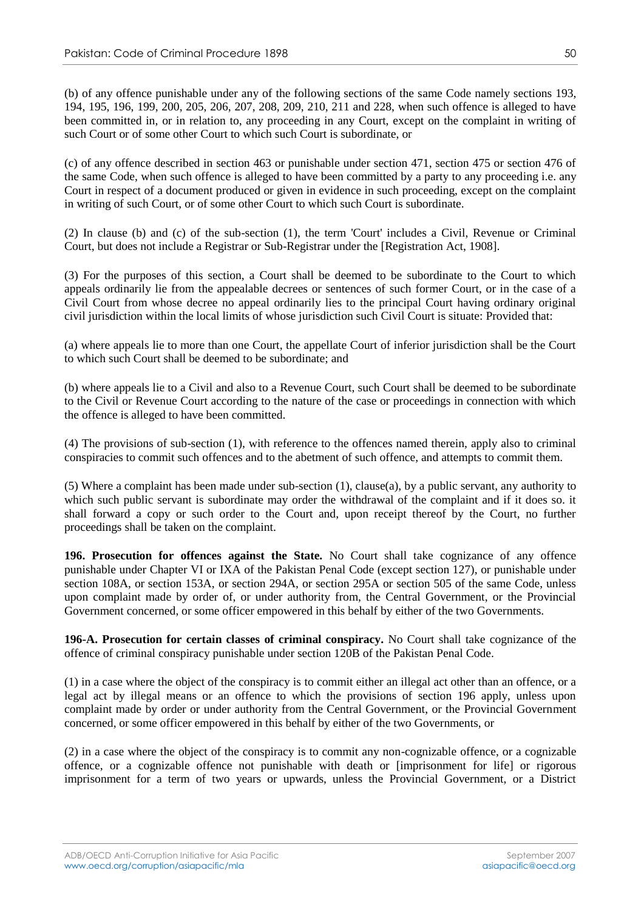(b) of any offence punishable under any of the following sections of the same Code namely sections 193, 194, 195, 196, 199, 200, 205, 206, 207, 208, 209, 210, 211 and 228, when such offence is alleged to have been committed in, or in relation to, any proceeding in any Court, except on the complaint in writing of such Court or of some other Court to which such Court is subordinate, or

(c) of any offence described in section 463 or punishable under section 471, section 475 or section 476 of the same Code, when such offence is alleged to have been committed by a party to any proceeding i.e. any Court in respect of a document produced or given in evidence in such proceeding, except on the complaint in writing of such Court, or of some other Court to which such Court is subordinate.

(2) In clause (b) and (c) of the sub-section (1), the term 'Court' includes a Civil, Revenue or Criminal Court, but does not include a Registrar or Sub-Registrar under the [Registration Act, 1908].

(3) For the purposes of this section, a Court shall be deemed to be subordinate to the Court to which appeals ordinarily lie from the appealable decrees or sentences of such former Court, or in the case of a Civil Court from whose decree no appeal ordinarily lies to the principal Court having ordinary original civil jurisdiction within the local limits of whose jurisdiction such Civil Court is situate: Provided that:

(a) where appeals lie to more than one Court, the appellate Court of inferior jurisdiction shall be the Court to which such Court shall be deemed to be subordinate; and

(b) where appeals lie to a Civil and also to a Revenue Court, such Court shall be deemed to be subordinate to the Civil or Revenue Court according to the nature of the case or proceedings in connection with which the offence is alleged to have been committed.

(4) The provisions of sub-section (1), with reference to the offences named therein, apply also to criminal conspiracies to commit such offences and to the abetment of such offence, and attempts to commit them.

(5) Where a complaint has been made under sub-section (1), clause(a), by a public servant, any authority to which such public servant is subordinate may order the withdrawal of the complaint and if it does so. it shall forward a copy or such order to the Court and, upon receipt thereof by the Court, no further proceedings shall be taken on the complaint.

**196. Prosecution for offences against the State.** No Court shall take cognizance of any offence punishable under Chapter VI or IXA of the Pakistan Penal Code (except section 127), or punishable under section 108A, or section 153A, or section 294A, or section 295A or section 505 of the same Code, unless upon complaint made by order of, or under authority from, the Central Government, or the Provincial Government concerned, or some officer empowered in this behalf by either of the two Governments.

**196-A. Prosecution for certain classes of criminal conspiracy.** No Court shall take cognizance of the offence of criminal conspiracy punishable under section 120B of the Pakistan Penal Code.

(1) in a case where the object of the conspiracy is to commit either an illegal act other than an offence, or a legal act by illegal means or an offence to which the provisions of section 196 apply, unless upon complaint made by order or under authority from the Central Government, or the Provincial Government concerned, or some officer empowered in this behalf by either of the two Governments, or

(2) in a case where the object of the conspiracy is to commit any non-cognizable offence, or a cognizable offence, or a cognizable offence not punishable with death or [imprisonment for life] or rigorous imprisonment for a term of two years or upwards, unless the Provincial Government, or a District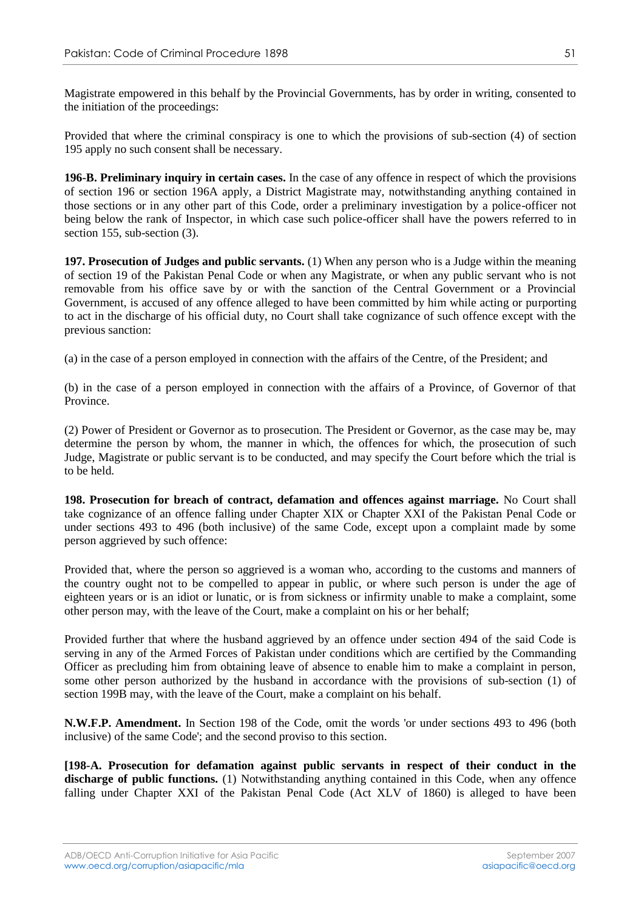Magistrate empowered in this behalf by the Provincial Governments, has by order in writing, consented to the initiation of the proceedings:

Provided that where the criminal conspiracy is one to which the provisions of sub-section (4) of section 195 apply no such consent shall be necessary.

**196-B. Preliminary inquiry in certain cases.** In the case of any offence in respect of which the provisions of section 196 or section 196A apply, a District Magistrate may, notwithstanding anything contained in those sections or in any other part of this Code, order a preliminary investigation by a police-officer not being below the rank of Inspector, in which case such police-officer shall have the powers referred to in section 155, sub-section (3).

**197. Prosecution of Judges and public servants.** (1) When any person who is a Judge within the meaning of section 19 of the Pakistan Penal Code or when any Magistrate, or when any public servant who is not removable from his office save by or with the sanction of the Central Government or a Provincial Government, is accused of any offence alleged to have been committed by him while acting or purporting to act in the discharge of his official duty, no Court shall take cognizance of such offence except with the previous sanction:

(a) in the case of a person employed in connection with the affairs of the Centre, of the President; and

(b) in the case of a person employed in connection with the affairs of a Province, of Governor of that Province.

(2) Power of President or Governor as to prosecution. The President or Governor, as the case may be, may determine the person by whom, the manner in which, the offences for which, the prosecution of such Judge, Magistrate or public servant is to be conducted, and may specify the Court before which the trial is to be held.

**198. Prosecution for breach of contract, defamation and offences against marriage.** No Court shall take cognizance of an offence falling under Chapter XIX or Chapter XXI of the Pakistan Penal Code or under sections 493 to 496 (both inclusive) of the same Code, except upon a complaint made by some person aggrieved by such offence:

Provided that, where the person so aggrieved is a woman who, according to the customs and manners of the country ought not to be compelled to appear in public, or where such person is under the age of eighteen years or is an idiot or lunatic, or is from sickness or infirmity unable to make a complaint, some other person may, with the leave of the Court, make a complaint on his or her behalf;

Provided further that where the husband aggrieved by an offence under section 494 of the said Code is serving in any of the Armed Forces of Pakistan under conditions which are certified by the Commanding Officer as precluding him from obtaining leave of absence to enable him to make a complaint in person, some other person authorized by the husband in accordance with the provisions of sub-section (1) of section 199B may, with the leave of the Court, make a complaint on his behalf.

**N.W.F.P. Amendment.** In Section 198 of the Code, omit the words 'or under sections 493 to 496 (both inclusive) of the same Code'; and the second proviso to this section.

**[198-A. Prosecution for defamation against public servants in respect of their conduct in the discharge of public functions.** (1) Notwithstanding anything contained in this Code, when any offence falling under Chapter XXI of the Pakistan Penal Code (Act XLV of 1860) is alleged to have been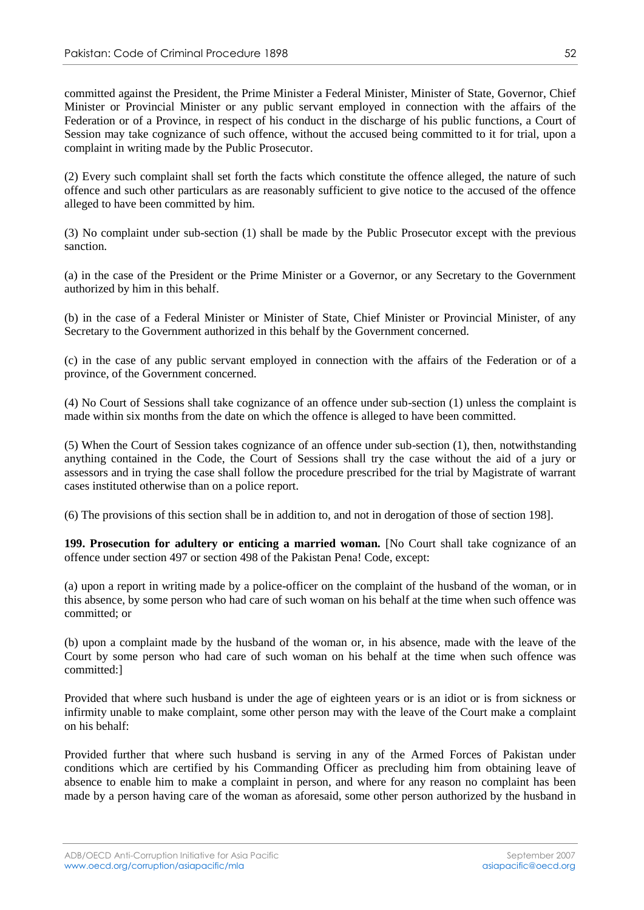committed against the President, the Prime Minister a Federal Minister, Minister of State, Governor, Chief Minister or Provincial Minister or any public servant employed in connection with the affairs of the Federation or of a Province, in respect of his conduct in the discharge of his public functions, a Court of Session may take cognizance of such offence, without the accused being committed to it for trial, upon a complaint in writing made by the Public Prosecutor.

(2) Every such complaint shall set forth the facts which constitute the offence alleged, the nature of such offence and such other particulars as are reasonably sufficient to give notice to the accused of the offence alleged to have been committed by him.

(3) No complaint under sub-section (1) shall be made by the Public Prosecutor except with the previous sanction.

(a) in the case of the President or the Prime Minister or a Governor, or any Secretary to the Government authorized by him in this behalf.

(b) in the case of a Federal Minister or Minister of State, Chief Minister or Provincial Minister, of any Secretary to the Government authorized in this behalf by the Government concerned.

(c) in the case of any public servant employed in connection with the affairs of the Federation or of a province, of the Government concerned.

(4) No Court of Sessions shall take cognizance of an offence under sub-section (1) unless the complaint is made within six months from the date on which the offence is alleged to have been committed.

(5) When the Court of Session takes cognizance of an offence under sub-section (1), then, notwithstanding anything contained in the Code, the Court of Sessions shall try the case without the aid of a jury or assessors and in trying the case shall follow the procedure prescribed for the trial by Magistrate of warrant cases instituted otherwise than on a police report.

(6) The provisions of this section shall be in addition to, and not in derogation of those of section 198].

**199. Prosecution for adultery or enticing a married woman.** [No Court shall take cognizance of an offence under section 497 or section 498 of the Pakistan Pena! Code, except:

(a) upon a report in writing made by a police-officer on the complaint of the husband of the woman, or in this absence, by some person who had care of such woman on his behalf at the time when such offence was committed; or

(b) upon a complaint made by the husband of the woman or, in his absence, made with the leave of the Court by some person who had care of such woman on his behalf at the time when such offence was committed:]

Provided that where such husband is under the age of eighteen years or is an idiot or is from sickness or infirmity unable to make complaint, some other person may with the leave of the Court make a complaint on his behalf:

Provided further that where such husband is serving in any of the Armed Forces of Pakistan under conditions which are certified by his Commanding Officer as precluding him from obtaining leave of absence to enable him to make a complaint in person, and where for any reason no complaint has been made by a person having care of the woman as aforesaid, some other person authorized by the husband in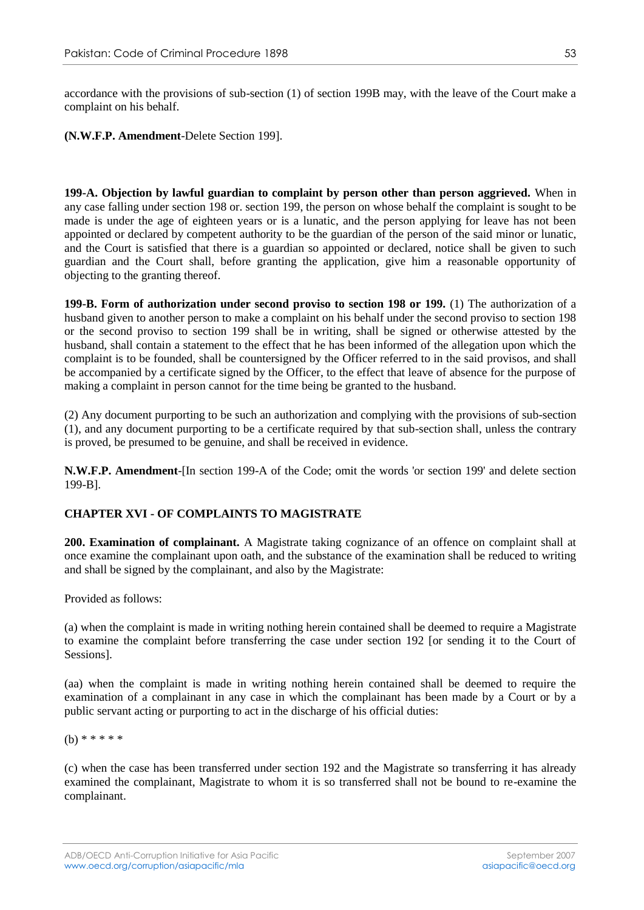accordance with the provisions of sub-section (1) of section 199B may, with the leave of the Court make a complaint on his behalf.

**(N.W.F.P. Amendment**-Delete Section 199].

**199-A. Objection by lawful guardian to complaint by person other than person aggrieved.** When in any case falling under section 198 or. section 199, the person on whose behalf the complaint is sought to be made is under the age of eighteen years or is a lunatic, and the person applying for leave has not been appointed or declared by competent authority to be the guardian of the person of the said minor or lunatic, and the Court is satisfied that there is a guardian so appointed or declared, notice shall be given to such guardian and the Court shall, before granting the application, give him a reasonable opportunity of objecting to the granting thereof.

**199-B. Form of authorization under second proviso to section 198 or 199.** (1) The authorization of a husband given to another person to make a complaint on his behalf under the second proviso to section 198 or the second proviso to section 199 shall be in writing, shall be signed or otherwise attested by the husband, shall contain a statement to the effect that he has been informed of the allegation upon which the complaint is to be founded, shall be countersigned by the Officer referred to in the said provisos, and shall be accompanied by a certificate signed by the Officer, to the effect that leave of absence for the purpose of making a complaint in person cannot for the time being be granted to the husband.

(2) Any document purporting to be such an authorization and complying with the provisions of sub-section (1), and any document purporting to be a certificate required by that sub-section shall, unless the contrary is proved, be presumed to be genuine, and shall be received in evidence.

**N.W.F.P. Amendment**-[In section 199-A of the Code; omit the words 'or section 199' and delete section 199-B].

## **CHAPTER XVI - OF COMPLAINTS TO MAGISTRATE**

**200. Examination of complainant.** A Magistrate taking cognizance of an offence on complaint shall at once examine the complainant upon oath, and the substance of the examination shall be reduced to writing and shall be signed by the complainant, and also by the Magistrate:

Provided as follows:

(a) when the complaint is made in writing nothing herein contained shall be deemed to require a Magistrate to examine the complaint before transferring the case under section 192 [or sending it to the Court of Sessions].

(aa) when the complaint is made in writing nothing herein contained shall be deemed to require the examination of a complainant in any case in which the complainant has been made by a Court or by a public servant acting or purporting to act in the discharge of his official duties:

(b) \* \* \* \* \*

(c) when the case has been transferred under section 192 and the Magistrate so transferring it has already examined the complainant, Magistrate to whom it is so transferred shall not be bound to re-examine the complainant.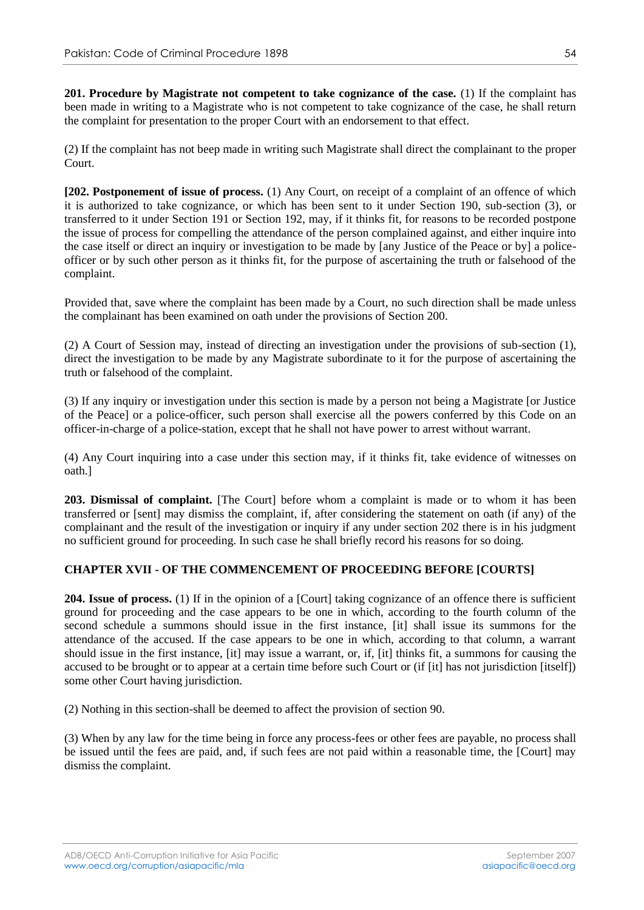**201. Procedure by Magistrate not competent to take cognizance of the case.** (1) If the complaint has been made in writing to a Magistrate who is not competent to take cognizance of the case, he shall return the complaint for presentation to the proper Court with an endorsement to that effect.

(2) If the complaint has not beep made in writing such Magistrate shall direct the complainant to the proper Court.

**[202. Postponement of issue of process.** (1) Any Court, on receipt of a complaint of an offence of which it is authorized to take cognizance, or which has been sent to it under Section 190, sub-section (3), or transferred to it under Section 191 or Section 192, may, if it thinks fit, for reasons to be recorded postpone the issue of process for compelling the attendance of the person complained against, and either inquire into the case itself or direct an inquiry or investigation to be made by [any Justice of the Peace or by] a policeofficer or by such other person as it thinks fit, for the purpose of ascertaining the truth or falsehood of the complaint.

Provided that, save where the complaint has been made by a Court, no such direction shall be made unless the complainant has been examined on oath under the provisions of Section 200.

(2) A Court of Session may, instead of directing an investigation under the provisions of sub-section (1), direct the investigation to be made by any Magistrate subordinate to it for the purpose of ascertaining the truth or falsehood of the complaint.

(3) If any inquiry or investigation under this section is made by a person not being a Magistrate [or Justice of the Peace] or a police-officer, such person shall exercise all the powers conferred by this Code on an officer-in-charge of a police-station, except that he shall not have power to arrest without warrant.

(4) Any Court inquiring into a case under this section may, if it thinks fit, take evidence of witnesses on oath.]

**203. Dismissal of complaint.** [The Court] before whom a complaint is made or to whom it has been transferred or [sent] may dismiss the complaint, if, after considering the statement on oath (if any) of the complainant and the result of the investigation or inquiry if any under section 202 there is in his judgment no sufficient ground for proceeding. In such case he shall briefly record his reasons for so doing.

## **CHAPTER XVII - OF THE COMMENCEMENT OF PROCEEDING BEFORE [COURTS]**

**204. Issue of process.** (1) If in the opinion of a [Court] taking cognizance of an offence there is sufficient ground for proceeding and the case appears to be one in which, according to the fourth column of the second schedule a summons should issue in the first instance, [it] shall issue its summons for the attendance of the accused. If the case appears to be one in which, according to that column, a warrant should issue in the first instance, [it] may issue a warrant, or, if, [it] thinks fit, a summons for causing the accused to be brought or to appear at a certain time before such Court or (if [it] has not jurisdiction [itself]) some other Court having jurisdiction.

(2) Nothing in this section-shall be deemed to affect the provision of section 90.

(3) When by any law for the time being in force any process-fees or other fees are payable, no process shall be issued until the fees are paid, and, if such fees are not paid within a reasonable time, the [Court] may dismiss the complaint.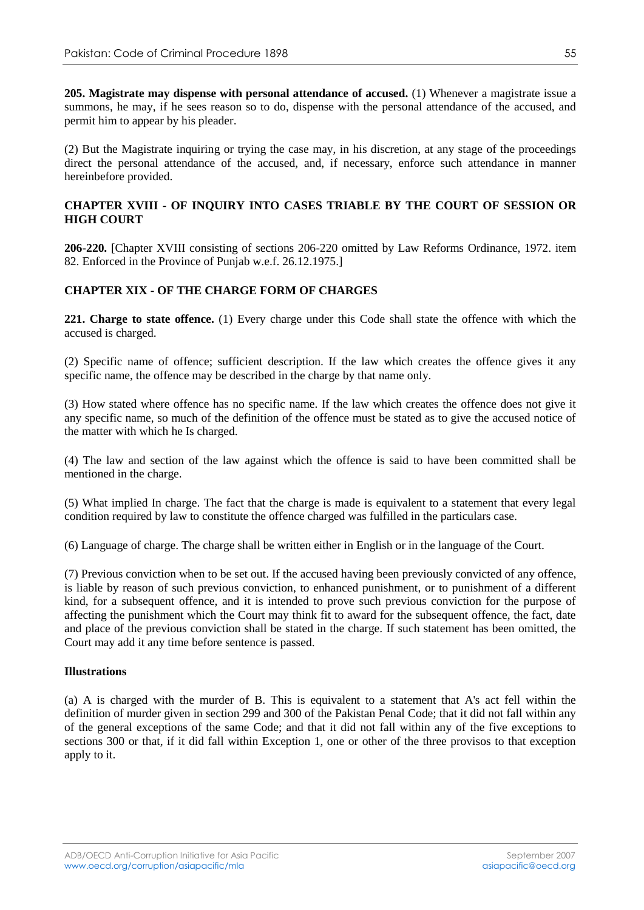**205. Magistrate may dispense with personal attendance of accused.** (1) Whenever a magistrate issue a summons, he may, if he sees reason so to do, dispense with the personal attendance of the accused, and permit him to appear by his pleader.

(2) But the Magistrate inquiring or trying the case may, in his discretion, at any stage of the proceedings direct the personal attendance of the accused, and, if necessary, enforce such attendance in manner hereinbefore provided.

### **CHAPTER XVIII - OF INQUIRY INTO CASES TRIABLE BY THE COURT OF SESSION OR HIGH COURT**

**206-220.** [Chapter XVIII consisting of sections 206-220 omitted by Law Reforms Ordinance, 1972. item 82. Enforced in the Province of Punjab w.e.f. 26.12.1975.]

### **CHAPTER XIX - OF THE CHARGE FORM OF CHARGES**

**221. Charge to state offence.** (1) Every charge under this Code shall state the offence with which the accused is charged.

(2) Specific name of offence; sufficient description. If the law which creates the offence gives it any specific name, the offence may be described in the charge by that name only.

(3) How stated where offence has no specific name. If the law which creates the offence does not give it any specific name, so much of the definition of the offence must be stated as to give the accused notice of the matter with which he Is charged.

(4) The law and section of the law against which the offence is said to have been committed shall be mentioned in the charge.

(5) What implied In charge. The fact that the charge is made is equivalent to a statement that every legal condition required by law to constitute the offence charged was fulfilled in the particulars case.

(6) Language of charge. The charge shall be written either in English or in the language of the Court.

(7) Previous conviction when to be set out. If the accused having been previously convicted of any offence, is liable by reason of such previous conviction, to enhanced punishment, or to punishment of a different kind, for a subsequent offence, and it is intended to prove such previous conviction for the purpose of affecting the punishment which the Court may think fit to award for the subsequent offence, the fact, date and place of the previous conviction shall be stated in the charge. If such statement has been omitted, the Court may add it any time before sentence is passed.

#### **Illustrations**

(a) A is charged with the murder of B. This is equivalent to a statement that A's act fell within the definition of murder given in section 299 and 300 of the Pakistan Penal Code; that it did not fall within any of the general exceptions of the same Code; and that it did not fall within any of the five exceptions to sections 300 or that, if it did fall within Exception 1, one or other of the three provisos to that exception apply to it.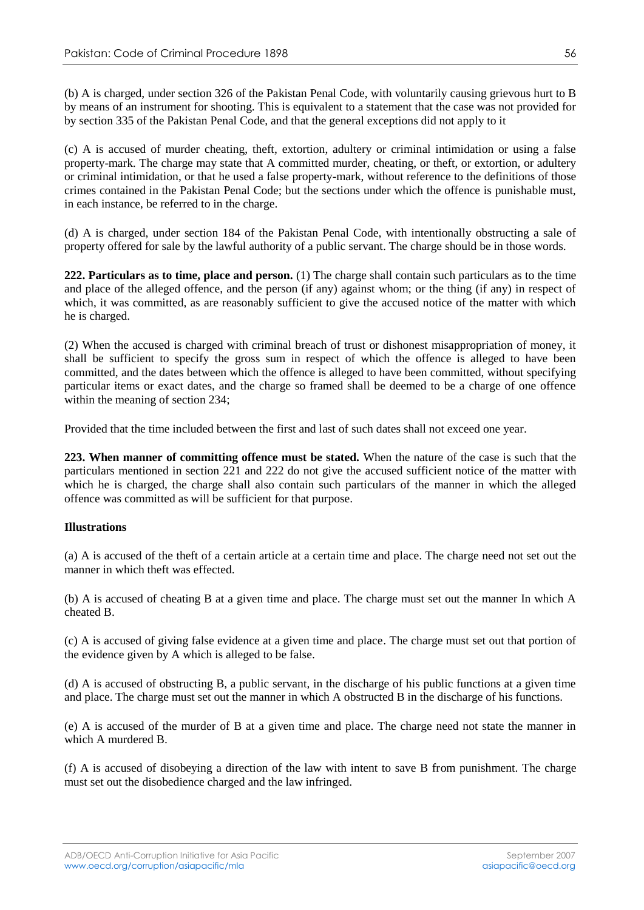(b) A is charged, under section 326 of the Pakistan Penal Code, with voluntarily causing grievous hurt to B by means of an instrument for shooting. This is equivalent to a statement that the case was not provided for by section 335 of the Pakistan Penal Code, and that the general exceptions did not apply to it

(c) A is accused of murder cheating, theft, extortion, adultery or criminal intimidation or using a false property-mark. The charge may state that A committed murder, cheating, or theft, or extortion, or adultery or criminal intimidation, or that he used a false property-mark, without reference to the definitions of those crimes contained in the Pakistan Penal Code; but the sections under which the offence is punishable must, in each instance, be referred to in the charge.

(d) A is charged, under section 184 of the Pakistan Penal Code, with intentionally obstructing a sale of property offered for sale by the lawful authority of a public servant. The charge should be in those words.

**222. Particulars as to time, place and person.** (1) The charge shall contain such particulars as to the time and place of the alleged offence, and the person (if any) against whom; or the thing (if any) in respect of which, it was committed, as are reasonably sufficient to give the accused notice of the matter with which he is charged.

(2) When the accused is charged with criminal breach of trust or dishonest misappropriation of money, it shall be sufficient to specify the gross sum in respect of which the offence is alleged to have been committed, and the dates between which the offence is alleged to have been committed, without specifying particular items or exact dates, and the charge so framed shall be deemed to be a charge of one offence within the meaning of section 234;

Provided that the time included between the first and last of such dates shall not exceed one year.

**223. When manner of committing offence must be stated.** When the nature of the case is such that the particulars mentioned in section 221 and 222 do not give the accused sufficient notice of the matter with which he is charged, the charge shall also contain such particulars of the manner in which the alleged offence was committed as will be sufficient for that purpose.

#### **Illustrations**

(a) A is accused of the theft of a certain article at a certain time and place. The charge need not set out the manner in which theft was effected.

(b) A is accused of cheating B at a given time and place. The charge must set out the manner In which A cheated B.

(c) A is accused of giving false evidence at a given time and place. The charge must set out that portion of the evidence given by A which is alleged to be false.

(d) A is accused of obstructing B, a public servant, in the discharge of his public functions at a given time and place. The charge must set out the manner in which A obstructed B in the discharge of his functions.

(e) A is accused of the murder of B at a given time and place. The charge need not state the manner in which A murdered B.

(f) A is accused of disobeying a direction of the law with intent to save B from punishment. The charge must set out the disobedience charged and the law infringed.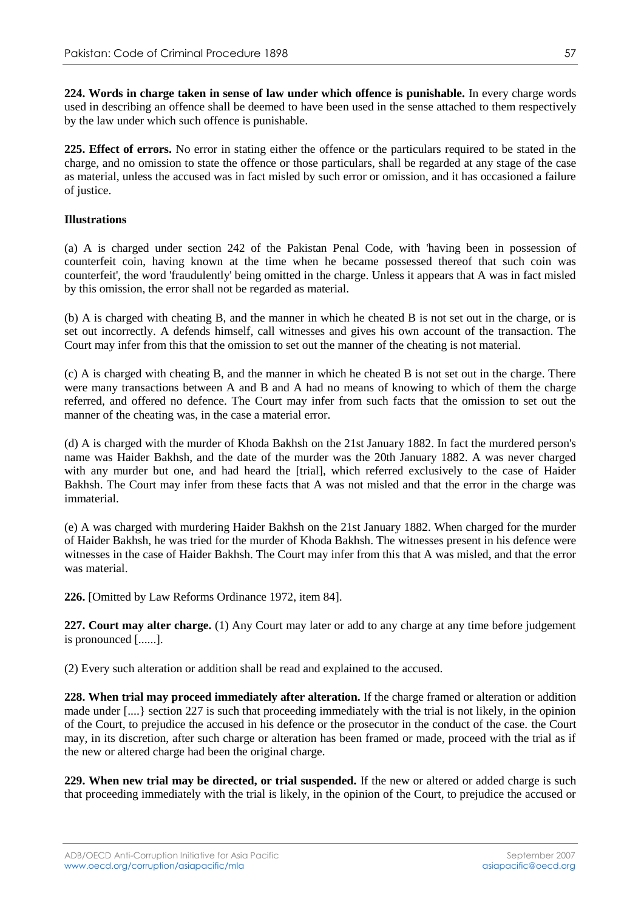**224. Words in charge taken in sense of law under which offence is punishable.** In every charge words used in describing an offence shall be deemed to have been used in the sense attached to them respectively by the law under which such offence is punishable.

**225. Effect of errors.** No error in stating either the offence or the particulars required to be stated in the charge, and no omission to state the offence or those particulars, shall be regarded at any stage of the case as material, unless the accused was in fact misled by such error or omission, and it has occasioned a failure of justice.

### **Illustrations**

(a) A is charged under section 242 of the Pakistan Penal Code, with 'having been in possession of counterfeit coin, having known at the time when he became possessed thereof that such coin was counterfeit', the word 'fraudulently' being omitted in the charge. Unless it appears that A was in fact misled by this omission, the error shall not be regarded as material.

(b) A is charged with cheating B, and the manner in which he cheated B is not set out in the charge, or is set out incorrectly. A defends himself, call witnesses and gives his own account of the transaction. The Court may infer from this that the omission to set out the manner of the cheating is not material.

(c) A is charged with cheating B, and the manner in which he cheated B is not set out in the charge. There were many transactions between A and B and A had no means of knowing to which of them the charge referred, and offered no defence. The Court may infer from such facts that the omission to set out the manner of the cheating was, in the case a material error.

(d) A is charged with the murder of Khoda Bakhsh on the 21st January 1882. In fact the murdered person's name was Haider Bakhsh, and the date of the murder was the 20th January 1882. A was never charged with any murder but one, and had heard the [trial], which referred exclusively to the case of Haider Bakhsh. The Court may infer from these facts that A was not misled and that the error in the charge was immaterial.

(e) A was charged with murdering Haider Bakhsh on the 21st January 1882. When charged for the murder of Haider Bakhsh, he was tried for the murder of Khoda Bakhsh. The witnesses present in his defence were witnesses in the case of Haider Bakhsh. The Court may infer from this that A was misled, and that the error was material.

**226.** [Omitted by Law Reforms Ordinance 1972, item 84].

**227. Court may alter charge.** (1) Any Court may later or add to any charge at any time before judgement is pronounced [......].

(2) Every such alteration or addition shall be read and explained to the accused.

**228. When trial may proceed immediately after alteration.** If the charge framed or alteration or addition made under [....} section 227 is such that proceeding immediately with the trial is not likely, in the opinion of the Court, to prejudice the accused in his defence or the prosecutor in the conduct of the case. the Court may, in its discretion, after such charge or alteration has been framed or made, proceed with the trial as if the new or altered charge had been the original charge.

**229. When new trial may be directed, or trial suspended.** If the new or altered or added charge is such that proceeding immediately with the trial is likely, in the opinion of the Court, to prejudice the accused or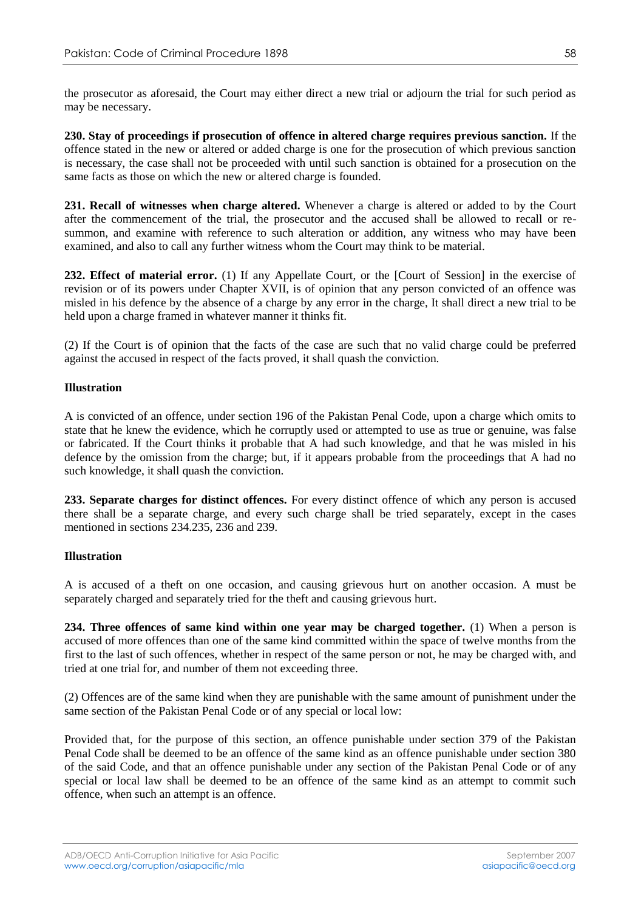the prosecutor as aforesaid, the Court may either direct a new trial or adjourn the trial for such period as may be necessary.

**230. Stay of proceedings if prosecution of offence in altered charge requires previous sanction.** If the offence stated in the new or altered or added charge is one for the prosecution of which previous sanction is necessary, the case shall not be proceeded with until such sanction is obtained for a prosecution on the same facts as those on which the new or altered charge is founded.

**231. Recall of witnesses when charge altered.** Whenever a charge is altered or added to by the Court after the commencement of the trial, the prosecutor and the accused shall be allowed to recall or resummon, and examine with reference to such alteration or addition, any witness who may have been examined, and also to call any further witness whom the Court may think to be material.

**232. Effect of material error.** (1) If any Appellate Court, or the [Court of Session] in the exercise of revision or of its powers under Chapter XVII, is of opinion that any person convicted of an offence was misled in his defence by the absence of a charge by any error in the charge, It shall direct a new trial to be held upon a charge framed in whatever manner it thinks fit.

(2) If the Court is of opinion that the facts of the case are such that no valid charge could be preferred against the accused in respect of the facts proved, it shall quash the conviction.

#### **Illustration**

A is convicted of an offence, under section 196 of the Pakistan Penal Code, upon a charge which omits to state that he knew the evidence, which he corruptly used or attempted to use as true or genuine, was false or fabricated. If the Court thinks it probable that A had such knowledge, and that he was misled in his defence by the omission from the charge; but, if it appears probable from the proceedings that A had no such knowledge, it shall quash the conviction.

**233. Separate charges for distinct offences.** For every distinct offence of which any person is accused there shall be a separate charge, and every such charge shall be tried separately, except in the cases mentioned in sections 234.235, 236 and 239.

### **Illustration**

A is accused of a theft on one occasion, and causing grievous hurt on another occasion. A must be separately charged and separately tried for the theft and causing grievous hurt.

**234. Three offences of same kind within one year may be charged together.** (1) When a person is accused of more offences than one of the same kind committed within the space of twelve months from the first to the last of such offences, whether in respect of the same person or not, he may be charged with, and tried at one trial for, and number of them not exceeding three.

(2) Offences are of the same kind when they are punishable with the same amount of punishment under the same section of the Pakistan Penal Code or of any special or local low:

Provided that, for the purpose of this section, an offence punishable under section 379 of the Pakistan Penal Code shall be deemed to be an offence of the same kind as an offence punishable under section 380 of the said Code, and that an offence punishable under any section of the Pakistan Penal Code or of any special or local law shall be deemed to be an offence of the same kind as an attempt to commit such offence, when such an attempt is an offence.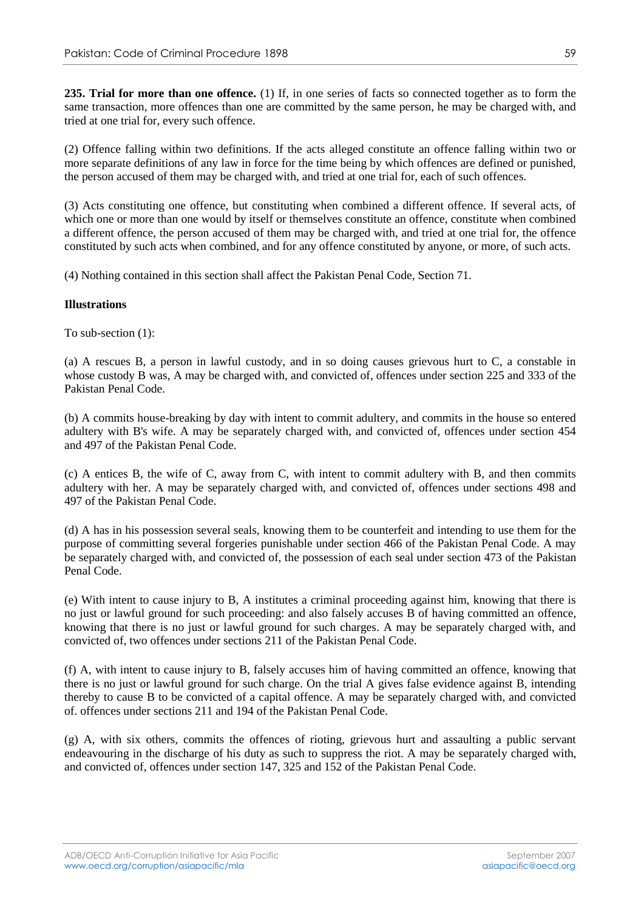**235. Trial for more than one offence.** (1) If, in one series of facts so connected together as to form the same transaction, more offences than one are committed by the same person, he may be charged with, and tried at one trial for, every such offence.

(2) Offence falling within two definitions. If the acts alleged constitute an offence falling within two or more separate definitions of any law in force for the time being by which offences are defined or punished, the person accused of them may be charged with, and tried at one trial for, each of such offences.

(3) Acts constituting one offence, but constituting when combined a different offence. If several acts, of which one or more than one would by itself or themselves constitute an offence, constitute when combined a different offence, the person accused of them may be charged with, and tried at one trial for, the offence constituted by such acts when combined, and for any offence constituted by anyone, or more, of such acts.

(4) Nothing contained in this section shall affect the Pakistan Penal Code, Section 71.

### **Illustrations**

To sub-section (1):

(a) A rescues B, a person in lawful custody, and in so doing causes grievous hurt to C, a constable in whose custody B was, A may be charged with, and convicted of, offences under section 225 and 333 of the Pakistan Penal Code.

(b) A commits house-breaking by day with intent to commit adultery, and commits in the house so entered adultery with B's wife. A may be separately charged with, and convicted of, offences under section 454 and 497 of the Pakistan Penal Code.

(c) A entices B, the wife of C, away from C, with intent to commit adultery with B, and then commits adultery with her. A may be separately charged with, and convicted of, offences under sections 498 and 497 of the Pakistan Penal Code.

(d) A has in his possession several seals, knowing them to be counterfeit and intending to use them for the purpose of committing several forgeries punishable under section 466 of the Pakistan Penal Code. A may be separately charged with, and convicted of, the possession of each seal under section 473 of the Pakistan Penal Code.

(e) With intent to cause injury to B, A institutes a criminal proceeding against him, knowing that there is no just or lawful ground for such proceeding: and also falsely accuses B of having committed an offence, knowing that there is no just or lawful ground for such charges. A may be separately charged with, and convicted of, two offences under sections 211 of the Pakistan Penal Code.

(f) A, with intent to cause injury to B, falsely accuses him of having committed an offence, knowing that there is no just or lawful ground for such charge. On the trial A gives false evidence against B, intending thereby to cause B to be convicted of a capital offence. A may be separately charged with, and convicted of. offences under sections 211 and 194 of the Pakistan Penal Code.

(g) A, with six others, commits the offences of rioting, grievous hurt and assaulting a public servant endeavouring in the discharge of his duty as such to suppress the riot. A may be separately charged with, and convicted of, offences under section 147, 325 and 152 of the Pakistan Penal Code.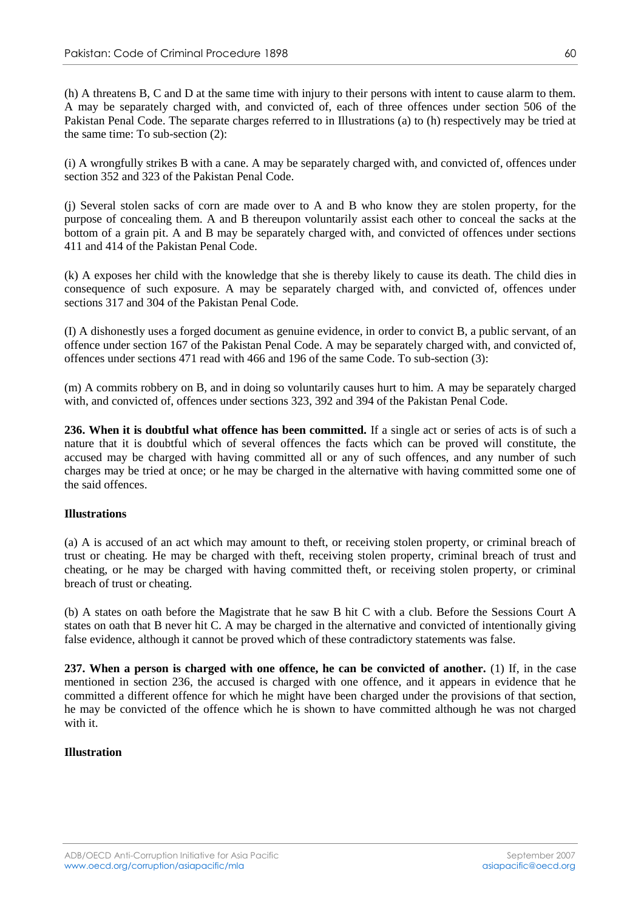(h) A threatens B, C and D at the same time with injury to their persons with intent to cause alarm to them. A may be separately charged with, and convicted of, each of three offences under section 506 of the Pakistan Penal Code. The separate charges referred to in Illustrations (a) to (h) respectively may be tried at the same time: To sub-section (2):

(i) A wrongfully strikes B with a cane. A may be separately charged with, and convicted of, offences under section 352 and 323 of the Pakistan Penal Code.

(j) Several stolen sacks of corn are made over to A and B who know they are stolen property, for the purpose of concealing them. A and B thereupon voluntarily assist each other to conceal the sacks at the bottom of a grain pit. A and B may be separately charged with, and convicted of offences under sections 411 and 414 of the Pakistan Penal Code.

(k) A exposes her child with the knowledge that she is thereby likely to cause its death. The child dies in consequence of such exposure. A may be separately charged with, and convicted of, offences under sections 317 and 304 of the Pakistan Penal Code.

(I) A dishonestly uses a forged document as genuine evidence, in order to convict B, a public servant, of an offence under section 167 of the Pakistan Penal Code. A may be separately charged with, and convicted of, offences under sections 471 read with 466 and 196 of the same Code. To sub-section (3):

(m) A commits robbery on B, and in doing so voluntarily causes hurt to him. A may be separately charged with, and convicted of, offences under sections 323, 392 and 394 of the Pakistan Penal Code.

**236. When it is doubtful what offence has been committed.** If a single act or series of acts is of such a nature that it is doubtful which of several offences the facts which can be proved will constitute, the accused may be charged with having committed all or any of such offences, and any number of such charges may be tried at once; or he may be charged in the alternative with having committed some one of the said offences.

#### **Illustrations**

(a) A is accused of an act which may amount to theft, or receiving stolen property, or criminal breach of trust or cheating. He may be charged with theft, receiving stolen property, criminal breach of trust and cheating, or he may be charged with having committed theft, or receiving stolen property, or criminal breach of trust or cheating.

(b) A states on oath before the Magistrate that he saw B hit C with a club. Before the Sessions Court A states on oath that B never hit C. A may be charged in the alternative and convicted of intentionally giving false evidence, although it cannot be proved which of these contradictory statements was false.

**237. When a person is charged with one offence, he can be convicted of another.** (1) If, in the case mentioned in section 236, the accused is charged with one offence, and it appears in evidence that he committed a different offence for which he might have been charged under the provisions of that section, he may be convicted of the offence which he is shown to have committed although he was not charged with it.

#### **Illustration**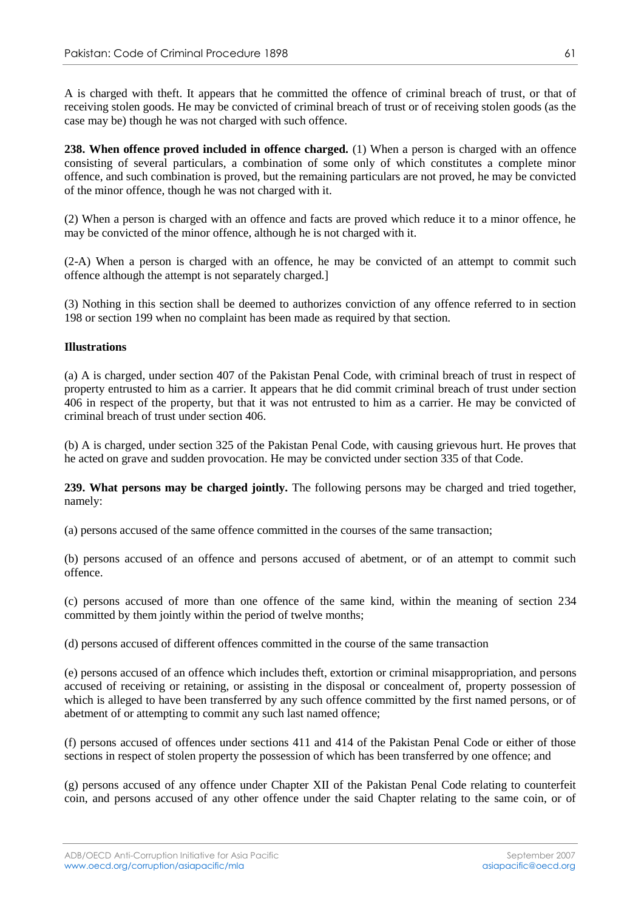A is charged with theft. It appears that he committed the offence of criminal breach of trust, or that of receiving stolen goods. He may be convicted of criminal breach of trust or of receiving stolen goods (as the case may be) though he was not charged with such offence.

**238. When offence proved included in offence charged.** (1) When a person is charged with an offence consisting of several particulars, a combination of some only of which constitutes a complete minor offence, and such combination is proved, but the remaining particulars are not proved, he may be convicted of the minor offence, though he was not charged with it.

(2) When a person is charged with an offence and facts are proved which reduce it to a minor offence, he may be convicted of the minor offence, although he is not charged with it.

(2-A) When a person is charged with an offence, he may be convicted of an attempt to commit such offence although the attempt is not separately charged.]

(3) Nothing in this section shall be deemed to authorizes conviction of any offence referred to in section 198 or section 199 when no complaint has been made as required by that section.

### **Illustrations**

(a) A is charged, under section 407 of the Pakistan Penal Code, with criminal breach of trust in respect of property entrusted to him as a carrier. It appears that he did commit criminal breach of trust under section 406 in respect of the property, but that it was not entrusted to him as a carrier. He may be convicted of criminal breach of trust under section 406.

(b) A is charged, under section 325 of the Pakistan Penal Code, with causing grievous hurt. He proves that he acted on grave and sudden provocation. He may be convicted under section 335 of that Code.

**239. What persons may be charged jointly.** The following persons may be charged and tried together, namely:

(a) persons accused of the same offence committed in the courses of the same transaction;

(b) persons accused of an offence and persons accused of abetment, or of an attempt to commit such offence.

(c) persons accused of more than one offence of the same kind, within the meaning of section 234 committed by them jointly within the period of twelve months;

(d) persons accused of different offences committed in the course of the same transaction

(e) persons accused of an offence which includes theft, extortion or criminal misappropriation, and persons accused of receiving or retaining, or assisting in the disposal or concealment of, property possession of which is alleged to have been transferred by any such offence committed by the first named persons, or of abetment of or attempting to commit any such last named offence;

(f) persons accused of offences under sections 411 and 414 of the Pakistan Penal Code or either of those sections in respect of stolen property the possession of which has been transferred by one offence; and

(g) persons accused of any offence under Chapter XII of the Pakistan Penal Code relating to counterfeit coin, and persons accused of any other offence under the said Chapter relating to the same coin, or of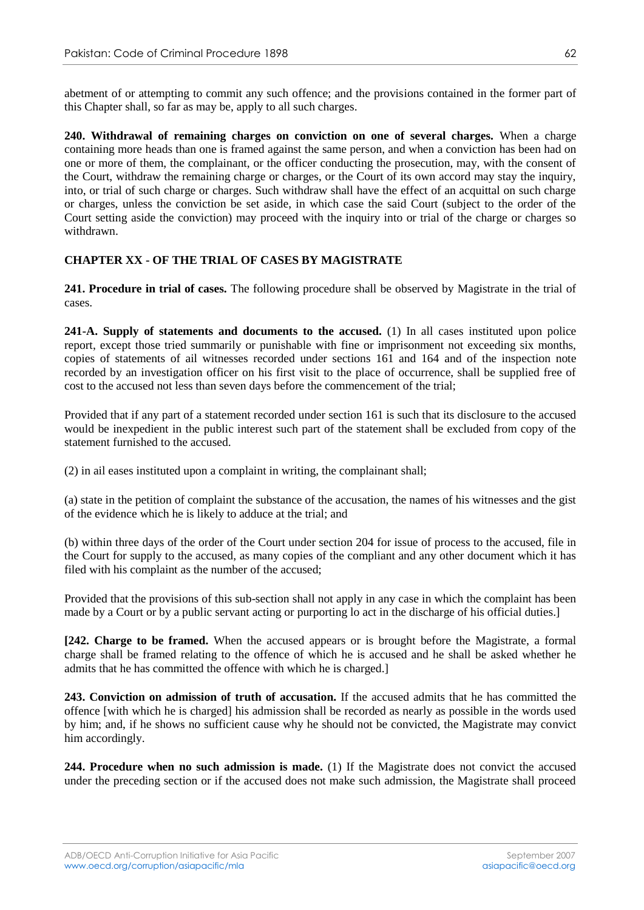abetment of or attempting to commit any such offence; and the provisions contained in the former part of this Chapter shall, so far as may be, apply to all such charges.

**240. Withdrawal of remaining charges on conviction on one of several charges.** When a charge containing more heads than one is framed against the same person, and when a conviction has been had on one or more of them, the complainant, or the officer conducting the prosecution, may, with the consent of the Court, withdraw the remaining charge or charges, or the Court of its own accord may stay the inquiry, into, or trial of such charge or charges. Such withdraw shall have the effect of an acquittal on such charge or charges, unless the conviction be set aside, in which case the said Court (subject to the order of the Court setting aside the conviction) may proceed with the inquiry into or trial of the charge or charges so withdrawn.

## **CHAPTER XX - OF THE TRIAL OF CASES BY MAGISTRATE**

**241. Procedure in trial of cases.** The following procedure shall be observed by Magistrate in the trial of cases.

**241-A. Supply of statements and documents to the accused.** (1) In all cases instituted upon police report, except those tried summarily or punishable with fine or imprisonment not exceeding six months, copies of statements of ail witnesses recorded under sections 161 and 164 and of the inspection note recorded by an investigation officer on his first visit to the place of occurrence, shall be supplied free of cost to the accused not less than seven days before the commencement of the trial;

Provided that if any part of a statement recorded under section 161 is such that its disclosure to the accused would be inexpedient in the public interest such part of the statement shall be excluded from copy of the statement furnished to the accused.

(2) in ail eases instituted upon a complaint in writing, the complainant shall;

(a) state in the petition of complaint the substance of the accusation, the names of his witnesses and the gist of the evidence which he is likely to adduce at the trial; and

(b) within three days of the order of the Court under section 204 for issue of process to the accused, file in the Court for supply to the accused, as many copies of the compliant and any other document which it has filed with his complaint as the number of the accused;

Provided that the provisions of this sub-section shall not apply in any case in which the complaint has been made by a Court or by a public servant acting or purporting lo act in the discharge of his official duties.]

**[242. Charge to be framed.** When the accused appears or is brought before the Magistrate, a formal charge shall be framed relating to the offence of which he is accused and he shall be asked whether he admits that he has committed the offence with which he is charged.]

**243. Conviction on admission of truth of accusation.** If the accused admits that he has committed the offence [with which he is charged] his admission shall be recorded as nearly as possible in the words used by him; and, if he shows no sufficient cause why he should not be convicted, the Magistrate may convict him accordingly.

**244. Procedure when no such admission is made.** (1) If the Magistrate does not convict the accused under the preceding section or if the accused does not make such admission, the Magistrate shall proceed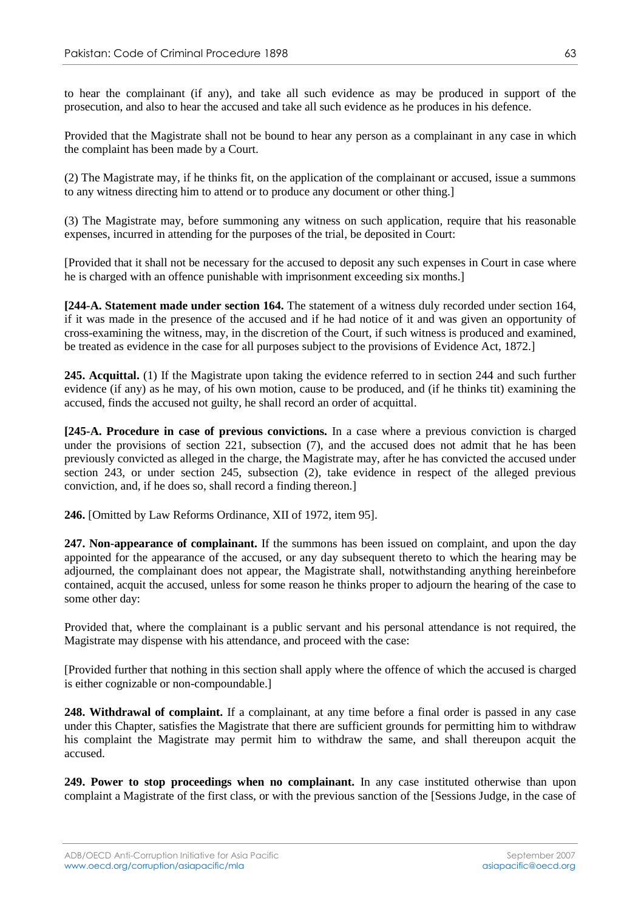to hear the complainant (if any), and take all such evidence as may be produced in support of the prosecution, and also to hear the accused and take all such evidence as he produces in his defence.

Provided that the Magistrate shall not be bound to hear any person as a complainant in any case in which the complaint has been made by a Court.

(2) The Magistrate may, if he thinks fit, on the application of the complainant or accused, issue a summons to any witness directing him to attend or to produce any document or other thing.]

(3) The Magistrate may, before summoning any witness on such application, require that his reasonable expenses, incurred in attending for the purposes of the trial, be deposited in Court:

[Provided that it shall not be necessary for the accused to deposit any such expenses in Court in case where he is charged with an offence punishable with imprisonment exceeding six months.]

**[244-A. Statement made under section 164.** The statement of a witness duly recorded under section 164, if it was made in the presence of the accused and if he had notice of it and was given an opportunity of cross-examining the witness, may, in the discretion of the Court, if such witness is produced and examined, be treated as evidence in the case for all purposes subject to the provisions of Evidence Act, 1872.]

**245. Acquittal.** (1) If the Magistrate upon taking the evidence referred to in section 244 and such further evidence (if any) as he may, of his own motion, cause to be produced, and (if he thinks tit) examining the accused, finds the accused not guilty, he shall record an order of acquittal.

**[245-A. Procedure in case of previous convictions.** In a case where a previous conviction is charged under the provisions of section 221, subsection (7), and the accused does not admit that he has been previously convicted as alleged in the charge, the Magistrate may, after he has convicted the accused under section 243, or under section 245, subsection (2), take evidence in respect of the alleged previous conviction, and, if he does so, shall record a finding thereon.]

**246.** [Omitted by Law Reforms Ordinance, XII of 1972, item 95].

**247. Non-appearance of complainant.** If the summons has been issued on complaint, and upon the day appointed for the appearance of the accused, or any day subsequent thereto to which the hearing may be adjourned, the complainant does not appear, the Magistrate shall, notwithstanding anything hereinbefore contained, acquit the accused, unless for some reason he thinks proper to adjourn the hearing of the case to some other day:

Provided that, where the complainant is a public servant and his personal attendance is not required, the Magistrate may dispense with his attendance, and proceed with the case:

[Provided further that nothing in this section shall apply where the offence of which the accused is charged is either cognizable or non-compoundable.]

**248. Withdrawal of complaint.** If a complainant, at any time before a final order is passed in any case under this Chapter, satisfies the Magistrate that there are sufficient grounds for permitting him to withdraw his complaint the Magistrate may permit him to withdraw the same, and shall thereupon acquit the accused.

**249. Power to stop proceedings when no complainant.** In any case instituted otherwise than upon complaint a Magistrate of the first class, or with the previous sanction of the [Sessions Judge, in the case of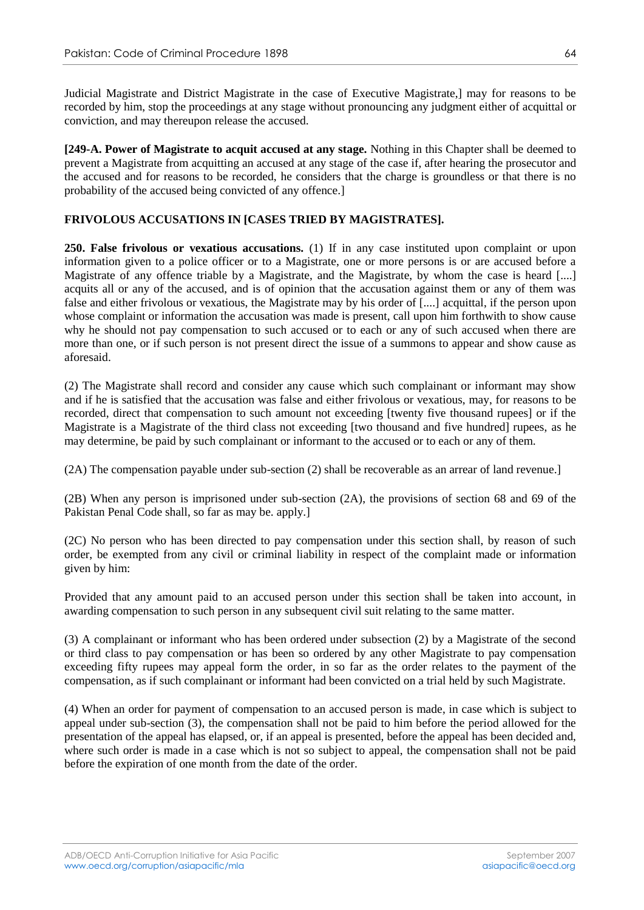Judicial Magistrate and District Magistrate in the case of Executive Magistrate,] may for reasons to be recorded by him, stop the proceedings at any stage without pronouncing any judgment either of acquittal or conviction, and may thereupon release the accused.

**[249-A. Power of Magistrate to acquit accused at any stage.** Nothing in this Chapter shall be deemed to prevent a Magistrate from acquitting an accused at any stage of the case if, after hearing the prosecutor and the accused and for reasons to be recorded, he considers that the charge is groundless or that there is no probability of the accused being convicted of any offence.]

# **FRIVOLOUS ACCUSATIONS IN [CASES TRIED BY MAGISTRATES].**

**250. False frivolous or vexatious accusations.** (1) If in any case instituted upon complaint or upon information given to a police officer or to a Magistrate, one or more persons is or are accused before a Magistrate of any offence triable by a Magistrate, and the Magistrate, by whom the case is heard [....] acquits all or any of the accused, and is of opinion that the accusation against them or any of them was false and either frivolous or vexatious, the Magistrate may by his order of [....] acquittal, if the person upon whose complaint or information the accusation was made is present, call upon him forthwith to show cause why he should not pay compensation to such accused or to each or any of such accused when there are more than one, or if such person is not present direct the issue of a summons to appear and show cause as aforesaid.

(2) The Magistrate shall record and consider any cause which such complainant or informant may show and if he is satisfied that the accusation was false and either frivolous or vexatious, may, for reasons to be recorded, direct that compensation to such amount not exceeding [twenty five thousand rupees] or if the Magistrate is a Magistrate of the third class not exceeding [two thousand and five hundred] rupees, as he may determine, be paid by such complainant or informant to the accused or to each or any of them.

(2A) The compensation payable under sub-section (2) shall be recoverable as an arrear of land revenue.]

(2B) When any person is imprisoned under sub-section (2A), the provisions of section 68 and 69 of the Pakistan Penal Code shall, so far as may be. apply.]

(2C) No person who has been directed to pay compensation under this section shall, by reason of such order, be exempted from any civil or criminal liability in respect of the complaint made or information given by him:

Provided that any amount paid to an accused person under this section shall be taken into account, in awarding compensation to such person in any subsequent civil suit relating to the same matter.

(3) A complainant or informant who has been ordered under subsection (2) by a Magistrate of the second or third class to pay compensation or has been so ordered by any other Magistrate to pay compensation exceeding fifty rupees may appeal form the order, in so far as the order relates to the payment of the compensation, as if such complainant or informant had been convicted on a trial held by such Magistrate.

(4) When an order for payment of compensation to an accused person is made, in case which is subject to appeal under sub-section (3), the compensation shall not be paid to him before the period allowed for the presentation of the appeal has elapsed, or, if an appeal is presented, before the appeal has been decided and, where such order is made in a case which is not so subject to appeal, the compensation shall not be paid before the expiration of one month from the date of the order.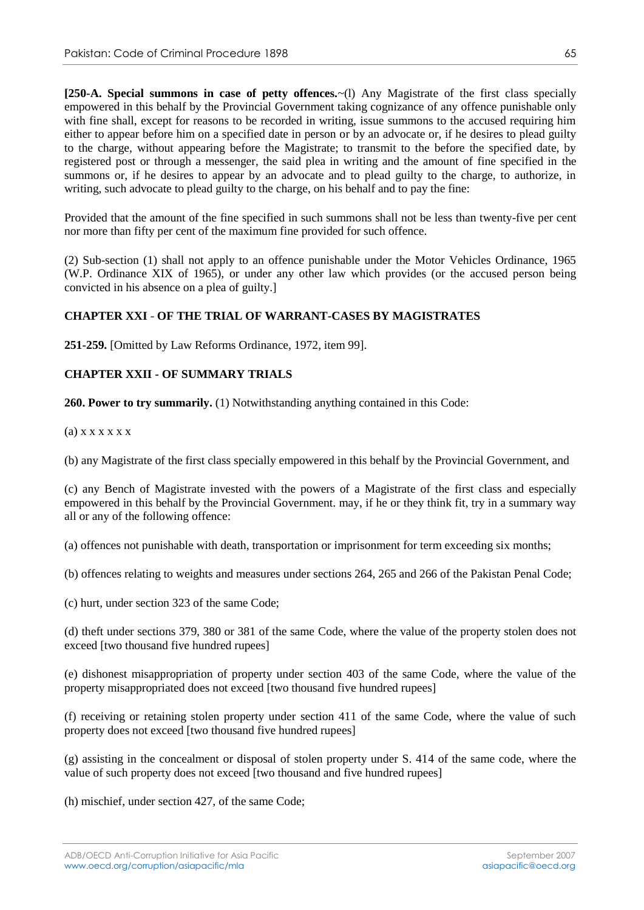**[250-A. Special summons in case of petty offences.**~(l) Any Magistrate of the first class specially empowered in this behalf by the Provincial Government taking cognizance of any offence punishable only with fine shall, except for reasons to be recorded in writing, issue summons to the accused requiring him either to appear before him on a specified date in person or by an advocate or, if he desires to plead guilty to the charge, without appearing before the Magistrate; to transmit to the before the specified date, by registered post or through a messenger, the said plea in writing and the amount of fine specified in the summons or, if he desires to appear by an advocate and to plead guilty to the charge, to authorize, in writing, such advocate to plead guilty to the charge, on his behalf and to pay the fine:

Provided that the amount of the fine specified in such summons shall not be less than twenty-five per cent nor more than fifty per cent of the maximum fine provided for such offence.

(2) Sub-section (1) shall not apply to an offence punishable under the Motor Vehicles Ordinance, 1965 (W.P. Ordinance XIX of 1965), or under any other law which provides (or the accused person being convicted in his absence on a plea of guilty.]

## **CHAPTER XXI** - **OF THE TRIAL OF WARRANT-CASES BY MAGISTRATES**

**251-259.** [Omitted by Law Reforms Ordinance, 1972, item 99].

## **CHAPTER XXII - OF SUMMARY TRIALS**

**260. Power to try summarily.** (1) Notwithstanding anything contained in this Code:

### (a) x x x x x x

(b) any Magistrate of the first class specially empowered in this behalf by the Provincial Government, and

(c) any Bench of Magistrate invested with the powers of a Magistrate of the first class and especially empowered in this behalf by the Provincial Government. may, if he or they think fit, try in a summary way all or any of the following offence:

(a) offences not punishable with death, transportation or imprisonment for term exceeding six months;

(b) offences relating to weights and measures under sections 264, 265 and 266 of the Pakistan Penal Code;

(c) hurt, under section 323 of the same Code;

(d) theft under sections 379, 380 or 381 of the same Code, where the value of the property stolen does not exceed [two thousand five hundred rupees]

(e) dishonest misappropriation of property under section 403 of the same Code, where the value of the property misappropriated does not exceed [two thousand five hundred rupees]

(f) receiving or retaining stolen property under section 411 of the same Code, where the value of such property does not exceed [two thousand five hundred rupees]

(g) assisting in the concealment or disposal of stolen property under S. 414 of the same code, where the value of such property does not exceed [two thousand and five hundred rupees]

(h) mischief, under section 427, of the same Code;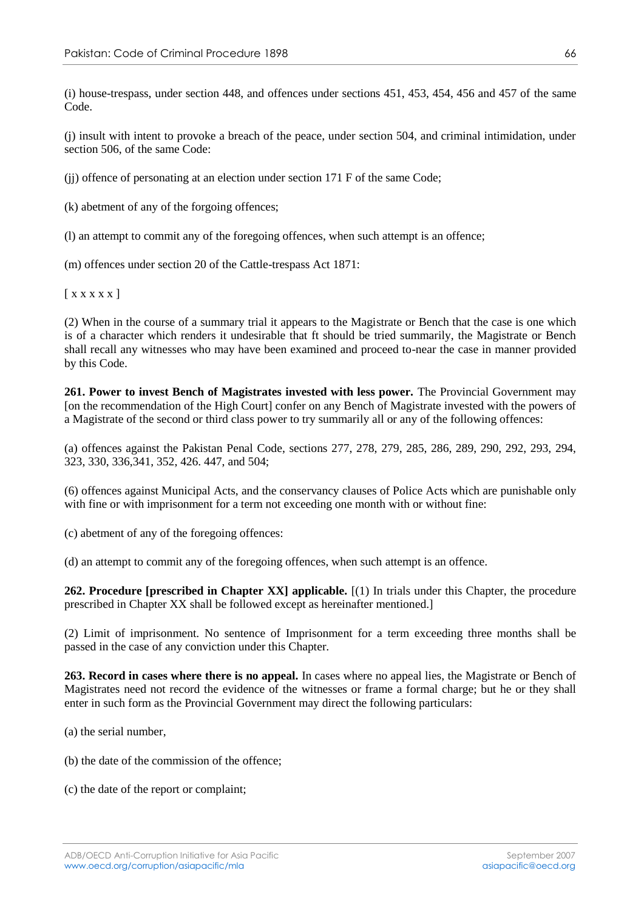(i) house-trespass, under section 448, and offences under sections 451, 453, 454, 456 and 457 of the same Code.

(j) insult with intent to provoke a breach of the peace, under section 504, and criminal intimidation, under section 506, of the same Code:

(jj) offence of personating at an election under section 171 F of the same Code;

(k) abetment of any of the forgoing offences;

(l) an attempt to commit any of the foregoing offences, when such attempt is an offence;

(m) offences under section 20 of the Cattle-trespass Act 1871:

 $\left[$  x x x x  $\right]$ 

(2) When in the course of a summary trial it appears to the Magistrate or Bench that the case is one which is of a character which renders it undesirable that ft should be tried summarily, the Magistrate or Bench shall recall any witnesses who may have been examined and proceed to-near the case in manner provided by this Code.

**261. Power to invest Bench of Magistrates invested with less power.** The Provincial Government may [on the recommendation of the High Court] confer on any Bench of Magistrate invested with the powers of a Magistrate of the second or third class power to try summarily all or any of the following offences:

(a) offences against the Pakistan Penal Code, sections 277, 278, 279, 285, 286, 289, 290, 292, 293, 294, 323, 330, 336,341, 352, 426. 447, and 504;

(6) offences against Municipal Acts, and the conservancy clauses of Police Acts which are punishable only with fine or with imprisonment for a term not exceeding one month with or without fine:

(c) abetment of any of the foregoing offences:

(d) an attempt to commit any of the foregoing offences, when such attempt is an offence.

**262. Procedure [prescribed in Chapter XX] applicable.** [(1) In trials under this Chapter, the procedure prescribed in Chapter XX shall be followed except as hereinafter mentioned.]

(2) Limit of imprisonment. No sentence of Imprisonment for a term exceeding three months shall be passed in the case of any conviction under this Chapter.

**263. Record in cases where there is no appeal.** In cases where no appeal lies, the Magistrate or Bench of Magistrates need not record the evidence of the witnesses or frame a formal charge; but he or they shall enter in such form as the Provincial Government may direct the following particulars:

- (a) the serial number,
- (b) the date of the commission of the offence;
- (c) the date of the report or complaint;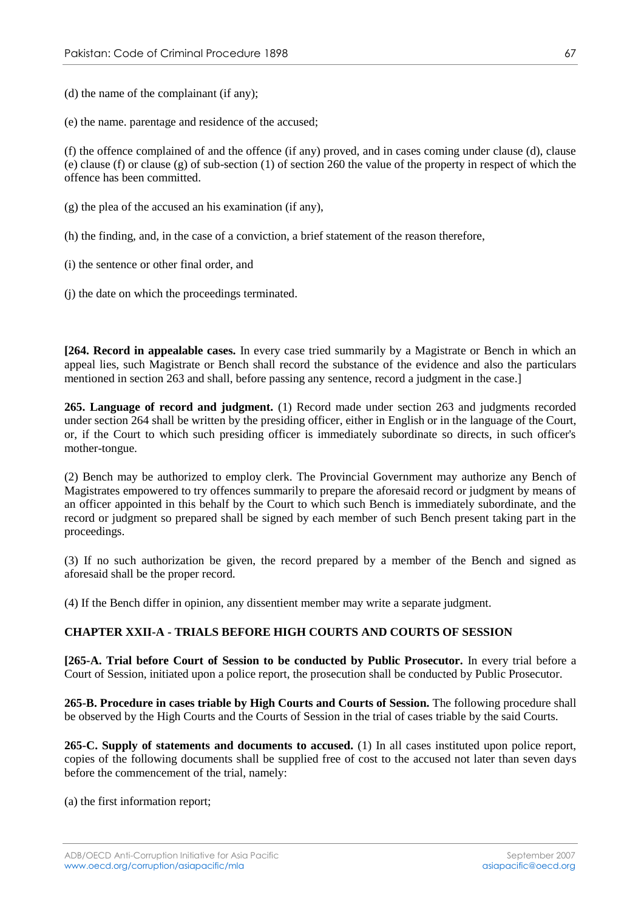(d) the name of the complainant (if any);

(e) the name. parentage and residence of the accused;

(f) the offence complained of and the offence (if any) proved, and in cases coming under clause (d), clause (e) clause (f) or clause (g) of sub-section (1) of section 260 the value of the property in respect of which the offence has been committed.

(g) the plea of the accused an his examination (if any),

(h) the finding, and, in the case of a conviction, a brief statement of the reason therefore,

(i) the sentence or other final order, and

(j) the date on which the proceedings terminated.

**[264. Record in appealable cases.** In every case tried summarily by a Magistrate or Bench in which an appeal lies, such Magistrate or Bench shall record the substance of the evidence and also the particulars mentioned in section 263 and shall, before passing any sentence, record a judgment in the case.]

**265. Language of record and judgment.** (1) Record made under section 263 and judgments recorded under section 264 shall be written by the presiding officer, either in English or in the language of the Court, or, if the Court to which such presiding officer is immediately subordinate so directs, in such officer's mother-tongue.

(2) Bench may be authorized to employ clerk. The Provincial Government may authorize any Bench of Magistrates empowered to try offences summarily to prepare the aforesaid record or judgment by means of an officer appointed in this behalf by the Court to which such Bench is immediately subordinate, and the record or judgment so prepared shall be signed by each member of such Bench present taking part in the proceedings.

(3) If no such authorization be given, the record prepared by a member of the Bench and signed as aforesaid shall be the proper record.

(4) If the Bench differ in opinion, any dissentient member may write a separate judgment.

### **CHAPTER XXII-A - TRIALS BEFORE HIGH COURTS AND COURTS OF SESSION**

**[265-A. Trial before Court of Session to be conducted by Public Prosecutor.** In every trial before a Court of Session, initiated upon a police report, the prosecution shall be conducted by Public Prosecutor.

**265-B. Procedure in cases triable by High Courts and Courts of Session.** The following procedure shall be observed by the High Courts and the Courts of Session in the trial of cases triable by the said Courts.

**265-C. Supply of statements and documents to accused.** (1) In all cases instituted upon police report, copies of the following documents shall be supplied free of cost to the accused not later than seven days before the commencement of the trial, namely:

(a) the first information report;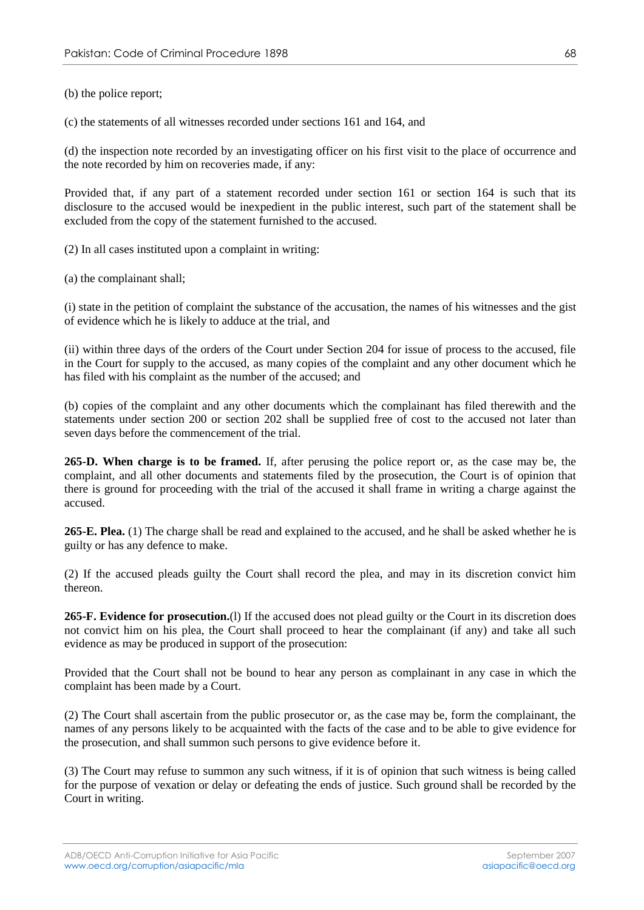### (b) the police report;

(c) the statements of all witnesses recorded under sections 161 and 164, and

(d) the inspection note recorded by an investigating officer on his first visit to the place of occurrence and the note recorded by him on recoveries made, if any:

Provided that, if any part of a statement recorded under section 161 or section 164 is such that its disclosure to the accused would be inexpedient in the public interest, such part of the statement shall be excluded from the copy of the statement furnished to the accused.

(2) In all cases instituted upon a complaint in writing:

(a) the complainant shall;

(i) state in the petition of complaint the substance of the accusation, the names of his witnesses and the gist of evidence which he is likely to adduce at the trial, and

(ii) within three days of the orders of the Court under Section 204 for issue of process to the accused, file in the Court for supply to the accused, as many copies of the complaint and any other document which he has filed with his complaint as the number of the accused; and

(b) copies of the complaint and any other documents which the complainant has filed therewith and the statements under section 200 or section 202 shall be supplied free of cost to the accused not later than seven days before the commencement of the trial.

**265-D. When charge is to be framed.** If, after perusing the police report or, as the case may be, the complaint, and all other documents and statements filed by the prosecution, the Court is of opinion that there is ground for proceeding with the trial of the accused it shall frame in writing a charge against the accused.

**265-E. Plea.** (1) The charge shall be read and explained to the accused, and he shall be asked whether he is guilty or has any defence to make.

(2) If the accused pleads guilty the Court shall record the plea, and may in its discretion convict him thereon.

**265-F. Evidence for prosecution.**(l) If the accused does not plead guilty or the Court in its discretion does not convict him on his plea, the Court shall proceed to hear the complainant (if any) and take all such evidence as may be produced in support of the prosecution:

Provided that the Court shall not be bound to hear any person as complainant in any case in which the complaint has been made by a Court.

(2) The Court shall ascertain from the public prosecutor or, as the case may be, form the complainant, the names of any persons likely to be acquainted with the facts of the case and to be able to give evidence for the prosecution, and shall summon such persons to give evidence before it.

(3) The Court may refuse to summon any such witness, if it is of opinion that such witness is being called for the purpose of vexation or delay or defeating the ends of justice. Such ground shall be recorded by the Court in writing.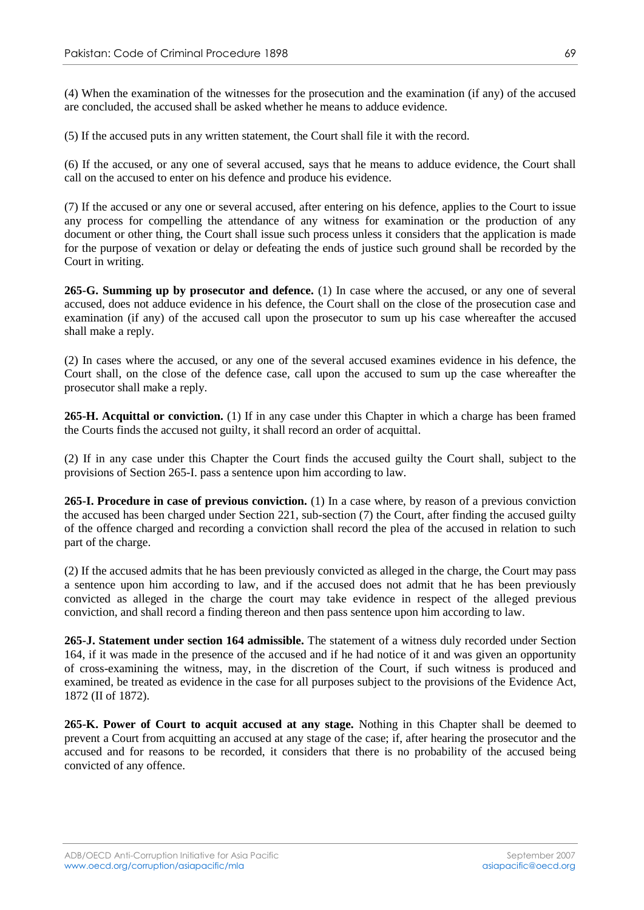(4) When the examination of the witnesses for the prosecution and the examination (if any) of the accused are concluded, the accused shall be asked whether he means to adduce evidence.

(5) If the accused puts in any written statement, the Court shall file it with the record.

(6) If the accused, or any one of several accused, says that he means to adduce evidence, the Court shall call on the accused to enter on his defence and produce his evidence.

(7) If the accused or any one or several accused, after entering on his defence, applies to the Court to issue any process for compelling the attendance of any witness for examination or the production of any document or other thing, the Court shall issue such process unless it considers that the application is made for the purpose of vexation or delay or defeating the ends of justice such ground shall be recorded by the Court in writing.

**265-G. Summing up by prosecutor and defence.** (1) In case where the accused, or any one of several accused, does not adduce evidence in his defence, the Court shall on the close of the prosecution case and examination (if any) of the accused call upon the prosecutor to sum up his case whereafter the accused shall make a reply.

(2) In cases where the accused, or any one of the several accused examines evidence in his defence, the Court shall, on the close of the defence case, call upon the accused to sum up the case whereafter the prosecutor shall make a reply.

**265-H. Acquittal or conviction.** (1) If in any case under this Chapter in which a charge has been framed the Courts finds the accused not guilty, it shall record an order of acquittal.

(2) If in any case under this Chapter the Court finds the accused guilty the Court shall, subject to the provisions of Section 265-I. pass a sentence upon him according to law.

**265-I. Procedure in case of previous conviction.** (1) In a case where, by reason of a previous conviction the accused has been charged under Section 221, sub-section (7) the Court, after finding the accused guilty of the offence charged and recording a conviction shall record the plea of the accused in relation to such part of the charge.

(2) If the accused admits that he has been previously convicted as alleged in the charge, the Court may pass a sentence upon him according to law, and if the accused does not admit that he has been previously convicted as alleged in the charge the court may take evidence in respect of the alleged previous conviction, and shall record a finding thereon and then pass sentence upon him according to law.

**265-J. Statement under section 164 admissible.** The statement of a witness duly recorded under Section 164, if it was made in the presence of the accused and if he had notice of it and was given an opportunity of cross-examining the witness, may, in the discretion of the Court, if such witness is produced and examined, be treated as evidence in the case for all purposes subject to the provisions of the Evidence Act, 1872 (II of 1872).

**265-K. Power of Court to acquit accused at any stage.** Nothing in this Chapter shall be deemed to prevent a Court from acquitting an accused at any stage of the case; if, after hearing the prosecutor and the accused and for reasons to be recorded, it considers that there is no probability of the accused being convicted of any offence.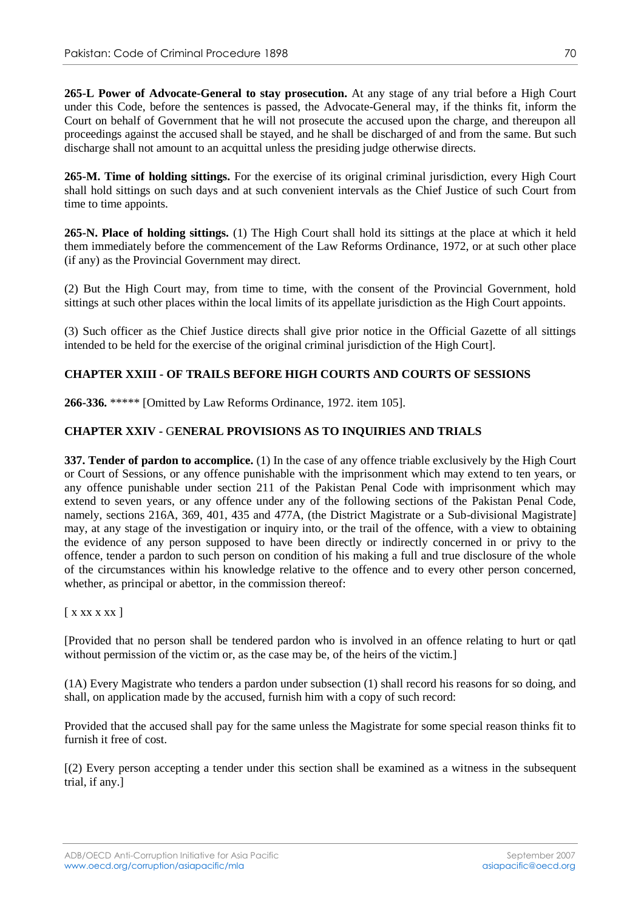**265-L Power of Advocate-General to stay prosecution.** At any stage of any trial before a High Court under this Code, before the sentences is passed, the Advocate-General may, if the thinks fit, inform the Court on behalf of Government that he will not prosecute the accused upon the charge, and thereupon all proceedings against the accused shall be stayed, and he shall be discharged of and from the same. But such discharge shall not amount to an acquittal unless the presiding judge otherwise directs.

**265-M. Time of holding sittings.** For the exercise of its original criminal jurisdiction, every High Court shall hold sittings on such days and at such convenient intervals as the Chief Justice of such Court from time to time appoints.

**265-N. Place of holding sittings.** (1) The High Court shall hold its sittings at the place at which it held them immediately before the commencement of the Law Reforms Ordinance, 1972, or at such other place (if any) as the Provincial Government may direct.

(2) But the High Court may, from time to time, with the consent of the Provincial Government, hold sittings at such other places within the local limits of its appellate jurisdiction as the High Court appoints.

(3) Such officer as the Chief Justice directs shall give prior notice in the Official Gazette of all sittings intended to be held for the exercise of the original criminal jurisdiction of the High Court].

# **CHAPTER XXIII - OF TRAILS BEFORE HIGH COURTS AND COURTS OF SESSIONS**

**266-336.** \*\*\*\*\* [Omitted by Law Reforms Ordinance, 1972. item 105].

# **CHAPTER XXIV -** G**ENERAL PROVISIONS AS TO INQUIRIES AND TRIALS**

**337. Tender of pardon to accomplice.** (1) In the case of any offence triable exclusively by the High Court or Court of Sessions, or any offence punishable with the imprisonment which may extend to ten years, or any offence punishable under section 211 of the Pakistan Penal Code with imprisonment which may extend to seven years, or any offence under any of the following sections of the Pakistan Penal Code, namely, sections 216A, 369, 401, 435 and 477A, (the District Magistrate or a Sub-divisional Magistrate) may, at any stage of the investigation or inquiry into, or the trail of the offence, with a view to obtaining the evidence of any person supposed to have been directly or indirectly concerned in or privy to the offence, tender a pardon to such person on condition of his making a full and true disclosure of the whole of the circumstances within his knowledge relative to the offence and to every other person concerned, whether, as principal or abettor, in the commission thereof:

 $\left[$  x xx x xx  $\right]$ 

[Provided that no person shall be tendered pardon who is involved in an offence relating to hurt or qatl without permission of the victim or, as the case may be, of the heirs of the victim.]

(1A) Every Magistrate who tenders a pardon under subsection (1) shall record his reasons for so doing, and shall, on application made by the accused, furnish him with a copy of such record:

Provided that the accused shall pay for the same unless the Magistrate for some special reason thinks fit to furnish it free of cost.

[(2) Every person accepting a tender under this section shall be examined as a witness in the subsequent trial, if any.]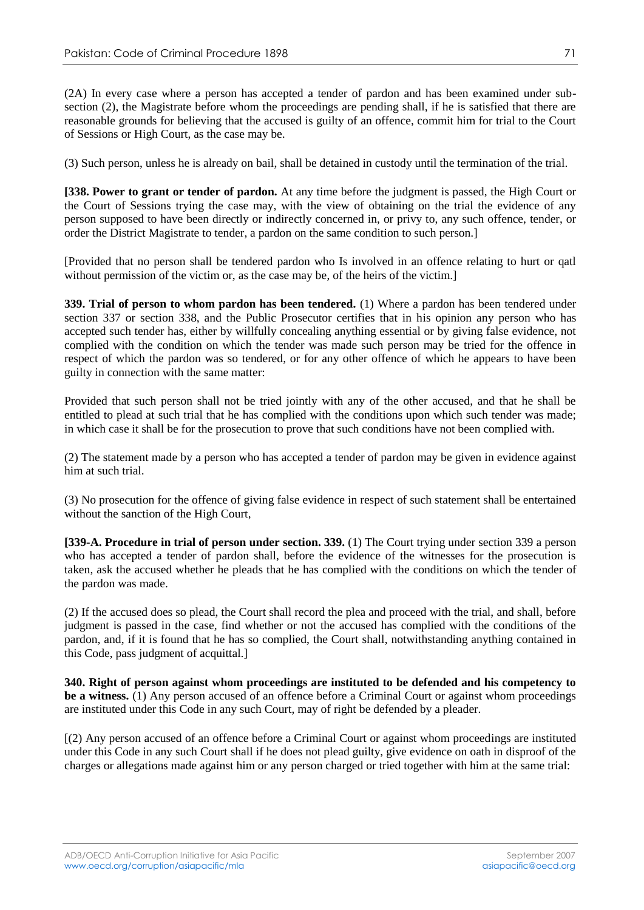(2A) In every case where a person has accepted a tender of pardon and has been examined under subsection (2), the Magistrate before whom the proceedings are pending shall, if he is satisfied that there are reasonable grounds for believing that the accused is guilty of an offence, commit him for trial to the Court of Sessions or High Court, as the case may be.

(3) Such person, unless he is already on bail, shall be detained in custody until the termination of the trial.

**[338. Power to grant or tender of pardon.** At any time before the judgment is passed, the High Court or the Court of Sessions trying the case may, with the view of obtaining on the trial the evidence of any person supposed to have been directly or indirectly concerned in, or privy to, any such offence, tender, or order the District Magistrate to tender, a pardon on the same condition to such person.]

[Provided that no person shall be tendered pardon who Is involved in an offence relating to hurt or qatl without permission of the victim or, as the case may be, of the heirs of the victim.]

**339. Trial of person to whom pardon has been tendered.** (1) Where a pardon has been tendered under section 337 or section 338, and the Public Prosecutor certifies that in his opinion any person who has accepted such tender has, either by willfully concealing anything essential or by giving false evidence, not complied with the condition on which the tender was made such person may be tried for the offence in respect of which the pardon was so tendered, or for any other offence of which he appears to have been guilty in connection with the same matter:

Provided that such person shall not be tried jointly with any of the other accused, and that he shall be entitled to plead at such trial that he has complied with the conditions upon which such tender was made; in which case it shall be for the prosecution to prove that such conditions have not been complied with.

(2) The statement made by a person who has accepted a tender of pardon may be given in evidence against him at such trial.

(3) No prosecution for the offence of giving false evidence in respect of such statement shall be entertained without the sanction of the High Court,

**[339-A. Procedure in trial of person under section. 339.** (1) The Court trying under section 339 a person who has accepted a tender of pardon shall, before the evidence of the witnesses for the prosecution is taken, ask the accused whether he pleads that he has complied with the conditions on which the tender of the pardon was made.

(2) If the accused does so plead, the Court shall record the plea and proceed with the trial, and shall, before judgment is passed in the case, find whether or not the accused has complied with the conditions of the pardon, and, if it is found that he has so complied, the Court shall, notwithstanding anything contained in this Code, pass judgment of acquittal.]

**340. Right of person against whom proceedings are instituted to be defended and his competency to be a witness.** (1) Any person accused of an offence before a Criminal Court or against whom proceedings are instituted under this Code in any such Court, may of right be defended by a pleader.

[(2) Any person accused of an offence before a Criminal Court or against whom proceedings are instituted under this Code in any such Court shall if he does not plead guilty, give evidence on oath in disproof of the charges or allegations made against him or any person charged or tried together with him at the same trial: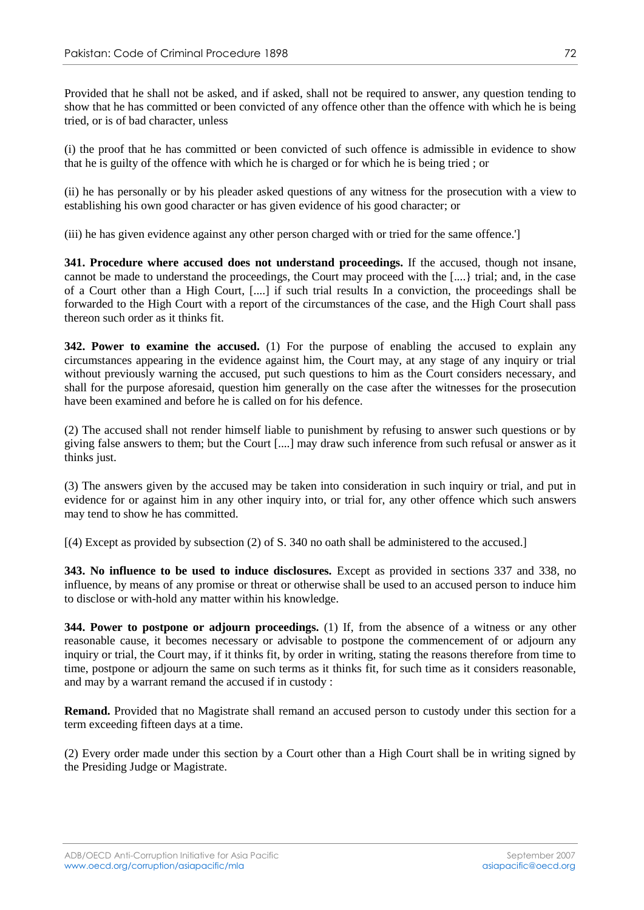Provided that he shall not be asked, and if asked, shall not be required to answer, any question tending to show that he has committed or been convicted of any offence other than the offence with which he is being tried, or is of bad character, unless

(i) the proof that he has committed or been convicted of such offence is admissible in evidence to show that he is guilty of the offence with which he is charged or for which he is being tried ; or

(ii) he has personally or by his pleader asked questions of any witness for the prosecution with a view to establishing his own good character or has given evidence of his good character; or

(iii) he has given evidence against any other person charged with or tried for the same offence.']

**341. Procedure where accused does not understand proceedings.** If the accused, though not insane, cannot be made to understand the proceedings, the Court may proceed with the [....} trial; and, in the case of a Court other than a High Court, [....] if such trial results In a conviction, the proceedings shall be forwarded to the High Court with a report of the circumstances of the case, and the High Court shall pass thereon such order as it thinks fit.

**342. Power to examine the accused.** (1) For the purpose of enabling the accused to explain any circumstances appearing in the evidence against him, the Court may, at any stage of any inquiry or trial without previously warning the accused, put such questions to him as the Court considers necessary, and shall for the purpose aforesaid, question him generally on the case after the witnesses for the prosecution have been examined and before he is called on for his defence.

(2) The accused shall not render himself liable to punishment by refusing to answer such questions or by giving false answers to them; but the Court [....] may draw such inference from such refusal or answer as it thinks just.

(3) The answers given by the accused may be taken into consideration in such inquiry or trial, and put in evidence for or against him in any other inquiry into, or trial for, any other offence which such answers may tend to show he has committed.

[(4) Except as provided by subsection (2) of S. 340 no oath shall be administered to the accused.]

**343. No influence to be used to induce disclosures.** Except as provided in sections 337 and 338, no influence, by means of any promise or threat or otherwise shall be used to an accused person to induce him to disclose or with-hold any matter within his knowledge.

**344. Power to postpone or adjourn proceedings.** (1) If, from the absence of a witness or any other reasonable cause, it becomes necessary or advisable to postpone the commencement of or adjourn any inquiry or trial, the Court may, if it thinks fit, by order in writing, stating the reasons therefore from time to time, postpone or adjourn the same on such terms as it thinks fit, for such time as it considers reasonable, and may by a warrant remand the accused if in custody :

**Remand.** Provided that no Magistrate shall remand an accused person to custody under this section for a term exceeding fifteen days at a time.

(2) Every order made under this section by a Court other than a High Court shall be in writing signed by the Presiding Judge or Magistrate.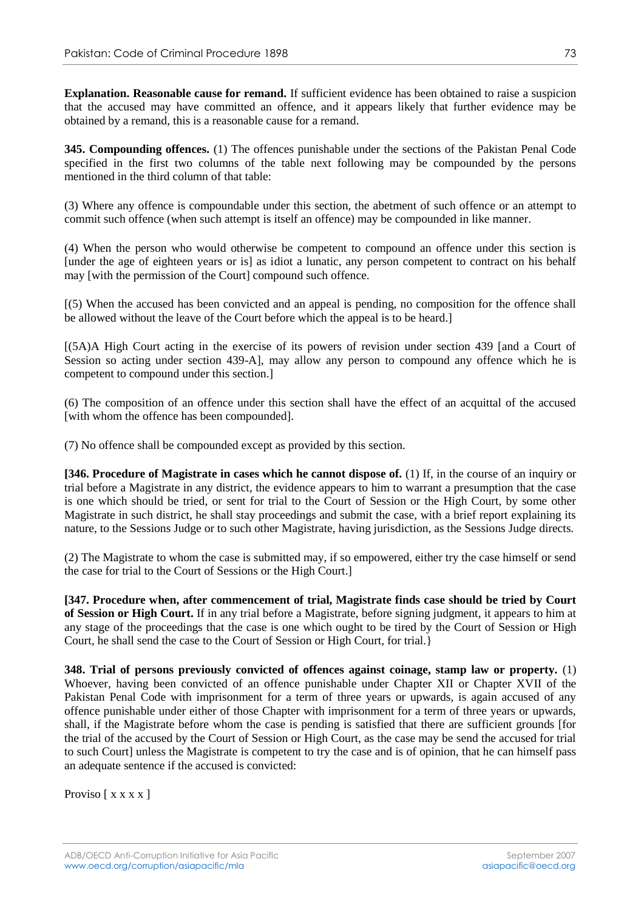**Explanation. Reasonable cause for remand.** If sufficient evidence has been obtained to raise a suspicion that the accused may have committed an offence, and it appears likely that further evidence may be obtained by a remand, this is a reasonable cause for a remand.

**345. Compounding offences.** (1) The offences punishable under the sections of the Pakistan Penal Code specified in the first two columns of the table next following may be compounded by the persons mentioned in the third column of that table:

(3) Where any offence is compoundable under this section, the abetment of such offence or an attempt to commit such offence (when such attempt is itself an offence) may be compounded in like manner.

(4) When the person who would otherwise be competent to compound an offence under this section is [under the age of eighteen years or is] as idiot a lunatic, any person competent to contract on his behalf may [with the permission of the Court] compound such offence.

[(5) When the accused has been convicted and an appeal is pending, no composition for the offence shall be allowed without the leave of the Court before which the appeal is to be heard.]

[(5A)A High Court acting in the exercise of its powers of revision under section 439 [and a Court of Session so acting under section 439-A], may allow any person to compound any offence which he is competent to compound under this section.]

(6) The composition of an offence under this section shall have the effect of an acquittal of the accused [with whom the offence has been compounded].

(7) No offence shall be compounded except as provided by this section.

**[346. Procedure of Magistrate in cases which he cannot dispose of.** (1) If, in the course of an inquiry or trial before a Magistrate in any district, the evidence appears to him to warrant a presumption that the case is one which should be tried, or sent for trial to the Court of Session or the High Court, by some other Magistrate in such district, he shall stay proceedings and submit the case, with a brief report explaining its nature, to the Sessions Judge or to such other Magistrate, having jurisdiction, as the Sessions Judge directs.

(2) The Magistrate to whom the case is submitted may, if so empowered, either try the case himself or send the case for trial to the Court of Sessions or the High Court.]

**[347. Procedure when, after commencement of trial, Magistrate finds case should be tried by Court of Session or High Court.** If in any trial before a Magistrate, before signing judgment, it appears to him at any stage of the proceedings that the case is one which ought to be tired by the Court of Session or High Court, he shall send the case to the Court of Session or High Court, for trial.}

**348. Trial of persons previously convicted of offences against coinage, stamp law or property.** (1) Whoever, having been convicted of an offence punishable under Chapter XII or Chapter XVII of the Pakistan Penal Code with imprisonment for a term of three years or upwards, is again accused of any offence punishable under either of those Chapter with imprisonment for a term of three years or upwards, shall, if the Magistrate before whom the case is pending is satisfied that there are sufficient grounds [for the trial of the accused by the Court of Session or High Court, as the case may be send the accused for trial to such Court] unless the Magistrate is competent to try the case and is of opinion, that he can himself pass an adequate sentence if the accused is convicted:

Proviso  $[x x x x]$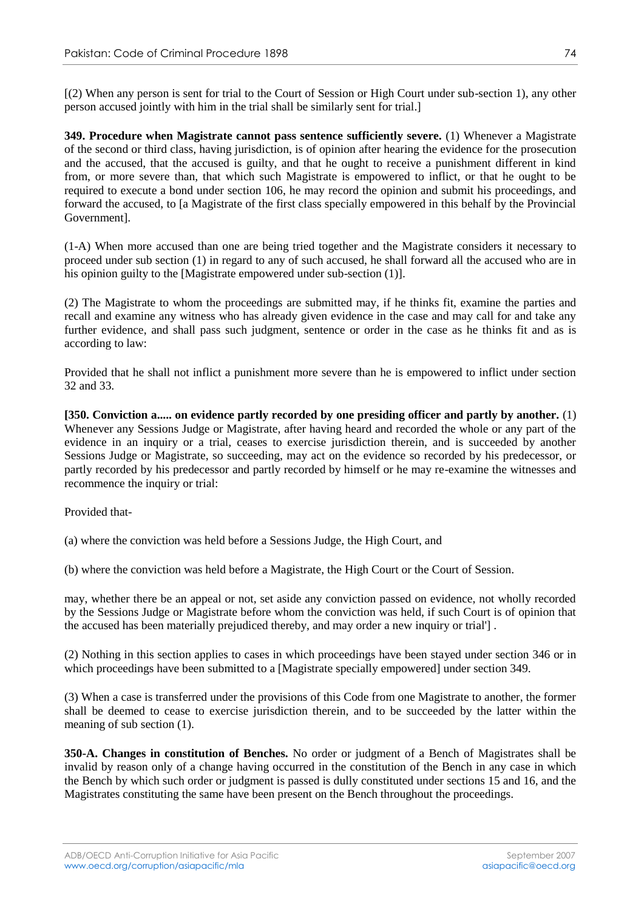[(2) When any person is sent for trial to the Court of Session or High Court under sub-section 1), any other person accused jointly with him in the trial shall be similarly sent for trial.]

**349. Procedure when Magistrate cannot pass sentence sufficiently severe.** (1) Whenever a Magistrate of the second or third class, having jurisdiction, is of opinion after hearing the evidence for the prosecution and the accused, that the accused is guilty, and that he ought to receive a punishment different in kind from, or more severe than, that which such Magistrate is empowered to inflict, or that he ought to be required to execute a bond under section 106, he may record the opinion and submit his proceedings, and forward the accused, to [a Magistrate of the first class specially empowered in this behalf by the Provincial Government].

(1-A) When more accused than one are being tried together and the Magistrate considers it necessary to proceed under sub section (1) in regard to any of such accused, he shall forward all the accused who are in his opinion guilty to the [Magistrate empowered under sub-section (1)].

(2) The Magistrate to whom the proceedings are submitted may, if he thinks fit, examine the parties and recall and examine any witness who has already given evidence in the case and may call for and take any further evidence, and shall pass such judgment, sentence or order in the case as he thinks fit and as is according to law:

Provided that he shall not inflict a punishment more severe than he is empowered to inflict under section 32 and 33.

**[350. Conviction a..... on evidence partly recorded by one presiding officer and partly by another.** (1) Whenever any Sessions Judge or Magistrate, after having heard and recorded the whole or any part of the evidence in an inquiry or a trial, ceases to exercise jurisdiction therein, and is succeeded by another Sessions Judge or Magistrate, so succeeding, may act on the evidence so recorded by his predecessor, or partly recorded by his predecessor and partly recorded by himself or he may re-examine the witnesses and recommence the inquiry or trial:

Provided that-

(a) where the conviction was held before a Sessions Judge, the High Court, and

(b) where the conviction was held before a Magistrate, the High Court or the Court of Session.

may, whether there be an appeal or not, set aside any conviction passed on evidence, not wholly recorded by the Sessions Judge or Magistrate before whom the conviction was held, if such Court is of opinion that the accused has been materially prejudiced thereby, and may order a new inquiry or trial'] .

(2) Nothing in this section applies to cases in which proceedings have been stayed under section 346 or in which proceedings have been submitted to a [Magistrate specially empowered] under section 349.

(3) When a case is transferred under the provisions of this Code from one Magistrate to another, the former shall be deemed to cease to exercise jurisdiction therein, and to be succeeded by the latter within the meaning of sub section (1).

**350-A. Changes in constitution of Benches.** No order or judgment of a Bench of Magistrates shall be invalid by reason only of a change having occurred in the constitution of the Bench in any case in which the Bench by which such order or judgment is passed is dully constituted under sections 15 and 16, and the Magistrates constituting the same have been present on the Bench throughout the proceedings.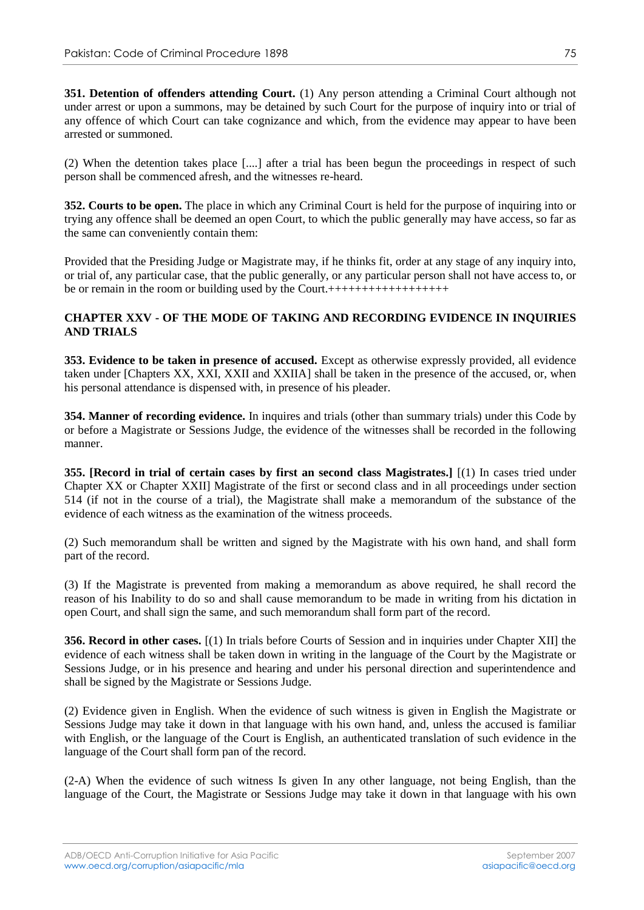**351. Detention of offenders attending Court.** (1) Any person attending a Criminal Court although not under arrest or upon a summons, may be detained by such Court for the purpose of inquiry into or trial of any offence of which Court can take cognizance and which, from the evidence may appear to have been arrested or summoned.

(2) When the detention takes place [....] after a trial has been begun the proceedings in respect of such person shall be commenced afresh, and the witnesses re-heard.

**352. Courts to be open.** The place in which any Criminal Court is held for the purpose of inquiring into or trying any offence shall be deemed an open Court, to which the public generally may have access, so far as the same can conveniently contain them:

Provided that the Presiding Judge or Magistrate may, if he thinks fit, order at any stage of any inquiry into, or trial of, any particular case, that the public generally, or any particular person shall not have access to, or be or remain in the room or building used by the Court. $+++++++++++++++++$ 

### **CHAPTER XXV - OF THE MODE OF TAKING AND RECORDING EVIDENCE IN INQUIRIES AND TRIALS**

**353. Evidence to be taken in presence of accused.** Except as otherwise expressly provided, all evidence taken under [Chapters XX, XXI, XXII and XXIIA] shall be taken in the presence of the accused, or, when his personal attendance is dispensed with, in presence of his pleader.

**354. Manner of recording evidence.** In inquires and trials (other than summary trials) under this Code by or before a Magistrate or Sessions Judge, the evidence of the witnesses shall be recorded in the following manner.

**355. [Record in trial of certain cases by first an second class Magistrates.]** [(1) In cases tried under Chapter XX or Chapter XXII] Magistrate of the first or second class and in all proceedings under section 514 (if not in the course of a trial), the Magistrate shall make a memorandum of the substance of the evidence of each witness as the examination of the witness proceeds.

(2) Such memorandum shall be written and signed by the Magistrate with his own hand, and shall form part of the record.

(3) If the Magistrate is prevented from making a memorandum as above required, he shall record the reason of his Inability to do so and shall cause memorandum to be made in writing from his dictation in open Court, and shall sign the same, and such memorandum shall form part of the record.

**356. Record in other cases.** [(1) In trials before Courts of Session and in inquiries under Chapter XII] the evidence of each witness shall be taken down in writing in the language of the Court by the Magistrate or Sessions Judge, or in his presence and hearing and under his personal direction and superintendence and shall be signed by the Magistrate or Sessions Judge.

(2) Evidence given in English. When the evidence of such witness is given in English the Magistrate or Sessions Judge may take it down in that language with his own hand, and, unless the accused is familiar with English, or the language of the Court is English, an authenticated translation of such evidence in the language of the Court shall form pan of the record.

(2-A) When the evidence of such witness Is given In any other language, not being English, than the language of the Court, the Magistrate or Sessions Judge may take it down in that language with his own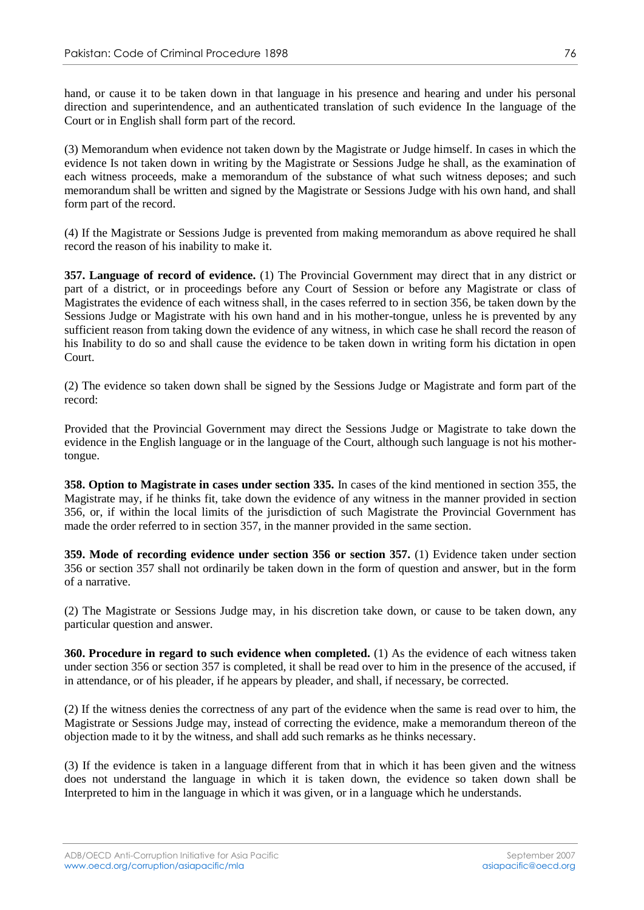hand, or cause it to be taken down in that language in his presence and hearing and under his personal direction and superintendence, and an authenticated translation of such evidence In the language of the Court or in English shall form part of the record.

(3) Memorandum when evidence not taken down by the Magistrate or Judge himself. In cases in which the evidence Is not taken down in writing by the Magistrate or Sessions Judge he shall, as the examination of each witness proceeds, make a memorandum of the substance of what such witness deposes; and such memorandum shall be written and signed by the Magistrate or Sessions Judge with his own hand, and shall form part of the record.

(4) If the Magistrate or Sessions Judge is prevented from making memorandum as above required he shall record the reason of his inability to make it.

**357. Language of record of evidence.** (1) The Provincial Government may direct that in any district or part of a district, or in proceedings before any Court of Session or before any Magistrate or class of Magistrates the evidence of each witness shall, in the cases referred to in section 356, be taken down by the Sessions Judge or Magistrate with his own hand and in his mother-tongue, unless he is prevented by any sufficient reason from taking down the evidence of any witness, in which case he shall record the reason of his Inability to do so and shall cause the evidence to be taken down in writing form his dictation in open Court.

(2) The evidence so taken down shall be signed by the Sessions Judge or Magistrate and form part of the record:

Provided that the Provincial Government may direct the Sessions Judge or Magistrate to take down the evidence in the English language or in the language of the Court, although such language is not his mothertongue.

**358. Option to Magistrate in cases under section 335.** In cases of the kind mentioned in section 355, the Magistrate may, if he thinks fit, take down the evidence of any witness in the manner provided in section 356, or, if within the local limits of the jurisdiction of such Magistrate the Provincial Government has made the order referred to in section 357, in the manner provided in the same section.

**359. Mode of recording evidence under section 356 or section 357.** (1) Evidence taken under section 356 or section 357 shall not ordinarily be taken down in the form of question and answer, but in the form of a narrative.

(2) The Magistrate or Sessions Judge may, in his discretion take down, or cause to be taken down, any particular question and answer.

**360. Procedure in regard to such evidence when completed.** (1) As the evidence of each witness taken under section 356 or section 357 is completed, it shall be read over to him in the presence of the accused, if in attendance, or of his pleader, if he appears by pleader, and shall, if necessary, be corrected.

(2) If the witness denies the correctness of any part of the evidence when the same is read over to him, the Magistrate or Sessions Judge may, instead of correcting the evidence, make a memorandum thereon of the objection made to it by the witness, and shall add such remarks as he thinks necessary.

(3) If the evidence is taken in a language different from that in which it has been given and the witness does not understand the language in which it is taken down, the evidence so taken down shall be Interpreted to him in the language in which it was given, or in a language which he understands.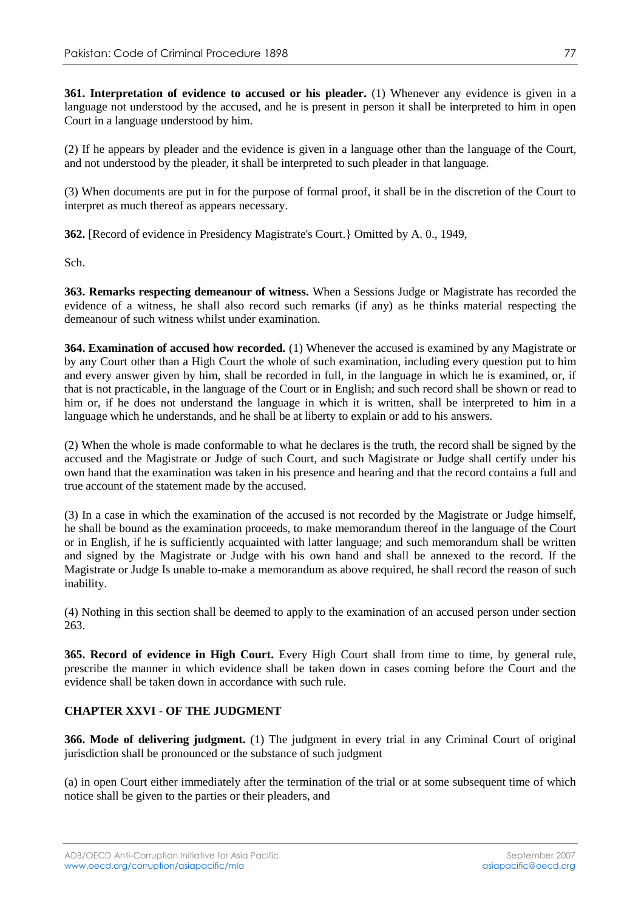**361. Interpretation of evidence to accused or his pleader.** (1) Whenever any evidence is given in a language not understood by the accused, and he is present in person it shall be interpreted to him in open Court in a language understood by him.

(2) If he appears by pleader and the evidence is given in a language other than the language of the Court, and not understood by the pleader, it shall be interpreted to such pleader in that language.

(3) When documents are put in for the purpose of formal proof, it shall be in the discretion of the Court to interpret as much thereof as appears necessary.

**362.** [Record of evidence in Presidency Magistrate's Court.} Omitted by A. 0., 1949,

Sch.

**363. Remarks respecting demeanour of witness.** When a Sessions Judge or Magistrate has recorded the evidence of a witness, he shall also record such remarks (if any) as he thinks material respecting the demeanour of such witness whilst under examination.

**364. Examination of accused how recorded.** (1) Whenever the accused is examined by any Magistrate or by any Court other than a High Court the whole of such examination, including every question put to him and every answer given by him, shall be recorded in full, in the language in which he is examined, or, if that is not practicable, in the language of the Court or in English; and such record shall be shown or read to him or, if he does not understand the language in which it is written, shall be interpreted to him in a language which he understands, and he shall be at liberty to explain or add to his answers.

(2) When the whole is made conformable to what he declares is the truth, the record shall be signed by the accused and the Magistrate or Judge of such Court, and such Magistrate or Judge shall certify under his own hand that the examination was taken in his presence and hearing and that the record contains a full and true account of the statement made by the accused.

(3) In a case in which the examination of the accused is not recorded by the Magistrate or Judge himself, he shall be bound as the examination proceeds, to make memorandum thereof in the language of the Court or in English, if he is sufficiently acquainted with latter language; and such memorandum shall be written and signed by the Magistrate or Judge with his own hand and shall be annexed to the record. If the Magistrate or Judge Is unable to-make a memorandum as above required, he shall record the reason of such inability.

(4) Nothing in this section shall be deemed to apply to the examination of an accused person under section 263.

**365. Record of evidence in High Court.** Every High Court shall from time to time, by general rule, prescribe the manner in which evidence shall be taken down in cases coming before the Court and the evidence shall be taken down in accordance with such rule.

# **CHAPTER XXVI - OF THE JUDGMENT**

**366. Mode of delivering judgment.** (1) The judgment in every trial in any Criminal Court of original jurisdiction shall be pronounced or the substance of such judgment

(a) in open Court either immediately after the termination of the trial or at some subsequent time of which notice shall be given to the parties or their pleaders, and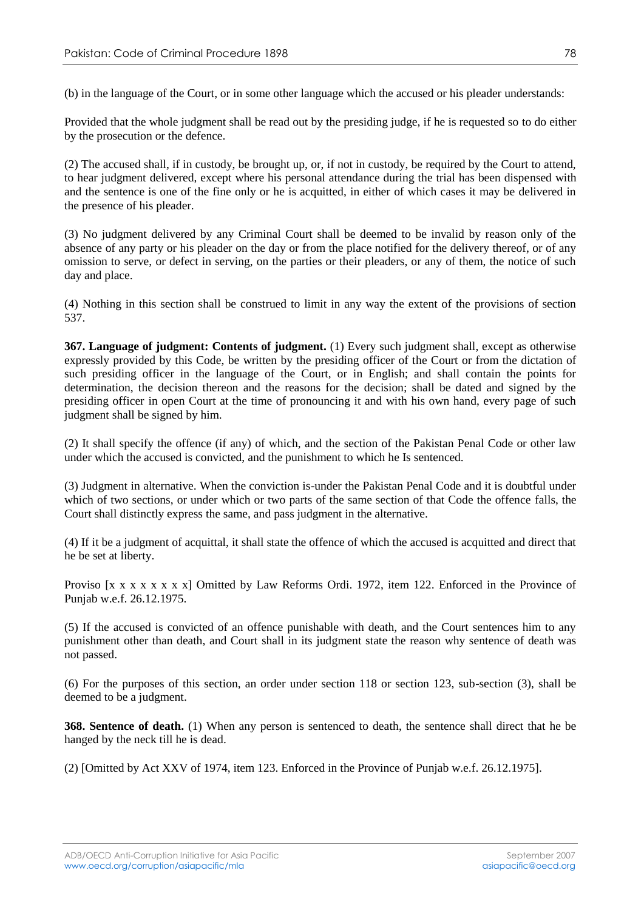(b) in the language of the Court, or in some other language which the accused or his pleader understands:

Provided that the whole judgment shall be read out by the presiding judge, if he is requested so to do either by the prosecution or the defence.

(2) The accused shall, if in custody, be brought up, or, if not in custody, be required by the Court to attend, to hear judgment delivered, except where his personal attendance during the trial has been dispensed with and the sentence is one of the fine only or he is acquitted, in either of which cases it may be delivered in the presence of his pleader.

(3) No judgment delivered by any Criminal Court shall be deemed to be invalid by reason only of the absence of any party or his pleader on the day or from the place notified for the delivery thereof, or of any omission to serve, or defect in serving, on the parties or their pleaders, or any of them, the notice of such day and place.

(4) Nothing in this section shall be construed to limit in any way the extent of the provisions of section 537.

**367. Language of judgment: Contents of judgment.** (1) Every such judgment shall, except as otherwise expressly provided by this Code, be written by the presiding officer of the Court or from the dictation of such presiding officer in the language of the Court, or in English; and shall contain the points for determination, the decision thereon and the reasons for the decision; shall be dated and signed by the presiding officer in open Court at the time of pronouncing it and with his own hand, every page of such judgment shall be signed by him.

(2) It shall specify the offence (if any) of which, and the section of the Pakistan Penal Code or other law under which the accused is convicted, and the punishment to which he Is sentenced.

(3) Judgment in alternative. When the conviction is-under the Pakistan Penal Code and it is doubtful under which of two sections, or under which or two parts of the same section of that Code the offence falls, the Court shall distinctly express the same, and pass judgment in the alternative.

(4) If it be a judgment of acquittal, it shall state the offence of which the accused is acquitted and direct that he be set at liberty.

Proviso [x x x x x x x x] Omitted by Law Reforms Ordi. 1972, item 122. Enforced in the Province of Punjab w.e.f. 26.12.1975.

(5) If the accused is convicted of an offence punishable with death, and the Court sentences him to any punishment other than death, and Court shall in its judgment state the reason why sentence of death was not passed.

(6) For the purposes of this section, an order under section 118 or section 123, sub-section (3), shall be deemed to be a judgment.

**368. Sentence of death.** (1) When any person is sentenced to death, the sentence shall direct that he be hanged by the neck till he is dead.

(2) [Omitted by Act XXV of 1974, item 123. Enforced in the Province of Punjab w.e.f. 26.12.1975].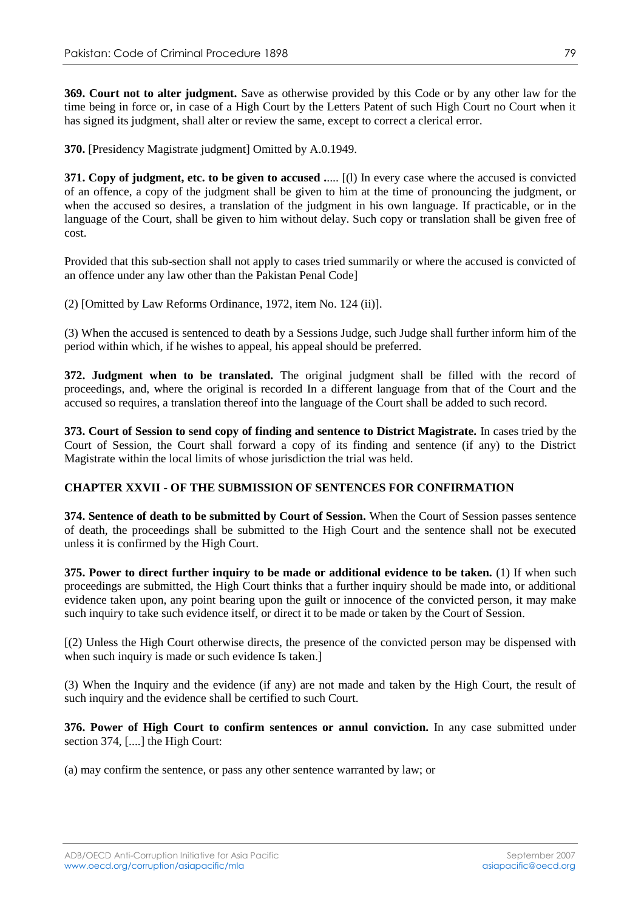**369. Court not to alter judgment.** Save as otherwise provided by this Code or by any other law for the time being in force or, in case of a High Court by the Letters Patent of such High Court no Court when it has signed its judgment, shall alter or review the same, except to correct a clerical error.

**370.** [Presidency Magistrate judgment] Omitted by A.0.1949.

**371. Copy of judgment, etc. to be given to accused .**.... [(l) In every case where the accused is convicted of an offence, a copy of the judgment shall be given to him at the time of pronouncing the judgment, or when the accused so desires, a translation of the judgment in his own language. If practicable, or in the language of the Court, shall be given to him without delay. Such copy or translation shall be given free of cost.

Provided that this sub-section shall not apply to cases tried summarily or where the accused is convicted of an offence under any law other than the Pakistan Penal Code]

(2) [Omitted by Law Reforms Ordinance, 1972, item No. 124 (ii)].

(3) When the accused is sentenced to death by a Sessions Judge, such Judge shall further inform him of the period within which, if he wishes to appeal, his appeal should be preferred.

**372. Judgment when to be translated.** The original judgment shall be filled with the record of proceedings, and, where the original is recorded In a different language from that of the Court and the accused so requires, a translation thereof into the language of the Court shall be added to such record.

**373. Court of Session to send copy of finding and sentence to District Magistrate.** In cases tried by the Court of Session, the Court shall forward a copy of its finding and sentence (if any) to the District Magistrate within the local limits of whose jurisdiction the trial was held.

### **CHAPTER XXVII - OF THE SUBMISSION OF SENTENCES FOR CONFIRMATION**

**374. Sentence of death to be submitted by Court of Session.** When the Court of Session passes sentence of death, the proceedings shall be submitted to the High Court and the sentence shall not be executed unless it is confirmed by the High Court.

**375. Power to direct further inquiry to be made or additional evidence to be taken.** (1) If when such proceedings are submitted, the High Court thinks that a further inquiry should be made into, or additional evidence taken upon, any point bearing upon the guilt or innocence of the convicted person, it may make such inquiry to take such evidence itself, or direct it to be made or taken by the Court of Session.

[(2) Unless the High Court otherwise directs, the presence of the convicted person may be dispensed with when such inquiry is made or such evidence Is taken.]

(3) When the Inquiry and the evidence (if any) are not made and taken by the High Court, the result of such inquiry and the evidence shall be certified to such Court.

**376. Power of High Court to confirm sentences or annul conviction.** In any case submitted under section 374, [....] the High Court:

(a) may confirm the sentence, or pass any other sentence warranted by law; or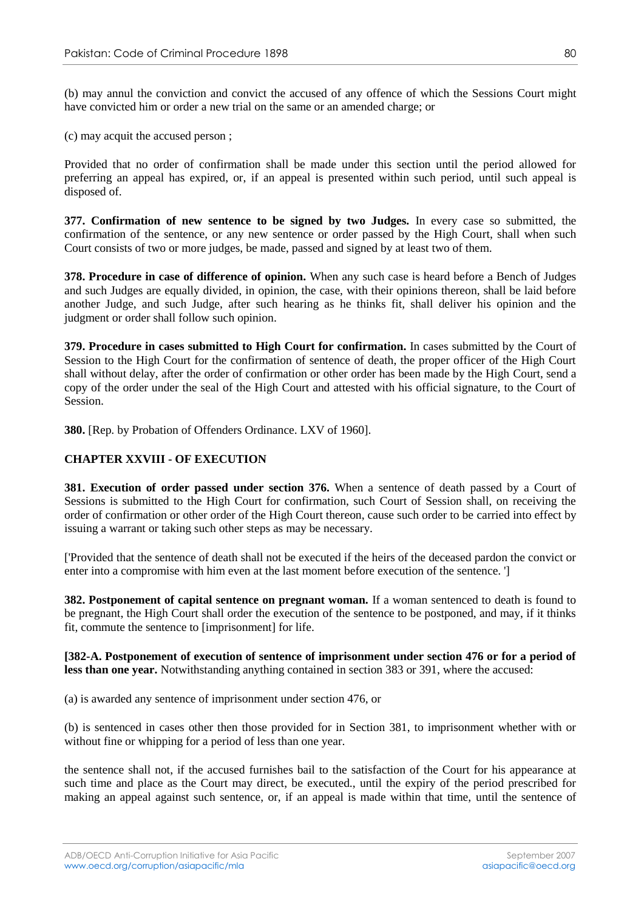(b) may annul the conviction and convict the accused of any offence of which the Sessions Court might have convicted him or order a new trial on the same or an amended charge; or

(c) may acquit the accused person ;

Provided that no order of confirmation shall be made under this section until the period allowed for preferring an appeal has expired, or, if an appeal is presented within such period, until such appeal is disposed of.

**377. Confirmation of new sentence to be signed by two Judges.** In every case so submitted, the confirmation of the sentence, or any new sentence or order passed by the High Court, shall when such Court consists of two or more judges, be made, passed and signed by at least two of them.

**378. Procedure in case of difference of opinion.** When any such case is heard before a Bench of Judges and such Judges are equally divided, in opinion, the case, with their opinions thereon, shall be laid before another Judge, and such Judge, after such hearing as he thinks fit, shall deliver his opinion and the judgment or order shall follow such opinion.

**379. Procedure in cases submitted to High Court for confirmation.** In cases submitted by the Court of Session to the High Court for the confirmation of sentence of death, the proper officer of the High Court shall without delay, after the order of confirmation or other order has been made by the High Court, send a copy of the order under the seal of the High Court and attested with his official signature, to the Court of Session.

**380.** [Rep. by Probation of Offenders Ordinance. LXV of 1960].

## **CHAPTER XXVIII - OF EXECUTION**

**381. Execution of order passed under section 376.** When a sentence of death passed by a Court of Sessions is submitted to the High Court for confirmation, such Court of Session shall, on receiving the order of confirmation or other order of the High Court thereon, cause such order to be carried into effect by issuing a warrant or taking such other steps as may be necessary.

['Provided that the sentence of death shall not be executed if the heirs of the deceased pardon the convict or enter into a compromise with him even at the last moment before execution of the sentence. ']

**382. Postponement of capital sentence on pregnant woman.** If a woman sentenced to death is found to be pregnant, the High Court shall order the execution of the sentence to be postponed, and may, if it thinks fit, commute the sentence to [imprisonment] for life.

**[382-A. Postponement of execution of sentence of imprisonment under section 476 or for a period of less than one year.** Notwithstanding anything contained in section 383 or 391, where the accused:

(a) is awarded any sentence of imprisonment under section 476, or

(b) is sentenced in cases other then those provided for in Section 381, to imprisonment whether with or without fine or whipping for a period of less than one year.

the sentence shall not, if the accused furnishes bail to the satisfaction of the Court for his appearance at such time and place as the Court may direct, be executed., until the expiry of the period prescribed for making an appeal against such sentence, or, if an appeal is made within that time, until the sentence of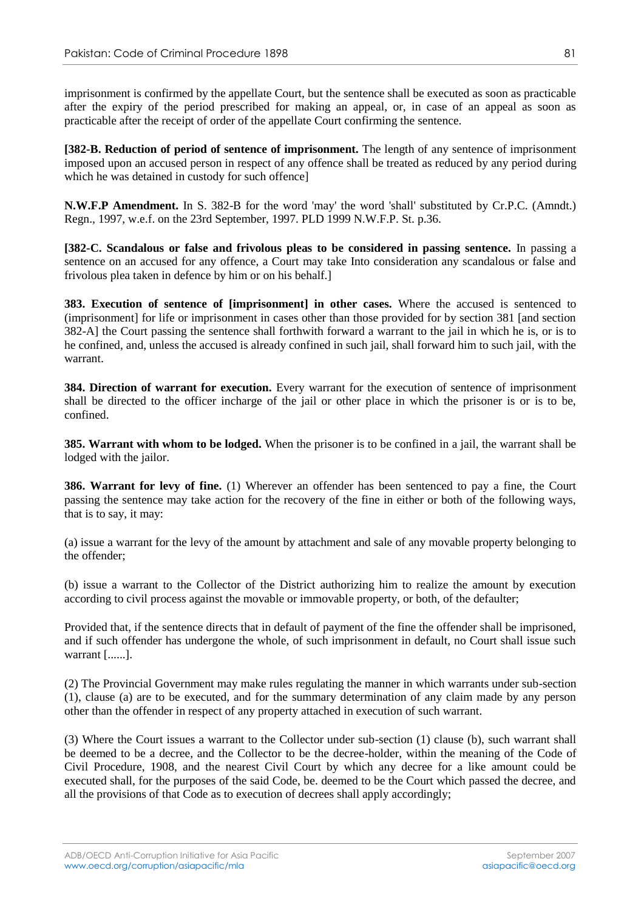imprisonment is confirmed by the appellate Court, but the sentence shall be executed as soon as practicable after the expiry of the period prescribed for making an appeal, or, in case of an appeal as soon as practicable after the receipt of order of the appellate Court confirming the sentence.

**[382-B. Reduction of period of sentence of imprisonment.** The length of any sentence of imprisonment imposed upon an accused person in respect of any offence shall be treated as reduced by any period during which he was detained in custody for such offence]

**N.W.F.P Amendment.** In S. 382-B for the word 'may' the word 'shall' substituted by Cr.P.C. (Amndt.) Regn., 1997, w.e.f. on the 23rd September, 1997. PLD 1999 N.W.F.P. St. p.36.

**[382-C. Scandalous or false and frivolous pleas to be considered in passing sentence.** In passing a sentence on an accused for any offence, a Court may take Into consideration any scandalous or false and frivolous plea taken in defence by him or on his behalf.]

**383. Execution of sentence of [imprisonment] in other cases.** Where the accused is sentenced to (imprisonment] for life or imprisonment in cases other than those provided for by section 381 [and section 382-A] the Court passing the sentence shall forthwith forward a warrant to the jail in which he is, or is to he confined, and, unless the accused is already confined in such jail, shall forward him to such jail, with the warrant.

**384. Direction of warrant for execution.** Every warrant for the execution of sentence of imprisonment shall be directed to the officer incharge of the jail or other place in which the prisoner is or is to be, confined.

**385. Warrant with whom to be lodged.** When the prisoner is to be confined in a jail, the warrant shall be lodged with the jailor.

**386. Warrant for levy of fine.** (1) Wherever an offender has been sentenced to pay a fine, the Court passing the sentence may take action for the recovery of the fine in either or both of the following ways, that is to say, it may:

(a) issue a warrant for the levy of the amount by attachment and sale of any movable property belonging to the offender;

(b) issue a warrant to the Collector of the District authorizing him to realize the amount by execution according to civil process against the movable or immovable property, or both, of the defaulter;

Provided that, if the sentence directs that in default of payment of the fine the offender shall be imprisoned, and if such offender has undergone the whole, of such imprisonment in default, no Court shall issue such warrant [......].

(2) The Provincial Government may make rules regulating the manner in which warrants under sub-section (1), clause (a) are to be executed, and for the summary determination of any claim made by any person other than the offender in respect of any property attached in execution of such warrant.

(3) Where the Court issues a warrant to the Collector under sub-section (1) clause (b), such warrant shall be deemed to be a decree, and the Collector to be the decree-holder, within the meaning of the Code of Civil Procedure, 1908, and the nearest Civil Court by which any decree for a like amount could be executed shall, for the purposes of the said Code, be. deemed to be the Court which passed the decree, and all the provisions of that Code as to execution of decrees shall apply accordingly;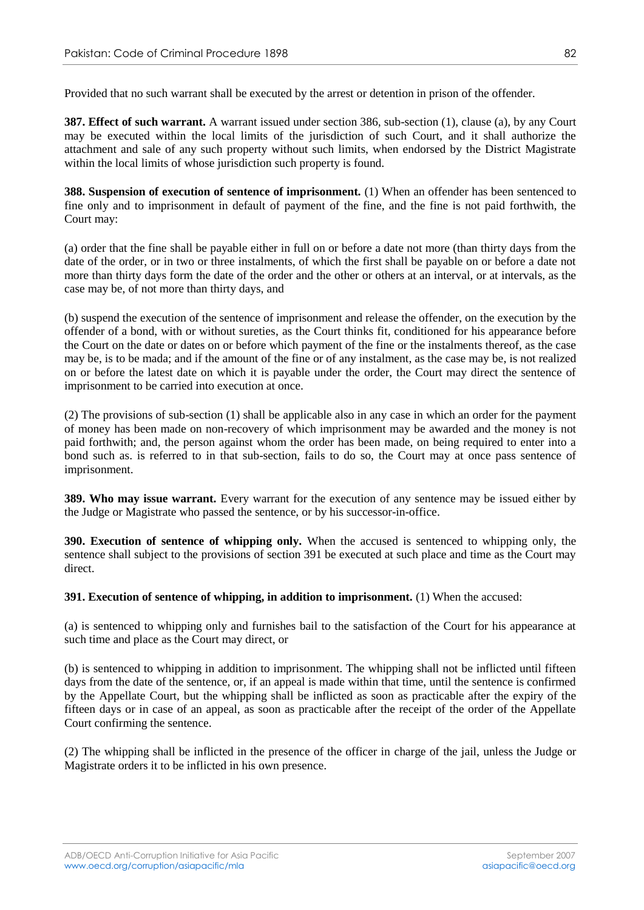Provided that no such warrant shall be executed by the arrest or detention in prison of the offender.

**387. Effect of such warrant.** A warrant issued under section 386, sub-section (1), clause (a), by any Court may be executed within the local limits of the jurisdiction of such Court, and it shall authorize the attachment and sale of any such property without such limits, when endorsed by the District Magistrate within the local limits of whose jurisdiction such property is found.

**388. Suspension of execution of sentence of imprisonment.** (1) When an offender has been sentenced to fine only and to imprisonment in default of payment of the fine, and the fine is not paid forthwith, the Court may:

(a) order that the fine shall be payable either in full on or before a date not more (than thirty days from the date of the order, or in two or three instalments, of which the first shall be payable on or before a date not more than thirty days form the date of the order and the other or others at an interval, or at intervals, as the case may be, of not more than thirty days, and

(b) suspend the execution of the sentence of imprisonment and release the offender, on the execution by the offender of a bond, with or without sureties, as the Court thinks fit, conditioned for his appearance before the Court on the date or dates on or before which payment of the fine or the instalments thereof, as the case may be, is to be mada; and if the amount of the fine or of any instalment, as the case may be, is not realized on or before the latest date on which it is payable under the order, the Court may direct the sentence of imprisonment to be carried into execution at once.

(2) The provisions of sub-section (1) shall be applicable also in any case in which an order for the payment of money has been made on non-recovery of which imprisonment may be awarded and the money is not paid forthwith; and, the person against whom the order has been made, on being required to enter into a bond such as. is referred to in that sub-section, fails to do so, the Court may at once pass sentence of imprisonment.

**389. Who may issue warrant.** Every warrant for the execution of any sentence may be issued either by the Judge or Magistrate who passed the sentence, or by his successor-in-office.

**390. Execution of sentence of whipping only.** When the accused is sentenced to whipping only, the sentence shall subject to the provisions of section 391 be executed at such place and time as the Court may direct.

**391. Execution of sentence of whipping, in addition to imprisonment.** (1) When the accused:

(a) is sentenced to whipping only and furnishes bail to the satisfaction of the Court for his appearance at such time and place as the Court may direct, or

(b) is sentenced to whipping in addition to imprisonment. The whipping shall not be inflicted until fifteen days from the date of the sentence, or, if an appeal is made within that time, until the sentence is confirmed by the Appellate Court, but the whipping shall be inflicted as soon as practicable after the expiry of the fifteen days or in case of an appeal, as soon as practicable after the receipt of the order of the Appellate Court confirming the sentence.

(2) The whipping shall be inflicted in the presence of the officer in charge of the jail, unless the Judge or Magistrate orders it to be inflicted in his own presence.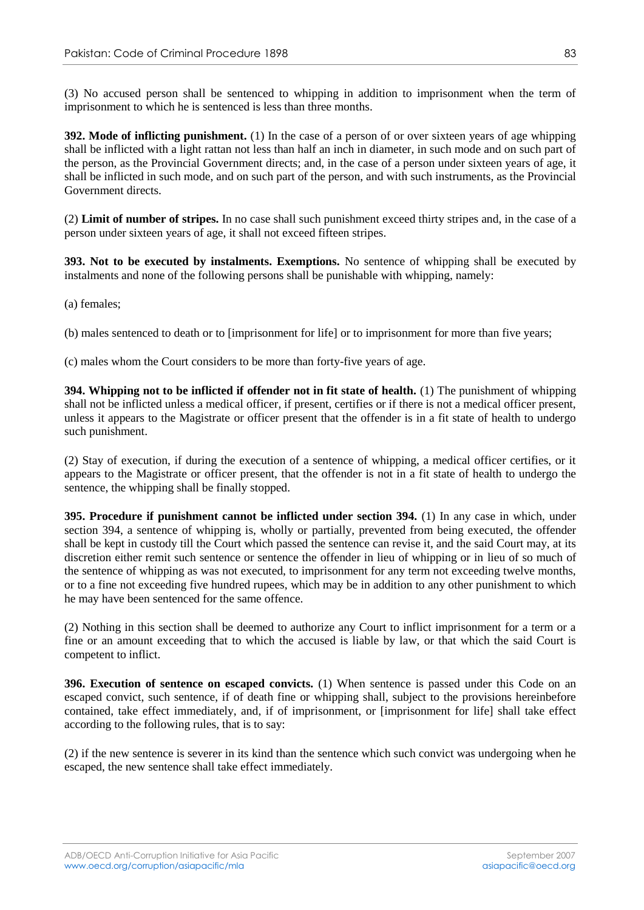(3) No accused person shall be sentenced to whipping in addition to imprisonment when the term of imprisonment to which he is sentenced is less than three months.

**392. Mode of inflicting punishment.** (1) In the case of a person of or over sixteen years of age whipping shall be inflicted with a light rattan not less than half an inch in diameter, in such mode and on such part of the person, as the Provincial Government directs; and, in the case of a person under sixteen years of age, it shall be inflicted in such mode, and on such part of the person, and with such instruments, as the Provincial Government directs.

(2) **Limit of number of stripes.** In no case shall such punishment exceed thirty stripes and, in the case of a person under sixteen years of age, it shall not exceed fifteen stripes.

**393. Not to be executed by instalments. Exemptions.** No sentence of whipping shall be executed by instalments and none of the following persons shall be punishable with whipping, namely:

(a) females;

(b) males sentenced to death or to [imprisonment for life] or to imprisonment for more than five years;

(c) males whom the Court considers to be more than forty-five years of age.

**394. Whipping not to be inflicted if offender not in fit state of health.** (1) The punishment of whipping shall not be inflicted unless a medical officer, if present, certifies or if there is not a medical officer present, unless it appears to the Magistrate or officer present that the offender is in a fit state of health to undergo such punishment.

(2) Stay of execution, if during the execution of a sentence of whipping, a medical officer certifies, or it appears to the Magistrate or officer present, that the offender is not in a fit state of health to undergo the sentence, the whipping shall be finally stopped.

**395. Procedure if punishment cannot be inflicted under section 394.** (1) In any case in which, under section 394, a sentence of whipping is, wholly or partially, prevented from being executed, the offender shall be kept in custody till the Court which passed the sentence can revise it, and the said Court may, at its discretion either remit such sentence or sentence the offender in lieu of whipping or in lieu of so much of the sentence of whipping as was not executed, to imprisonment for any term not exceeding twelve months, or to a fine not exceeding five hundred rupees, which may be in addition to any other punishment to which he may have been sentenced for the same offence.

(2) Nothing in this section shall be deemed to authorize any Court to inflict imprisonment for a term or a fine or an amount exceeding that to which the accused is liable by law, or that which the said Court is competent to inflict.

**396. Execution of sentence on escaped convicts.** (1) When sentence is passed under this Code on an escaped convict, such sentence, if of death fine or whipping shall, subject to the provisions hereinbefore contained, take effect immediately, and, if of imprisonment, or [imprisonment for life] shall take effect according to the following rules, that is to say:

(2) if the new sentence is severer in its kind than the sentence which such convict was undergoing when he escaped, the new sentence shall take effect immediately.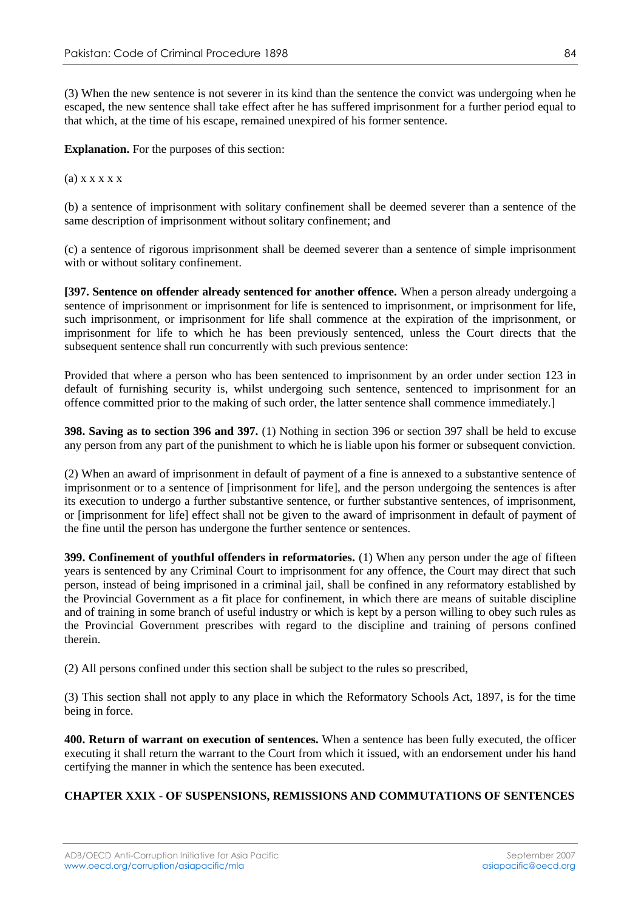(3) When the new sentence is not severer in its kind than the sentence the convict was undergoing when he escaped, the new sentence shall take effect after he has suffered imprisonment for a further period equal to that which, at the time of his escape, remained unexpired of his former sentence.

**Explanation.** For the purposes of this section:

(a) x x x x x

(b) a sentence of imprisonment with solitary confinement shall be deemed severer than a sentence of the same description of imprisonment without solitary confinement; and

(c) a sentence of rigorous imprisonment shall be deemed severer than a sentence of simple imprisonment with or without solitary confinement.

**[397. Sentence on offender already sentenced for another offence.** When a person already undergoing a sentence of imprisonment or imprisonment for life is sentenced to imprisonment, or imprisonment for life, such imprisonment, or imprisonment for life shall commence at the expiration of the imprisonment, or imprisonment for life to which he has been previously sentenced, unless the Court directs that the subsequent sentence shall run concurrently with such previous sentence:

Provided that where a person who has been sentenced to imprisonment by an order under section 123 in default of furnishing security is, whilst undergoing such sentence, sentenced to imprisonment for an offence committed prior to the making of such order, the latter sentence shall commence immediately.]

**398. Saving as to section 396 and 397.** (1) Nothing in section 396 or section 397 shall be held to excuse any person from any part of the punishment to which he is liable upon his former or subsequent conviction.

(2) When an award of imprisonment in default of payment of a fine is annexed to a substantive sentence of imprisonment or to a sentence of [imprisonment for life], and the person undergoing the sentences is after its execution to undergo a further substantive sentence, or further substantive sentences, of imprisonment, or [imprisonment for life] effect shall not be given to the award of imprisonment in default of payment of the fine until the person has undergone the further sentence or sentences.

**399. Confinement of youthful offenders in reformatories.** (1) When any person under the age of fifteen years is sentenced by any Criminal Court to imprisonment for any offence, the Court may direct that such person, instead of being imprisoned in a criminal jail, shall be confined in any reformatory established by the Provincial Government as a fit place for confinement, in which there are means of suitable discipline and of training in some branch of useful industry or which is kept by a person willing to obey such rules as the Provincial Government prescribes with regard to the discipline and training of persons confined therein.

(2) All persons confined under this section shall be subject to the rules so prescribed,

(3) This section shall not apply to any place in which the Reformatory Schools Act, 1897, is for the time being in force.

**400. Return of warrant on execution of sentences.** When a sentence has been fully executed, the officer executing it shall return the warrant to the Court from which it issued, with an endorsement under his hand certifying the manner in which the sentence has been executed.

### **CHAPTER XXIX - OF SUSPENSIONS, REMISSIONS AND COMMUTATIONS OF SENTENCES**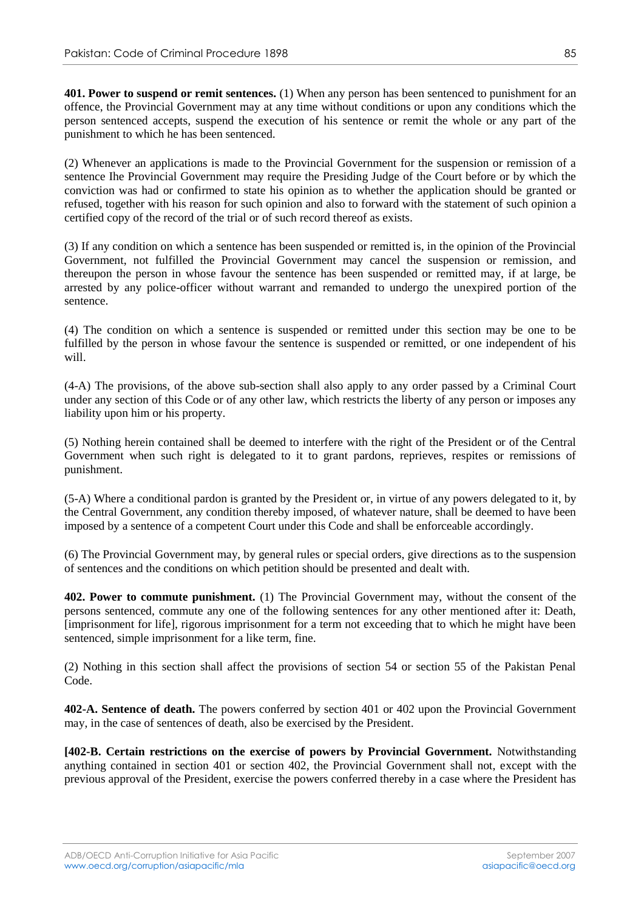**401. Power to suspend or remit sentences.** (1) When any person has been sentenced to punishment for an offence, the Provincial Government may at any time without conditions or upon any conditions which the person sentenced accepts, suspend the execution of his sentence or remit the whole or any part of the punishment to which he has been sentenced.

(2) Whenever an applications is made to the Provincial Government for the suspension or remission of a sentence Ihe Provincial Government may require the Presiding Judge of the Court before or by which the conviction was had or confirmed to state his opinion as to whether the application should be granted or refused, together with his reason for such opinion and also to forward with the statement of such opinion a certified copy of the record of the trial or of such record thereof as exists.

(3) If any condition on which a sentence has been suspended or remitted is, in the opinion of the Provincial Government, not fulfilled the Provincial Government may cancel the suspension or remission, and thereupon the person in whose favour the sentence has been suspended or remitted may, if at large, be arrested by any police-officer without warrant and remanded to undergo the unexpired portion of the sentence.

(4) The condition on which a sentence is suspended or remitted under this section may be one to be fulfilled by the person in whose favour the sentence is suspended or remitted, or one independent of his will.

(4-A) The provisions, of the above sub-section shall also apply to any order passed by a Criminal Court under any section of this Code or of any other law, which restricts the liberty of any person or imposes any liability upon him or his property.

(5) Nothing herein contained shall be deemed to interfere with the right of the President or of the Central Government when such right is delegated to it to grant pardons, reprieves, respites or remissions of punishment.

(5-A) Where a conditional pardon is granted by the President or, in virtue of any powers delegated to it, by the Central Government, any condition thereby imposed, of whatever nature, shall be deemed to have been imposed by a sentence of a competent Court under this Code and shall be enforceable accordingly.

(6) The Provincial Government may, by general rules or special orders, give directions as to the suspension of sentences and the conditions on which petition should be presented and dealt with.

**402. Power to commute punishment.** (1) The Provincial Government may, without the consent of the persons sentenced, commute any one of the following sentences for any other mentioned after it: Death, [imprisonment for life], rigorous imprisonment for a term not exceeding that to which he might have been sentenced, simple imprisonment for a like term, fine.

(2) Nothing in this section shall affect the provisions of section 54 or section 55 of the Pakistan Penal Code.

**402-A. Sentence of death.** The powers conferred by section 401 or 402 upon the Provincial Government may, in the case of sentences of death, also be exercised by the President.

**[402-B. Certain restrictions on the exercise of powers by Provincial Government.** Notwithstanding anything contained in section 401 or section 402, the Provincial Government shall not, except with the previous approval of the President, exercise the powers conferred thereby in a case where the President has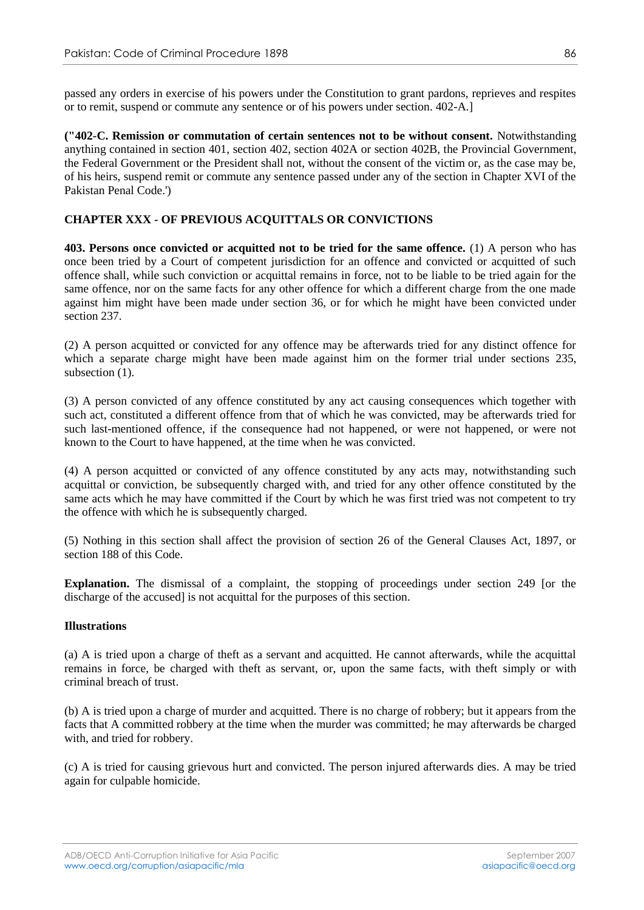passed any orders in exercise of his powers under the Constitution to grant pardons, reprieves and respites or to remit, suspend or commute any sentence or of his powers under section. 402-A.]

**("402-C. Remission or commutation of certain sentences not to be without consent.** Notwithstanding anything contained in section 401, section 402, section 402A or section 402B, the Provincial Government, the Federal Government or the President shall not, without the consent of the victim or, as the case may be, of his heirs, suspend remit or commute any sentence passed under any of the section in Chapter XVI of the Pakistan Penal Code.')

## **CHAPTER XXX - OF PREVIOUS ACQUITTALS OR CONVICTIONS**

**403. Persons once convicted or acquitted not to be tried for the same offence.** (1) A person who has once been tried by a Court of competent jurisdiction for an offence and convicted or acquitted of such offence shall, while such conviction or acquittal remains in force, not to be liable to be tried again for the same offence, nor on the same facts for any other offence for which a different charge from the one made against him might have been made under section 36, or for which he might have been convicted under section 237.

(2) A person acquitted or convicted for any offence may be afterwards tried for any distinct offence for which a separate charge might have been made against him on the former trial under sections 235, subsection  $(1)$ .

(3) A person convicted of any offence constituted by any act causing consequences which together with such act, constituted a different offence from that of which he was convicted, may be afterwards tried for such last-mentioned offence, if the consequence had not happened, or were not happened, or were not known to the Court to have happened, at the time when he was convicted.

(4) A person acquitted or convicted of any offence constituted by any acts may, notwithstanding such acquittal or conviction, be subsequently charged with, and tried for any other offence constituted by the same acts which he may have committed if the Court by which he was first tried was not competent to try the offence with which he is subsequently charged.

(5) Nothing in this section shall affect the provision of section 26 of the General Clauses Act, 1897, or section 188 of this Code.

**Explanation.** The dismissal of a complaint, the stopping of proceedings under section 249 [or the discharge of the accused] is not acquittal for the purposes of this section.

### **Illustrations**

(a) A is tried upon a charge of theft as a servant and acquitted. He cannot afterwards, while the acquittal remains in force, be charged with theft as servant, or, upon the same facts, with theft simply or with criminal breach of trust.

(b) A is tried upon a charge of murder and acquitted. There is no charge of robbery; but it appears from the facts that A committed robbery at the time when the murder was committed; he may afterwards be charged with, and tried for robbery.

(c) A is tried for causing grievous hurt and convicted. The person injured afterwards dies. A may be tried again for culpable homicide.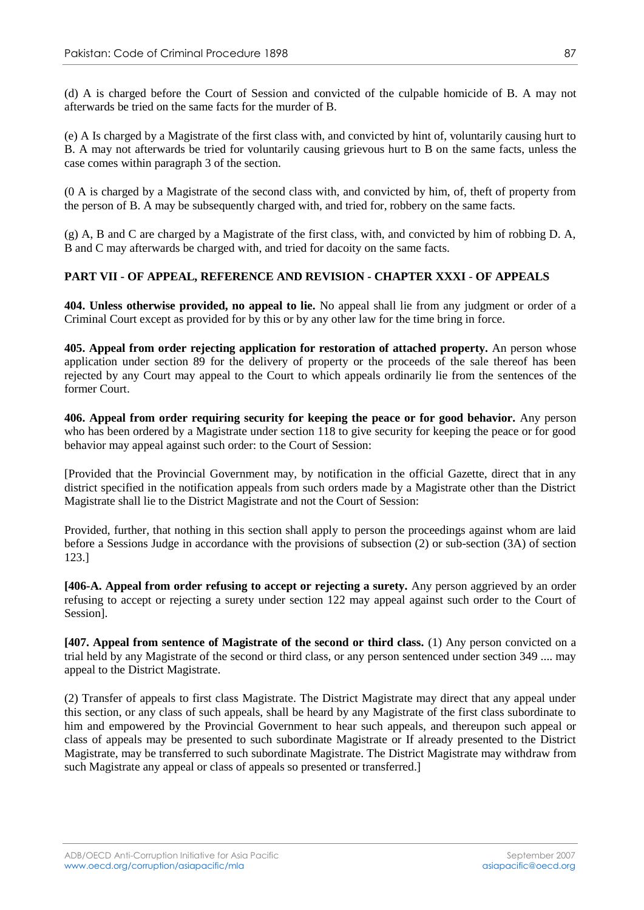(d) A is charged before the Court of Session and convicted of the culpable homicide of B. A may not afterwards be tried on the same facts for the murder of B.

(e) A Is charged by a Magistrate of the first class with, and convicted by hint of, voluntarily causing hurt to B. A may not afterwards be tried for voluntarily causing grievous hurt to B on the same facts, unless the case comes within paragraph 3 of the section.

(0 A is charged by a Magistrate of the second class with, and convicted by him, of, theft of property from the person of B. A may be subsequently charged with, and tried for, robbery on the same facts.

(g) A, B and C are charged by a Magistrate of the first class, with, and convicted by him of robbing D. A, B and C may afterwards be charged with, and tried for dacoity on the same facts.

### **PART VII - OF APPEAL, REFERENCE AND REVISION - CHAPTER XXXI** - **OF APPEALS**

**404. Unless otherwise provided, no appeal to lie.** No appeal shall lie from any judgment or order of a Criminal Court except as provided for by this or by any other law for the time bring in force.

**405. Appeal from order rejecting application for restoration of attached property.** An person whose application under section 89 for the delivery of property or the proceeds of the sale thereof has been rejected by any Court may appeal to the Court to which appeals ordinarily lie from the sentences of the former Court.

**406. Appeal from order requiring security for keeping the peace or for good behavior.** Any person who has been ordered by a Magistrate under section 118 to give security for keeping the peace or for good behavior may appeal against such order: to the Court of Session:

[Provided that the Provincial Government may, by notification in the official Gazette, direct that in any district specified in the notification appeals from such orders made by a Magistrate other than the District Magistrate shall lie to the District Magistrate and not the Court of Session:

Provided, further, that nothing in this section shall apply to person the proceedings against whom are laid before a Sessions Judge in accordance with the provisions of subsection (2) or sub-section (3A) of section 123.]

**[406-A. Appeal from order refusing to accept or rejecting a surety.** Any person aggrieved by an order refusing to accept or rejecting a surety under section 122 may appeal against such order to the Court of Session].

**[407. Appeal from sentence of Magistrate of the second or third class.** (1) Any person convicted on a trial held by any Magistrate of the second or third class, or any person sentenced under section 349 .... may appeal to the District Magistrate.

(2) Transfer of appeals to first class Magistrate. The District Magistrate may direct that any appeal under this section, or any class of such appeals, shall be heard by any Magistrate of the first class subordinate to him and empowered by the Provincial Government to hear such appeals, and thereupon such appeal or class of appeals may be presented to such subordinate Magistrate or If already presented to the District Magistrate, may be transferred to such subordinate Magistrate. The District Magistrate may withdraw from such Magistrate any appeal or class of appeals so presented or transferred.]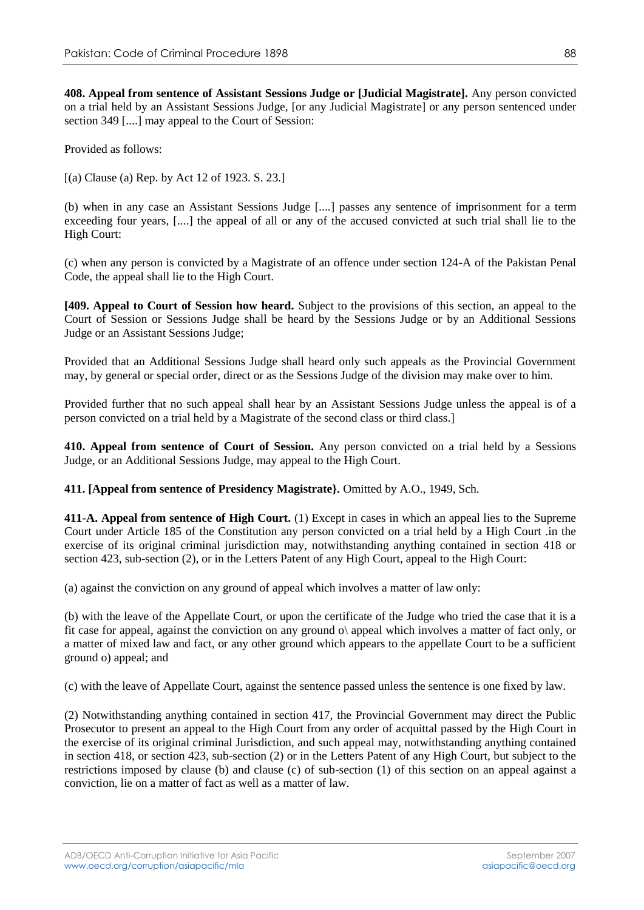**408. Appeal from sentence of Assistant Sessions Judge or [Judicial Magistrate].** Any person convicted on a trial held by an Assistant Sessions Judge, [or any Judicial Magistrate] or any person sentenced under section 349 [....] may appeal to the Court of Session:

Provided as follows:

[(a) Clause (a) Rep. by Act 12 of 1923. S. 23.]

(b) when in any case an Assistant Sessions Judge [....] passes any sentence of imprisonment for a term exceeding four years, [....] the appeal of all or any of the accused convicted at such trial shall lie to the High Court:

(c) when any person is convicted by a Magistrate of an offence under section 124-A of the Pakistan Penal Code, the appeal shall lie to the High Court.

**[409. Appeal to Court of Session how heard.** Subject to the provisions of this section, an appeal to the Court of Session or Sessions Judge shall be heard by the Sessions Judge or by an Additional Sessions Judge or an Assistant Sessions Judge;

Provided that an Additional Sessions Judge shall heard only such appeals as the Provincial Government may, by general or special order, direct or as the Sessions Judge of the division may make over to him.

Provided further that no such appeal shall hear by an Assistant Sessions Judge unless the appeal is of a person convicted on a trial held by a Magistrate of the second class or third class.]

**410. Appeal from sentence of Court of Session.** Any person convicted on a trial held by a Sessions Judge, or an Additional Sessions Judge, may appeal to the High Court.

**411. [Appeal from sentence of Presidency Magistrate}.** Omitted by A.O., 1949, Sch.

**411-A. Appeal from sentence of High Court.** (1) Except in cases in which an appeal lies to the Supreme Court under Article 185 of the Constitution any person convicted on a trial held by a High Court .in the exercise of its original criminal jurisdiction may, notwithstanding anything contained in section 418 or section 423, sub-section (2), or in the Letters Patent of any High Court, appeal to the High Court:

(a) against the conviction on any ground of appeal which involves a matter of law only:

(b) with the leave of the Appellate Court, or upon the certificate of the Judge who tried the case that it is a fit case for appeal, against the conviction on any ground  $\circ$  appeal which involves a matter of fact only, or a matter of mixed law and fact, or any other ground which appears to the appellate Court to be a sufficient ground o) appeal; and

(c) with the leave of Appellate Court, against the sentence passed unless the sentence is one fixed by law.

(2) Notwithstanding anything contained in section 417, the Provincial Government may direct the Public Prosecutor to present an appeal to the High Court from any order of acquittal passed by the High Court in the exercise of its original criminal Jurisdiction, and such appeal may, notwithstanding anything contained in section 418, or section 423, sub-section (2) or in the Letters Patent of any High Court, but subject to the restrictions imposed by clause (b) and clause (c) of sub-section (1) of this section on an appeal against a conviction, lie on a matter of fact as well as a matter of law.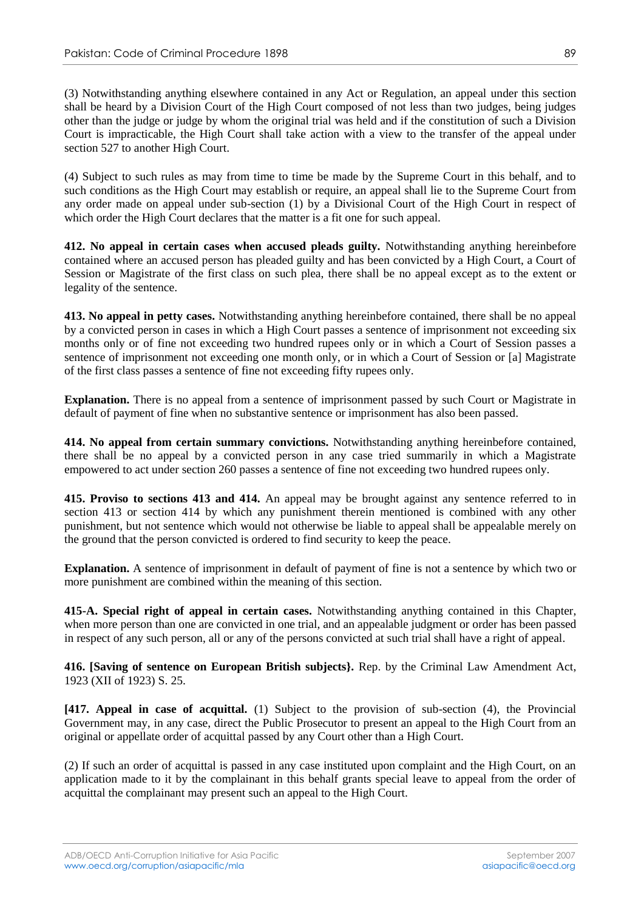section 527 to another High Court.

(4) Subject to such rules as may from time to time be made by the Supreme Court in this behalf, and to such conditions as the High Court may establish or require, an appeal shall lie to the Supreme Court from any order made on appeal under sub-section (1) by a Divisional Court of the High Court in respect of which order the High Court declares that the matter is a fit one for such appeal.

**412. No appeal in certain cases when accused pleads guilty.** Notwithstanding anything hereinbefore contained where an accused person has pleaded guilty and has been convicted by a High Court, a Court of Session or Magistrate of the first class on such plea, there shall be no appeal except as to the extent or legality of the sentence.

**413. No appeal in petty cases.** Notwithstanding anything hereinbefore contained, there shall be no appeal by a convicted person in cases in which a High Court passes a sentence of imprisonment not exceeding six months only or of fine not exceeding two hundred rupees only or in which a Court of Session passes a sentence of imprisonment not exceeding one month only, or in which a Court of Session or [a] Magistrate of the first class passes a sentence of fine not exceeding fifty rupees only.

**Explanation.** There is no appeal from a sentence of imprisonment passed by such Court or Magistrate in default of payment of fine when no substantive sentence or imprisonment has also been passed.

**414. No appeal from certain summary convictions.** Notwithstanding anything hereinbefore contained, there shall be no appeal by a convicted person in any case tried summarily in which a Magistrate empowered to act under section 260 passes a sentence of fine not exceeding two hundred rupees only.

**415. Proviso to sections 413 and 414.** An appeal may be brought against any sentence referred to in section 413 or section 414 by which any punishment therein mentioned is combined with any other punishment, but not sentence which would not otherwise be liable to appeal shall be appealable merely on the ground that the person convicted is ordered to find security to keep the peace.

**Explanation.** A sentence of imprisonment in default of payment of fine is not a sentence by which two or more punishment are combined within the meaning of this section.

**415-A. Special right of appeal in certain cases.** Notwithstanding anything contained in this Chapter, when more person than one are convicted in one trial, and an appealable judgment or order has been passed in respect of any such person, all or any of the persons convicted at such trial shall have a right of appeal.

**416. [Saving of sentence on European British subjects}.** Rep. by the Criminal Law Amendment Act, 1923 (XII of 1923) S. 25.

**[417. Appeal in case of acquittal.** (1) Subject to the provision of sub-section (4), the Provincial Government may, in any case, direct the Public Prosecutor to present an appeal to the High Court from an original or appellate order of acquittal passed by any Court other than a High Court.

(2) If such an order of acquittal is passed in any case instituted upon complaint and the High Court, on an application made to it by the complainant in this behalf grants special leave to appeal from the order of acquittal the complainant may present such an appeal to the High Court.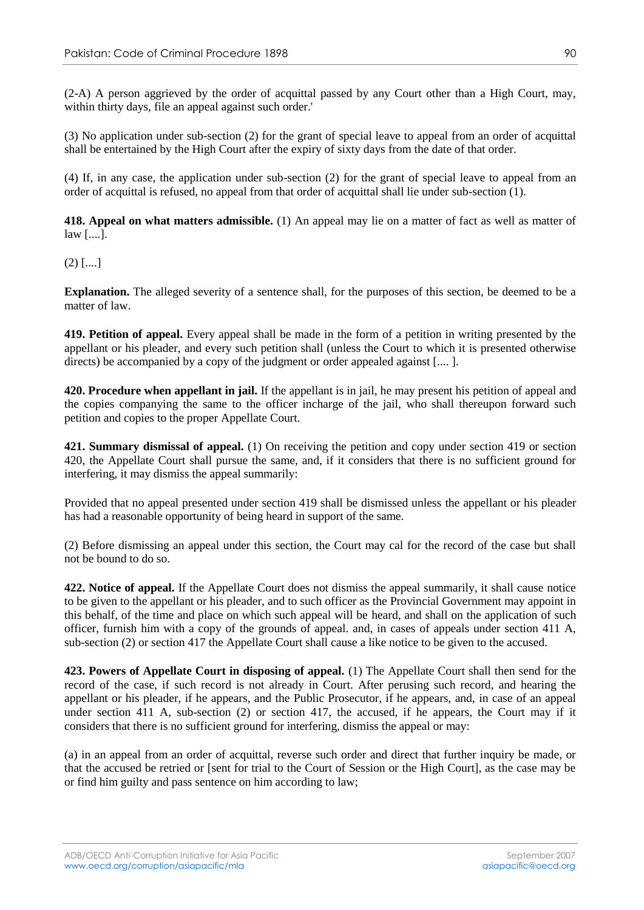(2-A) A person aggrieved by the order of acquittal passed by any Court other than a High Court, may, within thirty days, file an appeal against such order.'

(3) No application under sub-section (2) for the grant of special leave to appeal from an order of acquittal shall be entertained by the High Court after the expiry of sixty days from the date of that order.

(4) If, in any case, the application under sub-section (2) for the grant of special leave to appeal from an order of acquittal is refused, no appeal from that order of acquittal shall lie under sub-section (1).

**418. Appeal on what matters admissible.** (1) An appeal may lie on a matter of fact as well as matter of law [....].

 $(2)$   $[....]$ 

**Explanation.** The alleged severity of a sentence shall, for the purposes of this section, be deemed to be a matter of law.

**419. Petition of appeal.** Every appeal shall be made in the form of a petition in writing presented by the appellant or his pleader, and every such petition shall (unless the Court to which it is presented otherwise directs) be accompanied by a copy of the judgment or order appealed against [.... ].

**420. Procedure when appellant in jail.** If the appellant is in jail, he may present his petition of appeal and the copies companying the same to the officer incharge of the jail, who shall thereupon forward such petition and copies to the proper Appellate Court.

**421. Summary dismissal of appeal.** (1) On receiving the petition and copy under section 419 or section 420, the Appellate Court shall pursue the same, and, if it considers that there is no sufficient ground for interfering, it may dismiss the appeal summarily:

Provided that no appeal presented under section 419 shall be dismissed unless the appellant or his pleader has had a reasonable opportunity of being heard in support of the same.

(2) Before dismissing an appeal under this section, the Court may cal for the record of the case but shall not be bound to do so.

**422. Notice of appeal.** If the Appellate Court does not dismiss the appeal summarily, it shall cause notice to be given to the appellant or his pleader, and to such officer as the Provincial Government may appoint in this behalf, of the time and place on which such appeal will be heard, and shall on the application of such officer, furnish him with a copy of the grounds of appeal. and, in cases of appeals under section 411 A, sub-section (2) or section 417 the Appellate Court shall cause a like notice to be given to the accused.

**423. Powers of Appellate Court in disposing of appeal.** (1) The Appellate Court shall then send for the record of the case, if such record is not already in Court. After perusing such record, and hearing the appellant or his pleader, if he appears, and the Public Prosecutor, if he appears, and, in case of an appeal under section 411 A, sub-section (2) or section 417, the accused, if he appears, the Court may if it considers that there is no sufficient ground for interfering, dismiss the appeal or may:

(a) in an appeal from an order of acquittal, reverse such order and direct that further inquiry be made, or that the accused be retried or [sent for trial to the Court of Session or the High Court], as the case may be or find him guilty and pass sentence on him according to law;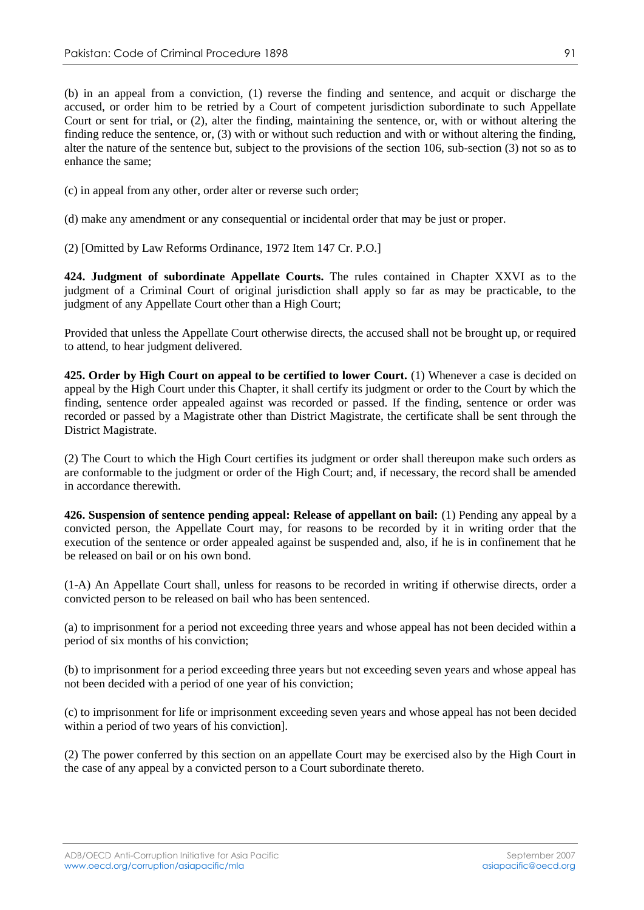(b) in an appeal from a conviction, (1) reverse the finding and sentence, and acquit or discharge the accused, or order him to be retried by a Court of competent jurisdiction subordinate to such Appellate Court or sent for trial, or (2), alter the finding, maintaining the sentence, or, with or without altering the finding reduce the sentence, or, (3) with or without such reduction and with or without altering the finding, alter the nature of the sentence but, subject to the provisions of the section 106, sub-section (3) not so as to enhance the same;

- (c) in appeal from any other, order alter or reverse such order;
- (d) make any amendment or any consequential or incidental order that may be just or proper.
- (2) [Omitted by Law Reforms Ordinance, 1972 Item 147 Cr. P.O.]

**424. Judgment of subordinate Appellate Courts.** The rules contained in Chapter XXVI as to the judgment of a Criminal Court of original jurisdiction shall apply so far as may be practicable, to the judgment of any Appellate Court other than a High Court;

Provided that unless the Appellate Court otherwise directs, the accused shall not be brought up, or required to attend, to hear judgment delivered.

**425. Order by High Court on appeal to be certified to lower Court.** (1) Whenever a case is decided on appeal by the High Court under this Chapter, it shall certify its judgment or order to the Court by which the finding, sentence order appealed against was recorded or passed. If the finding, sentence or order was recorded or passed by a Magistrate other than District Magistrate, the certificate shall be sent through the District Magistrate.

(2) The Court to which the High Court certifies its judgment or order shall thereupon make such orders as are conformable to the judgment or order of the High Court; and, if necessary, the record shall be amended in accordance therewith.

**426. Suspension of sentence pending appeal: Release of appellant on bail:** (1) Pending any appeal by a convicted person, the Appellate Court may, for reasons to be recorded by it in writing order that the execution of the sentence or order appealed against be suspended and, also, if he is in confinement that he be released on bail or on his own bond.

(1-A) An Appellate Court shall, unless for reasons to be recorded in writing if otherwise directs, order a convicted person to be released on bail who has been sentenced.

(a) to imprisonment for a period not exceeding three years and whose appeal has not been decided within a period of six months of his conviction;

(b) to imprisonment for a period exceeding three years but not exceeding seven years and whose appeal has not been decided with a period of one year of his conviction;

(c) to imprisonment for life or imprisonment exceeding seven years and whose appeal has not been decided within a period of two years of his conviction].

(2) The power conferred by this section on an appellate Court may be exercised also by the High Court in the case of any appeal by a convicted person to a Court subordinate thereto.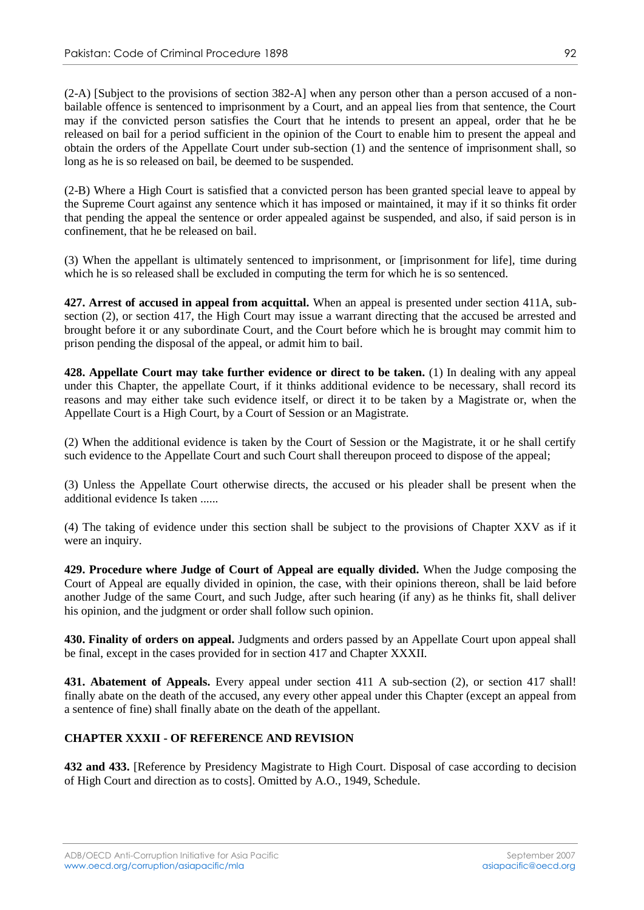(2-A) [Subject to the provisions of section 382-A] when any person other than a person accused of a nonbailable offence is sentenced to imprisonment by a Court, and an appeal lies from that sentence, the Court may if the convicted person satisfies the Court that he intends to present an appeal, order that he be released on bail for a period sufficient in the opinion of the Court to enable him to present the appeal and obtain the orders of the Appellate Court under sub-section (1) and the sentence of imprisonment shall, so long as he is so released on bail, be deemed to be suspended.

(2-B) Where a High Court is satisfied that a convicted person has been granted special leave to appeal by the Supreme Court against any sentence which it has imposed or maintained, it may if it so thinks fit order that pending the appeal the sentence or order appealed against be suspended, and also, if said person is in confinement, that he be released on bail.

(3) When the appellant is ultimately sentenced to imprisonment, or [imprisonment for life], time during which he is so released shall be excluded in computing the term for which he is so sentenced.

**427. Arrest of accused in appeal from acquittal.** When an appeal is presented under section 411A, subsection (2), or section 417, the High Court may issue a warrant directing that the accused be arrested and brought before it or any subordinate Court, and the Court before which he is brought may commit him to prison pending the disposal of the appeal, or admit him to bail.

**428. Appellate Court may take further evidence or direct to be taken.** (1) In dealing with any appeal under this Chapter, the appellate Court, if it thinks additional evidence to be necessary, shall record its reasons and may either take such evidence itself, or direct it to be taken by a Magistrate or, when the Appellate Court is a High Court, by a Court of Session or an Magistrate.

(2) When the additional evidence is taken by the Court of Session or the Magistrate, it or he shall certify such evidence to the Appellate Court and such Court shall thereupon proceed to dispose of the appeal;

(3) Unless the Appellate Court otherwise directs, the accused or his pleader shall be present when the additional evidence Is taken ......

(4) The taking of evidence under this section shall be subject to the provisions of Chapter XXV as if it were an inquiry.

**429. Procedure where Judge of Court of Appeal are equally divided.** When the Judge composing the Court of Appeal are equally divided in opinion, the case, with their opinions thereon, shall be laid before another Judge of the same Court, and such Judge, after such hearing (if any) as he thinks fit, shall deliver his opinion, and the judgment or order shall follow such opinion.

**430. Finality of orders on appeal.** Judgments and orders passed by an Appellate Court upon appeal shall be final, except in the cases provided for in section 417 and Chapter XXXII.

**431. Abatement of Appeals.** Every appeal under section 411 A sub-section (2), or section 417 shall! finally abate on the death of the accused, any every other appeal under this Chapter (except an appeal from a sentence of fine) shall finally abate on the death of the appellant.

## **CHAPTER XXXII - OF REFERENCE AND REVISION**

**432 and 433.** [Reference by Presidency Magistrate to High Court. Disposal of case according to decision of High Court and direction as to costs]. Omitted by A.O., 1949, Schedule.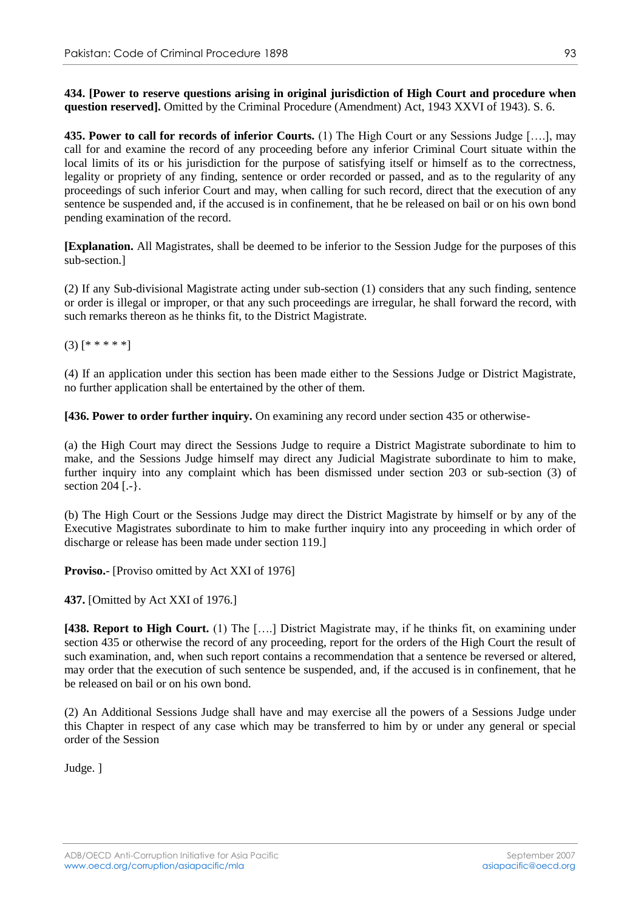**434. [Power to reserve questions arising in original jurisdiction of High Court and procedure when question reserved].** Omitted by the Criminal Procedure (Amendment) Act, 1943 XXVI of 1943). S. 6.

**435. Power to call for records of inferior Courts.** (1) The High Court or any Sessions Judge [….], may call for and examine the record of any proceeding before any inferior Criminal Court situate within the local limits of its or his jurisdiction for the purpose of satisfying itself or himself as to the correctness, legality or propriety of any finding, sentence or order recorded or passed, and as to the regularity of any proceedings of such inferior Court and may, when calling for such record, direct that the execution of any sentence be suspended and, if the accused is in confinement, that he be released on bail or on his own bond pending examination of the record.

**[Explanation.** All Magistrates, shall be deemed to be inferior to the Session Judge for the purposes of this sub-section.]

(2) If any Sub-divisional Magistrate acting under sub-section (1) considers that any such finding, sentence or order is illegal or improper, or that any such proceedings are irregular, he shall forward the record, with such remarks thereon as he thinks fit, to the District Magistrate.

 $(3)$  [\* \* \* \* \*]

(4) If an application under this section has been made either to the Sessions Judge or District Magistrate, no further application shall be entertained by the other of them.

**[436. Power to order further inquiry.** On examining any record under section 435 or otherwise-

(a) the High Court may direct the Sessions Judge to require a District Magistrate subordinate to him to make, and the Sessions Judge himself may direct any Judicial Magistrate subordinate to him to make, further inquiry into any complaint which has been dismissed under section 203 or sub-section (3) of section 204 [.-}.

(b) The High Court or the Sessions Judge may direct the District Magistrate by himself or by any of the Executive Magistrates subordinate to him to make further inquiry into any proceeding in which order of discharge or release has been made under section 119.]

**Proviso.**- [Proviso omitted by Act XXI of 1976]

**437.** [Omitted by Act XXI of 1976.]

**[438. Report to High Court.** (1) The [….] District Magistrate may, if he thinks fit, on examining under section 435 or otherwise the record of any proceeding, report for the orders of the High Court the result of such examination, and, when such report contains a recommendation that a sentence be reversed or altered, may order that the execution of such sentence be suspended, and, if the accused is in confinement, that he be released on bail or on his own bond.

(2) An Additional Sessions Judge shall have and may exercise all the powers of a Sessions Judge under this Chapter in respect of any case which may be transferred to him by or under any general or special order of the Session

Judge. ]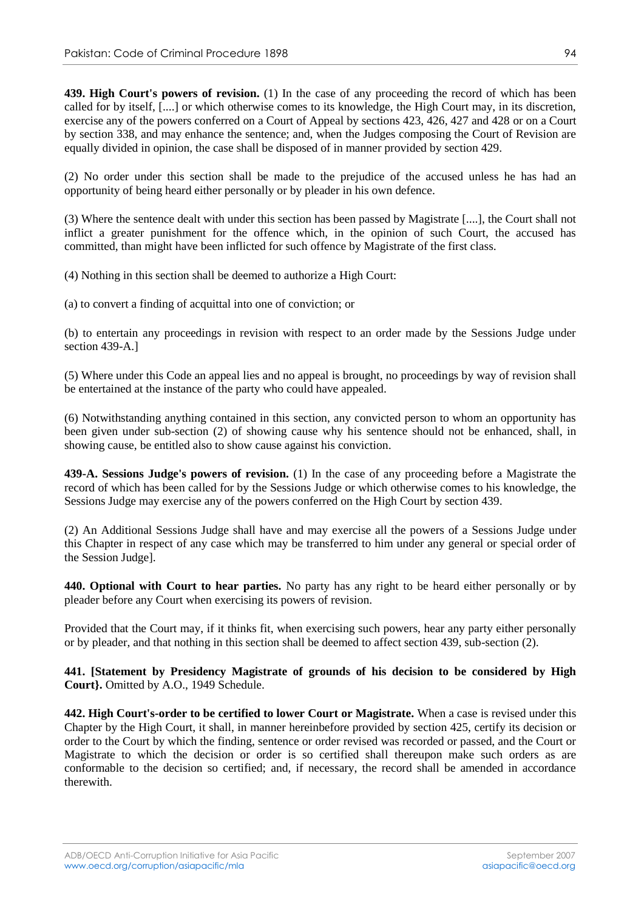**439. High Court's powers of revision.** (1) In the case of any proceeding the record of which has been called for by itself, [....] or which otherwise comes to its knowledge, the High Court may, in its discretion, exercise any of the powers conferred on a Court of Appeal by sections 423, 426, 427 and 428 or on a Court by section 338, and may enhance the sentence; and, when the Judges composing the Court of Revision are equally divided in opinion, the case shall be disposed of in manner provided by section 429.

(2) No order under this section shall be made to the prejudice of the accused unless he has had an opportunity of being heard either personally or by pleader in his own defence.

(3) Where the sentence dealt with under this section has been passed by Magistrate [....], the Court shall not inflict a greater punishment for the offence which, in the opinion of such Court, the accused has committed, than might have been inflicted for such offence by Magistrate of the first class.

(4) Nothing in this section shall be deemed to authorize a High Court:

(a) to convert a finding of acquittal into one of conviction; or

(b) to entertain any proceedings in revision with respect to an order made by the Sessions Judge under section 439-A.]

(5) Where under this Code an appeal lies and no appeal is brought, no proceedings by way of revision shall be entertained at the instance of the party who could have appealed.

(6) Notwithstanding anything contained in this section, any convicted person to whom an opportunity has been given under sub-section (2) of showing cause why his sentence should not be enhanced, shall, in showing cause, be entitled also to show cause against his conviction.

**439-A. Sessions Judge's powers of revision.** (1) In the case of any proceeding before a Magistrate the record of which has been called for by the Sessions Judge or which otherwise comes to his knowledge, the Sessions Judge may exercise any of the powers conferred on the High Court by section 439.

(2) An Additional Sessions Judge shall have and may exercise all the powers of a Sessions Judge under this Chapter in respect of any case which may be transferred to him under any general or special order of the Session Judge].

**440. Optional with Court to hear parties.** No party has any right to be heard either personally or by pleader before any Court when exercising its powers of revision.

Provided that the Court may, if it thinks fit, when exercising such powers, hear any party either personally or by pleader, and that nothing in this section shall be deemed to affect section 439, sub-section (2).

**441. [Statement by Presidency Magistrate of grounds of his decision to be considered by High Court}.** Omitted by A.O., 1949 Schedule.

**442. High Court's-order to be certified to lower Court or Magistrate.** When a case is revised under this Chapter by the High Court, it shall, in manner hereinbefore provided by section 425, certify its decision or order to the Court by which the finding, sentence or order revised was recorded or passed, and the Court or Magistrate to which the decision or order is so certified shall thereupon make such orders as are conformable to the decision so certified; and, if necessary, the record shall be amended in accordance therewith.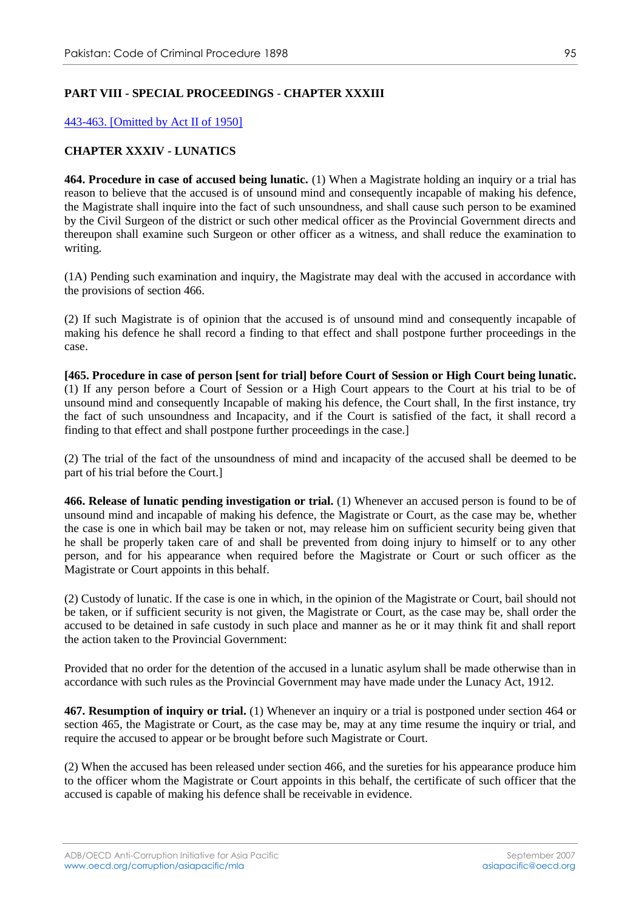## **PART VIII - SPECIAL PROCEEDINGS** - **CHAPTER XXXIII**

[443-463. \[Omitted by Act II of 1950\]](http://www.pakistanlawyer.com/Court%20Rules/Criminal%20Procedure%20Code/PART%20VIII%20-%20SPECIAL%20PROCEEDINGS%20-%20CHAPTER%20XXXIII%20-%20%5bSPECIAL%20PROVISIONS%20RELATING%20TO%20CASES%20IN%20WHICH%20EUROPEAN%20AND%20PAKISTAN%20BRITISH%20SUBJECTS%20ARE%20CONCERNED%5d.htm#443-463.)

### **CHAPTER XXXIV - LUNATICS**

**464. Procedure in case of accused being lunatic.** (1) When a Magistrate holding an inquiry or a trial has reason to believe that the accused is of unsound mind and consequently incapable of making his defence, the Magistrate shall inquire into the fact of such unsoundness, and shall cause such person to be examined by the Civil Surgeon of the district or such other medical officer as the Provincial Government directs and thereupon shall examine such Surgeon or other officer as a witness, and shall reduce the examination to writing.

(1A) Pending such examination and inquiry, the Magistrate may deal with the accused in accordance with the provisions of section 466.

(2) If such Magistrate is of opinion that the accused is of unsound mind and consequently incapable of making his defence he shall record a finding to that effect and shall postpone further proceedings in the case.

**[465. Procedure in case of person [sent for trial] before Court of Session or High Court being lunatic.** (1) If any person before a Court of Session or a High Court appears to the Court at his trial to be of unsound mind and consequently Incapable of making his defence, the Court shall, In the first instance, try the fact of such unsoundness and Incapacity, and if the Court is satisfied of the fact, it shall record a finding to that effect and shall postpone further proceedings in the case.]

(2) The trial of the fact of the unsoundness of mind and incapacity of the accused shall be deemed to be part of his trial before the Court.]

**466. Release of lunatic pending investigation or trial.** (1) Whenever an accused person is found to be of unsound mind and incapable of making his defence, the Magistrate or Court, as the case may be, whether the case is one in which bail may be taken or not, may release him on sufficient security being given that he shall be properly taken care of and shall be prevented from doing injury to himself or to any other person, and for his appearance when required before the Magistrate or Court or such officer as the Magistrate or Court appoints in this behalf.

(2) Custody of lunatic. If the case is one in which, in the opinion of the Magistrate or Court, bail should not be taken, or if sufficient security is not given, the Magistrate or Court, as the case may be, shall order the accused to be detained in safe custody in such place and manner as he or it may think fit and shall report the action taken to the Provincial Government:

Provided that no order for the detention of the accused in a lunatic asylum shall be made otherwise than in accordance with such rules as the Provincial Government may have made under the Lunacy Act, 1912.

**467. Resumption of inquiry or trial.** (1) Whenever an inquiry or a trial is postponed under section 464 or section 465, the Magistrate or Court, as the case may be, may at any time resume the inquiry or trial, and require the accused to appear or be brought before such Magistrate or Court.

(2) When the accused has been released under section 466, and the sureties for his appearance produce him to the officer whom the Magistrate or Court appoints in this behalf, the certificate of such officer that the accused is capable of making his defence shall be receivable in evidence.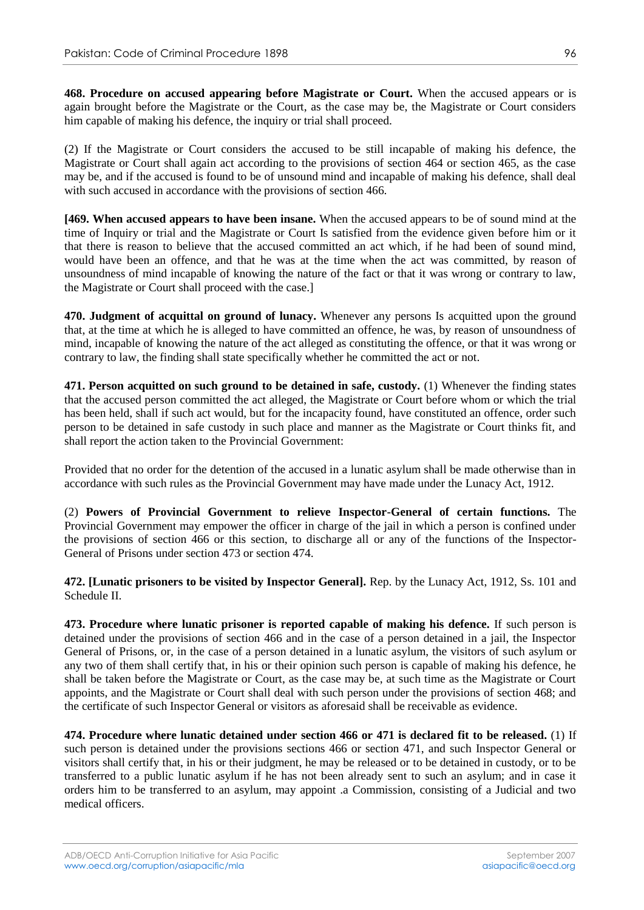**468. Procedure on accused appearing before Magistrate or Court.** When the accused appears or is again brought before the Magistrate or the Court, as the case may be, the Magistrate or Court considers him capable of making his defence, the inquiry or trial shall proceed.

(2) If the Magistrate or Court considers the accused to be still incapable of making his defence, the Magistrate or Court shall again act according to the provisions of section 464 or section 465, as the case may be, and if the accused is found to be of unsound mind and incapable of making his defence, shall deal with such accused in accordance with the provisions of section 466.

**[469. When accused appears to have been insane.** When the accused appears to be of sound mind at the time of Inquiry or trial and the Magistrate or Court Is satisfied from the evidence given before him or it that there is reason to believe that the accused committed an act which, if he had been of sound mind, would have been an offence, and that he was at the time when the act was committed, by reason of unsoundness of mind incapable of knowing the nature of the fact or that it was wrong or contrary to law, the Magistrate or Court shall proceed with the case.]

**470. Judgment of acquittal on ground of lunacy.** Whenever any persons Is acquitted upon the ground that, at the time at which he is alleged to have committed an offence, he was, by reason of unsoundness of mind, incapable of knowing the nature of the act alleged as constituting the offence, or that it was wrong or contrary to law, the finding shall state specifically whether he committed the act or not.

**471. Person acquitted on such ground to be detained in safe, custody.** (1) Whenever the finding states that the accused person committed the act alleged, the Magistrate or Court before whom or which the trial has been held, shall if such act would, but for the incapacity found, have constituted an offence, order such person to be detained in safe custody in such place and manner as the Magistrate or Court thinks fit, and shall report the action taken to the Provincial Government:

Provided that no order for the detention of the accused in a lunatic asylum shall be made otherwise than in accordance with such rules as the Provincial Government may have made under the Lunacy Act, 1912.

(2) **Powers of Provincial Government to relieve Inspector-General of certain functions.** The Provincial Government may empower the officer in charge of the jail in which a person is confined under the provisions of section 466 or this section, to discharge all or any of the functions of the Inspector-General of Prisons under section 473 or section 474.

**472. [Lunatic prisoners to be visited by Inspector General].** Rep. by the Lunacy Act, 1912, Ss. 101 and Schedule II.

**473. Procedure where lunatic prisoner is reported capable of making his defence.** If such person is detained under the provisions of section 466 and in the case of a person detained in a jail, the Inspector General of Prisons, or, in the case of a person detained in a lunatic asylum, the visitors of such asylum or any two of them shall certify that, in his or their opinion such person is capable of making his defence, he shall be taken before the Magistrate or Court, as the case may be, at such time as the Magistrate or Court appoints, and the Magistrate or Court shall deal with such person under the provisions of section 468; and the certificate of such Inspector General or visitors as aforesaid shall be receivable as evidence.

**474. Procedure where lunatic detained under section 466 or 471 is declared fit to be released.** (1) If such person is detained under the provisions sections 466 or section 471, and such Inspector General or visitors shall certify that, in his or their judgment, he may be released or to be detained in custody, or to be transferred to a public lunatic asylum if he has not been already sent to such an asylum; and in case it orders him to be transferred to an asylum, may appoint .a Commission, consisting of a Judicial and two medical officers.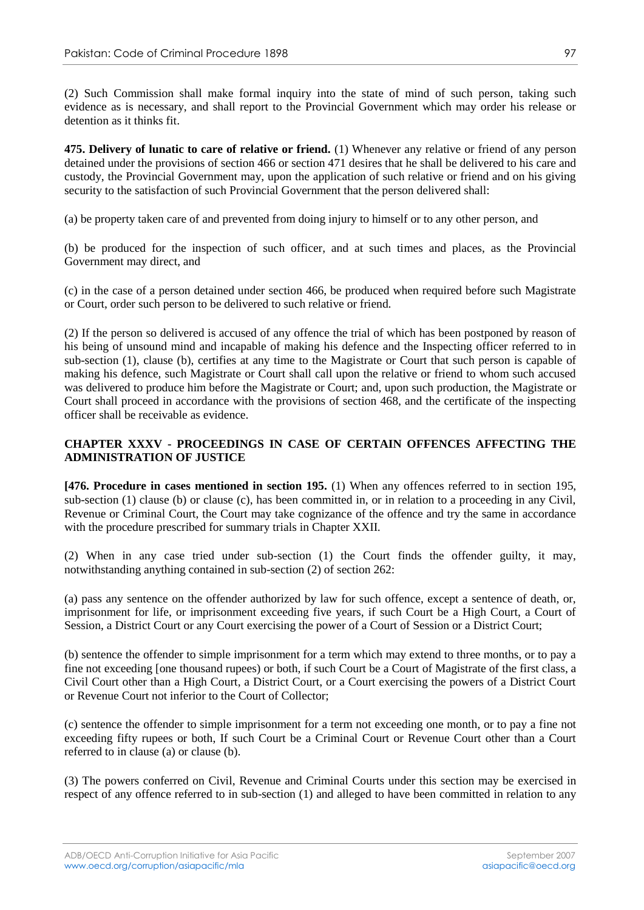(2) Such Commission shall make formal inquiry into the state of mind of such person, taking such evidence as is necessary, and shall report to the Provincial Government which may order his release or detention as it thinks fit.

**475. Delivery of lunatic to care of relative or friend.** (1) Whenever any relative or friend of any person detained under the provisions of section 466 or section 471 desires that he shall be delivered to his care and custody, the Provincial Government may, upon the application of such relative or friend and on his giving security to the satisfaction of such Provincial Government that the person delivered shall:

(a) be property taken care of and prevented from doing injury to himself or to any other person, and

(b) be produced for the inspection of such officer, and at such times and places, as the Provincial Government may direct, and

(c) in the case of a person detained under section 466, be produced when required before such Magistrate or Court, order such person to be delivered to such relative or friend.

(2) If the person so delivered is accused of any offence the trial of which has been postponed by reason of his being of unsound mind and incapable of making his defence and the Inspecting officer referred to in sub-section (1), clause (b), certifies at any time to the Magistrate or Court that such person is capable of making his defence, such Magistrate or Court shall call upon the relative or friend to whom such accused was delivered to produce him before the Magistrate or Court; and, upon such production, the Magistrate or Court shall proceed in accordance with the provisions of section 468, and the certificate of the inspecting officer shall be receivable as evidence.

# **CHAPTER XXXV - PROCEEDINGS IN CASE OF CERTAIN OFFENCES AFFECTING THE ADMINISTRATION OF JUSTICE**

**[476. Procedure in cases mentioned in section 195.** (1) When any offences referred to in section 195, sub-section (1) clause (b) or clause (c), has been committed in, or in relation to a proceeding in any Civil, Revenue or Criminal Court, the Court may take cognizance of the offence and try the same in accordance with the procedure prescribed for summary trials in Chapter XXII.

(2) When in any case tried under sub-section (1) the Court finds the offender guilty, it may, notwithstanding anything contained in sub-section (2) of section 262:

(a) pass any sentence on the offender authorized by law for such offence, except a sentence of death, or, imprisonment for life, or imprisonment exceeding five years, if such Court be a High Court, a Court of Session, a District Court or any Court exercising the power of a Court of Session or a District Court;

(b) sentence the offender to simple imprisonment for a term which may extend to three months, or to pay a fine not exceeding [one thousand rupees) or both, if such Court be a Court of Magistrate of the first class, a Civil Court other than a High Court, a District Court, or a Court exercising the powers of a District Court or Revenue Court not inferior to the Court of Collector;

(c) sentence the offender to simple imprisonment for a term not exceeding one month, or to pay a fine not exceeding fifty rupees or both, If such Court be a Criminal Court or Revenue Court other than a Court referred to in clause (a) or clause (b).

(3) The powers conferred on Civil, Revenue and Criminal Courts under this section may be exercised in respect of any offence referred to in sub-section (1) and alleged to have been committed in relation to any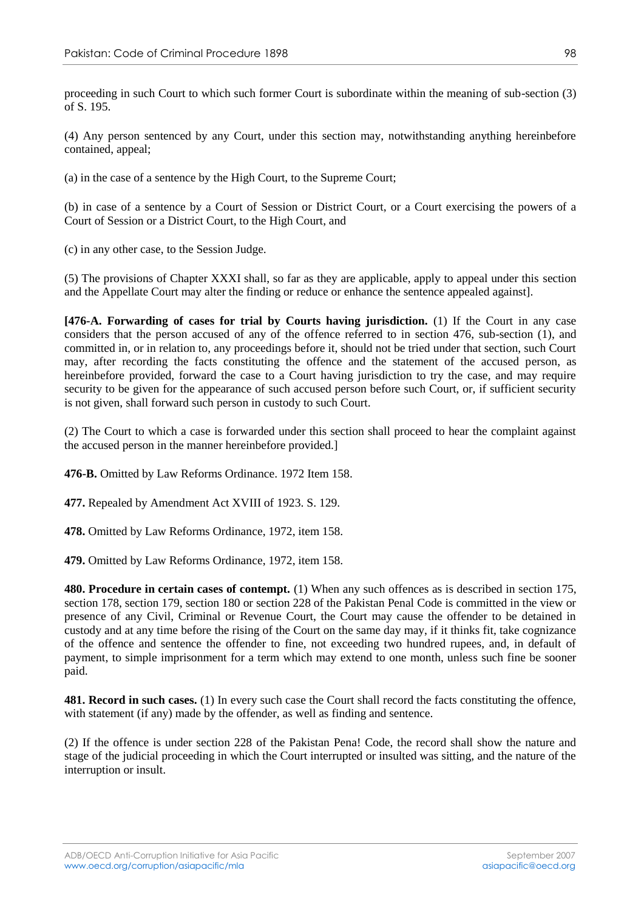proceeding in such Court to which such former Court is subordinate within the meaning of sub-section (3) of S. 195.

(4) Any person sentenced by any Court, under this section may, notwithstanding anything hereinbefore contained, appeal;

(a) in the case of a sentence by the High Court, to the Supreme Court;

(b) in case of a sentence by a Court of Session or District Court, or a Court exercising the powers of a Court of Session or a District Court, to the High Court, and

(c) in any other case, to the Session Judge.

(5) The provisions of Chapter XXXI shall, so far as they are applicable, apply to appeal under this section and the Appellate Court may alter the finding or reduce or enhance the sentence appealed against].

**[476-A. Forwarding of cases for trial by Courts having jurisdiction.** (1) If the Court in any case considers that the person accused of any of the offence referred to in section 476, sub-section (1), and committed in, or in relation to, any proceedings before it, should not be tried under that section, such Court may, after recording the facts constituting the offence and the statement of the accused person, as hereinbefore provided, forward the case to a Court having jurisdiction to try the case, and may require security to be given for the appearance of such accused person before such Court, or, if sufficient security is not given, shall forward such person in custody to such Court.

(2) The Court to which a case is forwarded under this section shall proceed to hear the complaint against the accused person in the manner hereinbefore provided.]

**476-B.** Omitted by Law Reforms Ordinance. 1972 Item 158.

**477.** Repealed by Amendment Act XVIII of 1923. S. 129.

**478.** Omitted by Law Reforms Ordinance, 1972, item 158.

**479.** Omitted by Law Reforms Ordinance, 1972, item 158.

**480. Procedure in certain cases of contempt.** (1) When any such offences as is described in section 175, section 178, section 179, section 180 or section 228 of the Pakistan Penal Code is committed in the view or presence of any Civil, Criminal or Revenue Court, the Court may cause the offender to be detained in custody and at any time before the rising of the Court on the same day may, if it thinks fit, take cognizance of the offence and sentence the offender to fine, not exceeding two hundred rupees, and, in default of payment, to simple imprisonment for a term which may extend to one month, unless such fine be sooner paid.

**481. Record in such cases.** (1) In every such case the Court shall record the facts constituting the offence, with statement (if any) made by the offender, as well as finding and sentence.

(2) If the offence is under section 228 of the Pakistan Pena! Code, the record shall show the nature and stage of the judicial proceeding in which the Court interrupted or insulted was sitting, and the nature of the interruption or insult.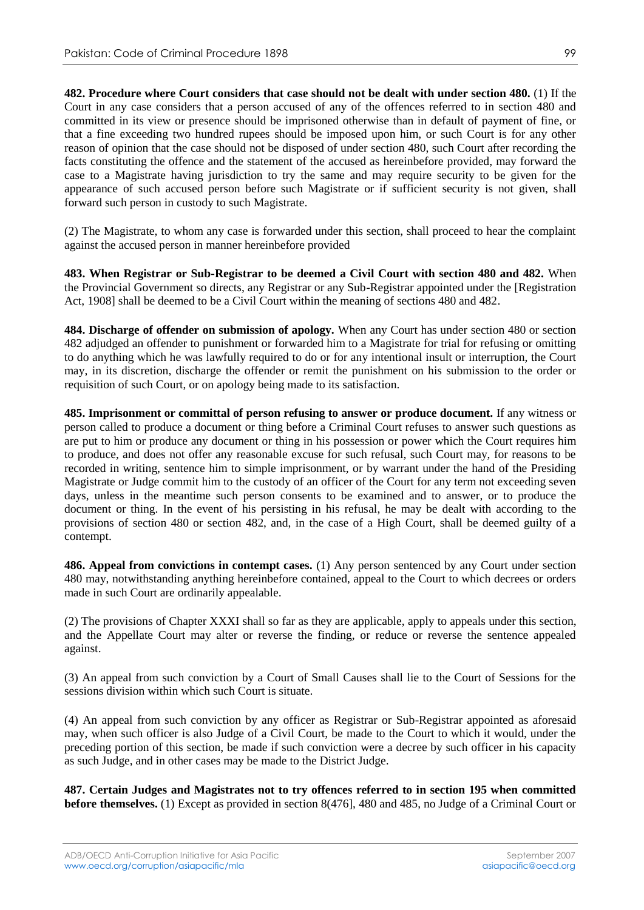**482. Procedure where Court considers that case should not be dealt with under section 480.** (1) If the Court in any case considers that a person accused of any of the offences referred to in section 480 and committed in its view or presence should be imprisoned otherwise than in default of payment of fine, or that a fine exceeding two hundred rupees should be imposed upon him, or such Court is for any other reason of opinion that the case should not be disposed of under section 480, such Court after recording the facts constituting the offence and the statement of the accused as hereinbefore provided, may forward the case to a Magistrate having jurisdiction to try the same and may require security to be given for the appearance of such accused person before such Magistrate or if sufficient security is not given, shall forward such person in custody to such Magistrate.

(2) The Magistrate, to whom any case is forwarded under this section, shall proceed to hear the complaint against the accused person in manner hereinbefore provided

**483. When Registrar or Sub-Registrar to be deemed a Civil Court with section 480 and 482.** When the Provincial Government so directs, any Registrar or any Sub-Registrar appointed under the [Registration Act, 1908] shall be deemed to be a Civil Court within the meaning of sections 480 and 482.

**484. Discharge of offender on submission of apology.** When any Court has under section 480 or section 482 adjudged an offender to punishment or forwarded him to a Magistrate for trial for refusing or omitting to do anything which he was lawfully required to do or for any intentional insult or interruption, the Court may, in its discretion, discharge the offender or remit the punishment on his submission to the order or requisition of such Court, or on apology being made to its satisfaction.

**485. Imprisonment or committal of person refusing to answer or produce document.** If any witness or person called to produce a document or thing before a Criminal Court refuses to answer such questions as are put to him or produce any document or thing in his possession or power which the Court requires him to produce, and does not offer any reasonable excuse for such refusal, such Court may, for reasons to be recorded in writing, sentence him to simple imprisonment, or by warrant under the hand of the Presiding Magistrate or Judge commit him to the custody of an officer of the Court for any term not exceeding seven days, unless in the meantime such person consents to be examined and to answer, or to produce the document or thing. In the event of his persisting in his refusal, he may be dealt with according to the provisions of section 480 or section 482, and, in the case of a High Court, shall be deemed guilty of a contempt.

**486. Appeal from convictions in contempt cases.** (1) Any person sentenced by any Court under section 480 may, notwithstanding anything hereinbefore contained, appeal to the Court to which decrees or orders made in such Court are ordinarily appealable.

(2) The provisions of Chapter XXXI shall so far as they are applicable, apply to appeals under this section, and the Appellate Court may alter or reverse the finding, or reduce or reverse the sentence appealed against.

(3) An appeal from such conviction by a Court of Small Causes shall lie to the Court of Sessions for the sessions division within which such Court is situate.

(4) An appeal from such conviction by any officer as Registrar or Sub-Registrar appointed as aforesaid may, when such officer is also Judge of a Civil Court, be made to the Court to which it would, under the preceding portion of this section, be made if such conviction were a decree by such officer in his capacity as such Judge, and in other cases may be made to the District Judge.

**487. Certain Judges and Magistrates not to try offences referred to in section 195 when committed before themselves.** (1) Except as provided in section 8(476], 480 and 485, no Judge of a Criminal Court or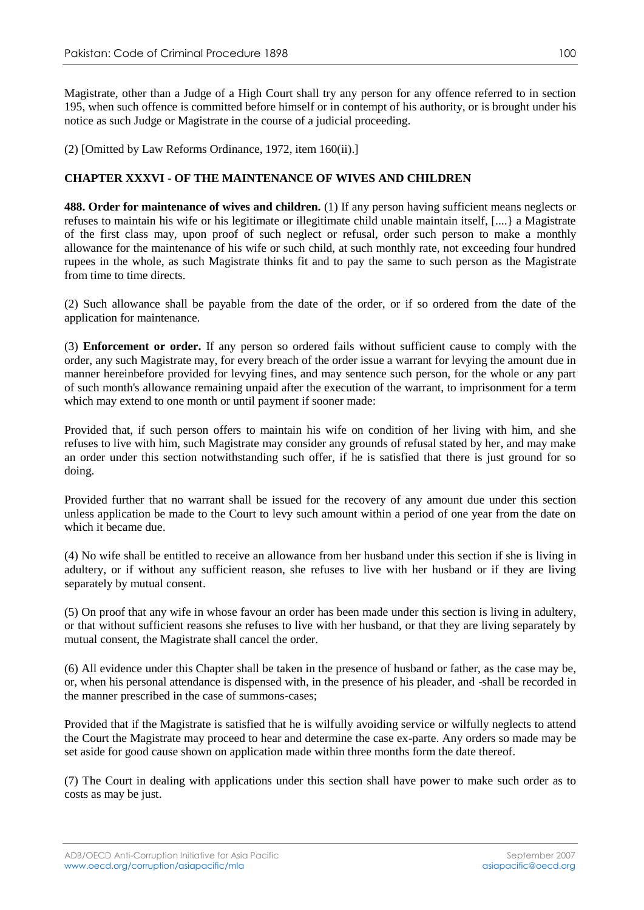Magistrate, other than a Judge of a High Court shall try any person for any offence referred to in section 195, when such offence is committed before himself or in contempt of his authority, or is brought under his notice as such Judge or Magistrate in the course of a judicial proceeding.

(2) [Omitted by Law Reforms Ordinance, 1972, item 160(ii).]

## **CHAPTER XXXVI - OF THE MAINTENANCE OF WIVES AND CHILDREN**

**488. Order for maintenance of wives and children.** (1) If any person having sufficient means neglects or refuses to maintain his wife or his legitimate or illegitimate child unable maintain itself, [....} a Magistrate of the first class may, upon proof of such neglect or refusal, order such person to make a monthly allowance for the maintenance of his wife or such child, at such monthly rate, not exceeding four hundred rupees in the whole, as such Magistrate thinks fit and to pay the same to such person as the Magistrate from time to time directs.

(2) Such allowance shall be payable from the date of the order, or if so ordered from the date of the application for maintenance.

(3) **Enforcement or order.** If any person so ordered fails without sufficient cause to comply with the order, any such Magistrate may, for every breach of the order issue a warrant for levying the amount due in manner hereinbefore provided for levying fines, and may sentence such person, for the whole or any part of such month's allowance remaining unpaid after the execution of the warrant, to imprisonment for a term which may extend to one month or until payment if sooner made:

Provided that, if such person offers to maintain his wife on condition of her living with him, and she refuses to live with him, such Magistrate may consider any grounds of refusal stated by her, and may make an order under this section notwithstanding such offer, if he is satisfied that there is just ground for so doing.

Provided further that no warrant shall be issued for the recovery of any amount due under this section unless application be made to the Court to levy such amount within a period of one year from the date on which it became due.

(4) No wife shall be entitled to receive an allowance from her husband under this section if she is living in adultery, or if without any sufficient reason, she refuses to live with her husband or if they are living separately by mutual consent.

(5) On proof that any wife in whose favour an order has been made under this section is living in adultery, or that without sufficient reasons she refuses to live with her husband, or that they are living separately by mutual consent, the Magistrate shall cancel the order.

(6) All evidence under this Chapter shall be taken in the presence of husband or father, as the case may be, or, when his personal attendance is dispensed with, in the presence of his pleader, and -shall be recorded in the manner prescribed in the case of summons-cases;

Provided that if the Magistrate is satisfied that he is wilfully avoiding service or wilfully neglects to attend the Court the Magistrate may proceed to hear and determine the case ex-parte. Any orders so made may be set aside for good cause shown on application made within three months form the date thereof.

(7) The Court in dealing with applications under this section shall have power to make such order as to costs as may be just.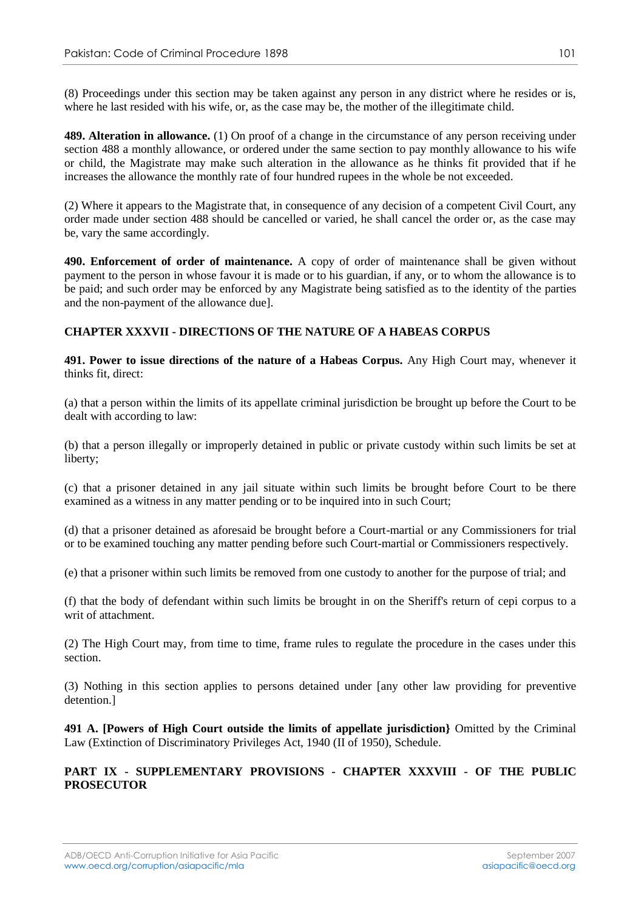(8) Proceedings under this section may be taken against any person in any district where he resides or is, where he last resided with his wife, or, as the case may be, the mother of the illegitimate child.

**489. Alteration in allowance.** (1) On proof of a change in the circumstance of any person receiving under section 488 a monthly allowance, or ordered under the same section to pay monthly allowance to his wife or child, the Magistrate may make such alteration in the allowance as he thinks fit provided that if he increases the allowance the monthly rate of four hundred rupees in the whole be not exceeded.

(2) Where it appears to the Magistrate that, in consequence of any decision of a competent Civil Court, any order made under section 488 should be cancelled or varied, he shall cancel the order or, as the case may be, vary the same accordingly.

**490. Enforcement of order of maintenance.** A copy of order of maintenance shall be given without payment to the person in whose favour it is made or to his guardian, if any, or to whom the allowance is to be paid; and such order may be enforced by any Magistrate being satisfied as to the identity of the parties and the non-payment of the allowance due].

## **CHAPTER XXXVII - DIRECTIONS OF THE NATURE OF A HABEAS CORPUS**

**491. Power to issue directions of the nature of a Habeas Corpus.** Any High Court may, whenever it thinks fit, direct:

(a) that a person within the limits of its appellate criminal jurisdiction be brought up before the Court to be dealt with according to law:

(b) that a person illegally or improperly detained in public or private custody within such limits be set at liberty;

(c) that a prisoner detained in any jail situate within such limits be brought before Court to be there examined as a witness in any matter pending or to be inquired into in such Court;

(d) that a prisoner detained as aforesaid be brought before a Court-martial or any Commissioners for trial or to be examined touching any matter pending before such Court-martial or Commissioners respectively.

(e) that a prisoner within such limits be removed from one custody to another for the purpose of trial; and

(f) that the body of defendant within such limits be brought in on the Sheriff's return of cepi corpus to a writ of attachment.

(2) The High Court may, from time to time, frame rules to regulate the procedure in the cases under this section.

(3) Nothing in this section applies to persons detained under [any other law providing for preventive detention.]

**491 A. [Powers of High Court outside the limits of appellate jurisdiction}** Omitted by the Criminal Law (Extinction of Discriminatory Privileges Act, 1940 (II of 1950), Schedule.

**PART IX - SUPPLEMENTARY PROVISIONS - CHAPTER XXXVIII - OF THE PUBLIC PROSECUTOR**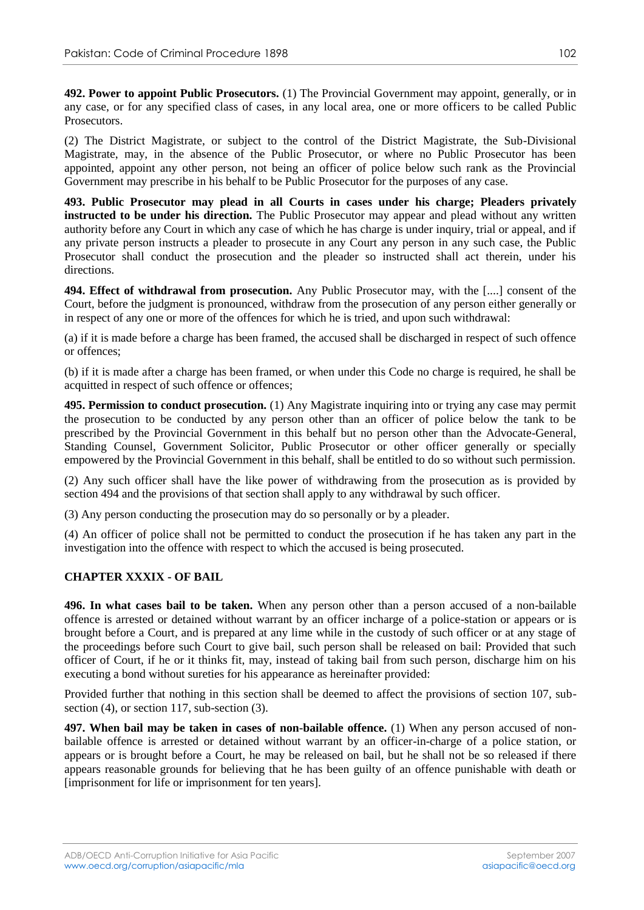**492. Power to appoint Public Prosecutors.** (1) The Provincial Government may appoint, generally, or in any case, or for any specified class of cases, in any local area, one or more officers to be called Public Prosecutors.

(2) The District Magistrate, or subject to the control of the District Magistrate, the Sub-Divisional Magistrate, may, in the absence of the Public Prosecutor, or where no Public Prosecutor has been appointed, appoint any other person, not being an officer of police below such rank as the Provincial Government may prescribe in his behalf to be Public Prosecutor for the purposes of any case.

**493. Public Prosecutor may plead in all Courts in cases under his charge; Pleaders privately instructed to be under his direction.** The Public Prosecutor may appear and plead without any written authority before any Court in which any case of which he has charge is under inquiry, trial or appeal, and if any private person instructs a pleader to prosecute in any Court any person in any such case, the Public Prosecutor shall conduct the prosecution and the pleader so instructed shall act therein, under his directions.

**494. Effect of withdrawal from prosecution.** Any Public Prosecutor may, with the [....] consent of the Court, before the judgment is pronounced, withdraw from the prosecution of any person either generally or in respect of any one or more of the offences for which he is tried, and upon such withdrawal:

(a) if it is made before a charge has been framed, the accused shall be discharged in respect of such offence or offences;

(b) if it is made after a charge has been framed, or when under this Code no charge is required, he shall be acquitted in respect of such offence or offences;

**495. Permission to conduct prosecution.** (1) Any Magistrate inquiring into or trying any case may permit the prosecution to be conducted by any person other than an officer of police below the tank to be prescribed by the Provincial Government in this behalf but no person other than the Advocate-General, Standing Counsel, Government Solicitor, Public Prosecutor or other officer generally or specially empowered by the Provincial Government in this behalf, shall be entitled to do so without such permission.

(2) Any such officer shall have the like power of withdrawing from the prosecution as is provided by section 494 and the provisions of that section shall apply to any withdrawal by such officer.

(3) Any person conducting the prosecution may do so personally or by a pleader.

(4) An officer of police shall not be permitted to conduct the prosecution if he has taken any part in the investigation into the offence with respect to which the accused is being prosecuted.

### **CHAPTER XXXIX - OF BAIL**

**496. In what cases bail to be taken.** When any person other than a person accused of a non-bailable offence is arrested or detained without warrant by an officer incharge of a police-station or appears or is brought before a Court, and is prepared at any lime while in the custody of such officer or at any stage of the proceedings before such Court to give bail, such person shall be released on bail: Provided that such officer of Court, if he or it thinks fit, may, instead of taking bail from such person, discharge him on his executing a bond without sureties for his appearance as hereinafter provided:

Provided further that nothing in this section shall be deemed to affect the provisions of section 107, subsection (4), or section 117, sub-section (3).

**497. When bail may be taken in cases of non-bailable offence.** (1) When any person accused of nonbailable offence is arrested or detained without warrant by an officer-in-charge of a police station, or appears or is brought before a Court, he may be released on bail, but he shall not be so released if there appears reasonable grounds for believing that he has been guilty of an offence punishable with death or [imprisonment for life or imprisonment for ten years].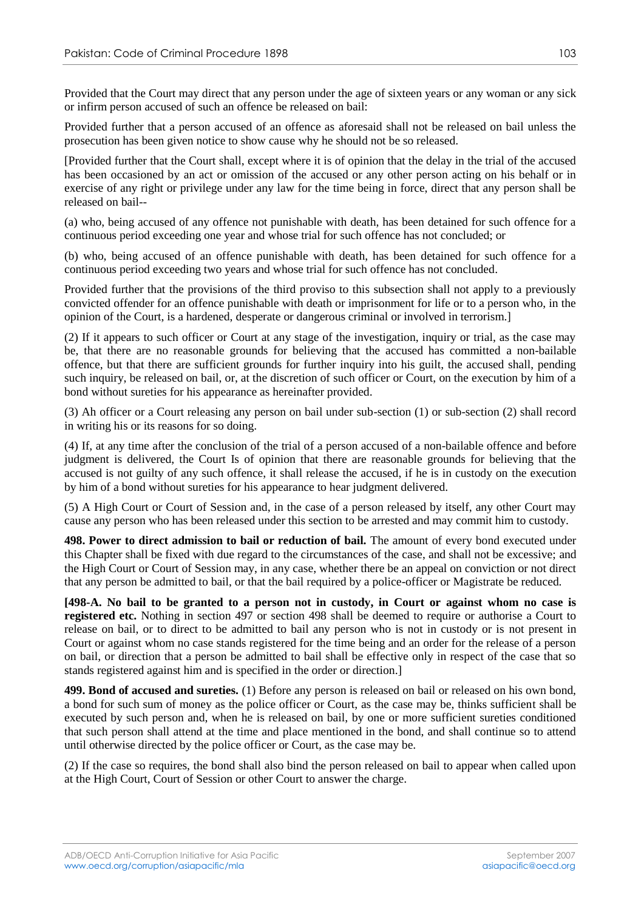Provided that the Court may direct that any person under the age of sixteen years or any woman or any sick or infirm person accused of such an offence be released on bail:

Provided further that a person accused of an offence as aforesaid shall not be released on bail unless the prosecution has been given notice to show cause why he should not be so released.

[Provided further that the Court shall, except where it is of opinion that the delay in the trial of the accused has been occasioned by an act or omission of the accused or any other person acting on his behalf or in exercise of any right or privilege under any law for the time being in force, direct that any person shall be released on bail--

(a) who, being accused of any offence not punishable with death, has been detained for such offence for a continuous period exceeding one year and whose trial for such offence has not concluded; or

(b) who, being accused of an offence punishable with death, has been detained for such offence for a continuous period exceeding two years and whose trial for such offence has not concluded.

Provided further that the provisions of the third proviso to this subsection shall not apply to a previously convicted offender for an offence punishable with death or imprisonment for life or to a person who, in the opinion of the Court, is a hardened, desperate or dangerous criminal or involved in terrorism.]

(2) If it appears to such officer or Court at any stage of the investigation, inquiry or trial, as the case may be, that there are no reasonable grounds for believing that the accused has committed a non-bailable offence, but that there are sufficient grounds for further inquiry into his guilt, the accused shall, pending such inquiry, be released on bail, or, at the discretion of such officer or Court, on the execution by him of a bond without sureties for his appearance as hereinafter provided.

(3) Ah officer or a Court releasing any person on bail under sub-section (1) or sub-section (2) shall record in writing his or its reasons for so doing.

(4) If, at any time after the conclusion of the trial of a person accused of a non-bailable offence and before judgment is delivered, the Court Is of opinion that there are reasonable grounds for believing that the accused is not guilty of any such offence, it shall release the accused, if he is in custody on the execution by him of a bond without sureties for his appearance to hear judgment delivered.

(5) A High Court or Court of Session and, in the case of a person released by itself, any other Court may cause any person who has been released under this section to be arrested and may commit him to custody.

**498. Power to direct admission to bail or reduction of bail.** The amount of every bond executed under this Chapter shall be fixed with due regard to the circumstances of the case, and shall not be excessive; and the High Court or Court of Session may, in any case, whether there be an appeal on conviction or not direct that any person be admitted to bail, or that the bail required by a police-officer or Magistrate be reduced.

**[498-A. No bail to be granted to a person not in custody, in Court or against whom no case is registered etc.** Nothing in section 497 or section 498 shall be deemed to require or authorise a Court to release on bail, or to direct to be admitted to bail any person who is not in custody or is not present in Court or against whom no case stands registered for the time being and an order for the release of a person on bail, or direction that a person be admitted to bail shall be effective only in respect of the case that so stands registered against him and is specified in the order or direction.]

**499. Bond of accused and sureties.** (1) Before any person is released on bail or released on his own bond, a bond for such sum of money as the police officer or Court, as the case may be, thinks sufficient shall be executed by such person and, when he is released on bail, by one or more sufficient sureties conditioned that such person shall attend at the time and place mentioned in the bond, and shall continue so to attend until otherwise directed by the police officer or Court, as the case may be.

(2) If the case so requires, the bond shall also bind the person released on bail to appear when called upon at the High Court, Court of Session or other Court to answer the charge.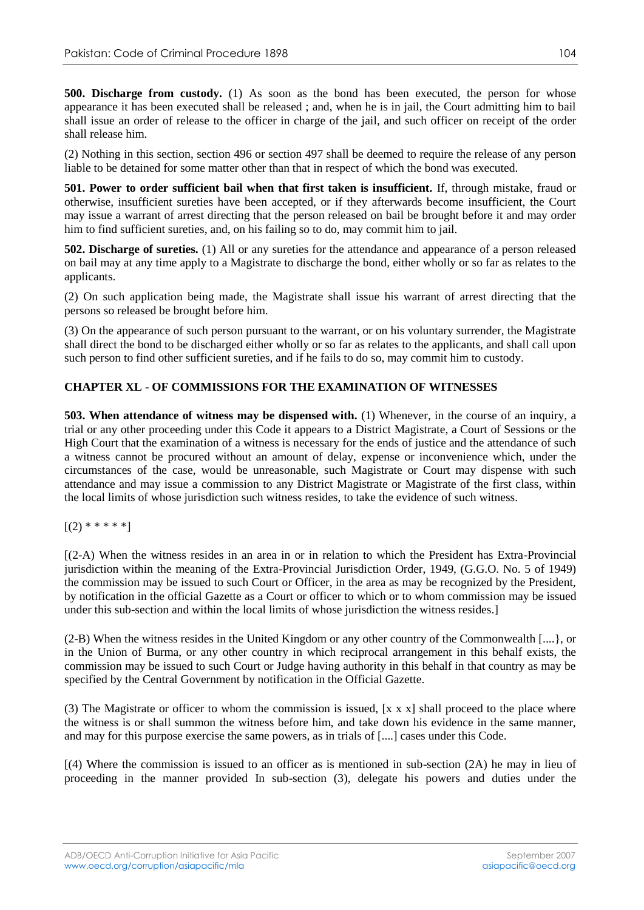**500. Discharge from custody.** (1) As soon as the bond has been executed, the person for whose appearance it has been executed shall be released ; and, when he is in jail, the Court admitting him to bail shall issue an order of release to the officer in charge of the jail, and such officer on receipt of the order shall release him.

(2) Nothing in this section, section 496 or section 497 shall be deemed to require the release of any person liable to be detained for some matter other than that in respect of which the bond was executed.

**501. Power to order sufficient bail when that first taken is insufficient.** If, through mistake, fraud or otherwise, insufficient sureties have been accepted, or if they afterwards become insufficient, the Court may issue a warrant of arrest directing that the person released on bail be brought before it and may order him to find sufficient sureties, and, on his failing so to do, may commit him to jail.

**502. Discharge of sureties.** (1) All or any sureties for the attendance and appearance of a person released on bail may at any time apply to a Magistrate to discharge the bond, either wholly or so far as relates to the applicants.

(2) On such application being made, the Magistrate shall issue his warrant of arrest directing that the persons so released be brought before him.

(3) On the appearance of such person pursuant to the warrant, or on his voluntary surrender, the Magistrate shall direct the bond to be discharged either wholly or so far as relates to the applicants, and shall call upon such person to find other sufficient sureties, and if he fails to do so, may commit him to custody.

## **CHAPTER XL - OF COMMISSIONS FOR THE EXAMINATION OF WITNESSES**

**503. When attendance of witness may be dispensed with.** (1) Whenever, in the course of an inquiry, a trial or any other proceeding under this Code it appears to a District Magistrate, a Court of Sessions or the High Court that the examination of a witness is necessary for the ends of justice and the attendance of such a witness cannot be procured without an amount of delay, expense or inconvenience which, under the circumstances of the case, would be unreasonable, such Magistrate or Court may dispense with such attendance and may issue a commission to any District Magistrate or Magistrate of the first class, within the local limits of whose jurisdiction such witness resides, to take the evidence of such witness.

 $[(2) * * * * * *]$ 

[(2-A) When the witness resides in an area in or in relation to which the President has Extra-Provincial jurisdiction within the meaning of the Extra-Provincial Jurisdiction Order, 1949, (G.G.O. No. 5 of 1949) the commission may be issued to such Court or Officer, in the area as may be recognized by the President, by notification in the official Gazette as a Court or officer to which or to whom commission may be issued under this sub-section and within the local limits of whose jurisdiction the witness resides.]

(2-B) When the witness resides in the United Kingdom or any other country of the Commonwealth [....}, or in the Union of Burma, or any other country in which reciprocal arrangement in this behalf exists, the commission may be issued to such Court or Judge having authority in this behalf in that country as may be specified by the Central Government by notification in the Official Gazette.

(3) The Magistrate or officer to whom the commission is issued, [x x x] shall proceed to the place where the witness is or shall summon the witness before him, and take down his evidence in the same manner, and may for this purpose exercise the same powers, as in trials of [....] cases under this Code.

[(4) Where the commission is issued to an officer as is mentioned in sub-section (2A) he may in lieu of proceeding in the manner provided In sub-section (3), delegate his powers and duties under the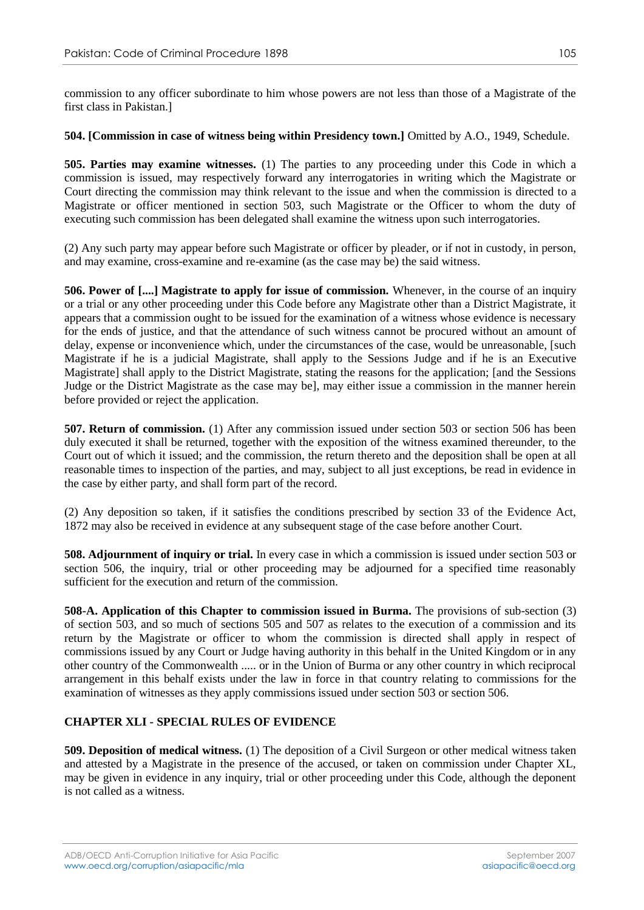commission to any officer subordinate to him whose powers are not less than those of a Magistrate of the first class in Pakistan.]

**504. [Commission in case of witness being within Presidency town.]** Omitted by A.O., 1949, Schedule.

**505. Parties may examine witnesses.** (1) The parties to any proceeding under this Code in which a commission is issued, may respectively forward any interrogatories in writing which the Magistrate or Court directing the commission may think relevant to the issue and when the commission is directed to a Magistrate or officer mentioned in section 503, such Magistrate or the Officer to whom the duty of executing such commission has been delegated shall examine the witness upon such interrogatories.

(2) Any such party may appear before such Magistrate or officer by pleader, or if not in custody, in person, and may examine, cross-examine and re-examine (as the case may be) the said witness.

**506. Power of [....] Magistrate to apply for issue of commission.** Whenever, in the course of an inquiry or a trial or any other proceeding under this Code before any Magistrate other than a District Magistrate, it appears that a commission ought to be issued for the examination of a witness whose evidence is necessary for the ends of justice, and that the attendance of such witness cannot be procured without an amount of delay, expense or inconvenience which, under the circumstances of the case, would be unreasonable, [such Magistrate if he is a judicial Magistrate, shall apply to the Sessions Judge and if he is an Executive Magistrate] shall apply to the District Magistrate, stating the reasons for the application; [and the Sessions Judge or the District Magistrate as the case may be], may either issue a commission in the manner herein before provided or reject the application.

**507. Return of commission.** (1) After any commission issued under section 503 or section 506 has been duly executed it shall be returned, together with the exposition of the witness examined thereunder, to the Court out of which it issued; and the commission, the return thereto and the deposition shall be open at all reasonable times to inspection of the parties, and may, subject to all just exceptions, be read in evidence in the case by either party, and shall form part of the record.

(2) Any deposition so taken, if it satisfies the conditions prescribed by section 33 of the Evidence Act, 1872 may also be received in evidence at any subsequent stage of the case before another Court.

**508. Adjournment of inquiry or trial.** In every case in which a commission is issued under section 503 or section 506, the inquiry, trial or other proceeding may be adjourned for a specified time reasonably sufficient for the execution and return of the commission.

**508-A. Application of this Chapter to commission issued in Burma.** The provisions of sub-section (3) of section 503, and so much of sections 505 and 507 as relates to the execution of a commission and its return by the Magistrate or officer to whom the commission is directed shall apply in respect of commissions issued by any Court or Judge having authority in this behalf in the United Kingdom or in any other country of the Commonwealth ..... or in the Union of Burma or any other country in which reciprocal arrangement in this behalf exists under the law in force in that country relating to commissions for the examination of witnesses as they apply commissions issued under section 503 or section 506.

# **CHAPTER XLI - SPECIAL RULES OF EVIDENCE**

**509. Deposition of medical witness.** (1) The deposition of a Civil Surgeon or other medical witness taken and attested by a Magistrate in the presence of the accused, or taken on commission under Chapter XL, may be given in evidence in any inquiry, trial or other proceeding under this Code, although the deponent is not called as a witness.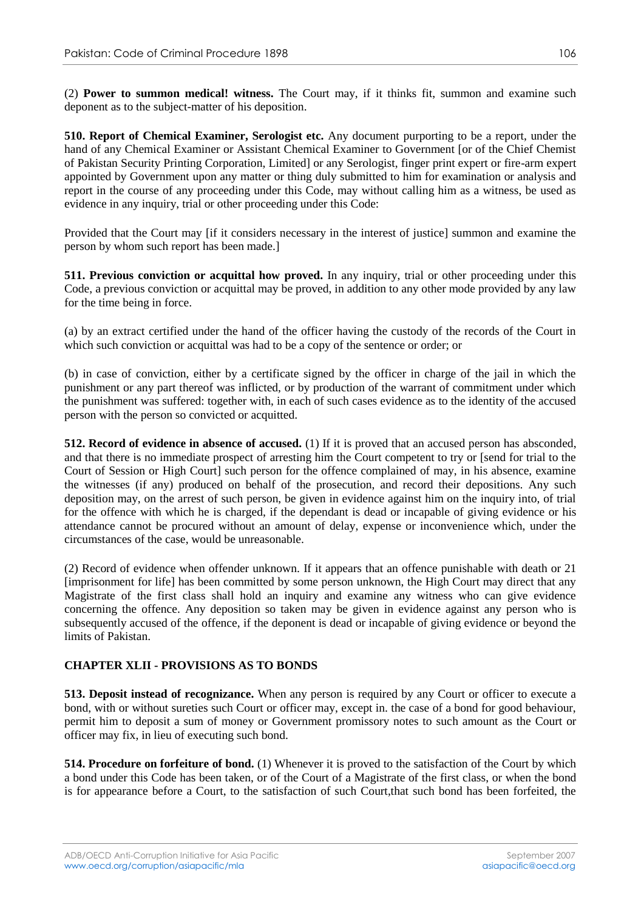(2) **Power to summon medical! witness.** The Court may, if it thinks fit, summon and examine such deponent as to the subject-matter of his deposition.

**510. Report of Chemical Examiner, Serologist etc.** Any document purporting to be a report, under the hand of any Chemical Examiner or Assistant Chemical Examiner to Government [or of the Chief Chemist of Pakistan Security Printing Corporation, Limited] or any Serologist, finger print expert or fire-arm expert appointed by Government upon any matter or thing duly submitted to him for examination or analysis and report in the course of any proceeding under this Code, may without calling him as a witness, be used as evidence in any inquiry, trial or other proceeding under this Code:

Provided that the Court may [if it considers necessary in the interest of justice] summon and examine the person by whom such report has been made.]

**511. Previous conviction or acquittal how proved.** In any inquiry, trial or other proceeding under this Code, a previous conviction or acquittal may be proved, in addition to any other mode provided by any law for the time being in force.

(a) by an extract certified under the hand of the officer having the custody of the records of the Court in which such conviction or acquittal was had to be a copy of the sentence or order; or

(b) in case of conviction, either by a certificate signed by the officer in charge of the jail in which the punishment or any part thereof was inflicted, or by production of the warrant of commitment under which the punishment was suffered: together with, in each of such cases evidence as to the identity of the accused person with the person so convicted or acquitted.

**512. Record of evidence in absence of accused.** (1) If it is proved that an accused person has absconded, and that there is no immediate prospect of arresting him the Court competent to try or [send for trial to the Court of Session or High Court] such person for the offence complained of may, in his absence, examine the witnesses (if any) produced on behalf of the prosecution, and record their depositions. Any such deposition may, on the arrest of such person, be given in evidence against him on the inquiry into, of trial for the offence with which he is charged, if the dependant is dead or incapable of giving evidence or his attendance cannot be procured without an amount of delay, expense or inconvenience which, under the circumstances of the case, would be unreasonable.

(2) Record of evidence when offender unknown. If it appears that an offence punishable with death or 21 [imprisonment for life] has been committed by some person unknown, the High Court may direct that any Magistrate of the first class shall hold an inquiry and examine any witness who can give evidence concerning the offence. Any deposition so taken may be given in evidence against any person who is subsequently accused of the offence, if the deponent is dead or incapable of giving evidence or beyond the limits of Pakistan.

### **CHAPTER XLII - PROVISIONS AS TO BONDS**

**513. Deposit instead of recognizance.** When any person is required by any Court or officer to execute a bond, with or without sureties such Court or officer may, except in. the case of a bond for good behaviour, permit him to deposit a sum of money or Government promissory notes to such amount as the Court or officer may fix, in lieu of executing such bond.

**514. Procedure on forfeiture of bond.** (1) Whenever it is proved to the satisfaction of the Court by which a bond under this Code has been taken, or of the Court of a Magistrate of the first class, or when the bond is for appearance before a Court, to the satisfaction of such Court,that such bond has been forfeited, the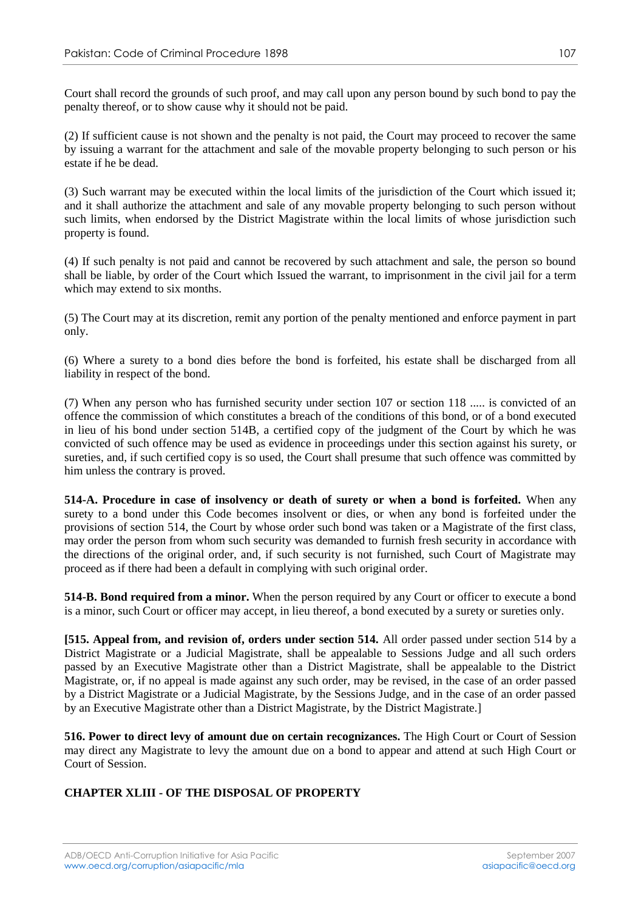Court shall record the grounds of such proof, and may call upon any person bound by such bond to pay the penalty thereof, or to show cause why it should not be paid.

(2) If sufficient cause is not shown and the penalty is not paid, the Court may proceed to recover the same by issuing a warrant for the attachment and sale of the movable property belonging to such person or his estate if he be dead.

(3) Such warrant may be executed within the local limits of the jurisdiction of the Court which issued it; and it shall authorize the attachment and sale of any movable property belonging to such person without such limits, when endorsed by the District Magistrate within the local limits of whose jurisdiction such property is found.

(4) If such penalty is not paid and cannot be recovered by such attachment and sale, the person so bound shall be liable, by order of the Court which Issued the warrant, to imprisonment in the civil jail for a term which may extend to six months.

(5) The Court may at its discretion, remit any portion of the penalty mentioned and enforce payment in part only.

(6) Where a surety to a bond dies before the bond is forfeited, his estate shall be discharged from all liability in respect of the bond.

(7) When any person who has furnished security under section 107 or section 118 ..... is convicted of an offence the commission of which constitutes a breach of the conditions of this bond, or of a bond executed in lieu of his bond under section 514B, a certified copy of the judgment of the Court by which he was convicted of such offence may be used as evidence in proceedings under this section against his surety, or sureties, and, if such certified copy is so used, the Court shall presume that such offence was committed by him unless the contrary is proved.

**514-A. Procedure in case of insolvency or death of surety or when a bond is forfeited.** When any surety to a bond under this Code becomes insolvent or dies, or when any bond is forfeited under the provisions of section 514, the Court by whose order such bond was taken or a Magistrate of the first class, may order the person from whom such security was demanded to furnish fresh security in accordance with the directions of the original order, and, if such security is not furnished, such Court of Magistrate may proceed as if there had been a default in complying with such original order.

**514-B. Bond required from a minor.** When the person required by any Court or officer to execute a bond is a minor, such Court or officer may accept, in lieu thereof, a bond executed by a surety or sureties only.

**[515. Appeal from, and revision of, orders under section 514.** All order passed under section 514 by a District Magistrate or a Judicial Magistrate, shall be appealable to Sessions Judge and all such orders passed by an Executive Magistrate other than a District Magistrate, shall be appealable to the District Magistrate, or, if no appeal is made against any such order, may be revised, in the case of an order passed by a District Magistrate or a Judicial Magistrate, by the Sessions Judge, and in the case of an order passed by an Executive Magistrate other than a District Magistrate, by the District Magistrate.]

**516. Power to direct levy of amount due on certain recognizances.** The High Court or Court of Session may direct any Magistrate to levy the amount due on a bond to appear and attend at such High Court or Court of Session.

## **CHAPTER XLIII - OF THE DISPOSAL OF PROPERTY**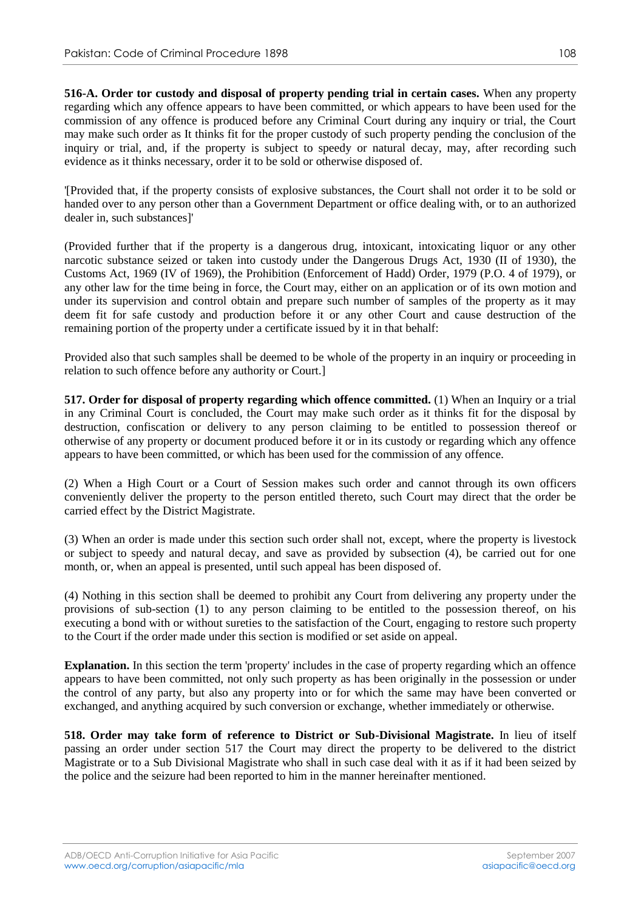**516-A. Order tor custody and disposal of property pending trial in certain cases.** When any property regarding which any offence appears to have been committed, or which appears to have been used for the commission of any offence is produced before any Criminal Court during any inquiry or trial, the Court may make such order as It thinks fit for the proper custody of such property pending the conclusion of the inquiry or trial, and, if the property is subject to speedy or natural decay, may, after recording such evidence as it thinks necessary, order it to be sold or otherwise disposed of.

'[Provided that, if the property consists of explosive substances, the Court shall not order it to be sold or handed over to any person other than a Government Department or office dealing with, or to an authorized dealer in, such substances]'

(Provided further that if the property is a dangerous drug, intoxicant, intoxicating liquor or any other narcotic substance seized or taken into custody under the Dangerous Drugs Act, 1930 (II of 1930), the Customs Act, 1969 (IV of 1969), the Prohibition (Enforcement of Hadd) Order, 1979 (P.O. 4 of 1979), or any other law for the time being in force, the Court may, either on an application or of its own motion and under its supervision and control obtain and prepare such number of samples of the property as it may deem fit for safe custody and production before it or any other Court and cause destruction of the remaining portion of the property under a certificate issued by it in that behalf:

Provided also that such samples shall be deemed to be whole of the property in an inquiry or proceeding in relation to such offence before any authority or Court.]

**517. Order for disposal of property regarding which offence committed.** (1) When an Inquiry or a trial in any Criminal Court is concluded, the Court may make such order as it thinks fit for the disposal by destruction, confiscation or delivery to any person claiming to be entitled to possession thereof or otherwise of any property or document produced before it or in its custody or regarding which any offence appears to have been committed, or which has been used for the commission of any offence.

(2) When a High Court or a Court of Session makes such order and cannot through its own officers conveniently deliver the property to the person entitled thereto, such Court may direct that the order be carried effect by the District Magistrate.

(3) When an order is made under this section such order shall not, except, where the property is livestock or subject to speedy and natural decay, and save as provided by subsection (4), be carried out for one month, or, when an appeal is presented, until such appeal has been disposed of.

(4) Nothing in this section shall be deemed to prohibit any Court from delivering any property under the provisions of sub-section (1) to any person claiming to be entitled to the possession thereof, on his executing a bond with or without sureties to the satisfaction of the Court, engaging to restore such property to the Court if the order made under this section is modified or set aside on appeal.

**Explanation.** In this section the term 'property' includes in the case of property regarding which an offence appears to have been committed, not only such property as has been originally in the possession or under the control of any party, but also any property into or for which the same may have been converted or exchanged, and anything acquired by such conversion or exchange, whether immediately or otherwise.

**518. Order may take form of reference to District or Sub-Divisional Magistrate.** In lieu of itself passing an order under section 517 the Court may direct the property to be delivered to the district Magistrate or to a Sub Divisional Magistrate who shall in such case deal with it as if it had been seized by the police and the seizure had been reported to him in the manner hereinafter mentioned.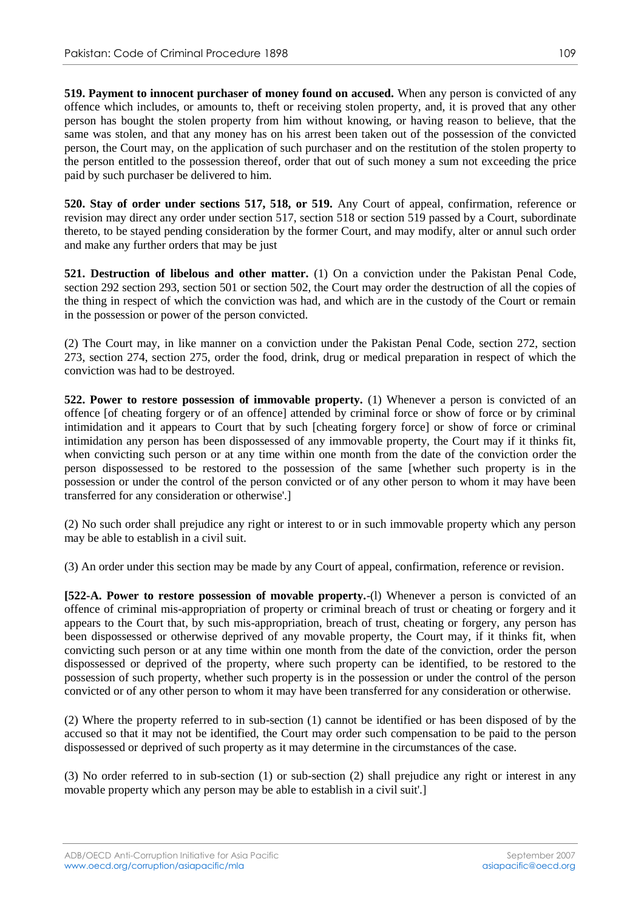**519. Payment to innocent purchaser of money found on accused.** When any person is convicted of any offence which includes, or amounts to, theft or receiving stolen property, and, it is proved that any other person has bought the stolen property from him without knowing, or having reason to believe, that the same was stolen, and that any money has on his arrest been taken out of the possession of the convicted person, the Court may, on the application of such purchaser and on the restitution of the stolen property to the person entitled to the possession thereof, order that out of such money a sum not exceeding the price paid by such purchaser be delivered to him.

**520. Stay of order under sections 517, 518, or 519.** Any Court of appeal, confirmation, reference or revision may direct any order under section 517, section 518 or section 519 passed by a Court, subordinate thereto, to be stayed pending consideration by the former Court, and may modify, alter or annul such order and make any further orders that may be just

**521. Destruction of libelous and other matter.** (1) On a conviction under the Pakistan Penal Code, section 292 section 293, section 501 or section 502, the Court may order the destruction of all the copies of the thing in respect of which the conviction was had, and which are in the custody of the Court or remain in the possession or power of the person convicted.

(2) The Court may, in like manner on a conviction under the Pakistan Penal Code, section 272, section 273, section 274, section 275, order the food, drink, drug or medical preparation in respect of which the conviction was had to be destroyed.

**522. Power to restore possession of immovable property.** (1) Whenever a person is convicted of an offence [of cheating forgery or of an offence] attended by criminal force or show of force or by criminal intimidation and it appears to Court that by such [cheating forgery force] or show of force or criminal intimidation any person has been dispossessed of any immovable property, the Court may if it thinks fit, when convicting such person or at any time within one month from the date of the conviction order the person dispossessed to be restored to the possession of the same [whether such property is in the possession or under the control of the person convicted or of any other person to whom it may have been transferred for any consideration or otherwise'.]

(2) No such order shall prejudice any right or interest to or in such immovable property which any person may be able to establish in a civil suit.

(3) An order under this section may be made by any Court of appeal, confirmation, reference or revision.

**[522-A. Power to restore possession of movable property.**-(l) Whenever a person is convicted of an offence of criminal mis-appropriation of property or criminal breach of trust or cheating or forgery and it appears to the Court that, by such mis-appropriation, breach of trust, cheating or forgery, any person has been dispossessed or otherwise deprived of any movable property, the Court may, if it thinks fit, when convicting such person or at any time within one month from the date of the conviction, order the person dispossessed or deprived of the property, where such property can be identified, to be restored to the possession of such property, whether such property is in the possession or under the control of the person convicted or of any other person to whom it may have been transferred for any consideration or otherwise.

(2) Where the property referred to in sub-section (1) cannot be identified or has been disposed of by the accused so that it may not be identified, the Court may order such compensation to be paid to the person dispossessed or deprived of such property as it may determine in the circumstances of the case.

(3) No order referred to in sub-section (1) or sub-section (2) shall prejudice any right or interest in any movable property which any person may be able to establish in a civil suit'.]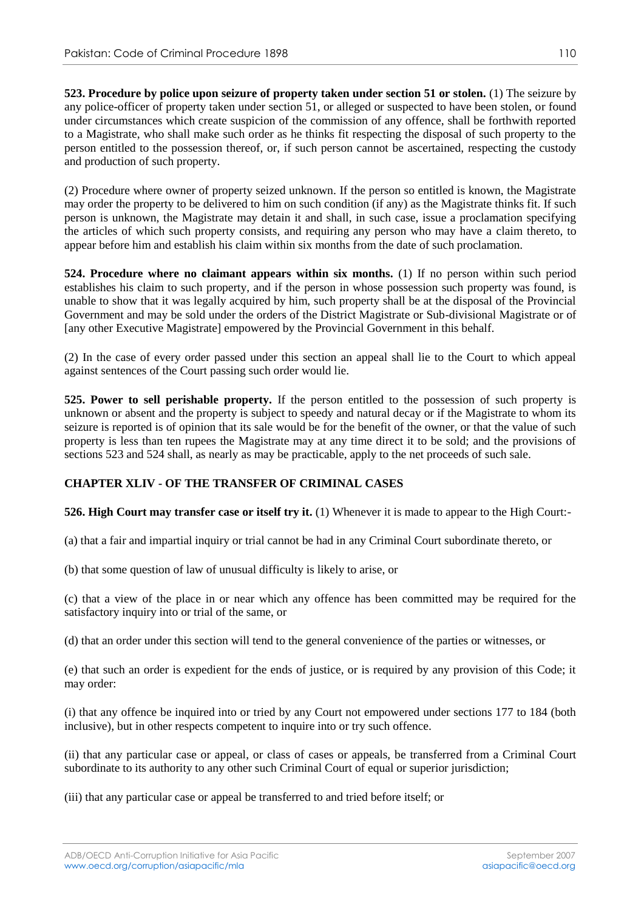**523. Procedure by police upon seizure of property taken under section 51 or stolen.** (1) The seizure by any police-officer of property taken under section 51, or alleged or suspected to have been stolen, or found under circumstances which create suspicion of the commission of any offence, shall be forthwith reported to a Magistrate, who shall make such order as he thinks fit respecting the disposal of such property to the person entitled to the possession thereof, or, if such person cannot be ascertained, respecting the custody and production of such property.

(2) Procedure where owner of property seized unknown. If the person so entitled is known, the Magistrate may order the property to be delivered to him on such condition (if any) as the Magistrate thinks fit. If such person is unknown, the Magistrate may detain it and shall, in such case, issue a proclamation specifying the articles of which such property consists, and requiring any person who may have a claim thereto, to appear before him and establish his claim within six months from the date of such proclamation.

**524. Procedure where no claimant appears within six months.** (1) If no person within such period establishes his claim to such property, and if the person in whose possession such property was found, is unable to show that it was legally acquired by him, such property shall be at the disposal of the Provincial Government and may be sold under the orders of the District Magistrate or Sub-divisional Magistrate or of [any other Executive Magistrate] empowered by the Provincial Government in this behalf.

(2) In the case of every order passed under this section an appeal shall lie to the Court to which appeal against sentences of the Court passing such order would lie.

**525. Power to sell perishable property.** If the person entitled to the possession of such property is unknown or absent and the property is subject to speedy and natural decay or if the Magistrate to whom its seizure is reported is of opinion that its sale would be for the benefit of the owner, or that the value of such property is less than ten rupees the Magistrate may at any time direct it to be sold; and the provisions of sections 523 and 524 shall, as nearly as may be practicable, apply to the net proceeds of such sale.

# **CHAPTER XLIV - OF THE TRANSFER OF CRIMINAL CASES**

**526. High Court may transfer case or itself try it.** (1) Whenever it is made to appear to the High Court:-

(a) that a fair and impartial inquiry or trial cannot be had in any Criminal Court subordinate thereto, or

(b) that some question of law of unusual difficulty is likely to arise, or

(c) that a view of the place in or near which any offence has been committed may be required for the satisfactory inquiry into or trial of the same, or

(d) that an order under this section will tend to the general convenience of the parties or witnesses, or

(e) that such an order is expedient for the ends of justice, or is required by any provision of this Code; it may order:

(i) that any offence be inquired into or tried by any Court not empowered under sections 177 to 184 (both inclusive), but in other respects competent to inquire into or try such offence.

(ii) that any particular case or appeal, or class of cases or appeals, be transferred from a Criminal Court subordinate to its authority to any other such Criminal Court of equal or superior jurisdiction;

(iii) that any particular case or appeal be transferred to and tried before itself; or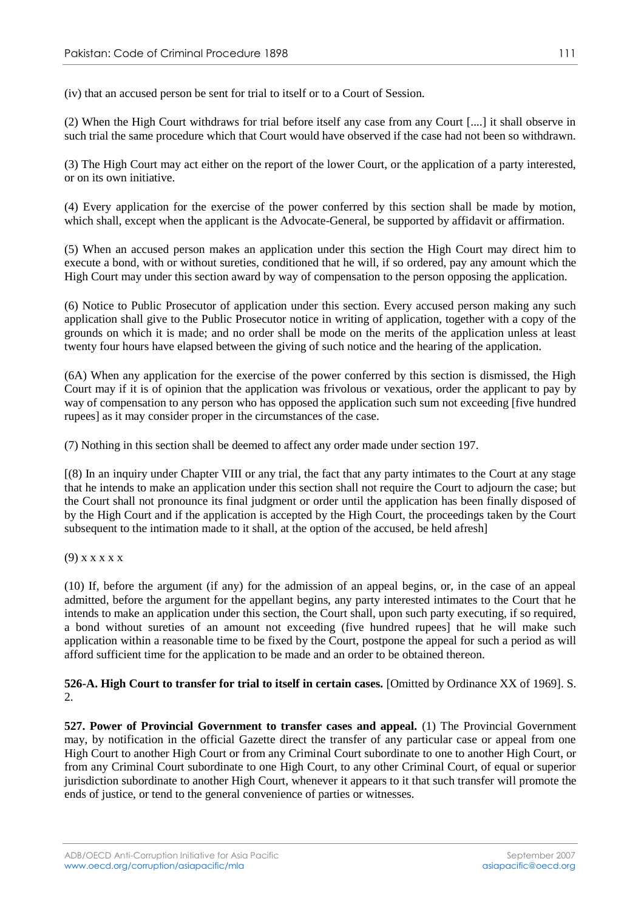(iv) that an accused person be sent for trial to itself or to a Court of Session.

(2) When the High Court withdraws for trial before itself any case from any Court [....] it shall observe in such trial the same procedure which that Court would have observed if the case had not been so withdrawn.

(3) The High Court may act either on the report of the lower Court, or the application of a party interested, or on its own initiative.

(4) Every application for the exercise of the power conferred by this section shall be made by motion, which shall, except when the applicant is the Advocate-General, be supported by affidavit or affirmation.

(5) When an accused person makes an application under this section the High Court may direct him to execute a bond, with or without sureties, conditioned that he will, if so ordered, pay any amount which the High Court may under this section award by way of compensation to the person opposing the application.

(6) Notice to Public Prosecutor of application under this section. Every accused person making any such application shall give to the Public Prosecutor notice in writing of application, together with a copy of the grounds on which it is made; and no order shall be mode on the merits of the application unless at least twenty four hours have elapsed between the giving of such notice and the hearing of the application.

(6A) When any application for the exercise of the power conferred by this section is dismissed, the High Court may if it is of opinion that the application was frivolous or vexatious, order the applicant to pay by way of compensation to any person who has opposed the application such sum not exceeding [five hundred rupees] as it may consider proper in the circumstances of the case.

(7) Nothing in this section shall be deemed to affect any order made under section 197.

[(8) In an inquiry under Chapter VIII or any trial, the fact that any party intimates to the Court at any stage that he intends to make an application under this section shall not require the Court to adjourn the case; but the Court shall not pronounce its final judgment or order until the application has been finally disposed of by the High Court and if the application is accepted by the High Court, the proceedings taken by the Court subsequent to the intimation made to it shall, at the option of the accused, be held afresh]

(9) x x x x x

(10) If, before the argument (if any) for the admission of an appeal begins, or, in the case of an appeal admitted, before the argument for the appellant begins, any party interested intimates to the Court that he intends to make an application under this section, the Court shall, upon such party executing, if so required, a bond without sureties of an amount not exceeding (five hundred rupees] that he will make such application within a reasonable time to be fixed by the Court, postpone the appeal for such a period as will afford sufficient time for the application to be made and an order to be obtained thereon.

**526-A. High Court to transfer for trial to itself in certain cases.** [Omitted by Ordinance XX of 1969]. S. 2.

**527. Power of Provincial Government to transfer cases and appeal.** (1) The Provincial Government may, by notification in the official Gazette direct the transfer of any particular case or appeal from one High Court to another High Court or from any Criminal Court subordinate to one to another High Court, or from any Criminal Court subordinate to one High Court, to any other Criminal Court, of equal or superior jurisdiction subordinate to another High Court, whenever it appears to it that such transfer will promote the ends of justice, or tend to the general convenience of parties or witnesses.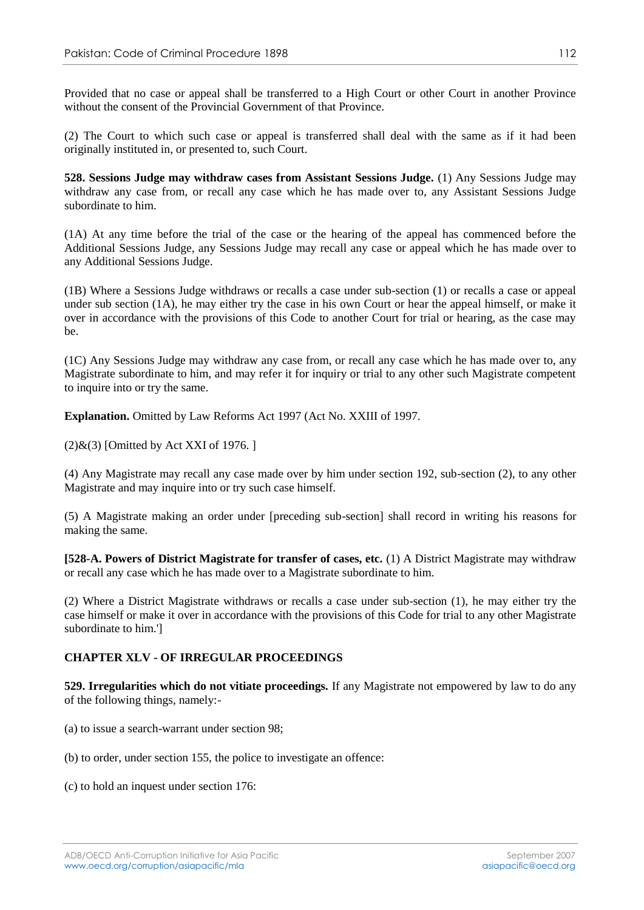Provided that no case or appeal shall be transferred to a High Court or other Court in another Province without the consent of the Provincial Government of that Province.

(2) The Court to which such case or appeal is transferred shall deal with the same as if it had been originally instituted in, or presented to, such Court.

**528. Sessions Judge may withdraw cases from Assistant Sessions Judge.** (1) Any Sessions Judge may withdraw any case from, or recall any case which he has made over to, any Assistant Sessions Judge subordinate to him.

(1A) At any time before the trial of the case or the hearing of the appeal has commenced before the Additional Sessions Judge, any Sessions Judge may recall any case or appeal which he has made over to any Additional Sessions Judge.

(1B) Where a Sessions Judge withdraws or recalls a case under sub-section (1) or recalls a case or appeal under sub section (1A), he may either try the case in his own Court or hear the appeal himself, or make it over in accordance with the provisions of this Code to another Court for trial or hearing, as the case may be.

(1C) Any Sessions Judge may withdraw any case from, or recall any case which he has made over to, any Magistrate subordinate to him, and may refer it for inquiry or trial to any other such Magistrate competent to inquire into or try the same.

**Explanation.** Omitted by Law Reforms Act 1997 (Act No. XXIII of 1997.

 $(2)$ & $(3)$  [Omitted by Act XXI of 1976.]

(4) Any Magistrate may recall any case made over by him under section 192, sub-section (2), to any other Magistrate and may inquire into or try such case himself.

(5) A Magistrate making an order under [preceding sub-section] shall record in writing his reasons for making the same.

**[528-A. Powers of District Magistrate for transfer of cases, etc.** (1) A District Magistrate may withdraw or recall any case which he has made over to a Magistrate subordinate to him.

(2) Where a District Magistrate withdraws or recalls a case under sub-section (1), he may either try the case himself or make it over in accordance with the provisions of this Code for trial to any other Magistrate subordinate to him.']

#### **CHAPTER XLV - OF IRREGULAR PROCEEDINGS**

**529. Irregularities which do not vitiate proceedings.** If any Magistrate not empowered by law to do any of the following things, namely:-

- (a) to issue a search-warrant under section 98;
- (b) to order, under section 155, the police to investigate an offence:
- (c) to hold an inquest under section 176: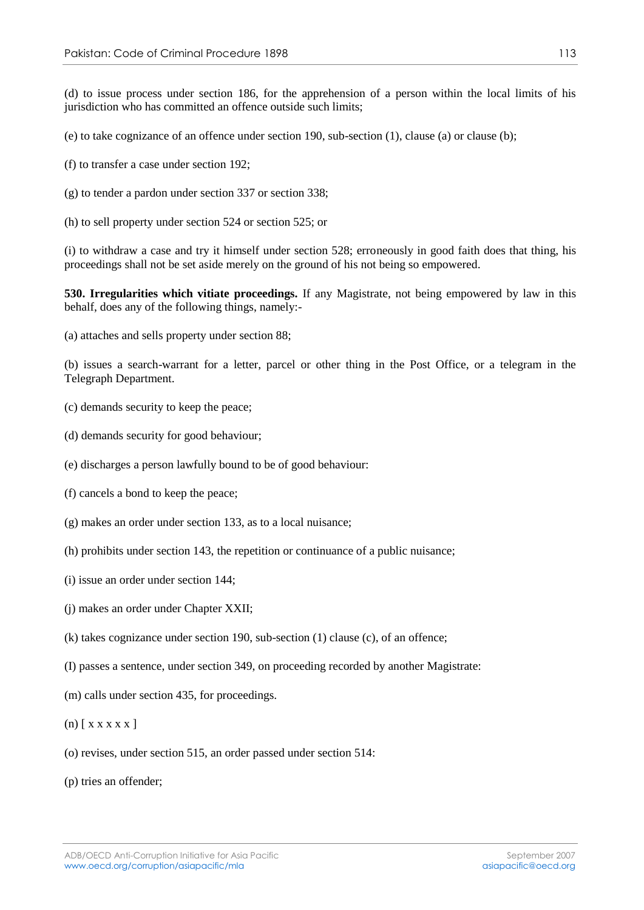(d) to issue process under section 186, for the apprehension of a person within the local limits of his jurisdiction who has committed an offence outside such limits;

- (e) to take cognizance of an offence under section 190, sub-section (1), clause (a) or clause (b);
- (f) to transfer a case under section 192;
- (g) to tender a pardon under section 337 or section 338;
- (h) to sell property under section 524 or section 525; or

(i) to withdraw a case and try it himself under section 528; erroneously in good faith does that thing, his proceedings shall not be set aside merely on the ground of his not being so empowered.

**530. Irregularities which vitiate proceedings.** If any Magistrate, not being empowered by law in this behalf, does any of the following things, namely:-

(a) attaches and sells property under section 88;

(b) issues a search-warrant for a letter, parcel or other thing in the Post Office, or a telegram in the Telegraph Department.

- (c) demands security to keep the peace;
- (d) demands security for good behaviour;
- (e) discharges a person lawfully bound to be of good behaviour:
- (f) cancels a bond to keep the peace;
- (g) makes an order under section 133, as to a local nuisance;
- (h) prohibits under section 143, the repetition or continuance of a public nuisance;
- (i) issue an order under section 144;
- (j) makes an order under Chapter XXII;
- (k) takes cognizance under section 190, sub-section (1) clause (c), of an offence;
- (I) passes a sentence, under section 349, on proceeding recorded by another Magistrate:
- (m) calls under section 435, for proceedings.
- $(n)$  [ x x x x x ]
- (o) revises, under section 515, an order passed under section 514:
- (p) tries an offender;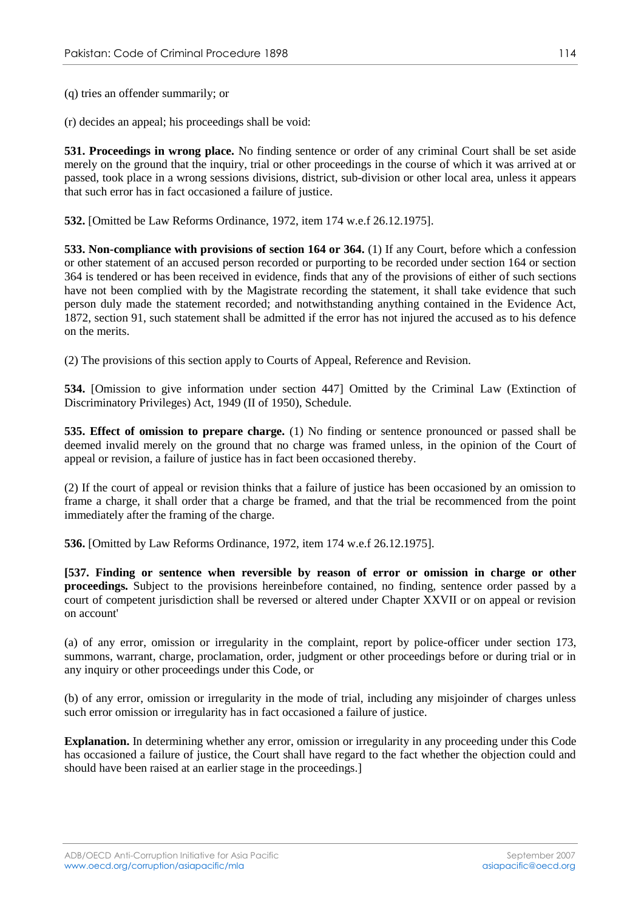(r) decides an appeal; his proceedings shall be void:

**531. Proceedings in wrong place.** No finding sentence or order of any criminal Court shall be set aside merely on the ground that the inquiry, trial or other proceedings in the course of which it was arrived at or passed, took place in a wrong sessions divisions, district, sub-division or other local area, unless it appears that such error has in fact occasioned a failure of justice.

**532.** [Omitted be Law Reforms Ordinance, 1972, item 174 w.e.f 26.12.1975].

**533. Non-compliance with provisions of section 164 or 364.** (1) If any Court, before which a confession or other statement of an accused person recorded or purporting to be recorded under section 164 or section 364 is tendered or has been received in evidence, finds that any of the provisions of either of such sections have not been complied with by the Magistrate recording the statement, it shall take evidence that such person duly made the statement recorded; and notwithstanding anything contained in the Evidence Act, 1872, section 91, such statement shall be admitted if the error has not injured the accused as to his defence on the merits.

(2) The provisions of this section apply to Courts of Appeal, Reference and Revision.

**534.** [Omission to give information under section 447] Omitted by the Criminal Law (Extinction of Discriminatory Privileges) Act, 1949 (II of 1950), Schedule.

**535. Effect of omission to prepare charge.** (1) No finding or sentence pronounced or passed shall be deemed invalid merely on the ground that no charge was framed unless, in the opinion of the Court of appeal or revision, a failure of justice has in fact been occasioned thereby.

(2) If the court of appeal or revision thinks that a failure of justice has been occasioned by an omission to frame a charge, it shall order that a charge be framed, and that the trial be recommenced from the point immediately after the framing of the charge.

**536.** [Omitted by Law Reforms Ordinance, 1972, item 174 w.e.f 26.12.1975].

**[537. Finding or sentence when reversible by reason of error or omission in charge or other proceedings.** Subject to the provisions hereinbefore contained, no finding, sentence order passed by a court of competent jurisdiction shall be reversed or altered under Chapter XXVII or on appeal or revision on account'

(a) of any error, omission or irregularity in the complaint, report by police-officer under section 173, summons, warrant, charge, proclamation, order, judgment or other proceedings before or during trial or in any inquiry or other proceedings under this Code, or

(b) of any error, omission or irregularity in the mode of trial, including any misjoinder of charges unless such error omission or irregularity has in fact occasioned a failure of justice.

**Explanation.** In determining whether any error, omission or irregularity in any proceeding under this Code has occasioned a failure of justice, the Court shall have regard to the fact whether the objection could and should have been raised at an earlier stage in the proceedings.]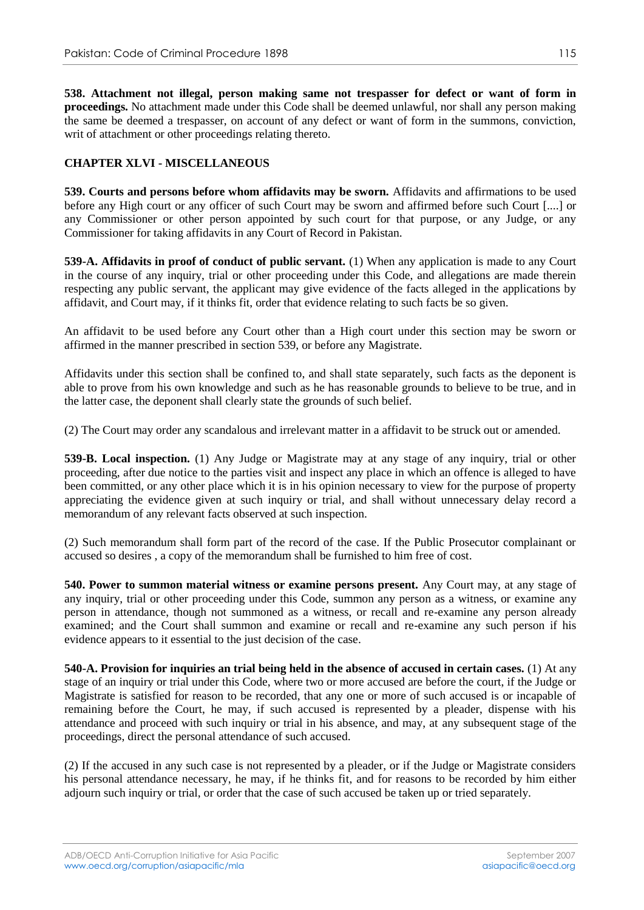**538. Attachment not illegal, person making same not trespasser for defect or want of form in proceedings.** No attachment made under this Code shall be deemed unlawful, nor shall any person making the same be deemed a trespasser, on account of any defect or want of form in the summons, conviction, writ of attachment or other proceedings relating thereto.

## **CHAPTER XLVI - MISCELLANEOUS**

**539. Courts and persons before whom affidavits may be sworn.** Affidavits and affirmations to be used before any High court or any officer of such Court may be sworn and affirmed before such Court [....] or any Commissioner or other person appointed by such court for that purpose, or any Judge, or any Commissioner for taking affidavits in any Court of Record in Pakistan.

**539-A. Affidavits in proof of conduct of public servant.** (1) When any application is made to any Court in the course of any inquiry, trial or other proceeding under this Code, and allegations are made therein respecting any public servant, the applicant may give evidence of the facts alleged in the applications by affidavit, and Court may, if it thinks fit, order that evidence relating to such facts be so given.

An affidavit to be used before any Court other than a High court under this section may be sworn or affirmed in the manner prescribed in section 539, or before any Magistrate.

Affidavits under this section shall be confined to, and shall state separately, such facts as the deponent is able to prove from his own knowledge and such as he has reasonable grounds to believe to be true, and in the latter case, the deponent shall clearly state the grounds of such belief.

(2) The Court may order any scandalous and irrelevant matter in a affidavit to be struck out or amended.

**539-B. Local inspection.** (1) Any Judge or Magistrate may at any stage of any inquiry, trial or other proceeding, after due notice to the parties visit and inspect any place in which an offence is alleged to have been committed, or any other place which it is in his opinion necessary to view for the purpose of property appreciating the evidence given at such inquiry or trial, and shall without unnecessary delay record a memorandum of any relevant facts observed at such inspection.

(2) Such memorandum shall form part of the record of the case. If the Public Prosecutor complainant or accused so desires , a copy of the memorandum shall be furnished to him free of cost.

**540. Power to summon material witness or examine persons present.** Any Court may, at any stage of any inquiry, trial or other proceeding under this Code, summon any person as a witness, or examine any person in attendance, though not summoned as a witness, or recall and re-examine any person already examined; and the Court shall summon and examine or recall and re-examine any such person if his evidence appears to it essential to the just decision of the case.

**540-A. Provision for inquiries an trial being held in the absence of accused in certain cases.** (1) At any stage of an inquiry or trial under this Code, where two or more accused are before the court, if the Judge or Magistrate is satisfied for reason to be recorded, that any one or more of such accused is or incapable of remaining before the Court, he may, if such accused is represented by a pleader, dispense with his attendance and proceed with such inquiry or trial in his absence, and may, at any subsequent stage of the proceedings, direct the personal attendance of such accused.

(2) If the accused in any such case is not represented by a pleader, or if the Judge or Magistrate considers his personal attendance necessary, he may, if he thinks fit, and for reasons to be recorded by him either adjourn such inquiry or trial, or order that the case of such accused be taken up or tried separately.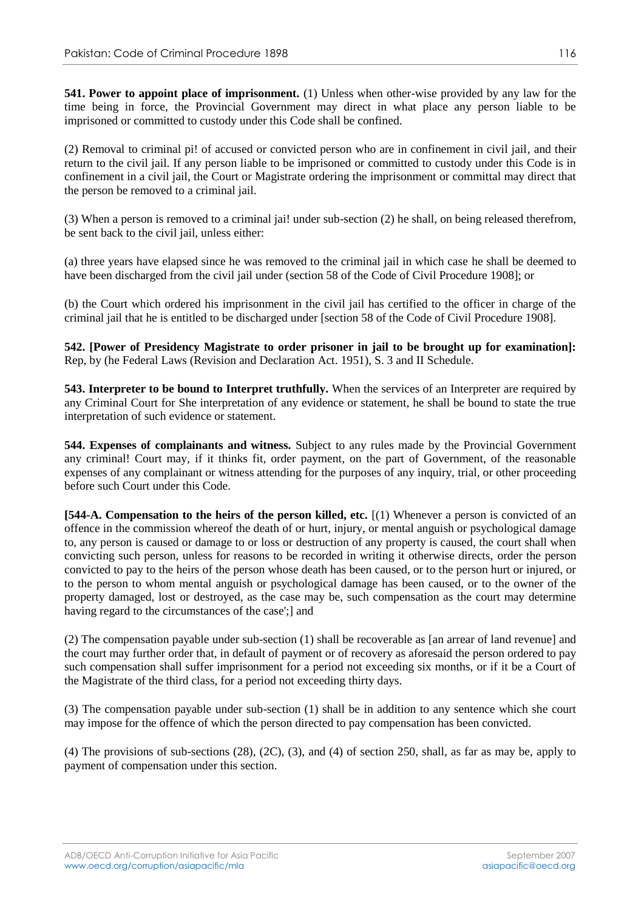**541. Power to appoint place of imprisonment.** (1) Unless when other-wise provided by any law for the time being in force, the Provincial Government may direct in what place any person liable to be imprisoned or committed to custody under this Code shall be confined.

(2) Removal to criminal pi! of accused or convicted person who are in confinement in civil jail, and their return to the civil jail. If any person liable to be imprisoned or committed to custody under this Code is in confinement in a civil jail, the Court or Magistrate ordering the imprisonment or committal may direct that the person be removed to a criminal jail.

(3) When a person is removed to a criminal jai! under sub-section (2) he shall, on being released therefrom, be sent back to the civil jail, unless either:

(a) three years have elapsed since he was removed to the criminal jail in which case he shall be deemed to have been discharged from the civil jail under (section 58 of the Code of Civil Procedure 1908]; or

(b) the Court which ordered his imprisonment in the civil jail has certified to the officer in charge of the criminal jail that he is entitled to be discharged under [section 58 of the Code of Civil Procedure 1908].

**542. [Power of Presidency Magistrate to order prisoner in jail to be brought up for examination]:** Rep, by (he Federal Laws (Revision and Declaration Act. 1951), S. 3 and II Schedule.

**543. Interpreter to be bound to Interpret truthfully.** When the services of an Interpreter are required by any Criminal Court for She interpretation of any evidence or statement, he shall be bound to state the true interpretation of such evidence or statement.

**544. Expenses of complainants and witness.** Subject to any rules made by the Provincial Government any criminal! Court may, if it thinks fit, order payment, on the part of Government, of the reasonable expenses of any complainant or witness attending for the purposes of any inquiry, trial, or other proceeding before such Court under this Code.

**[544-A. Compensation to the heirs of the person killed, etc.** [(1) Whenever a person is convicted of an offence in the commission whereof the death of or hurt, injury, or mental anguish or psychological damage to, any person is caused or damage to or loss or destruction of any property is caused, the court shall when convicting such person, unless for reasons to be recorded in writing it otherwise directs, order the person convicted to pay to the heirs of the person whose death has been caused, or to the person hurt or injured, or to the person to whom mental anguish or psychological damage has been caused, or to the owner of the property damaged, lost or destroyed, as the case may be, such compensation as the court may determine having regard to the circumstances of the case';] and

(2) The compensation payable under sub-section (1) shall be recoverable as [an arrear of land revenue] and the court may further order that, in default of payment or of recovery as aforesaid the person ordered to pay such compensation shall suffer imprisonment for a period not exceeding six months, or if it be a Court of the Magistrate of the third class, for a period not exceeding thirty days.

(3) The compensation payable under sub-section (1) shall be in addition to any sentence which she court may impose for the offence of which the person directed to pay compensation has been convicted.

(4) The provisions of sub-sections (28), (2C), (3), and (4) of section 250, shall, as far as may be, apply to payment of compensation under this section.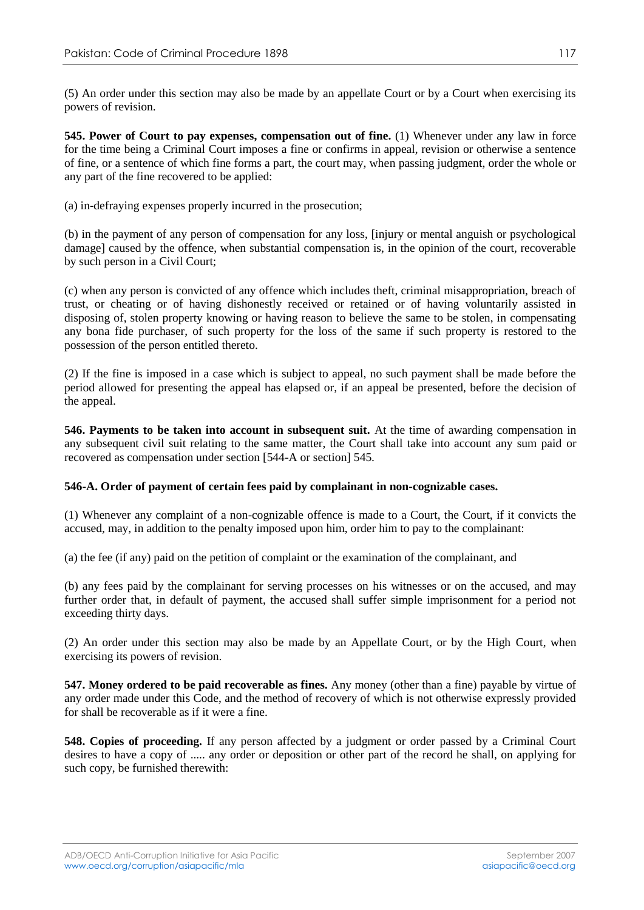(5) An order under this section may also be made by an appellate Court or by a Court when exercising its powers of revision.

**545. Power of Court to pay expenses, compensation out of fine.** (1) Whenever under any law in force for the time being a Criminal Court imposes a fine or confirms in appeal, revision or otherwise a sentence of fine, or a sentence of which fine forms a part, the court may, when passing judgment, order the whole or any part of the fine recovered to be applied:

(a) in-defraying expenses properly incurred in the prosecution;

(b) in the payment of any person of compensation for any loss, [injury or mental anguish or psychological damage] caused by the offence, when substantial compensation is, in the opinion of the court, recoverable by such person in a Civil Court;

(c) when any person is convicted of any offence which includes theft, criminal misappropriation, breach of trust, or cheating or of having dishonestly received or retained or of having voluntarily assisted in disposing of, stolen property knowing or having reason to believe the same to be stolen, in compensating any bona fide purchaser, of such property for the loss of the same if such property is restored to the possession of the person entitled thereto.

(2) If the fine is imposed in a case which is subject to appeal, no such payment shall be made before the period allowed for presenting the appeal has elapsed or, if an appeal be presented, before the decision of the appeal.

**546. Payments to be taken into account in subsequent suit.** At the time of awarding compensation in any subsequent civil suit relating to the same matter, the Court shall take into account any sum paid or recovered as compensation under section [544-A or section] 545.

#### **546-A. Order of payment of certain fees paid by complainant in non-cognizable cases.**

(1) Whenever any complaint of a non-cognizable offence is made to a Court, the Court, if it convicts the accused, may, in addition to the penalty imposed upon him, order him to pay to the complainant:

(a) the fee (if any) paid on the petition of complaint or the examination of the complainant, and

(b) any fees paid by the complainant for serving processes on his witnesses or on the accused, and may further order that, in default of payment, the accused shall suffer simple imprisonment for a period not exceeding thirty days.

(2) An order under this section may also be made by an Appellate Court, or by the High Court, when exercising its powers of revision.

**547. Money ordered to be paid recoverable as fines.** Any money (other than a fine) payable by virtue of any order made under this Code, and the method of recovery of which is not otherwise expressly provided for shall be recoverable as if it were a fine.

**548. Copies of proceeding.** If any person affected by a judgment or order passed by a Criminal Court desires to have a copy of ..... any order or deposition or other part of the record he shall, on applying for such copy, be furnished therewith: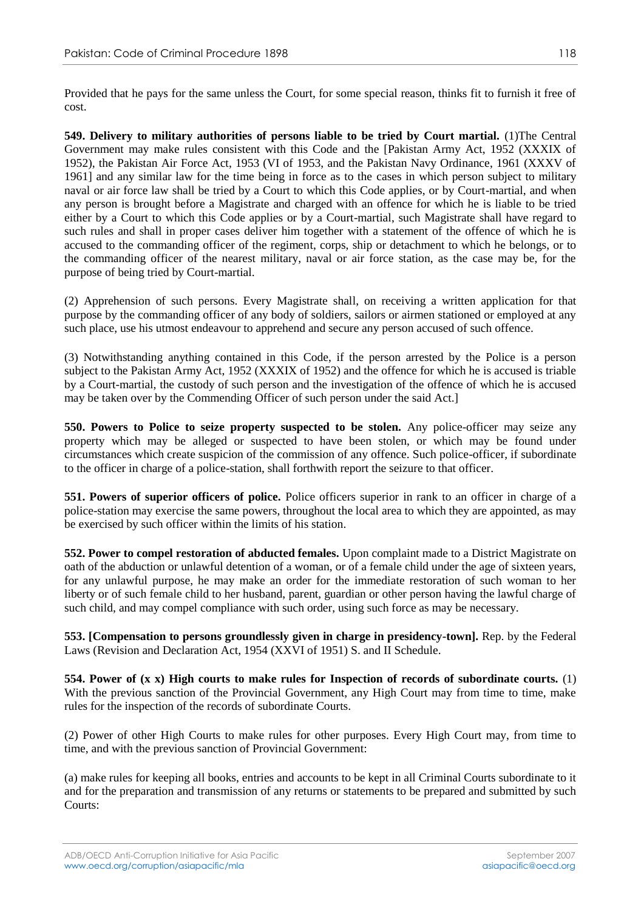Provided that he pays for the same unless the Court, for some special reason, thinks fit to furnish it free of cost.

**549. Delivery to military authorities of persons liable to be tried by Court martial.** (1)The Central Government may make rules consistent with this Code and the [Pakistan Army Act, 1952 (XXXIX of 1952), the Pakistan Air Force Act, 1953 (VI of 1953, and the Pakistan Navy Ordinance, 1961 (XXXV of 1961] and any similar law for the time being in force as to the cases in which person subject to military naval or air force law shall be tried by a Court to which this Code applies, or by Court-martial, and when any person is brought before a Magistrate and charged with an offence for which he is liable to be tried either by a Court to which this Code applies or by a Court-martial, such Magistrate shall have regard to such rules and shall in proper cases deliver him together with a statement of the offence of which he is accused to the commanding officer of the regiment, corps, ship or detachment to which he belongs, or to the commanding officer of the nearest military, naval or air force station, as the case may be, for the purpose of being tried by Court-martial.

(2) Apprehension of such persons. Every Magistrate shall, on receiving a written application for that purpose by the commanding officer of any body of soldiers, sailors or airmen stationed or employed at any such place, use his utmost endeavour to apprehend and secure any person accused of such offence.

(3) Notwithstanding anything contained in this Code, if the person arrested by the Police is a person subject to the Pakistan Army Act, 1952 (XXXIX of 1952) and the offence for which he is accused is triable by a Court-martial, the custody of such person and the investigation of the offence of which he is accused may be taken over by the Commending Officer of such person under the said Act.]

**550. Powers to Police to seize property suspected to be stolen.** Any police-officer may seize any property which may be alleged or suspected to have been stolen, or which may be found under circumstances which create suspicion of the commission of any offence. Such police-officer, if subordinate to the officer in charge of a police-station, shall forthwith report the seizure to that officer.

**551. Powers of superior officers of police.** Police officers superior in rank to an officer in charge of a police-station may exercise the same powers, throughout the local area to which they are appointed, as may be exercised by such officer within the limits of his station.

**552. Power to compel restoration of abducted females.** Upon complaint made to a District Magistrate on oath of the abduction or unlawful detention of a woman, or of a female child under the age of sixteen years, for any unlawful purpose, he may make an order for the immediate restoration of such woman to her liberty or of such female child to her husband, parent, guardian or other person having the lawful charge of such child, and may compel compliance with such order, using such force as may be necessary.

**553. [Compensation to persons groundlessly given in charge in presidency-town].** Rep. by the Federal Laws (Revision and Declaration Act, 1954 (XXVI of 1951) S. and II Schedule.

**554. Power of (x x) High courts to make rules for Inspection of records of subordinate courts.** (1) With the previous sanction of the Provincial Government, any High Court may from time to time, make rules for the inspection of the records of subordinate Courts.

(2) Power of other High Courts to make rules for other purposes. Every High Court may, from time to time, and with the previous sanction of Provincial Government:

(a) make rules for keeping all books, entries and accounts to be kept in all Criminal Courts subordinate to it and for the preparation and transmission of any returns or statements to be prepared and submitted by such Courts: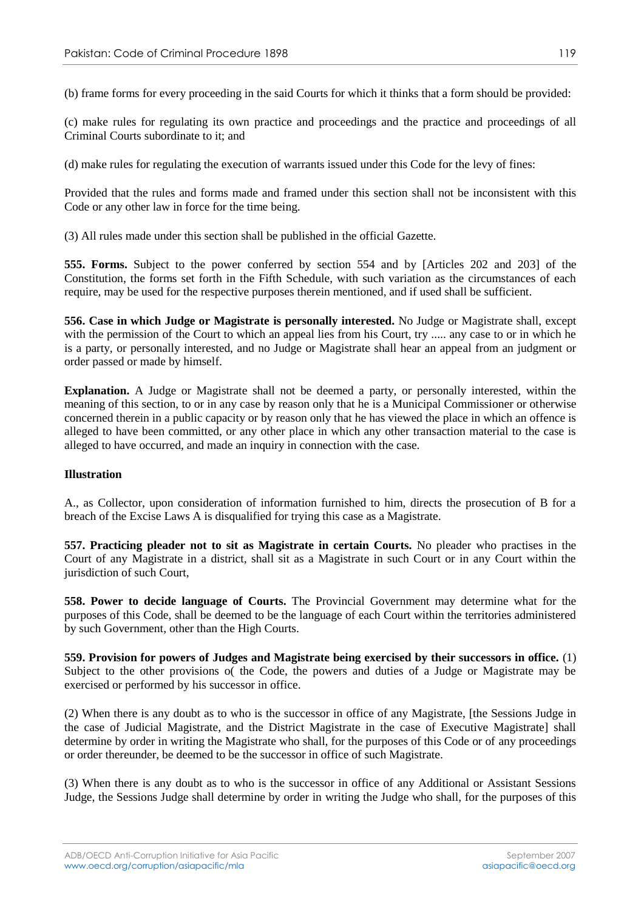(b) frame forms for every proceeding in the said Courts for which it thinks that a form should be provided:

(c) make rules for regulating its own practice and proceedings and the practice and proceedings of all Criminal Courts subordinate to it; and

(d) make rules for regulating the execution of warrants issued under this Code for the levy of fines:

Provided that the rules and forms made and framed under this section shall not be inconsistent with this Code or any other law in force for the time being.

(3) All rules made under this section shall be published in the official Gazette.

**555. Forms.** Subject to the power conferred by section 554 and by [Articles 202 and 203] of the Constitution, the forms set forth in the Fifth Schedule, with such variation as the circumstances of each require, may be used for the respective purposes therein mentioned, and if used shall be sufficient.

**556. Case in which Judge or Magistrate is personally interested.** No Judge or Magistrate shall, except with the permission of the Court to which an appeal lies from his Court, try ..... any case to or in which he is a party, or personally interested, and no Judge or Magistrate shall hear an appeal from an judgment or order passed or made by himself.

**Explanation.** A Judge or Magistrate shall not be deemed a party, or personally interested, within the meaning of this section, to or in any case by reason only that he is a Municipal Commissioner or otherwise concerned therein in a public capacity or by reason only that he has viewed the place in which an offence is alleged to have been committed, or any other place in which any other transaction material to the case is alleged to have occurred, and made an inquiry in connection with the case.

#### **Illustration**

A., as Collector, upon consideration of information furnished to him, directs the prosecution of B for a breach of the Excise Laws A is disqualified for trying this case as a Magistrate.

**557. Practicing pleader not to sit as Magistrate in certain Courts.** No pleader who practises in the Court of any Magistrate in a district, shall sit as a Magistrate in such Court or in any Court within the jurisdiction of such Court,

**558. Power to decide language of Courts.** The Provincial Government may determine what for the purposes of this Code, shall be deemed to be the language of each Court within the territories administered by such Government, other than the High Courts.

**559. Provision for powers of Judges and Magistrate being exercised by their successors in office.** (1) Subject to the other provisions o( the Code, the powers and duties of a Judge or Magistrate may be exercised or performed by his successor in office.

(2) When there is any doubt as to who is the successor in office of any Magistrate, [the Sessions Judge in the case of Judicial Magistrate, and the District Magistrate in the case of Executive Magistrate] shall determine by order in writing the Magistrate who shall, for the purposes of this Code or of any proceedings or order thereunder, be deemed to be the successor in office of such Magistrate.

(3) When there is any doubt as to who is the successor in office of any Additional or Assistant Sessions Judge, the Sessions Judge shall determine by order in writing the Judge who shall, for the purposes of this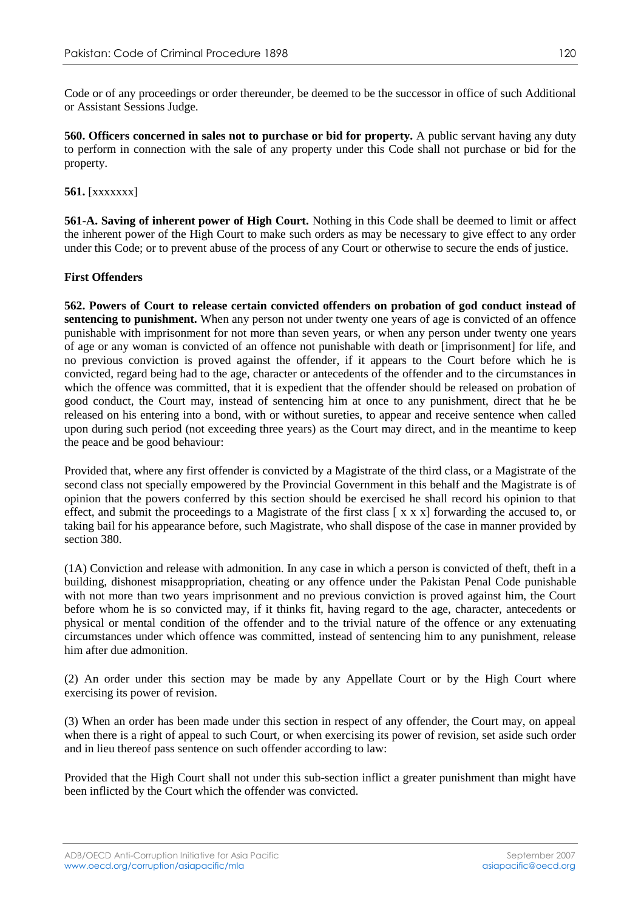**560. Officers concerned in sales not to purchase or bid for property.** A public servant having any duty to perform in connection with the sale of any property under this Code shall not purchase or bid for the property.

### **561.** [XXXXXXX]

**561-A. Saving of inherent power of High Court.** Nothing in this Code shall be deemed to limit or affect the inherent power of the High Court to make such orders as may be necessary to give effect to any order under this Code; or to prevent abuse of the process of any Court or otherwise to secure the ends of justice.

### **First Offenders**

**562. Powers of Court to release certain convicted offenders on probation of god conduct instead of sentencing to punishment.** When any person not under twenty one years of age is convicted of an offence punishable with imprisonment for not more than seven years, or when any person under twenty one years of age or any woman is convicted of an offence not punishable with death or [imprisonment] for life, and no previous conviction is proved against the offender, if it appears to the Court before which he is convicted, regard being had to the age, character or antecedents of the offender and to the circumstances in which the offence was committed, that it is expedient that the offender should be released on probation of good conduct, the Court may, instead of sentencing him at once to any punishment, direct that he be released on his entering into a bond, with or without sureties, to appear and receive sentence when called upon during such period (not exceeding three years) as the Court may direct, and in the meantime to keep the peace and be good behaviour:

Provided that, where any first offender is convicted by a Magistrate of the third class, or a Magistrate of the second class not specially empowered by the Provincial Government in this behalf and the Magistrate is of opinion that the powers conferred by this section should be exercised he shall record his opinion to that effect, and submit the proceedings to a Magistrate of the first class [ x x x] forwarding the accused to, or taking bail for his appearance before, such Magistrate, who shall dispose of the case in manner provided by section 380.

(1A) Conviction and release with admonition. In any case in which a person is convicted of theft, theft in a building, dishonest misappropriation, cheating or any offence under the Pakistan Penal Code punishable with not more than two years imprisonment and no previous conviction is proved against him, the Court before whom he is so convicted may, if it thinks fit, having regard to the age, character, antecedents or physical or mental condition of the offender and to the trivial nature of the offence or any extenuating circumstances under which offence was committed, instead of sentencing him to any punishment, release him after due admonition.

(2) An order under this section may be made by any Appellate Court or by the High Court where exercising its power of revision.

(3) When an order has been made under this section in respect of any offender, the Court may, on appeal when there is a right of appeal to such Court, or when exercising its power of revision, set aside such order and in lieu thereof pass sentence on such offender according to law:

Provided that the High Court shall not under this sub-section inflict a greater punishment than might have been inflicted by the Court which the offender was convicted.